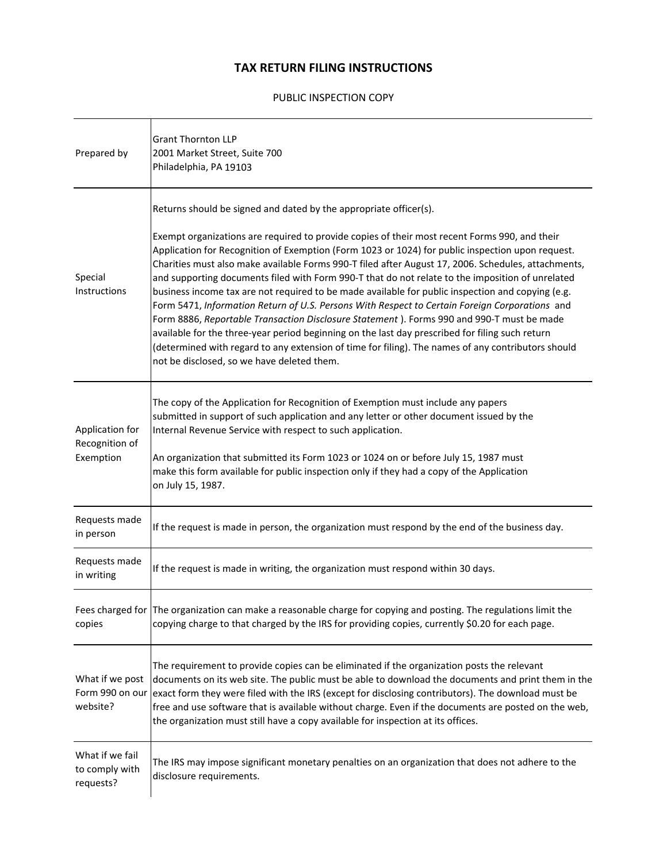#### **TAX RETURN FILING INSTRUCTIONS**

#### PUBLIC INSPECTION COPY

| Prepared by                                    | <b>Grant Thornton LLP</b><br>2001 Market Street, Suite 700<br>Philadelphia, PA 19103                                                                                                                                                                                                                                                                                                                                                                                                                                                                                                                                                                                                                                                                                                                                                                                                                                                                                                                                                          |
|------------------------------------------------|-----------------------------------------------------------------------------------------------------------------------------------------------------------------------------------------------------------------------------------------------------------------------------------------------------------------------------------------------------------------------------------------------------------------------------------------------------------------------------------------------------------------------------------------------------------------------------------------------------------------------------------------------------------------------------------------------------------------------------------------------------------------------------------------------------------------------------------------------------------------------------------------------------------------------------------------------------------------------------------------------------------------------------------------------|
| Special<br>Instructions                        | Returns should be signed and dated by the appropriate officer(s).<br>Exempt organizations are required to provide copies of their most recent Forms 990, and their<br>Application for Recognition of Exemption (Form 1023 or 1024) for public inspection upon request.<br>Charities must also make available Forms 990-T filed after August 17, 2006. Schedules, attachments,<br>and supporting documents filed with Form 990-T that do not relate to the imposition of unrelated<br>business income tax are not required to be made available for public inspection and copying (e.g.<br>Form 5471, Information Return of U.S. Persons With Respect to Certain Foreign Corporations and<br>Form 8886, Reportable Transaction Disclosure Statement ). Forms 990 and 990-T must be made<br>available for the three-year period beginning on the last day prescribed for filing such return<br>(determined with regard to any extension of time for filing). The names of any contributors should<br>not be disclosed, so we have deleted them. |
| Application for<br>Recognition of<br>Exemption | The copy of the Application for Recognition of Exemption must include any papers<br>submitted in support of such application and any letter or other document issued by the<br>Internal Revenue Service with respect to such application.<br>An organization that submitted its Form 1023 or 1024 on or before July 15, 1987 must<br>make this form available for public inspection only if they had a copy of the Application<br>on July 15, 1987.                                                                                                                                                                                                                                                                                                                                                                                                                                                                                                                                                                                           |
| Requests made<br>in person                     | If the request is made in person, the organization must respond by the end of the business day.                                                                                                                                                                                                                                                                                                                                                                                                                                                                                                                                                                                                                                                                                                                                                                                                                                                                                                                                               |
| Requests made<br>in writing                    | If the request is made in writing, the organization must respond within 30 days.                                                                                                                                                                                                                                                                                                                                                                                                                                                                                                                                                                                                                                                                                                                                                                                                                                                                                                                                                              |
| copies                                         | Fees charged for The organization can make a reasonable charge for copying and posting. The regulations limit the<br>copying charge to that charged by the IRS for providing copies, currently \$0.20 for each page.                                                                                                                                                                                                                                                                                                                                                                                                                                                                                                                                                                                                                                                                                                                                                                                                                          |
| What if we post<br>website?                    | The requirement to provide copies can be eliminated if the organization posts the relevant<br>documents on its web site. The public must be able to download the documents and print them in the<br>Form 990 on our lexact form they were filed with the IRS (except for disclosing contributors). The download must be<br>free and use software that is available without charge. Even if the documents are posted on the web,<br>the organization must still have a copy available for inspection at its offices.                                                                                                                                                                                                                                                                                                                                                                                                                                                                                                                           |
| What if we fail<br>to comply with<br>requests? | The IRS may impose significant monetary penalties on an organization that does not adhere to the<br>disclosure requirements.                                                                                                                                                                                                                                                                                                                                                                                                                                                                                                                                                                                                                                                                                                                                                                                                                                                                                                                  |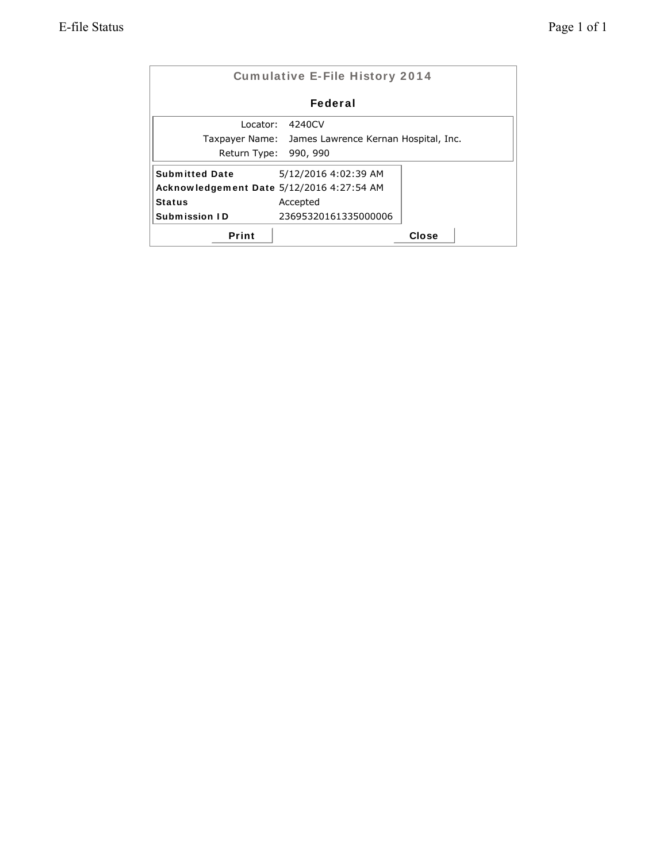|                       | <b>Cumulative E-File History 2014</b>     |       |  |
|-----------------------|-------------------------------------------|-------|--|
|                       | Federal                                   |       |  |
| Locator:              | 4240CV                                    |       |  |
| Taxpayer Name:        | James Lawrence Kernan Hospital, Inc.      |       |  |
| Return Type:          | 990, 990                                  |       |  |
| <b>Submitted Date</b> | 5/12/2016 4:02:39 AM                      |       |  |
|                       | Acknowledgement Date 5/12/2016 4:27:54 AM |       |  |
| <b>Status</b>         | Accepted                                  |       |  |
| Submission ID         | 23695320161335000006                      |       |  |
| Print                 |                                           | Close |  |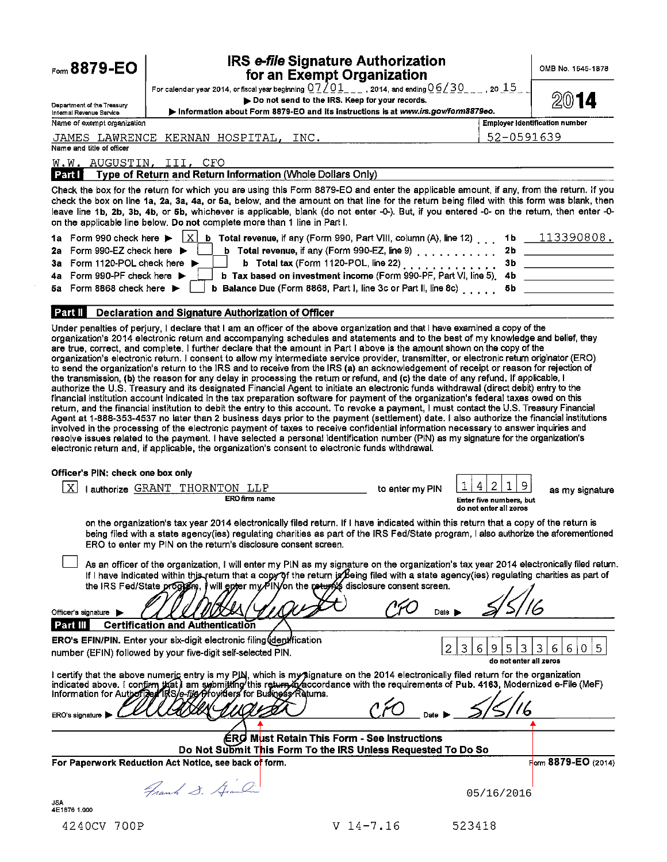| Form 8879-EO                                                                        |                                                                                                                                                                                                                                                                                                                                                                                                                                                                                                                                                                                                                                                                                                                                                                                                                                                                                                                                                                                                                                                                                                                                                                                                                                            | <b>IRS e-file Signature Authorization</b><br>for an Exempt Organization                                 |                                                                  | OMB No. 1545-1878                               |
|-------------------------------------------------------------------------------------|--------------------------------------------------------------------------------------------------------------------------------------------------------------------------------------------------------------------------------------------------------------------------------------------------------------------------------------------------------------------------------------------------------------------------------------------------------------------------------------------------------------------------------------------------------------------------------------------------------------------------------------------------------------------------------------------------------------------------------------------------------------------------------------------------------------------------------------------------------------------------------------------------------------------------------------------------------------------------------------------------------------------------------------------------------------------------------------------------------------------------------------------------------------------------------------------------------------------------------------------|---------------------------------------------------------------------------------------------------------|------------------------------------------------------------------|-------------------------------------------------|
|                                                                                     | For calendar year 2014, or fiscal year beginning $0.7201$ _ _ _ , 2014, and ending $0.6230$ _ _ _ , 20 $15$ _                                                                                                                                                                                                                                                                                                                                                                                                                                                                                                                                                                                                                                                                                                                                                                                                                                                                                                                                                                                                                                                                                                                              | Do not send to the IRS. Keep for your records.                                                          |                                                                  |                                                 |
| Department of the Treasury<br>Internal Revenue Service                              | Information about Form 8879-EO and its instructions is at www.irs.gov/form8879eo.                                                                                                                                                                                                                                                                                                                                                                                                                                                                                                                                                                                                                                                                                                                                                                                                                                                                                                                                                                                                                                                                                                                                                          |                                                                                                         |                                                                  |                                                 |
| Name of exempt organization<br>JAMES LAWRENCE                                       | KERNAN HOSPITAL,<br>INC.                                                                                                                                                                                                                                                                                                                                                                                                                                                                                                                                                                                                                                                                                                                                                                                                                                                                                                                                                                                                                                                                                                                                                                                                                   |                                                                                                         | 52-0591639                                                       | Employer Identification number                  |
| Name and title of officer                                                           |                                                                                                                                                                                                                                                                                                                                                                                                                                                                                                                                                                                                                                                                                                                                                                                                                                                                                                                                                                                                                                                                                                                                                                                                                                            |                                                                                                         |                                                                  |                                                 |
| W.W. AUGUSTIN, III, CFO                                                             | Type of Return and Return Information (Whole Dollars Only)                                                                                                                                                                                                                                                                                                                                                                                                                                                                                                                                                                                                                                                                                                                                                                                                                                                                                                                                                                                                                                                                                                                                                                                 |                                                                                                         |                                                                  |                                                 |
| Part I                                                                              |                                                                                                                                                                                                                                                                                                                                                                                                                                                                                                                                                                                                                                                                                                                                                                                                                                                                                                                                                                                                                                                                                                                                                                                                                                            |                                                                                                         |                                                                  |                                                 |
|                                                                                     | Check the box for the return for which you are using this Form 8879-EO and enter the applicable amount, if any, from the return. If you<br>check the box on line 1a, 2a, 3a, 4a, or 5a, below, and the amount on that line for the return being filed with this form was blank, then<br>leave line 1b, 2b, 3b, 4b, or 5b, whichever is applicable, blank (do not enter -0-). But, if you entered -0- on the return, then enter -0-<br>on the applicable line below. Do not complete more than 1 line in Part I.                                                                                                                                                                                                                                                                                                                                                                                                                                                                                                                                                                                                                                                                                                                            |                                                                                                         |                                                                  |                                                 |
| 1a Form 990 check here ▶                                                            | $\vert x \vert$                                                                                                                                                                                                                                                                                                                                                                                                                                                                                                                                                                                                                                                                                                                                                                                                                                                                                                                                                                                                                                                                                                                                                                                                                            | <b>b</b> Total revenue, if any (Form 990, Part VIII, column (A), line 12)                               | 1 b                                                              | $-113390808.$                                   |
| Form 990-EZ check here ▶<br>2a                                                      |                                                                                                                                                                                                                                                                                                                                                                                                                                                                                                                                                                                                                                                                                                                                                                                                                                                                                                                                                                                                                                                                                                                                                                                                                                            | b Total revenue, if any (Form 990-EZ, line 9) $\ldots$ ,,,,,,,,,,                                       | 2b                                                               |                                                 |
| 3a Form 1120-POL check here ▶<br>Form 990-PF check here $\blacktriangleright$<br>4а |                                                                                                                                                                                                                                                                                                                                                                                                                                                                                                                                                                                                                                                                                                                                                                                                                                                                                                                                                                                                                                                                                                                                                                                                                                            | b Total tax (Form 1120-POL, line 22)<br>b Tax based on investment income (Form 990-PF, Part VI, line 5) | 3 <sub>b</sub><br>4b                                             |                                                 |
| Form 8868 check here $\blacktriangleright$<br>5а.                                   |                                                                                                                                                                                                                                                                                                                                                                                                                                                                                                                                                                                                                                                                                                                                                                                                                                                                                                                                                                                                                                                                                                                                                                                                                                            | <b>b</b> Balance Due (Form 8868, Part I, line 3c or Part II, line 8c) $\ldots$                          | 5b                                                               |                                                 |
|                                                                                     |                                                                                                                                                                                                                                                                                                                                                                                                                                                                                                                                                                                                                                                                                                                                                                                                                                                                                                                                                                                                                                                                                                                                                                                                                                            |                                                                                                         |                                                                  |                                                 |
| Part II                                                                             | Declaration and Signature Authorization of Officer                                                                                                                                                                                                                                                                                                                                                                                                                                                                                                                                                                                                                                                                                                                                                                                                                                                                                                                                                                                                                                                                                                                                                                                         |                                                                                                         |                                                                  |                                                 |
|                                                                                     | to send the organization's return to the IRS and to receive from the IRS (a) an acknowledgement of receipt or reason for rejection of<br>the transmission, (b) the reason for any delay in processing the return or refund, and (c) the date of any refund. If applicable, I<br>authorize the U.S. Treasury and its designated Financial Agent to initiate an electronic funds withdrawal (direct debit) entry to the<br>financial institution account indicated in the tax preparation software for payment of the organization's federal taxes owed on this<br>return, and the financial institution to debit the entry to this account. To revoke a payment, I must contact the U.S. Treasury Financial<br>Agent at 1-888-353-4537 no later than 2 business days prior to the payment (settlement) date. I also authorize the financial institutions<br>involved in the processing of the electronic payment of taxes to receive confidential information necessary to answer inquiries and<br>resolve issues related to the payment. I have selected a personal identification number (PIN) as my signature for the organization's<br>electronic return and, if applicable, the organization's consent to electronic funds withdrawal. |                                                                                                         |                                                                  |                                                 |
| Officer's PIN: check one box only                                                   |                                                                                                                                                                                                                                                                                                                                                                                                                                                                                                                                                                                                                                                                                                                                                                                                                                                                                                                                                                                                                                                                                                                                                                                                                                            |                                                                                                         |                                                                  |                                                 |
| $\boldsymbol{\mathrm{X}}$                                                           | I authorize GRANT THORNTON LLP<br><b>ERO firm name</b>                                                                                                                                                                                                                                                                                                                                                                                                                                                                                                                                                                                                                                                                                                                                                                                                                                                                                                                                                                                                                                                                                                                                                                                     | to enter my PIN                                                                                         | 2<br>9<br>4<br>Enter five numbers, but<br>do not enter all zeros | as my signature                                 |
|                                                                                     | on the organization's tax year 2014 electronically filed return. If I have indicated within this return that a copy of the return is<br>being filed with a state agency(ies) regulating charities as part of the IRS Fed/State program, I also authorize the aforementioned<br>ERO to enter my PIN on the return's disclosure consent screen.                                                                                                                                                                                                                                                                                                                                                                                                                                                                                                                                                                                                                                                                                                                                                                                                                                                                                              |                                                                                                         |                                                                  |                                                 |
|                                                                                     | As an officer of the organization, I will enter my PIN as my signature on the organization's tax year 2014 electronically filed return.<br>If I have indicated within this return that a copy of the return is being filed with a state agency (ies) regulating charities as part of<br>the IRS Fed/State proglem, I will epter my PIN/on the return's disclosure consent screen.                                                                                                                                                                                                                                                                                                                                                                                                                                                                                                                                                                                                                                                                                                                                                                                                                                                          |                                                                                                         |                                                                  |                                                 |
| Officer's signature                                                                 |                                                                                                                                                                                                                                                                                                                                                                                                                                                                                                                                                                                                                                                                                                                                                                                                                                                                                                                                                                                                                                                                                                                                                                                                                                            | Date I                                                                                                  |                                                                  |                                                 |
| Part III                                                                            | <b>Certification and Authentication</b>                                                                                                                                                                                                                                                                                                                                                                                                                                                                                                                                                                                                                                                                                                                                                                                                                                                                                                                                                                                                                                                                                                                                                                                                    |                                                                                                         |                                                                  |                                                 |
|                                                                                     | ERO's EFIN/PIN. Enter your six-digit electronic filing (deptification<br>number (EFIN) followed by your five-digit self-selected PIN.                                                                                                                                                                                                                                                                                                                                                                                                                                                                                                                                                                                                                                                                                                                                                                                                                                                                                                                                                                                                                                                                                                      |                                                                                                         | 2<br>3<br>3<br>5<br>6<br>9<br>do not enter all zeros             | 5<br>6<br>6 <sup>1</sup><br>3<br>$\overline{0}$ |
|                                                                                     | I certify that the above numer <u>ic</u> entry is my PJN, which is my∕≸ignature on the 2014 electronically filed return for the organization<br>indicated above. I confirm that am submitting this return in accordance with the requirements of Pub. 4163, Modernized e-File (MeF)<br>Information for Authorized PRS/e-file/Providers for Business Returns.                                                                                                                                                                                                                                                                                                                                                                                                                                                                                                                                                                                                                                                                                                                                                                                                                                                                               |                                                                                                         |                                                                  |                                                 |
| ERO's signature                                                                     |                                                                                                                                                                                                                                                                                                                                                                                                                                                                                                                                                                                                                                                                                                                                                                                                                                                                                                                                                                                                                                                                                                                                                                                                                                            |                                                                                                         |                                                                  |                                                 |
|                                                                                     |                                                                                                                                                                                                                                                                                                                                                                                                                                                                                                                                                                                                                                                                                                                                                                                                                                                                                                                                                                                                                                                                                                                                                                                                                                            | <b>ÉRO Must Retain This Form - See Instructions</b>                                                     |                                                                  |                                                 |
|                                                                                     | Do Not Submit This Form To the IRS Unless Requested To Do So                                                                                                                                                                                                                                                                                                                                                                                                                                                                                                                                                                                                                                                                                                                                                                                                                                                                                                                                                                                                                                                                                                                                                                               |                                                                                                         |                                                                  |                                                 |
|                                                                                     | For Paperwork Reduction Act Notice, see back of form.                                                                                                                                                                                                                                                                                                                                                                                                                                                                                                                                                                                                                                                                                                                                                                                                                                                                                                                                                                                                                                                                                                                                                                                      |                                                                                                         |                                                                  | Form 8879-EO (2014)                             |
|                                                                                     | Frank S. Grandin                                                                                                                                                                                                                                                                                                                                                                                                                                                                                                                                                                                                                                                                                                                                                                                                                                                                                                                                                                                                                                                                                                                                                                                                                           |                                                                                                         | 05/16/2016                                                       |                                                 |
| JSA<br>4E1676 1.000                                                                 |                                                                                                                                                                                                                                                                                                                                                                                                                                                                                                                                                                                                                                                                                                                                                                                                                                                                                                                                                                                                                                                                                                                                                                                                                                            |                                                                                                         |                                                                  |                                                 |
| 4240CV 700P                                                                         |                                                                                                                                                                                                                                                                                                                                                                                                                                                                                                                                                                                                                                                                                                                                                                                                                                                                                                                                                                                                                                                                                                                                                                                                                                            | $V$ 14-7.16                                                                                             | 523418                                                           |                                                 |

 $\sim 10$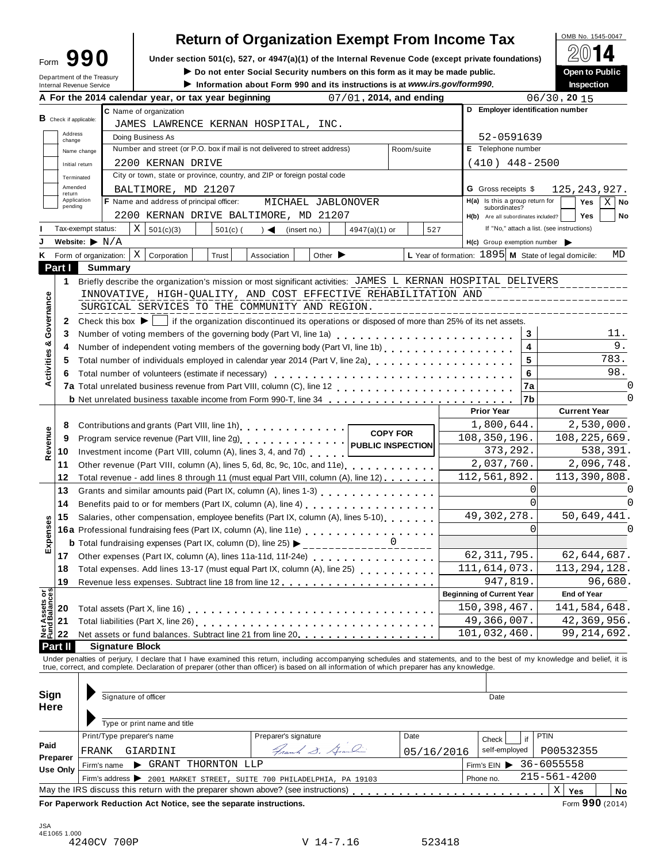| Form | 90                                                            |
|------|---------------------------------------------------------------|
|      | Department of the Treasury<br><b>Internal Revenue Service</b> |

# **Return of Organization Exempt From Income Tax**  $\bigotimes_{\text{OMB No. 1545-0047}} \bigotimes_{\text{OMB}} \blacksquare$

**Under section 501(c), 527, or 4947(a)(1)** of the Internal Revenue Code (except private foundations) <u>Form</u> **EVILE**<br>Do not enter Social Security numbers on this form as it may be made public. ● ● ● ● ● ● ● ● ● ● ● ● ● ● ●

▶ Do not enter Social Security numbers on this form as it may be made public. **Open to Public** <br>▶ Information about Form 990 and its instructions is at www.irs.gov/form990. Inspection

Information about Form 990 and its instructions is at www.irs.gov/form990.

|                                                                                                       |                                    |                                     | A For the 2014 calendar year, or tax year beginning                                                                                                                                                                            |                                            | 07/01, 2014, and ending |                      |                                                  |           | $06/30$ , 20 $15$                                          |
|-------------------------------------------------------------------------------------------------------|------------------------------------|-------------------------------------|--------------------------------------------------------------------------------------------------------------------------------------------------------------------------------------------------------------------------------|--------------------------------------------|-------------------------|----------------------|--------------------------------------------------|-----------|------------------------------------------------------------|
|                                                                                                       |                                    |                                     | C Name of organization                                                                                                                                                                                                         |                                            |                         |                      |                                                  |           | D Employer identification number                           |
|                                                                                                       | <b>B</b> Check if applicable:      |                                     | JAMES LAWRENCE KERNAN HOSPITAL, INC.                                                                                                                                                                                           |                                            |                         |                      |                                                  |           |                                                            |
|                                                                                                       | Address<br>change                  |                                     | Doing Business As                                                                                                                                                                                                              |                                            |                         |                      | 52-0591639                                       |           |                                                            |
|                                                                                                       |                                    | Name change                         | Number and street (or P.O. box if mail is not delivered to street address)<br>Room/suite                                                                                                                                       |                                            |                         |                      | E Telephone number                               |           |                                                            |
|                                                                                                       |                                    | 2200 KERNAN DRIVE<br>Initial return |                                                                                                                                                                                                                                |                                            |                         | $(410)$ $448 - 2500$ |                                                  |           |                                                            |
|                                                                                                       | Terminated                         |                                     | City or town, state or province, country, and ZIP or foreign postal code                                                                                                                                                       |                                            |                         |                      |                                                  |           |                                                            |
|                                                                                                       | Amended<br>return                  |                                     | BALTIMORE, MD 21207                                                                                                                                                                                                            |                                            |                         |                      | <b>G</b> Gross receipts \$                       |           | 125, 243, 927.                                             |
|                                                                                                       | Application<br>pending             |                                     | F Name and address of principal officer:                                                                                                                                                                                       | MICHAEL JABLONOVER                         |                         |                      | H(a) Is this a group return for<br>subordinates? |           | $X \mid$ No<br><b>Yes</b>                                  |
|                                                                                                       |                                    |                                     | 2200 KERNAN DRIVE BALTIMORE, MD 21207                                                                                                                                                                                          |                                            |                         |                      | H(b) Are all subordinates included?              |           | Yes<br>No                                                  |
|                                                                                                       | Tax-exempt status:                 |                                     | X<br>501(c)(3)<br>$501(c)$ (                                                                                                                                                                                                   | $) \triangleleft$ (insert no.)             | $4947(a)(1)$ or         | 527                  |                                                  |           | If "No," attach a list. (see instructions)                 |
|                                                                                                       | Website: $\blacktriangleright$ N/A |                                     |                                                                                                                                                                                                                                |                                            |                         |                      | $H(c)$ Group exemption number                    |           |                                                            |
| ĸ.                                                                                                    |                                    |                                     | ΧI<br>Form of organization:<br>Corporation<br>Trust                                                                                                                                                                            | Other $\blacktriangleright$<br>Association |                         |                      |                                                  |           | L Year of formation: 1895 M State of legal domicile:<br>MD |
|                                                                                                       | Part I                             |                                     | Summary                                                                                                                                                                                                                        |                                            |                         |                      |                                                  |           |                                                            |
|                                                                                                       | 1                                  |                                     | Briefly describe the organization's mission or most significant activities: JAMES L KERNAN HOSPITAL DELIVERS                                                                                                                   |                                            |                         |                      |                                                  |           |                                                            |
|                                                                                                       |                                    |                                     | INNOVATIVE, HIGH-QUALITY, AND COST EFFECTIVE REHABILITATION AND                                                                                                                                                                |                                            |                         |                      |                                                  |           |                                                            |
|                                                                                                       |                                    |                                     | SURGICAL SERVICES TO THE COMMUNITY AND REGION.                                                                                                                                                                                 |                                            |                         |                      |                                                  |           |                                                            |
|                                                                                                       | 2                                  |                                     | Check this box $\blacktriangleright$   if the organization discontinued its operations or disposed of more than 25% of its net assets.                                                                                         |                                            |                         |                      |                                                  |           |                                                            |
| Governance                                                                                            | 3                                  |                                     | Number of voting members of the governing body (Part VI, line 1a)                                                                                                                                                              |                                            |                         |                      |                                                  | 3         | 11.                                                        |
|                                                                                                       | 4                                  |                                     | Number of independent voting members of the governing body (Part VI, line 1b)                                                                                                                                                  |                                            |                         |                      |                                                  | 4         | 9.                                                         |
| Activities &                                                                                          | 5                                  |                                     | Total number of individuals employed in calendar year 2014 (Part V, line 2a)<br>The 2a)                                                                                                                                        |                                            |                         |                      |                                                  | 5         | 783.                                                       |
|                                                                                                       | 6                                  |                                     |                                                                                                                                                                                                                                |                                            |                         |                      |                                                  | 6         | 98.                                                        |
|                                                                                                       |                                    |                                     |                                                                                                                                                                                                                                |                                            |                         |                      |                                                  | <b>7a</b> | 0                                                          |
|                                                                                                       |                                    |                                     | <b>b</b> Net unrelated business taxable income from Form 990-T, line 34 <b>100 cm at all assets</b> in the state of the state                                                                                                  |                                            |                         |                      |                                                  | 7b        | 0                                                          |
|                                                                                                       |                                    |                                     |                                                                                                                                                                                                                                |                                            |                         |                      | <b>Prior Year</b>                                |           | <b>Current Year</b>                                        |
|                                                                                                       | 8                                  |                                     | Contributions and grants (Part VIII, line 1h).                                                                                                                                                                                 |                                            |                         |                      | 1,800,644.                                       |           | 2,530,000.                                                 |
|                                                                                                       | 9                                  |                                     |                                                                                                                                                                                                                                |                                            | <b>COPY FOR</b>         |                      | 108,350,196.                                     |           | 108, 225, 669.                                             |
| Revenue                                                                                               | 10                                 |                                     | Investment income (Part VIII, column (A), lines 3, 4, and 7d)                                                                                                                                                                  |                                            |                         |                      | 373,292.                                         |           | 538,391.                                                   |
|                                                                                                       | 11                                 |                                     | Other revenue (Part VIII, column (A), lines 5, 6d, 8c, 9c, 10c, and 11e)                                                                                                                                                       |                                            |                         |                      | 2,037,760.                                       |           | 2,096,748.                                                 |
|                                                                                                       | 12                                 |                                     | Total revenue - add lines 8 through 11 (must equal Part VIII, column (A), line 12)                                                                                                                                             |                                            |                         |                      | 112,561,892.                                     |           | 113,390,808.                                               |
|                                                                                                       | 13                                 |                                     | Grants and similar amounts paid (Part IX, column (A), lines 1-3)                                                                                                                                                               |                                            |                         |                      |                                                  | 0         |                                                            |
|                                                                                                       | 14                                 |                                     |                                                                                                                                                                                                                                |                                            |                         |                      |                                                  | $\Omega$  | O                                                          |
|                                                                                                       | 15                                 |                                     | Salaries, other compensation, employee benefits (Part IX, column (A), lines 5-10)                                                                                                                                              |                                            |                         |                      | 49, 302, 278.                                    |           | 50,649,441.                                                |
|                                                                                                       |                                    |                                     | 16a Professional fundraising fees (Part IX, column (A), line 11e)<br>16a Professional fundraising fees (Part IX, column (A), line 11e)                                                                                         |                                            |                         |                      |                                                  | $\Omega$  | $\Omega$                                                   |
| Expenses                                                                                              |                                    |                                     | <b>b</b> Total fundraising expenses (Part IX, column (D), line 25) $\triangleright$ ______________0                                                                                                                            |                                            |                         |                      |                                                  |           |                                                            |
|                                                                                                       | 17                                 |                                     |                                                                                                                                                                                                                                |                                            |                         |                      | 62, 311, 795.                                    |           | 62,644,687.                                                |
|                                                                                                       |                                    |                                     | 18 Total expenses. Add lines 13-17 (must equal Part IX, column (A), line 25)                                                                                                                                                   |                                            |                         |                      | 111,614,073.                                     |           | 113,294,128.                                               |
|                                                                                                       | 19                                 |                                     |                                                                                                                                                                                                                                |                                            |                         |                      | 947,819.                                         |           | 96,680.                                                    |
|                                                                                                       |                                    |                                     |                                                                                                                                                                                                                                |                                            |                         |                      | <b>Beginning of Current Year</b>                 |           | <b>End of Year</b>                                         |
|                                                                                                       | 20                                 |                                     | Total assets (Part X, line 16)                                                                                                                                                                                                 |                                            |                         |                      | 150,398,467.                                     |           | 141,584,648.                                               |
| Net Assets or<br>Fund Balances                                                                        | 21                                 |                                     |                                                                                                                                                                                                                                |                                            |                         |                      | 49,366,007.                                      |           | 42,369,956.                                                |
|                                                                                                       | 22                                 |                                     | Net assets or fund balances. Subtract line 21 from line 20                                                                                                                                                                     |                                            |                         |                      | 101,032,460.                                     |           | 99, 214, 692.                                              |
|                                                                                                       | Part II                            |                                     | <b>Signature Block</b>                                                                                                                                                                                                         |                                            |                         |                      |                                                  |           |                                                            |
|                                                                                                       |                                    |                                     | Under penalties of perjury, I declare that I have examined this return, including accompanying schedules and statements, and to the best of my knowledge and belief, it is                                                     |                                            |                         |                      |                                                  |           |                                                            |
|                                                                                                       |                                    |                                     | true, correct, and complete. Declaration of preparer (other than officer) is based on all information of which preparer has any knowledge.                                                                                     |                                            |                         |                      |                                                  |           |                                                            |
|                                                                                                       |                                    |                                     |                                                                                                                                                                                                                                |                                            |                         |                      |                                                  |           |                                                            |
| Sign                                                                                                  |                                    |                                     | Signature of officer                                                                                                                                                                                                           |                                            |                         |                      | Date                                             |           |                                                            |
| Here                                                                                                  |                                    |                                     |                                                                                                                                                                                                                                |                                            |                         |                      |                                                  |           |                                                            |
|                                                                                                       |                                    |                                     | Type or print name and title                                                                                                                                                                                                   |                                            |                         |                      |                                                  |           |                                                            |
|                                                                                                       |                                    |                                     | Print/Type preparer's name                                                                                                                                                                                                     | Preparer's signature                       |                         | Date                 | Check                                            | if        | PTIN                                                       |
| Paid                                                                                                  |                                    | FRANK                               | GIARDINI                                                                                                                                                                                                                       | Frank S. Grandin                           |                         | 05/16/2016           | self-employed                                    |           | P00532355                                                  |
|                                                                                                       | Preparer                           |                                     | GRANT THORNTON LLP<br>Firm's name                                                                                                                                                                                              |                                            |                         |                      | Firm's $EIN$                                     |           | 36-6055558                                                 |
| <b>Use Only</b><br>Phone no.<br>Firm's address > 2001 MARKET STREET, SUITE 700 PHILADELPHIA, PA 19103 |                                    |                                     |                                                                                                                                                                                                                                | $215 - 561 - 4200$                         |                         |                      |                                                  |           |                                                            |
|                                                                                                       |                                    |                                     | May the IRS discuss this return with the preparer shown above? (see instructions) entitled and returnation of the IRS discuss this return with the preparer shown above? (see instructions) entitled by entitled by entitled b |                                            |                         |                      |                                                  |           | Χ<br>Yes<br>No                                             |
|                                                                                                       |                                    |                                     | For Paperwork Reduction Act Notice, see the separate instructions.                                                                                                                                                             |                                            |                         |                      |                                                  |           | Form 990 (2014)                                            |
|                                                                                                       |                                    |                                     |                                                                                                                                                                                                                                |                                            |                         |                      |                                                  |           |                                                            |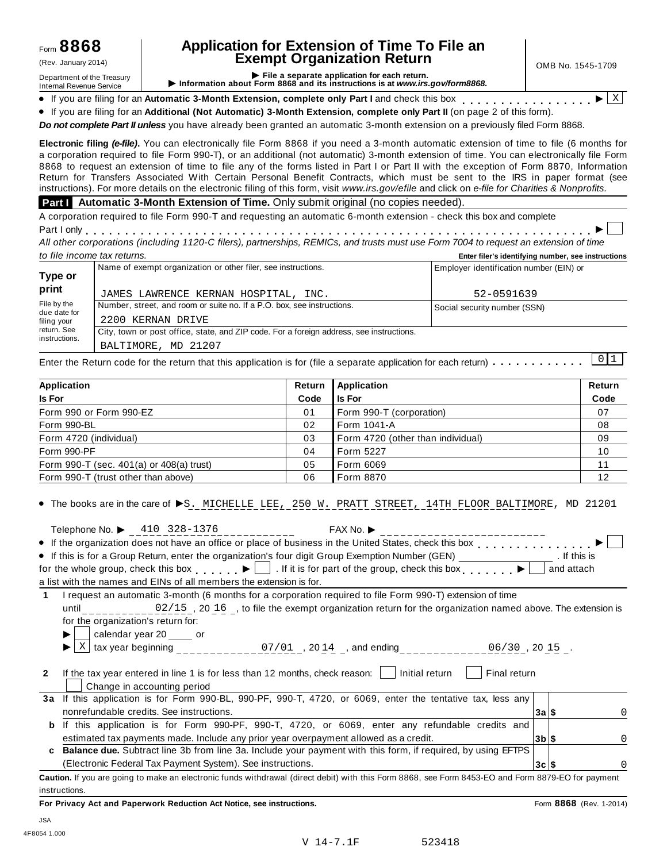## **Application for Extension of Time To File an Exempt Organization Return** (Rev. January 2014) OMB No. 1545-1709

Department of the Treasury<br>Department of the Treasury<br>Internal Revenue Service **CONFICE 1999 File a separate application for each return.**<br>Internal Revenue Service **CONFICE 1999 File a separate application for each return.** Internal Revenue Service **I** Purformation about 1 orm 6000 and its instructions is at www.ns.gov/ionnocoo.<br>• If you are filing for an Automatic 3-Month Extension, complete only Part I and check this box  $\frac{1}{\sqrt{2}}$ 

X

% If you are filing for an **Additional (Not Automatic) 3-Month Extension, complete only Part II** (on page 2 of this form).

*Do not complete Part II unless* you have already been granted an automatic 3-month extension on a previously filed Form 8868.

**Electronic filing** *(e-file)***.** You can electronically file Form 8868 if you need a 3-month automatic extension of time to file (6 months for a corporation required to file Form 990-T), or an additional (not automatic) 3-month extension of time. You can electronically file Form 8868 to request an extension of time to file any of the forms listed in Part I or Part II with the exception of Form 8870, Information Return for Transfers Associated With Certain Personal Benefit Contracts, which must be sent to the IRS in paper format (see instructions). For more details on the electronic filing of this form, visit *www.irs.gov/efile* and click on *e-file for Charities & Nonprofits*.

#### **Part I** Automatic 3-Month Extension of Time. Only submit original (no copies needed).

A corporation required to file Form 990-T and requesting an automatic 6-month extension - check this box and complete<br>Part I only<br>All ethnology and Contribution (Contribution Office) and the CDMOs and the Contribution Con

All other corporations (including 1120-C filers), partnerships, REMICs, and trusts must use Form 7004 to request an extension of time *to file income tax returns.* **Enter filer's identifying number, see instructions**

| $10$ $110$ $1100$ $110$ $101$ |                                                                                          | Enter mer 3 ruentin ynny number, 300 maii uctions |
|-------------------------------|------------------------------------------------------------------------------------------|---------------------------------------------------|
| Type or                       | Name of exempt organization or other filer, see instructions.                            | Employer identification number (EIN) or           |
| print                         | JAMES LAWRENCE KERNAN HOSPITAL, INC.                                                     | 52-0591639                                        |
| File by the<br>due date for   | Number, street, and room or suite no. If a P.O. box, see instructions.                   | Social security number (SSN)                      |
| filing your                   | 2200 KERNAN DRIVE                                                                        |                                                   |
| return. See<br>instructions.  | City, town or post office, state, and ZIP code. For a foreign address, see instructions. |                                                   |
|                               | BALTIMORE, MD 21207                                                                      |                                                   |

Enter the Return code for the return that this application is for (file a separate application for each return)  $\dots\dots\dots\dots$  0 1

| Application                                  | Return         | Application                       | Return |
|----------------------------------------------|----------------|-----------------------------------|--------|
| Is For                                       | Code           | Is For                            | Code   |
| Form 990 or Form 990-EZ                      | 0 <sub>1</sub> | Form 990-T (corporation)          | 07     |
| Form 990-BL                                  | 02             | <b>I</b> Form 1041-A              | 08     |
| Form 4720 (individual)                       | 03             | Form 4720 (other than individual) | 09     |
| Form 990-PF                                  | 04             | l Form 5227                       | 10     |
| Form 990-T (sec. $401(a)$ or $408(a)$ trust) | 05             | Form 6069                         | 11     |
| Form 990-T (trust other than above)          | 06             | Form 8870                         | 12     |

## $\bullet$  The books are in the care of  $\blacktriangleright$ S. MICHELLE LEE, 250 W. PRATT STREET, 14TH FLOOR BALTIMORE, MD 21201

| Telephone No. $\triangleright$ 410 328-1376                                                                                                        | FAX No.              |
|----------------------------------------------------------------------------------------------------------------------------------------------------|----------------------|
| • If the organization does not have an office or place of business in the United States, check this box entitled States, check this box            |                      |
| • If this is for a Group Return, enter the organization's four digit Group Exemption Number (GEN)                                                  | . If this is         |
| for the whole group, check this box $\Box$ If it is for part of the group, check this box $\Box$                                                   | and attach           |
| a list with the names and EINs of all members the extension is for.                                                                                |                      |
| I request an automatic 3-month (6 months for a corporation required to file Form 990-T) extension of time<br>1                                     |                      |
| until 02/15, 20 16, to file the exempt organization return for the organization named above. The extension is                                      |                      |
| for the organization's return for:                                                                                                                 |                      |
| calendar year 20 _____ or                                                                                                                          |                      |
| tax year beginning $07/01$ , $2014$ , and ending ____________06/30, 2015 _.                                                                        |                      |
|                                                                                                                                                    |                      |
| If the tax year entered in line 1 is for less than 12 months, check reason: $\Box$ Initial return<br>$\mathbf{2}$                                  | Final return         |
| Change in accounting period                                                                                                                        |                      |
| If this application is for Form 990-BL, 990-PF, 990-T, 4720, or 6069, enter the tentative tax, less any<br>За                                      |                      |
| nonrefundable credits. See instructions.                                                                                                           | 3a S                 |
| If this application is for Form 990-PF, 990-T, 4720, or 6069, enter any refundable credits and<br>b                                                |                      |
| estimated tax payments made. Include any prior year overpayment allowed as a credit.                                                               | $3b$ $\vert s \vert$ |
| <b>Balance due.</b> Subtract line 3b from line 3a. Include your payment with this form, if required, by using EFTPS<br>c                           |                      |
| (Electronic Federal Tax Payment System). See instructions.                                                                                         | 3c S                 |
| Caution. If you are going to make an electronic funds withdrawal (direct debit) with this Form 8868, see Form 8453-EO and Form 8879-EO for payment |                      |

instructions.

**For Privacy Act and Paperwork Reduction Act Notice, see instructions.** Form **8868** (Rev. 1-2014)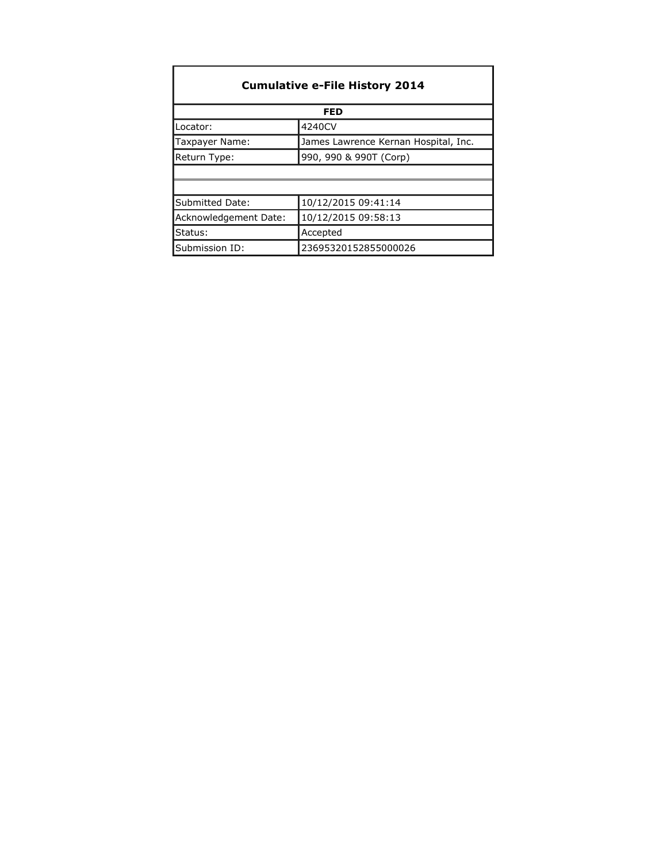| <b>Cumulative e-File History 2014</b> |                                      |  |  |  |
|---------------------------------------|--------------------------------------|--|--|--|
|                                       | <b>FED</b>                           |  |  |  |
| Locator:                              | 4240CV                               |  |  |  |
| Taxpayer Name:                        | James Lawrence Kernan Hospital, Inc. |  |  |  |
| Return Type:                          | 990, 990 & 990T (Corp)               |  |  |  |
|                                       |                                      |  |  |  |
|                                       |                                      |  |  |  |
| Submitted Date:                       | 10/12/2015 09:41:14                  |  |  |  |
| Acknowledgement Date:                 | 10/12/2015 09:58:13                  |  |  |  |
| Status:                               | Accepted                             |  |  |  |
| Submission ID:                        | 23695320152855000026                 |  |  |  |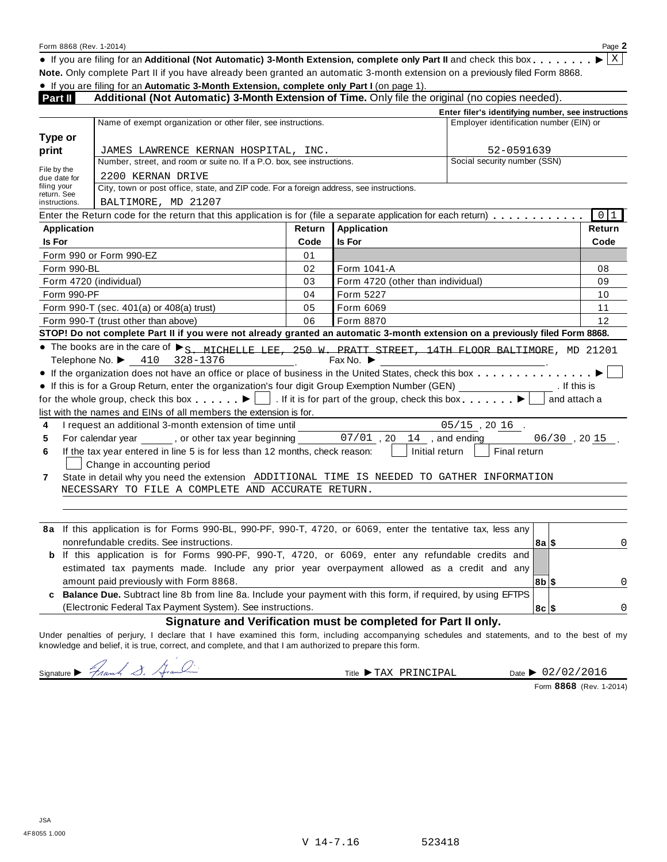Form <sup>8868</sup> (Rev. 1-2014) Page **<sup>2</sup>** % If you are filing for an **Additional (Not Automatic) 3-Month Extension, complete only Part II** and check this box m m m m m m m m I **Note.** Only complete Part II if you have already been granted an automatic 3-month extension on a previously filed Form 8868.

% If you are filing for an **Automatic 3-Month Extension, complete only Part I** (on page 1).

| Part II                    | Additional (Not Automatic) 3-Month Extension of Time. Only file the original (no copies needed).                                                                                                                                                                                                                                                                                                                                                                                                                                                                                                                                                                                                                                                                                          |        |                                   |                                                    |                         |
|----------------------------|-------------------------------------------------------------------------------------------------------------------------------------------------------------------------------------------------------------------------------------------------------------------------------------------------------------------------------------------------------------------------------------------------------------------------------------------------------------------------------------------------------------------------------------------------------------------------------------------------------------------------------------------------------------------------------------------------------------------------------------------------------------------------------------------|--------|-----------------------------------|----------------------------------------------------|-------------------------|
|                            |                                                                                                                                                                                                                                                                                                                                                                                                                                                                                                                                                                                                                                                                                                                                                                                           |        |                                   | Enter filer's identifying number, see instructions |                         |
|                            | Name of exempt organization or other filer, see instructions.                                                                                                                                                                                                                                                                                                                                                                                                                                                                                                                                                                                                                                                                                                                             |        |                                   | Employer identification number (EIN) or            |                         |
| Type or                    |                                                                                                                                                                                                                                                                                                                                                                                                                                                                                                                                                                                                                                                                                                                                                                                           |        |                                   |                                                    |                         |
| print                      | JAMES LAWRENCE KERNAN HOSPITAL, INC.                                                                                                                                                                                                                                                                                                                                                                                                                                                                                                                                                                                                                                                                                                                                                      |        |                                   | 52-0591639                                         |                         |
| File by the                | Number, street, and room or suite no. If a P.O. box, see instructions.                                                                                                                                                                                                                                                                                                                                                                                                                                                                                                                                                                                                                                                                                                                    |        |                                   | Social security number (SSN)                       |                         |
| due date for               | 2200 KERNAN DRIVE                                                                                                                                                                                                                                                                                                                                                                                                                                                                                                                                                                                                                                                                                                                                                                         |        |                                   |                                                    |                         |
| filing your<br>return. See | City, town or post office, state, and ZIP code. For a foreign address, see instructions.                                                                                                                                                                                                                                                                                                                                                                                                                                                                                                                                                                                                                                                                                                  |        |                                   |                                                    |                         |
| instructions.              | BALTIMORE, MD 21207                                                                                                                                                                                                                                                                                                                                                                                                                                                                                                                                                                                                                                                                                                                                                                       |        |                                   |                                                    |                         |
|                            | Enter the Return code for the return that this application is for (file a separate application for each return)                                                                                                                                                                                                                                                                                                                                                                                                                                                                                                                                                                                                                                                                           |        |                                   |                                                    | $\boxed{0}$ $\boxed{1}$ |
| <b>Application</b>         |                                                                                                                                                                                                                                                                                                                                                                                                                                                                                                                                                                                                                                                                                                                                                                                           | Return | <b>Application</b>                |                                                    | Return                  |
| Is For                     |                                                                                                                                                                                                                                                                                                                                                                                                                                                                                                                                                                                                                                                                                                                                                                                           | Code   | <b>Is For</b>                     |                                                    | Code                    |
|                            | Form 990 or Form 990-EZ                                                                                                                                                                                                                                                                                                                                                                                                                                                                                                                                                                                                                                                                                                                                                                   | 01     |                                   |                                                    |                         |
| Form 990-BL                |                                                                                                                                                                                                                                                                                                                                                                                                                                                                                                                                                                                                                                                                                                                                                                                           | 02     | Form 1041-A                       |                                                    | 08                      |
|                            | Form 4720 (individual)                                                                                                                                                                                                                                                                                                                                                                                                                                                                                                                                                                                                                                                                                                                                                                    | 03     | Form 4720 (other than individual) |                                                    | 09                      |
| Form 990-PF                |                                                                                                                                                                                                                                                                                                                                                                                                                                                                                                                                                                                                                                                                                                                                                                                           | 04     | Form 5227                         |                                                    | 10                      |
|                            | Form 990-T (sec. 401(a) or 408(a) trust)                                                                                                                                                                                                                                                                                                                                                                                                                                                                                                                                                                                                                                                                                                                                                  | 05     | Form 6069                         |                                                    | 11                      |
|                            | Form 990-T (trust other than above)                                                                                                                                                                                                                                                                                                                                                                                                                                                                                                                                                                                                                                                                                                                                                       | 06     | Form 8870                         |                                                    | 12                      |
|                            | STOP! Do not complete Part II if you were not already granted an automatic 3-month extension on a previously filed Form 8868.                                                                                                                                                                                                                                                                                                                                                                                                                                                                                                                                                                                                                                                             |        |                                   |                                                    |                         |
| 4<br>5<br>6<br>7           | Telephone No. > 410<br>328-1376<br>If the organization does not have an office or place of business in the United States, check this box<br>• If this is for a Group Return, enter the organization's four digit Group Exemption Number (GEN) [1982] The Municis<br>for the whole group, check this box $\blacksquare$ . If it is for part of the group, check this box $\blacksquare$ .<br>list with the names and EINs of all members the extension is for.<br>I request an additional 3-month extension of time until<br>If the tax year entered in line 5 is for less than 12 months, check reason:<br>Change in accounting period<br>State in detail why you need the extension ADDITIONAL TIME IS NEEDED TO GATHER INFORMATION<br>NECESSARY TO FILE A COMPLETE AND ACCURATE RETURN. |        | Initial return $  $               | $05/15$ , 20 16.<br>Final return                   | and attach a            |
|                            | 8a If this application is for Forms 990-BL, 990-PF, 990-T, 4720, or 6069, enter the tentative tax, less any<br>nonrefundable credits. See instructions.<br><b>b</b> If this application is for Forms 990-PF, 990-T, 4720, or 6069, enter any refundable credits and                                                                                                                                                                                                                                                                                                                                                                                                                                                                                                                       |        |                                   | $8a$ \$                                            | 0                       |
|                            | estimated tax payments made. Include any prior year overpayment allowed as a credit and any                                                                                                                                                                                                                                                                                                                                                                                                                                                                                                                                                                                                                                                                                               |        |                                   |                                                    |                         |
|                            | amount paid previously with Form 8868.                                                                                                                                                                                                                                                                                                                                                                                                                                                                                                                                                                                                                                                                                                                                                    |        |                                   | $ 8b $ \$                                          | 0                       |
|                            | Balance Due. Subtract line 8b from line 8a. Include your payment with this form, if required, by using EFTPS                                                                                                                                                                                                                                                                                                                                                                                                                                                                                                                                                                                                                                                                              |        |                                   |                                                    |                         |
|                            | (Electronic Federal Tax Payment System). See instructions.                                                                                                                                                                                                                                                                                                                                                                                                                                                                                                                                                                                                                                                                                                                                |        |                                   | 8c  \$                                             | $\mathbf 0$             |

#### **Signature and Verification must be completed for Part II only.**

Under penalties of perjury, I declare that I have examined this form, including accompanying schedules and statements, and to the best of my knowledge and belief, it is true, correct, and complete, and that I am authorized to prepare this form.

Signature  $\rightarrow$  Franch  $\rightarrow$  Aranching Structure I at Title TAX PRINCIPAL Date  $\rightarrow$  02/1

Date > 02/02/2016

Form **8868** (Rev. 1-2014)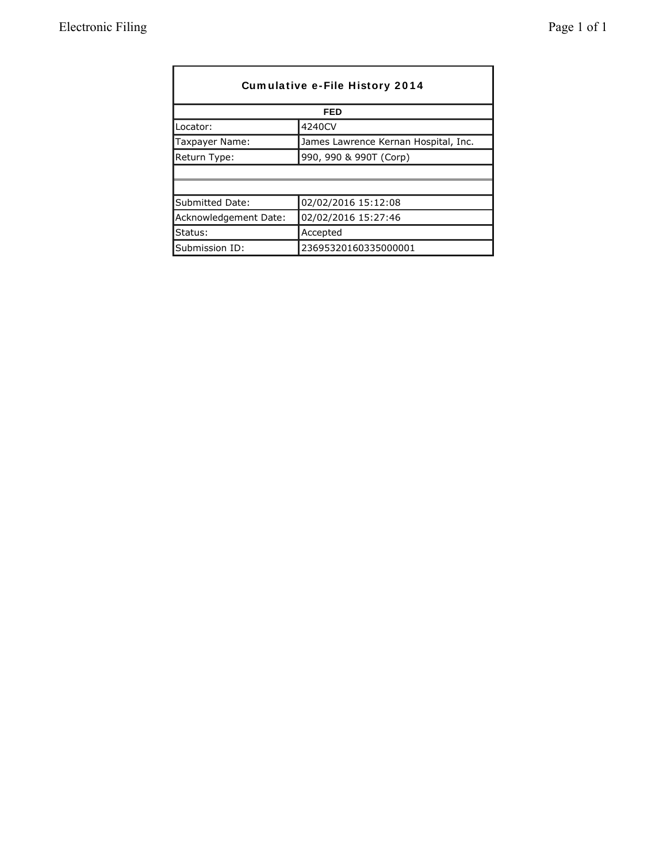|                       | Cumulative e-File History 2014<br>FED |
|-----------------------|---------------------------------------|
| Locator:              | 4240CV                                |
| Taxpayer Name:        | James Lawrence Kernan Hospital, Inc.  |
| Return Type:          | 990, 990 & 990T (Corp)                |
|                       |                                       |
|                       |                                       |
| Submitted Date:       | 02/02/2016 15:12:08                   |
| Acknowledgement Date: | 02/02/2016 15:27:46                   |
| Status:               | Accepted                              |
| Submission ID:        | 23695320160335000001                  |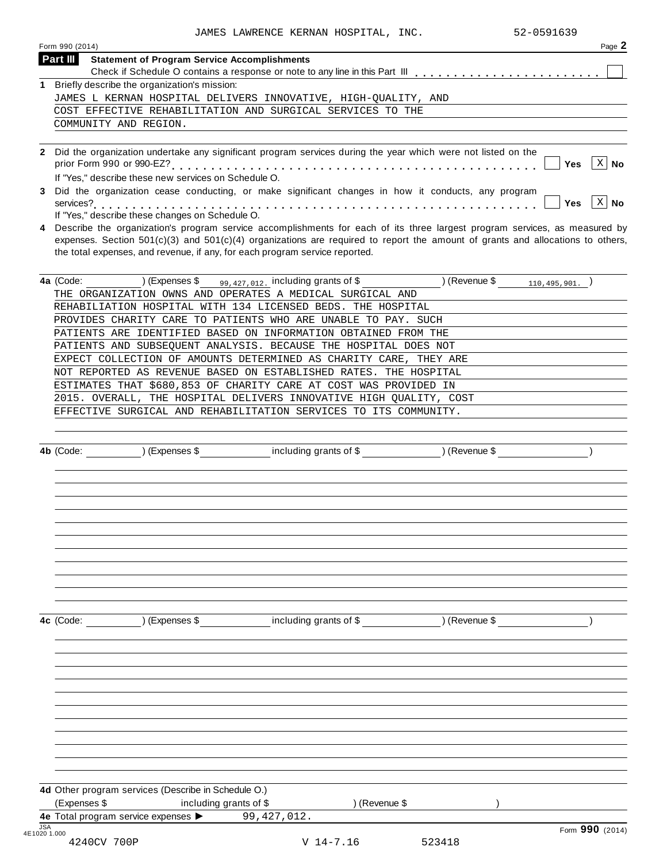|   | 52-0591639<br>JAMES LAWRENCE KERNAN HOSPITAL, INC.                                                                                                                                                                                                                                                                                              |
|---|-------------------------------------------------------------------------------------------------------------------------------------------------------------------------------------------------------------------------------------------------------------------------------------------------------------------------------------------------|
|   | Form 990 (2014)<br>Page 2                                                                                                                                                                                                                                                                                                                       |
|   | Part III<br><b>Statement of Program Service Accomplishments</b>                                                                                                                                                                                                                                                                                 |
|   |                                                                                                                                                                                                                                                                                                                                                 |
| 1 | Briefly describe the organization's mission:                                                                                                                                                                                                                                                                                                    |
|   | JAMES L KERNAN HOSPITAL DELIVERS INNOVATIVE, HIGH-OUALITY, AND                                                                                                                                                                                                                                                                                  |
|   | COST EFFECTIVE REHABILITATION AND SURGICAL SERVICES TO THE                                                                                                                                                                                                                                                                                      |
|   | COMMUNITY AND REGION.                                                                                                                                                                                                                                                                                                                           |
|   | 2 Did the organization undertake any significant program services during the year which were not listed on the<br>$X \mid$ No<br>Yes<br>If "Yes," describe these new services on Schedule O.                                                                                                                                                    |
|   | 3 Did the organization cease conducting, or make significant changes in how it conducts, any program<br>$\mathbf{x}$<br><b>No</b><br><b>Yes</b><br>If "Yes," describe these changes on Schedule O.                                                                                                                                              |
| 4 | Describe the organization's program service accomplishments for each of its three largest program services, as measured by<br>expenses. Section $501(c)(3)$ and $501(c)(4)$ organizations are required to report the amount of grants and allocations to others,<br>the total expenses, and revenue, if any, for each program service reported. |
|   | 99, 427, 012. including grants of \$ (Revenue \$ $_{110,495,901}$ .)<br>(Express \$<br>4a (Code:                                                                                                                                                                                                                                                |
|   | THE ORGANIZATION OWNS AND OPERATES A MEDICAL SURGICAL AND                                                                                                                                                                                                                                                                                       |
|   | REHABILIATION HOSPITAL WITH 134 LICENSED BEDS. THE HOSPITAL                                                                                                                                                                                                                                                                                     |
|   | PROVIDES CHARITY CARE TO PATIENTS WHO ARE UNABLE TO PAY. SUCH                                                                                                                                                                                                                                                                                   |
|   | PATIENTS ARE IDENTIFIED BASED ON INFORMATION OBTAINED FROM THE                                                                                                                                                                                                                                                                                  |
|   | PATIENTS AND SUBSEQUENT ANALYSIS. BECAUSE THE HOSPITAL DOES NOT                                                                                                                                                                                                                                                                                 |
|   | EXPECT COLLECTION OF AMOUNTS DETERMINED AS CHARITY CARE, THEY ARE                                                                                                                                                                                                                                                                               |
|   | NOT REPORTED AS REVENUE BASED ON ESTABLISHED RATES. THE HOSPITAL                                                                                                                                                                                                                                                                                |
|   | ESTIMATES THAT \$680,853 OF CHARITY CARE AT COST WAS PROVIDED IN                                                                                                                                                                                                                                                                                |
|   | 2015. OVERALL, THE HOSPITAL DELIVERS INNOVATIVE HIGH QUALITY, COST                                                                                                                                                                                                                                                                              |
|   | EFFECTIVE SURGICAL AND REHABILITATION SERVICES TO ITS COMMUNITY.                                                                                                                                                                                                                                                                                |
|   |                                                                                                                                                                                                                                                                                                                                                 |
|   | 4b (Code:<br>(Expenses \$<br>including grants of \$<br>) (Revenue \$                                                                                                                                                                                                                                                                            |

**4c** (Code: ) (Expenses \$ including grants of \$ ) (Revenue \$ )

**4d** Other program services (Describe in Schedule O.) (Expenses \$ including grants of \$ ) (Revenue \$ ) **4e** Total program service expenses **Incidently grants of \$**<br>**4e** Total program service expenses **>** 99,427,012. JSA Form **990** (2014) 4E1020 1.000 4E10201.000<br>4240CV 700P v 14-7.16 523418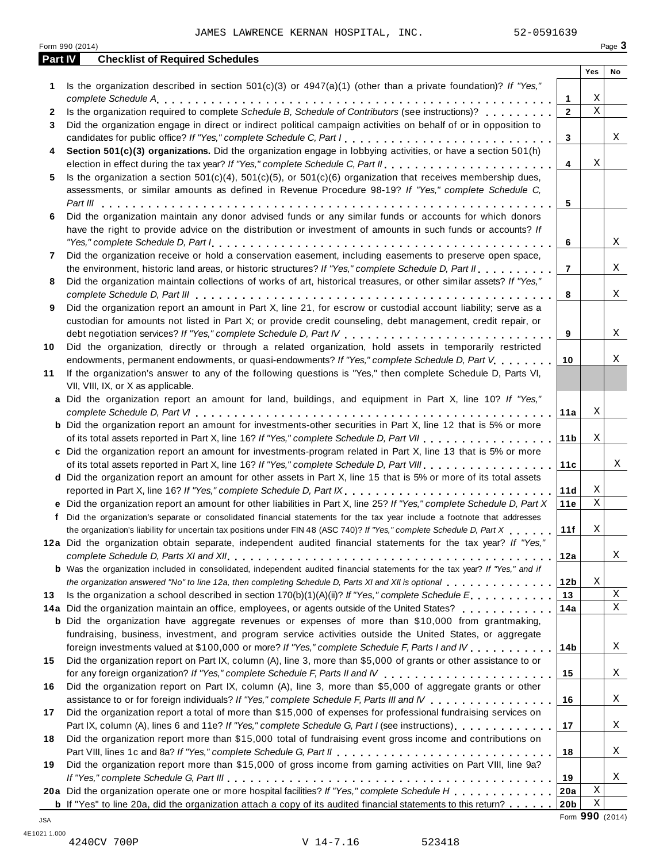|         | Form 990 (2014)                                                                                                                                                                                                                                                                                                                                                                               |                 |             | Page 3 |
|---------|-----------------------------------------------------------------------------------------------------------------------------------------------------------------------------------------------------------------------------------------------------------------------------------------------------------------------------------------------------------------------------------------------|-----------------|-------------|--------|
| Part IV | <b>Checklist of Required Schedules</b>                                                                                                                                                                                                                                                                                                                                                        |                 |             |        |
|         |                                                                                                                                                                                                                                                                                                                                                                                               |                 | Yes         | No     |
| 1       | Is the organization described in section $501(c)(3)$ or $4947(a)(1)$ (other than a private foundation)? If "Yes,"                                                                                                                                                                                                                                                                             |                 |             |        |
|         |                                                                                                                                                                                                                                                                                                                                                                                               | 1               | Χ           |        |
| 2       | Is the organization required to complete Schedule B, Schedule of Contributors (see instructions)?                                                                                                                                                                                                                                                                                             | $\mathbf{2}$    | $\mathbf X$ |        |
| 3       | Did the organization engage in direct or indirect political campaign activities on behalf of or in opposition to                                                                                                                                                                                                                                                                              | 3               |             | Χ      |
| 4       | Section 501(c)(3) organizations. Did the organization engage in lobbying activities, or have a section 501(h)                                                                                                                                                                                                                                                                                 |                 |             |        |
|         |                                                                                                                                                                                                                                                                                                                                                                                               | 4               | Χ           |        |
| 5       | Is the organization a section $501(c)(4)$ , $501(c)(5)$ , or $501(c)(6)$ organization that receives membership dues,                                                                                                                                                                                                                                                                          |                 |             |        |
|         | assessments, or similar amounts as defined in Revenue Procedure 98-19? If "Yes," complete Schedule C,                                                                                                                                                                                                                                                                                         |                 |             |        |
|         |                                                                                                                                                                                                                                                                                                                                                                                               | 5               |             |        |
| 6       | Did the organization maintain any donor advised funds or any similar funds or accounts for which donors                                                                                                                                                                                                                                                                                       |                 |             |        |
|         | have the right to provide advice on the distribution or investment of amounts in such funds or accounts? If                                                                                                                                                                                                                                                                                   |                 |             |        |
|         | "Yes," complete Schedule D, Part $l_1, \ldots, l_k, \ldots, l_k, \ldots, l_k, \ldots, l_k, \ldots, l_k, \ldots, l_k, \ldots, l_k, \ldots, l_k, \ldots, l_k, \ldots, l_k, \ldots, l_k, \ldots, l_k, \ldots, l_k, \ldots, l_k, \ldots, l_k, \ldots, l_k, \ldots, l_k, \ldots, l_k, \ldots, l_k, \ldots, l_k, \ldots, l_k, \ldots, l_k, \ldots, l_k, \ldots, l_k, \ldots, l_k, \ldots, l_k, \ld$ | 6               |             | Χ      |
| 7       | Did the organization receive or hold a conservation easement, including easements to preserve open space,                                                                                                                                                                                                                                                                                     |                 |             |        |
|         | the environment, historic land areas, or historic structures? If "Yes," complete Schedule D, Part II                                                                                                                                                                                                                                                                                          | $\overline{7}$  |             | Χ      |
| 8       | Did the organization maintain collections of works of art, historical treasures, or other similar assets? If "Yes,"                                                                                                                                                                                                                                                                           |                 |             |        |
|         |                                                                                                                                                                                                                                                                                                                                                                                               | 8               |             | X      |
| 9       | Did the organization report an amount in Part X, line 21, for escrow or custodial account liability; serve as a                                                                                                                                                                                                                                                                               |                 |             |        |
|         | custodian for amounts not listed in Part X; or provide credit counseling, debt management, credit repair, or                                                                                                                                                                                                                                                                                  |                 |             |        |
|         |                                                                                                                                                                                                                                                                                                                                                                                               | 9               |             | Χ      |
| 10      | Did the organization, directly or through a related organization, hold assets in temporarily restricted                                                                                                                                                                                                                                                                                       |                 |             |        |
|         | endowments, permanent endowments, or quasi-endowments? If "Yes," complete Schedule D, Part V.                                                                                                                                                                                                                                                                                                 | 10              |             | Χ      |
| 11      | If the organization's answer to any of the following questions is "Yes," then complete Schedule D, Parts VI,                                                                                                                                                                                                                                                                                  |                 |             |        |
|         | VII, VIII, IX, or X as applicable.                                                                                                                                                                                                                                                                                                                                                            |                 |             |        |
|         | a Did the organization report an amount for land, buildings, and equipment in Part X, line 10? If "Yes,"                                                                                                                                                                                                                                                                                      |                 |             |        |
|         |                                                                                                                                                                                                                                                                                                                                                                                               | 11a             | Χ           |        |
|         | <b>b</b> Did the organization report an amount for investments-other securities in Part X, line 12 that is 5% or more                                                                                                                                                                                                                                                                         |                 |             |        |
|         |                                                                                                                                                                                                                                                                                                                                                                                               | 11 b            | Χ           |        |
|         | c Did the organization report an amount for investments-program related in Part X, line 13 that is 5% or more                                                                                                                                                                                                                                                                                 |                 |             |        |
|         |                                                                                                                                                                                                                                                                                                                                                                                               | 11c             |             | Χ      |
|         | d Did the organization report an amount for other assets in Part X, line 15 that is 5% or more of its total assets                                                                                                                                                                                                                                                                            |                 |             |        |
|         | reported in Part X, line 16? If "Yes," complete Schedule D, Part IX.                                                                                                                                                                                                                                                                                                                          | 11d             | Χ           |        |
|         | e Did the organization report an amount for other liabilities in Part X, line 25? If "Yes," complete Schedule D, Part X                                                                                                                                                                                                                                                                       | 11e             | Χ           |        |
|         | f Did the organization's separate or consolidated financial statements for the tax year include a footnote that addresses                                                                                                                                                                                                                                                                     |                 |             |        |
|         | the organization's liability for uncertain tax positions under FIN 48 (ASC 740)? If "Yes," complete Schedule D, Part X                                                                                                                                                                                                                                                                        | 11f             | Χ           |        |
|         | 12a Did the organization obtain separate, independent audited financial statements for the tax year? If "Yes,"                                                                                                                                                                                                                                                                                |                 |             |        |
|         |                                                                                                                                                                                                                                                                                                                                                                                               | 12a             |             | Χ      |
|         | <b>b</b> Was the organization included in consolidated, independent audited financial statements for the tax year? If "Yes," and if                                                                                                                                                                                                                                                           |                 |             |        |
|         | the organization answered "No" to line 12a, then completing Schedule D, Parts XI and XII is optional entertainment of the state of the top of the completing Schedule D, Parts XI and XII is optional                                                                                                                                                                                         | 12 <sub>b</sub> | Χ           |        |
| 13      | Is the organization a school described in section 170(b)(1)(A)(ii)? If "Yes," complete Schedule $E_1, \ldots, \ldots, \ldots$                                                                                                                                                                                                                                                                 | 13              |             | Χ      |
|         | 14a Did the organization maintain an office, employees, or agents outside of the United States?                                                                                                                                                                                                                                                                                               | 14a             |             | Χ      |
|         | <b>b</b> Did the organization have aggregate revenues or expenses of more than \$10,000 from grantmaking,                                                                                                                                                                                                                                                                                     |                 |             |        |
|         | fundraising, business, investment, and program service activities outside the United States, or aggregate                                                                                                                                                                                                                                                                                     |                 |             |        |
|         | foreign investments valued at \$100,000 or more? If "Yes," complete Schedule F, Parts I and IV                                                                                                                                                                                                                                                                                                | 14 <sub>b</sub> |             | Χ      |
| 15      | Did the organization report on Part IX, column (A), line 3, more than \$5,000 of grants or other assistance to or                                                                                                                                                                                                                                                                             |                 |             |        |
|         |                                                                                                                                                                                                                                                                                                                                                                                               | 15              |             | Χ      |
| 16      | Did the organization report on Part IX, column (A), line 3, more than \$5,000 of aggregate grants or other                                                                                                                                                                                                                                                                                    | 16              |             | Χ      |
| 17      | assistance to or for foreign individuals? If "Yes," complete Schedule F, Parts III and IV<br>Did the organization report a total of more than \$15,000 of expenses for professional fundraising services on                                                                                                                                                                                   |                 |             |        |
|         | Part IX, column (A), lines 6 and 11e? If "Yes," complete Schedule G, Part I (see instructions)                                                                                                                                                                                                                                                                                                | 17              |             | Χ      |
| 18      | Did the organization report more than \$15,000 total of fundraising event gross income and contributions on                                                                                                                                                                                                                                                                                   |                 |             |        |
|         |                                                                                                                                                                                                                                                                                                                                                                                               | 18              |             | Χ      |
| 19      | Did the organization report more than \$15,000 of gross income from gaming activities on Part VIII, line 9a?                                                                                                                                                                                                                                                                                  |                 |             |        |
|         |                                                                                                                                                                                                                                                                                                                                                                                               | 19              |             | Χ      |
|         | 20a Did the organization operate one or more hospital facilities? If "Yes," complete Schedule H                                                                                                                                                                                                                                                                                               | 20a             | Χ           |        |
|         | <b>b</b> If "Yes" to line 20a, did the organization attach a copy of its audited financial statements to this return?                                                                                                                                                                                                                                                                         | 20b             | Χ           |        |

V 14-7.16 523418

Form **990** (2014) JSA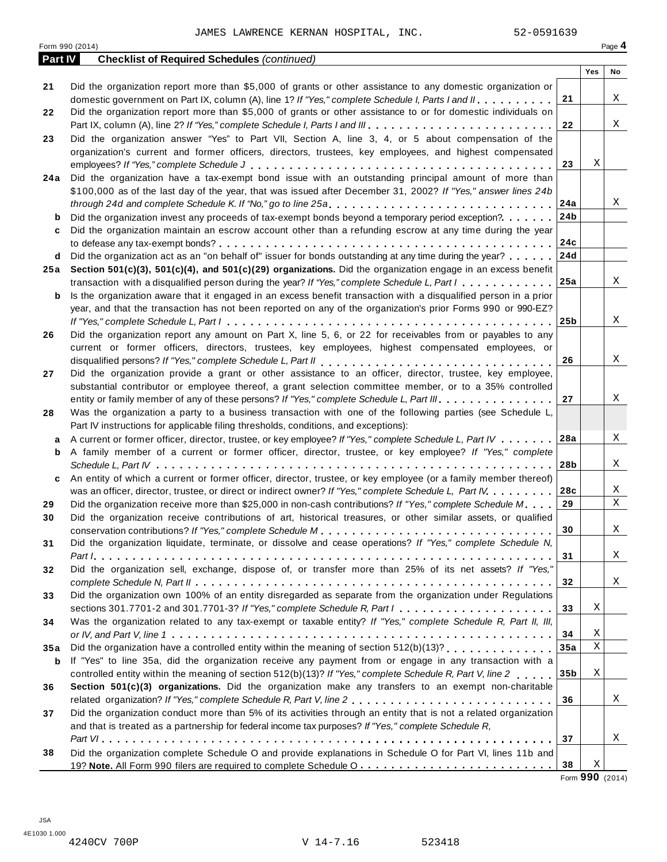|         | Form 990 (2014)                                                                                                             |                 |     | Page 4 |
|---------|-----------------------------------------------------------------------------------------------------------------------------|-----------------|-----|--------|
| Part IV | <b>Checklist of Required Schedules (continued)</b>                                                                          |                 |     |        |
|         |                                                                                                                             |                 | Yes | No     |
| 21      | Did the organization report more than \$5,000 of grants or other assistance to any domestic organization or                 |                 |     |        |
|         | domestic government on Part IX, column (A), line 1? If "Yes," complete Schedule I, Parts I and II,                          | 21              |     | X      |
| 22      | Did the organization report more than \$5,000 of grants or other assistance to or for domestic individuals on               |                 |     |        |
|         | Part IX, column (A), line 2? If "Yes," complete Schedule I, Parts I and III.                                                | 22              |     | X      |
| 23      | Did the organization answer "Yes" to Part VII, Section A, line 3, 4, or 5 about compensation of the                         |                 |     |        |
|         | organization's current and former officers, directors, trustees, key employees, and highest compensated                     |                 |     |        |
|         |                                                                                                                             | 23              | Χ   |        |
| 24 a    | Did the organization have a tax-exempt bond issue with an outstanding principal amount of more than                         |                 |     |        |
|         | \$100,000 as of the last day of the year, that was issued after December 31, 2002? If "Yes," answer lines 24b               |                 |     |        |
|         |                                                                                                                             | 24a             |     | X      |
| b       | Did the organization invest any proceeds of tax-exempt bonds beyond a temporary period exception?                           | 24b             |     |        |
| c       | Did the organization maintain an escrow account other than a refunding escrow at any time during the year                   |                 |     |        |
|         |                                                                                                                             | 24c             |     |        |
| d       | Did the organization act as an "on behalf of" issuer for bonds outstanding at any time during the year?                     | 24d             |     |        |
|         | 25a Section 501(c)(3), 501(c)(4), and 501(c)(29) organizations. Did the organization engage in an excess benefit            |                 |     |        |
|         | transaction with a disqualified person during the year? If "Yes," complete Schedule L, Part I                               | 25a             |     | X      |
| b       | Is the organization aware that it engaged in an excess benefit transaction with a disqualified person in a prior            |                 |     |        |
|         | year, and that the transaction has not been reported on any of the organization's prior Forms 990 or 990-EZ?                |                 |     |        |
|         |                                                                                                                             | 25b             |     | X      |
| 26      | Did the organization report any amount on Part X, line 5, 6, or 22 for receivables from or payables to any                  |                 |     |        |
|         | current or former officers, directors, trustees, key employees, highest compensated employees, or                           |                 |     |        |
|         |                                                                                                                             | 26              |     | X      |
| 27      | Did the organization provide a grant or other assistance to an officer, director, trustee, key employee,                    |                 |     |        |
|         | substantial contributor or employee thereof, a grant selection committee member, or to a 35% controlled                     |                 |     |        |
|         | entity or family member of any of these persons? If "Yes," complete Schedule L, Part III.                                   | 27              |     | X      |
| 28      | Was the organization a party to a business transaction with one of the following parties (see Schedule L,                   |                 |     |        |
|         | Part IV instructions for applicable filing thresholds, conditions, and exceptions):                                         |                 |     |        |
| a       | A current or former officer, director, trustee, or key employee? If "Yes," complete Schedule L, Part IV                     | 28a             |     | X      |
| b       | A family member of a current or former officer, director, trustee, or key employee? If "Yes," complete                      |                 |     |        |
|         |                                                                                                                             | 28b             |     | X      |
| c       | An entity of which a current or former officer, director, trustee, or key employee (or a family member thereof)             |                 |     |        |
|         | was an officer, director, trustee, or direct or indirect owner? If "Yes," complete Schedule L, Part IV.                     | 28c             |     | Χ      |
| 29      | Did the organization receive more than \$25,000 in non-cash contributions? If "Yes," complete Schedule M.                   | 29              |     | Χ      |
| 30      | Did the organization receive contributions of art, historical treasures, or other similar assets, or qualified              |                 |     |        |
|         |                                                                                                                             | 30              |     | Χ      |
| 31      | Did the organization liquidate, terminate, or dissolve and cease operations? If "Yes," complete Schedule N,                 |                 |     |        |
|         |                                                                                                                             | 31              |     | X      |
| 32      | Did the organization sell, exchange, dispose of, or transfer more than 25% of its net assets? If "Yes,"                     |                 |     |        |
|         |                                                                                                                             | 32              |     | Χ      |
| 33      | Did the organization own 100% of an entity disregarded as separate from the organization under Regulations                  |                 |     |        |
|         | sections 301.7701-2 and 301.7701-3? If "Yes," complete Schedule R, Part $1, \ldots, \ldots, \ldots, \ldots, \ldots, \ldots$ | 33              | Χ   |        |
| 34      | Was the organization related to any tax-exempt or taxable entity? If "Yes," complete Schedule R, Part II, III,              |                 |     |        |
|         |                                                                                                                             | 34              | Χ   |        |
| 35a     | Did the organization have a controlled entity within the meaning of section $512(b)(13)$ ?                                  | 35a             | Χ   |        |
| b       | If "Yes" to line 35a, did the organization receive any payment from or engage in any transaction with a                     |                 |     |        |
|         | controlled entity within the meaning of section 512(b)(13)? If "Yes," complete Schedule R, Part V, line 2                   | 35 <sub>b</sub> | Χ   |        |
| 36      | Section 501(c)(3) organizations. Did the organization make any transfers to an exempt non-charitable                        |                 |     |        |
|         | related organization? If "Yes," complete Schedule R, Part V, line 2                                                         | 36              |     | X      |
| 37      | Did the organization conduct more than 5% of its activities through an entity that is not a related organization            |                 |     |        |
|         | and that is treated as a partnership for federal income tax purposes? If "Yes," complete Schedule R,                        |                 |     |        |
|         |                                                                                                                             | 37              |     | Χ      |
| 38      | Did the organization complete Schedule O and provide explanations in Schedule O for Part VI, lines 11b and                  |                 |     |        |
|         |                                                                                                                             |                 | Χ   |        |
|         |                                                                                                                             | 38              |     |        |

Form **990** (2014)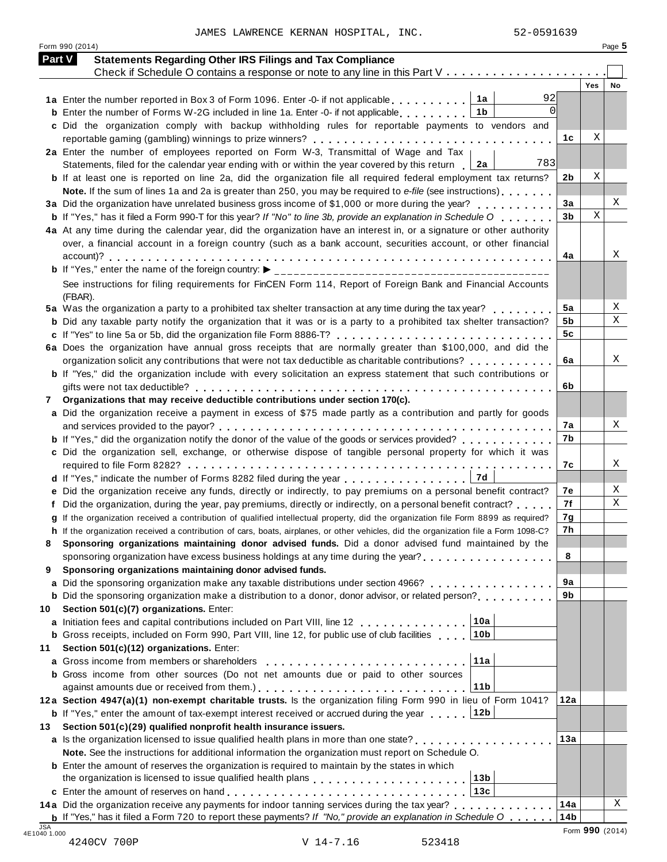JAMES LAWRENCE KERNAN HOSPITAL, INC. 52-0591639

Form 990 (2014) Page **5**

| Part V | <b>Statements Regarding Other IRS Filings and Tax Compliance</b>                                                                                                                                      |                 |            |    |
|--------|-------------------------------------------------------------------------------------------------------------------------------------------------------------------------------------------------------|-----------------|------------|----|
|        | Check if Schedule O contains a response or note to any line in this Part V                                                                                                                            |                 |            |    |
|        |                                                                                                                                                                                                       |                 | <b>Yes</b> | No |
|        | 92<br>1a<br>1a Enter the number reported in Box 3 of Form 1096. Enter -0- if not applicable<br>$\Omega$<br>1 <sub>b</sub>                                                                             |                 |            |    |
|        | <b>b</b> Enter the number of Forms W-2G included in line 1a. Enter -0- if not applicable<br>c Did the organization comply with backup withholding rules for reportable payments to vendors and        |                 |            |    |
|        |                                                                                                                                                                                                       | 1c              | Χ          |    |
|        | 2a Enter the number of employees reported on Form W-3, Transmittal of Wage and Tax                                                                                                                    |                 |            |    |
|        | 783<br>Statements, filed for the calendar year ending with or within the year covered by this return<br>2a                                                                                            |                 |            |    |
|        | <b>b</b> If at least one is reported on line 2a, did the organization file all required federal employment tax returns?                                                                               | 2b              | Χ          |    |
|        | Note. If the sum of lines 1a and 2a is greater than 250, you may be required to e-file (see instructions)                                                                                             |                 |            |    |
|        | 3a Did the organization have unrelated business gross income of \$1,000 or more during the year?                                                                                                      | 3a              |            | Χ  |
|        | <b>b</b> If "Yes," has it filed a Form 990-T for this year? If "No" to line 3b, provide an explanation in Schedule O $\ldots$ ,                                                                       | 3 <sub>b</sub>  | X          |    |
|        | 4a At any time during the calendar year, did the organization have an interest in, or a signature or other authority                                                                                  |                 |            |    |
|        | over, a financial account in a foreign country (such as a bank account, securities account, or other financial                                                                                        |                 |            |    |
|        |                                                                                                                                                                                                       | 4a              |            | Χ  |
|        |                                                                                                                                                                                                       |                 |            |    |
|        | See instructions for filing requirements for FinCEN Form 114, Report of Foreign Bank and Financial Accounts                                                                                           |                 |            |    |
|        | (FBAR).                                                                                                                                                                                               |                 |            |    |
|        | 5a Was the organization a party to a prohibited tax shelter transaction at any time during the tax year?                                                                                              | 5a              |            | Χ  |
|        | <b>b</b> Did any taxable party notify the organization that it was or is a party to a prohibited tax shelter transaction?                                                                             | 5b              |            | Χ  |
|        |                                                                                                                                                                                                       | 5 <sub>c</sub>  |            |    |
|        | 6a Does the organization have annual gross receipts that are normally greater than \$100,000, and did the                                                                                             |                 |            |    |
|        | organization solicit any contributions that were not tax deductible as charitable contributions?                                                                                                      | 6а              |            | Χ  |
|        | <b>b</b> If "Yes," did the organization include with every solicitation an express statement that such contributions or                                                                               |                 |            |    |
|        | Organizations that may receive deductible contributions under section 170(c).                                                                                                                         | 6b              |            |    |
| 7      | a Did the organization receive a payment in excess of \$75 made partly as a contribution and partly for goods                                                                                         |                 |            |    |
|        |                                                                                                                                                                                                       | 7a              |            | X  |
|        | <b>b</b> If "Yes," did the organization notify the donor of the value of the goods or services provided?                                                                                              | 7b              |            |    |
|        | c Did the organization sell, exchange, or otherwise dispose of tangible personal property for which it was                                                                                            |                 |            |    |
|        |                                                                                                                                                                                                       | 7c              |            | Χ  |
|        | 7d<br>d If "Yes," indicate the number of Forms 8282 filed during the year                                                                                                                             |                 |            |    |
|        | e Did the organization receive any funds, directly or indirectly, to pay premiums on a personal benefit contract?                                                                                     | 7е              |            | Χ  |
|        | Did the organization, during the year, pay premiums, directly or indirectly, on a personal benefit contract?                                                                                          | 7f              |            | Χ  |
|        | If the organization received a contribution of qualified intellectual property, did the organization file Form 8899 as required?                                                                      | 7g              |            |    |
|        | h If the organization received a contribution of cars, boats, airplanes, or other vehicles, did the organization file a Form 1098-C?                                                                  | 7h              |            |    |
|        | Sponsoring organizations maintaining donor advised funds. Did a donor advised fund maintained by the                                                                                                  |                 |            |    |
|        | sponsoring organization have excess business holdings at any time during the year?<br>                                                                                                                | 8               |            |    |
| 9      | Sponsoring organizations maintaining donor advised funds.                                                                                                                                             |                 |            |    |
| a      | Did the sponsoring organization make any taxable distributions under section 4966?                                                                                                                    | 9a              |            |    |
|        | <b>b</b> Did the sponsoring organization make a distribution to a donor, donor advisor, or related person?                                                                                            | 9b              |            |    |
| 10     | Section 501(c)(7) organizations. Enter:<br>10a                                                                                                                                                        |                 |            |    |
|        | a Initiation fees and capital contributions included on Part VIII, line 12<br>10 <sub>b</sub><br><b>b</b> Gross receipts, included on Form 990, Part VIII, line 12, for public use of club facilities |                 |            |    |
| 11     | Section 501(c)(12) organizations. Enter:                                                                                                                                                              |                 |            |    |
| a      | 11a<br>Gross income from members or shareholders                                                                                                                                                      |                 |            |    |
|        | <b>b</b> Gross income from other sources (Do not net amounts due or paid to other sources                                                                                                             |                 |            |    |
|        | 11 <sub>b</sub>                                                                                                                                                                                       |                 |            |    |
|        | 12a Section 4947(a)(1) non-exempt charitable trusts. Is the organization filing Form 990 in lieu of Form 1041?                                                                                        | 12a             |            |    |
|        | 12b<br><b>b</b> If "Yes," enter the amount of tax-exempt interest received or accrued during the year                                                                                                 |                 |            |    |
| 13     | Section 501(c)(29) qualified nonprofit health insurance issuers.                                                                                                                                      |                 |            |    |
|        | <b>a</b> Is the organization licensed to issue qualified health plans in more than one state? <b>at all assumes that in</b> the number                                                                | 13a             |            |    |
|        | Note. See the instructions for additional information the organization must report on Schedule O.                                                                                                     |                 |            |    |
|        | <b>b</b> Enter the amount of reserves the organization is required to maintain by the states in which                                                                                                 |                 |            |    |
|        | 13 <sub>b</sub>                                                                                                                                                                                       |                 |            |    |
|        | 13c                                                                                                                                                                                                   |                 |            |    |
|        | 14a Did the organization receive any payments for indoor tanning services during the tax year?                                                                                                        | 14a             |            | Χ  |
|        | <b>b</b> If "Yes," has it filed a Form 720 to report these payments? If "No," provide an explanation in Schedule O $\ldots$ .                                                                         | 14 <sub>b</sub> |            |    |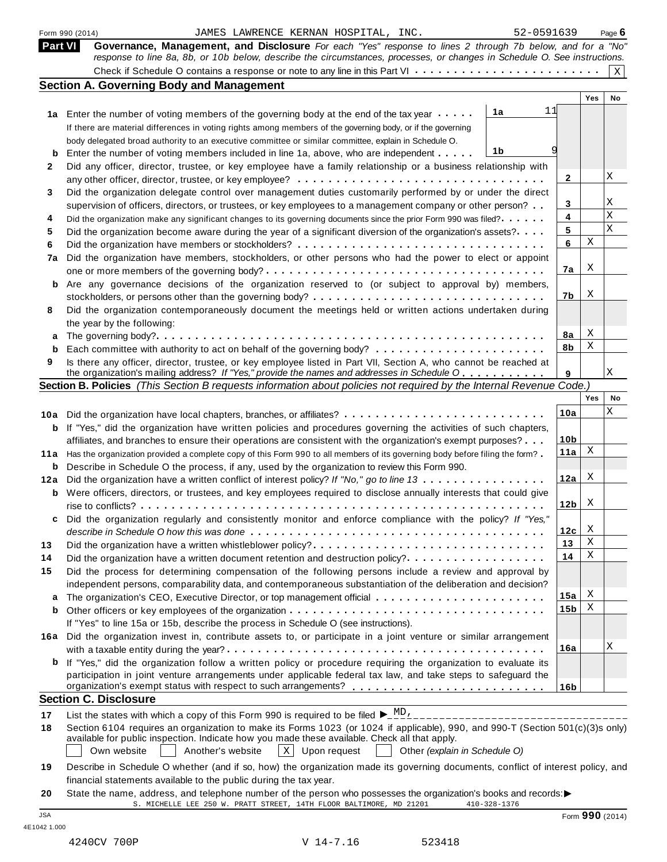|         | 52-0591639<br>Form 990 (2014)<br>JAMES LAWRENCE KERNAN HOSPITAL, INC.                                                                                                                                                                                                                                                                                                                                                                                                                                                                                                                                          |                 |        | Page $6$    |
|---------|----------------------------------------------------------------------------------------------------------------------------------------------------------------------------------------------------------------------------------------------------------------------------------------------------------------------------------------------------------------------------------------------------------------------------------------------------------------------------------------------------------------------------------------------------------------------------------------------------------------|-----------------|--------|-------------|
| Part VI | Governance, Management, and Disclosure For each "Yes" response to lines 2 through 7b below, and for a "No"                                                                                                                                                                                                                                                                                                                                                                                                                                                                                                     |                 |        |             |
|         | response to line 8a, 8b, or 10b below, describe the circumstances, processes, or changes in Schedule O. See instructions.                                                                                                                                                                                                                                                                                                                                                                                                                                                                                      |                 |        | $\mathbf X$ |
|         | <b>Section A. Governing Body and Management</b>                                                                                                                                                                                                                                                                                                                                                                                                                                                                                                                                                                |                 |        |             |
|         |                                                                                                                                                                                                                                                                                                                                                                                                                                                                                                                                                                                                                |                 | Yes    | No          |
|         | 11<br>1a<br>1a Enter the number of voting members of the governing body at the end of the tax year                                                                                                                                                                                                                                                                                                                                                                                                                                                                                                             |                 |        |             |
|         | If there are material differences in voting rights among members of the governing body, or if the governing                                                                                                                                                                                                                                                                                                                                                                                                                                                                                                    |                 |        |             |
|         | body delegated broad authority to an executive committee or similar committee, explain in Schedule O.                                                                                                                                                                                                                                                                                                                                                                                                                                                                                                          |                 |        |             |
| b       | 1b<br>Enter the number of voting members included in line 1a, above, who are independent                                                                                                                                                                                                                                                                                                                                                                                                                                                                                                                       |                 |        |             |
|         | Did any officer, director, trustee, or key employee have a family relationship or a business relationship with                                                                                                                                                                                                                                                                                                                                                                                                                                                                                                 |                 |        |             |
|         |                                                                                                                                                                                                                                                                                                                                                                                                                                                                                                                                                                                                                | $\mathbf{2}$    |        | Χ           |
|         | Did the organization delegate control over management duties customarily performed by or under the direct                                                                                                                                                                                                                                                                                                                                                                                                                                                                                                      |                 |        | Χ           |
|         | supervision of officers, directors, or trustees, or key employees to a management company or other person?                                                                                                                                                                                                                                                                                                                                                                                                                                                                                                     | 3<br>4          |        | Х           |
|         | Did the organization make any significant changes to its governing documents since the prior Form 990 was filed?<br>Did the organization become aware during the year of a significant diversion of the organization's assets?                                                                                                                                                                                                                                                                                                                                                                                 | 5               |        | X           |
|         |                                                                                                                                                                                                                                                                                                                                                                                                                                                                                                                                                                                                                | 6               | Χ      |             |
| 7a      | Did the organization have members, stockholders, or other persons who had the power to elect or appoint                                                                                                                                                                                                                                                                                                                                                                                                                                                                                                        |                 |        |             |
|         |                                                                                                                                                                                                                                                                                                                                                                                                                                                                                                                                                                                                                | 7a              | X      |             |
| b       | Are any governance decisions of the organization reserved to (or subject to approval by) members,                                                                                                                                                                                                                                                                                                                                                                                                                                                                                                              |                 |        |             |
|         | stockholders, or persons other than the governing body? $\dots \dots \dots \dots \dots \dots \dots \dots \dots \dots \dots \dots$                                                                                                                                                                                                                                                                                                                                                                                                                                                                              | 7b              | х      |             |
|         | Did the organization contemporaneously document the meetings held or written actions undertaken during                                                                                                                                                                                                                                                                                                                                                                                                                                                                                                         |                 |        |             |
|         | the year by the following:                                                                                                                                                                                                                                                                                                                                                                                                                                                                                                                                                                                     |                 |        |             |
| а       |                                                                                                                                                                                                                                                                                                                                                                                                                                                                                                                                                                                                                | 8a              | Χ      |             |
| b       |                                                                                                                                                                                                                                                                                                                                                                                                                                                                                                                                                                                                                | 8b              | Χ      |             |
|         | Is there any officer, director, trustee, or key employee listed in Part VII, Section A, who cannot be reached at                                                                                                                                                                                                                                                                                                                                                                                                                                                                                               |                 |        | Χ           |
|         | the organization's mailing address? If "Yes," provide the names and addresses in Schedule O<br>Section B. Policies (This Section B requests information about policies not required by the Internal Revenue Code.)                                                                                                                                                                                                                                                                                                                                                                                             | 9               |        |             |
|         |                                                                                                                                                                                                                                                                                                                                                                                                                                                                                                                                                                                                                |                 | Yes    | No          |
| 10a     | Did the organization have local chapters, branches, or affiliates?                                                                                                                                                                                                                                                                                                                                                                                                                                                                                                                                             | 10a             |        | Χ           |
| b       | If "Yes," did the organization have written policies and procedures governing the activities of such chapters,                                                                                                                                                                                                                                                                                                                                                                                                                                                                                                 |                 |        |             |
|         | affiliates, and branches to ensure their operations are consistent with the organization's exempt purposes?                                                                                                                                                                                                                                                                                                                                                                                                                                                                                                    | 10 <sub>b</sub> |        |             |
| 11a     | Has the organization provided a complete copy of this Form 990 to all members of its governing body before filing the form?                                                                                                                                                                                                                                                                                                                                                                                                                                                                                    | 11a             | Χ      |             |
| b       | Describe in Schedule O the process, if any, used by the organization to review this Form 990.                                                                                                                                                                                                                                                                                                                                                                                                                                                                                                                  |                 |        |             |
| 12a     | Did the organization have a written conflict of interest policy? If "No," go to line 13                                                                                                                                                                                                                                                                                                                                                                                                                                                                                                                        | 12a             | Χ      |             |
|         | <b>b</b> Were officers, directors, or trustees, and key employees required to disclose annually interests that could give                                                                                                                                                                                                                                                                                                                                                                                                                                                                                      |                 |        |             |
|         |                                                                                                                                                                                                                                                                                                                                                                                                                                                                                                                                                                                                                | 12 <sub>b</sub> | X      |             |
|         | Did the organization regularly and consistently monitor and enforce compliance with the policy? If "Yes,'                                                                                                                                                                                                                                                                                                                                                                                                                                                                                                      |                 |        |             |
|         |                                                                                                                                                                                                                                                                                                                                                                                                                                                                                                                                                                                                                | 12c             | X<br>Χ |             |
|         | Did the organization have a written whistleblower policy?                                                                                                                                                                                                                                                                                                                                                                                                                                                                                                                                                      | 13              | Χ      |             |
|         | Did the organization have a written document retention and destruction policy?                                                                                                                                                                                                                                                                                                                                                                                                                                                                                                                                 | 14              |        |             |
|         | Did the process for determining compensation of the following persons include a review and approval by                                                                                                                                                                                                                                                                                                                                                                                                                                                                                                         |                 |        |             |
| а       | independent persons, comparability data, and contemporaneous substantiation of the deliberation and decision?                                                                                                                                                                                                                                                                                                                                                                                                                                                                                                  | 15a             | Χ      |             |
| b       |                                                                                                                                                                                                                                                                                                                                                                                                                                                                                                                                                                                                                | 15 <sub>b</sub> | Χ      |             |
|         | If "Yes" to line 15a or 15b, describe the process in Schedule O (see instructions).                                                                                                                                                                                                                                                                                                                                                                                                                                                                                                                            |                 |        |             |
|         | 16a Did the organization invest in, contribute assets to, or participate in a joint venture or similar arrangement                                                                                                                                                                                                                                                                                                                                                                                                                                                                                             |                 |        |             |
|         |                                                                                                                                                                                                                                                                                                                                                                                                                                                                                                                                                                                                                | 16a             |        | Χ           |
|         | <b>b</b> If "Yes," did the organization follow a written policy or procedure requiring the organization to evaluate its                                                                                                                                                                                                                                                                                                                                                                                                                                                                                        |                 |        |             |
|         | participation in joint venture arrangements under applicable federal tax law, and take steps to safeguard the                                                                                                                                                                                                                                                                                                                                                                                                                                                                                                  |                 |        |             |
|         |                                                                                                                                                                                                                                                                                                                                                                                                                                                                                                                                                                                                                | 16 <sub>b</sub> |        |             |
|         | <b>Section C. Disclosure</b>                                                                                                                                                                                                                                                                                                                                                                                                                                                                                                                                                                                   |                 |        |             |
|         | List the states with which a copy of this Form 990 is required to be filed $\blacktriangleright_{-}^{\text{MD}}$ .                                                                                                                                                                                                                                                                                                                                                                                                                                                                                             |                 |        |             |
|         | Section 6104 requires an organization to make its Forms 1023 (or 1024 if applicable), 990, and 990-T (Section 501(c)(3)s only)                                                                                                                                                                                                                                                                                                                                                                                                                                                                                 |                 |        |             |
|         |                                                                                                                                                                                                                                                                                                                                                                                                                                                                                                                                                                                                                |                 |        |             |
|         |                                                                                                                                                                                                                                                                                                                                                                                                                                                                                                                                                                                                                |                 |        |             |
|         |                                                                                                                                                                                                                                                                                                                                                                                                                                                                                                                                                                                                                |                 |        |             |
|         |                                                                                                                                                                                                                                                                                                                                                                                                                                                                                                                                                                                                                |                 |        |             |
|         | available for public inspection. Indicate how you made these available. Check all that apply.<br>$X$ Upon request<br>Own website<br>Another's website<br>Other (explain in Schedule O)<br>Describe in Schedule O whether (and if so, how) the organization made its governing documents, conflict of interest policy, and<br>financial statements available to the public during the tax year.<br>State the name, address, and telephone number of the person who possesses the organization's books and records:<br>S. MICHELLE LEE 250 W. PRATT STREET, 14TH FLOOR BALTIMORE, MD 21201<br>$410 - 328 - 1376$ |                 |        |             |

4E1042 1.000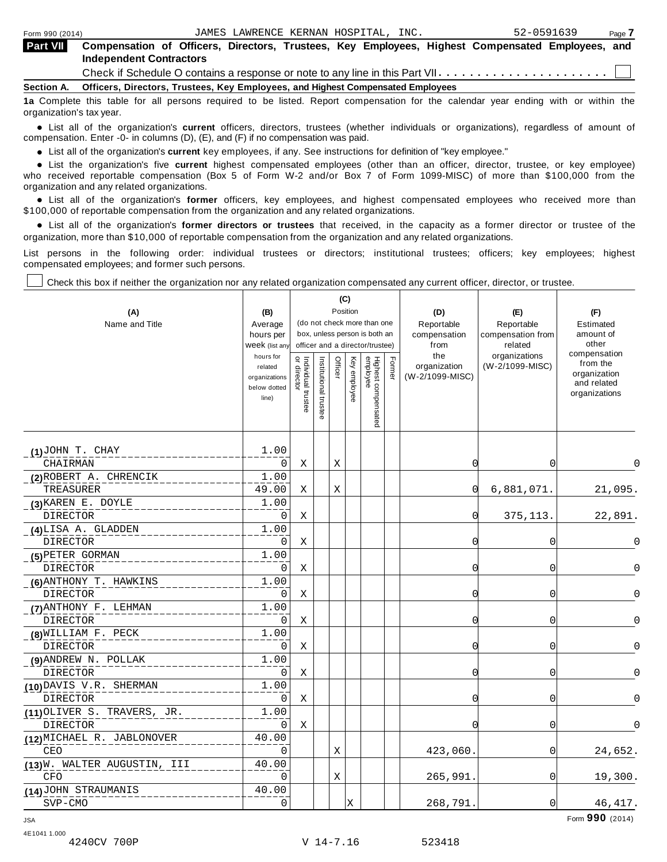| <b>Part VII</b>   | Compensation of Officers, Directors, Trustees, Key Employees, Highest Compensated Employees, and<br><b>Independent Contractors</b> |
|-------------------|------------------------------------------------------------------------------------------------------------------------------------|
|                   | Check if Schedule O contains a response or note to any line in this Part VII $\dots\dots\dots\dots\dots\dots\dots\dots\Box$        |
| <b>Section A.</b> | Officers, Directors, Trustees, Key Employees, and Highest Compensated Employees                                                    |
|                   | 10 Complete this table for all persons required to be listed. Penert compensation for the colondar wear anding with as within the  |

**a** Complete this table for all persons required to be listed. Report compensation for the calendar year ending with or organization's tax year.

anization's lax year.<br>● List all of the organization's **current** officers, directors, trustees (whether individuals or organizations), regardless of amount of<br>nnensation Enter -0- in columns (D) (E) and (E) if no compensa compensation. Enter -0- in columns (D), (E), and (F) if no compensation was paid.

• List all of the organization's **current** key employees, if any. See instructions for definition of "key employee."<br>● List the experientials five expect highest expressed explores (other than an efficer director of

**Example in the organization's current** key employees, if any. See instructions for definition of key employee.<br>• List the organization's five **current** highest compensated employees (other than an officer, director, trust who received reportable compensation (Box 5 of Form W-2 and/or Box 7 of Form 1099-MISC) of more than \$100,000 from the

organization and any related organizations.<br>• List all of the organization's **former** officers, key employees, and highest compensated employees who received more than<br>\$1.00.000 of reportable componention from the erganiza \$100,000 of reportable compensation from the organization and any related organizations.

% List all of the organization's **former directors or trustees** that received, in the capacity as a former director or trustee of the organization, more than \$10,000 of reportable compensation from the organization and any related organizations.

List persons in the following order: individual trustees or directors; institutional trustees; officers; key employees; highest compensated employees; and former such persons.

Check this box if neither the organization nor any related organization compensated any current officer, director, or trustee.

| (A)<br>Name and Title                      | (B)<br>Average<br>hours per<br>Week (list any<br>hours for<br>related<br>organizations<br>below dotted<br>line) | Individual trustee<br>or director | Institutional trustee | (C)<br>Officer | Position<br>Key employee | (do not check more than one<br>box, unless person is both an<br>officer and a director/trustee)<br>Highest compensated<br>employee | Former | (D)<br>Reportable<br>compensation<br>from<br>the<br>organization<br>(W-2/1099-MISC) | (E)<br>Reportable<br>compensation from<br>related<br>organizations<br>(W-2/1099-MISC) | (F)<br>Estimated<br>amount of<br>other<br>compensation<br>from the<br>organization<br>and related<br>organizations |
|--------------------------------------------|-----------------------------------------------------------------------------------------------------------------|-----------------------------------|-----------------------|----------------|--------------------------|------------------------------------------------------------------------------------------------------------------------------------|--------|-------------------------------------------------------------------------------------|---------------------------------------------------------------------------------------|--------------------------------------------------------------------------------------------------------------------|
| $(1)$ JOHN T. CHAY                         | 1.00                                                                                                            |                                   |                       |                |                          |                                                                                                                                    |        |                                                                                     |                                                                                       |                                                                                                                    |
| CHAIRMAN                                   | $\Omega$                                                                                                        | Χ                                 |                       | X              |                          |                                                                                                                                    |        | $\Omega$                                                                            | 0                                                                                     | $\Omega$                                                                                                           |
| (2) ROBERT A. CHRENCIK                     | 1.00                                                                                                            |                                   |                       |                |                          |                                                                                                                                    |        |                                                                                     |                                                                                       |                                                                                                                    |
| TREASURER                                  | 49.00                                                                                                           | Χ                                 |                       | X              |                          |                                                                                                                                    |        | 0                                                                                   | 6,881,071.                                                                            | 21,095.                                                                                                            |
| (3) KAREN E. DOYLE                         | 1.00                                                                                                            |                                   |                       |                |                          |                                                                                                                                    |        |                                                                                     |                                                                                       |                                                                                                                    |
| <b>DIRECTOR</b>                            | 0                                                                                                               | X                                 |                       |                |                          |                                                                                                                                    |        | 0                                                                                   | 375, 113.                                                                             | 22,891.                                                                                                            |
| (4)LISA A. GLADDEN                         | 1.00                                                                                                            |                                   |                       |                |                          |                                                                                                                                    |        |                                                                                     |                                                                                       |                                                                                                                    |
| <b>DIRECTOR</b>                            | 0                                                                                                               | X                                 |                       |                |                          |                                                                                                                                    |        | $\Omega$                                                                            | 0                                                                                     | 0                                                                                                                  |
| (5) PETER GORMAN                           | 1.00                                                                                                            |                                   |                       |                |                          |                                                                                                                                    |        |                                                                                     |                                                                                       |                                                                                                                    |
| <b>DIRECTOR</b>                            | 0                                                                                                               | Χ                                 |                       |                |                          |                                                                                                                                    |        | O                                                                                   | 0                                                                                     | $\Omega$                                                                                                           |
| (6) ANTHONY T. HAWKINS                     | 1.00                                                                                                            |                                   |                       |                |                          |                                                                                                                                    |        |                                                                                     |                                                                                       |                                                                                                                    |
| <b>DIRECTOR</b>                            | $\Omega$                                                                                                        | Χ                                 |                       |                |                          |                                                                                                                                    |        | $\Omega$                                                                            | 0                                                                                     | $\Omega$                                                                                                           |
| (7) ANTHONY F. LEHMAN                      | 1.00                                                                                                            |                                   |                       |                |                          |                                                                                                                                    |        |                                                                                     |                                                                                       |                                                                                                                    |
| <b>DIRECTOR</b>                            | $\Omega$                                                                                                        | Χ                                 |                       |                |                          |                                                                                                                                    |        | $\Omega$                                                                            | 0                                                                                     | 0                                                                                                                  |
| (8) WILLIAM F. PECK                        | 1.00                                                                                                            |                                   |                       |                |                          |                                                                                                                                    |        |                                                                                     |                                                                                       |                                                                                                                    |
| <b>DIRECTOR</b>                            | 0                                                                                                               | Χ                                 |                       |                |                          |                                                                                                                                    |        | 0                                                                                   | $\mathbf 0$                                                                           | $\Omega$                                                                                                           |
| (9) ANDREW N. POLLAK                       | 1.00                                                                                                            |                                   |                       |                |                          |                                                                                                                                    |        |                                                                                     |                                                                                       |                                                                                                                    |
| <b>DIRECTOR</b>                            | 0                                                                                                               | Χ                                 |                       |                |                          |                                                                                                                                    |        | $\Omega$                                                                            | 0                                                                                     | $\Omega$                                                                                                           |
| (10) DAVIS V.R. SHERMAN<br><b>DIRECTOR</b> | 1.00<br>$\Omega$                                                                                                | Χ                                 |                       |                |                          |                                                                                                                                    |        | $\Omega$                                                                            | $\overline{0}$                                                                        | $\Omega$                                                                                                           |
| (11) OLIVER S. TRAVERS, JR.                | 1.00                                                                                                            |                                   |                       |                |                          |                                                                                                                                    |        |                                                                                     |                                                                                       |                                                                                                                    |
| <b>DIRECTOR</b>                            | $\Omega$                                                                                                        | X                                 |                       |                |                          |                                                                                                                                    |        | $\Omega$                                                                            | $\overline{0}$                                                                        | $\Omega$                                                                                                           |
| (12) MICHAEL R. JABLONOVER                 | 40.00                                                                                                           |                                   |                       |                |                          |                                                                                                                                    |        |                                                                                     |                                                                                       |                                                                                                                    |
| <b>CEO</b>                                 | $\Omega$                                                                                                        |                                   |                       | X              |                          |                                                                                                                                    |        | 423,060.                                                                            | $\overline{0}$                                                                        | 24,652.                                                                                                            |
| (13)W. WALTER AUGUSTIN, III<br><b>CFO</b>  | 40.00<br>0                                                                                                      |                                   |                       | Χ              |                          |                                                                                                                                    |        | 265,991.                                                                            | $\overline{0}$                                                                        | 19,300.                                                                                                            |
| (14) JOHN STRAUMANIS                       | 40.00                                                                                                           |                                   |                       |                |                          |                                                                                                                                    |        |                                                                                     |                                                                                       |                                                                                                                    |
| SVP-CMO                                    | $\overline{0}$                                                                                                  |                                   |                       |                | Ιx                       |                                                                                                                                    |        | 268,791.                                                                            | $\overline{0}$                                                                        | 46, 417.                                                                                                           |

Form **990** (2014) JSA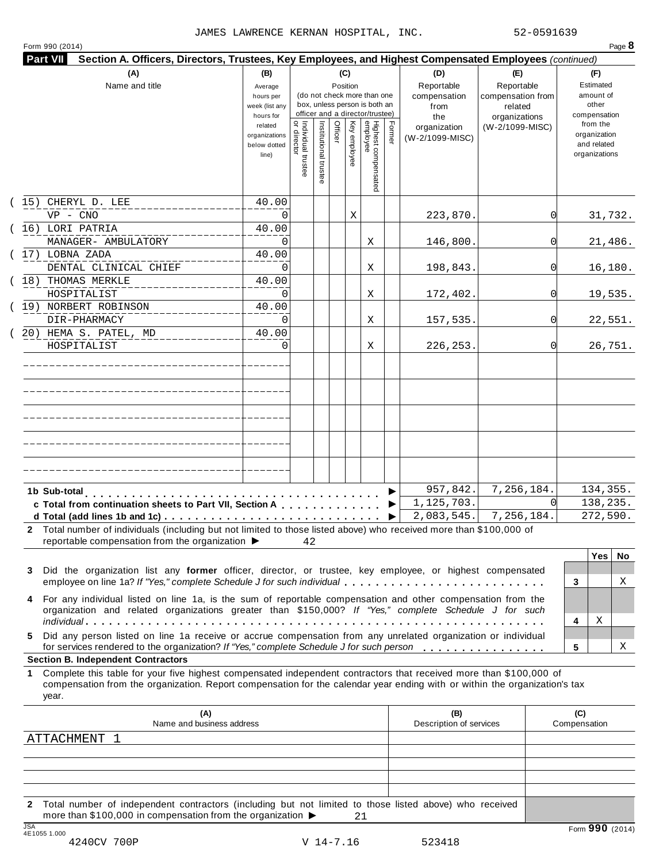|  | Form 990 (2014) |  |
|--|-----------------|--|
|  |                 |  |

|         | (A)<br>Name and title                                                                                                                                                                                                                                     | (B)<br>Average<br>hours per<br>week (list any<br>hours for |                                           |                       |         | (C)<br>Position | (do not check more than one<br>box, unless person is both an<br>officer and a director/trustee) |        | (D)<br>Reportable<br>compensation<br>from<br>the | (E)<br>Reportable<br>compensation from<br>related<br>organizations | (F)<br>Estimated<br>amount of<br>other<br>compensation   |
|---------|-----------------------------------------------------------------------------------------------------------------------------------------------------------------------------------------------------------------------------------------------------------|------------------------------------------------------------|-------------------------------------------|-----------------------|---------|-----------------|-------------------------------------------------------------------------------------------------|--------|--------------------------------------------------|--------------------------------------------------------------------|----------------------------------------------------------|
|         |                                                                                                                                                                                                                                                           | related<br>organizations<br>below dotted<br>line)          | <br>  Individual trustee<br>  or director | Institutional trustee | Officer | Key employee    | Highest compensated<br>employee                                                                 | Former | organization<br>(W-2/1099-MISC)                  | (W-2/1099-MISC)                                                    | from the<br>organization<br>and related<br>organizations |
|         | (15) CHERYL D. LEE                                                                                                                                                                                                                                        | 40.00                                                      |                                           |                       |         |                 |                                                                                                 |        |                                                  |                                                                    |                                                          |
|         | $VP - CNO$<br>(16) LORI PATRIA                                                                                                                                                                                                                            | $\Omega$                                                   |                                           |                       |         | Χ               |                                                                                                 |        | 223,870.                                         | 0                                                                  | 31,732.                                                  |
|         | MANAGER- AMBULATORY                                                                                                                                                                                                                                       | 40.00<br>0                                                 |                                           |                       |         |                 | Χ                                                                                               |        | 146,800.                                         | <sup>0</sup>                                                       | 21,486.                                                  |
|         | $(17)$ LOBNA ZADA                                                                                                                                                                                                                                         | 40.00                                                      |                                           |                       |         |                 |                                                                                                 |        |                                                  |                                                                    |                                                          |
|         | DENTAL CLINICAL CHIEF                                                                                                                                                                                                                                     | $\Omega$                                                   |                                           |                       |         |                 | Χ                                                                                               |        | 198,843.                                         | 0l                                                                 | 16,180.                                                  |
|         | (18) THOMAS MERKLE                                                                                                                                                                                                                                        | 40.00                                                      |                                           |                       |         |                 |                                                                                                 |        |                                                  |                                                                    |                                                          |
|         | HOSPITALIST                                                                                                                                                                                                                                               | 0                                                          |                                           |                       |         |                 | Χ                                                                                               |        | 172,402.                                         | 0l                                                                 | 19,535.                                                  |
|         | (19) NORBERT ROBINSON                                                                                                                                                                                                                                     | 40.00                                                      |                                           |                       |         |                 |                                                                                                 |        |                                                  |                                                                    |                                                          |
|         | DIR-PHARMACY                                                                                                                                                                                                                                              | $\Omega$                                                   |                                           |                       |         |                 | Χ                                                                                               |        | 157,535.                                         | <sup>0</sup>                                                       | 22,551.                                                  |
|         | 20) HEMA S. PATEL, MD<br>HOSPITALIST                                                                                                                                                                                                                      | 40.00<br>0                                                 |                                           |                       |         |                 | Χ                                                                                               |        | 226, 253.                                        | <sup>0</sup>                                                       | 26,751.                                                  |
|         |                                                                                                                                                                                                                                                           |                                                            |                                           |                       |         |                 |                                                                                                 |        |                                                  |                                                                    |                                                          |
|         |                                                                                                                                                                                                                                                           |                                                            |                                           |                       |         |                 |                                                                                                 |        |                                                  |                                                                    |                                                          |
|         |                                                                                                                                                                                                                                                           |                                                            |                                           |                       |         |                 |                                                                                                 |        |                                                  |                                                                    |                                                          |
|         |                                                                                                                                                                                                                                                           |                                                            |                                           |                       |         |                 |                                                                                                 |        |                                                  |                                                                    |                                                          |
|         |                                                                                                                                                                                                                                                           |                                                            |                                           |                       |         |                 |                                                                                                 |        |                                                  |                                                                    |                                                          |
|         |                                                                                                                                                                                                                                                           |                                                            |                                           |                       |         |                 |                                                                                                 |        | 957,842.                                         | 7,256,184.                                                         | 134,355.                                                 |
|         | c Total from continuation sheets to Part VII, Section A                                                                                                                                                                                                   |                                                            |                                           |                       |         |                 |                                                                                                 |        | 1,125,703.                                       | <sup>n</sup>                                                       | 138,235.                                                 |
|         |                                                                                                                                                                                                                                                           |                                                            |                                           |                       |         |                 |                                                                                                 | ▶      | 2,083,545.                                       | 7,256,184.                                                         | 272,590.                                                 |
|         | 2 Total number of individuals (including but not limited to those listed above) who received more than \$100,000 of<br>reportable compensation from the organization ▶                                                                                    |                                                            | 42                                        |                       |         |                 |                                                                                                 |        |                                                  |                                                                    |                                                          |
|         |                                                                                                                                                                                                                                                           |                                                            |                                           |                       |         |                 |                                                                                                 |        |                                                  |                                                                    | <b>Yes</b><br>No.                                        |
| 3       | Did the organization list any former officer, director, or trustee, key employee, or highest compensated<br>employee on line 1a? If "Yes," complete Schedule J for such individual                                                                        |                                                            |                                           |                       |         |                 |                                                                                                 |        |                                                  |                                                                    | Χ<br>3                                                   |
| 4       | For any individual listed on line 1a, is the sum of reportable compensation and other compensation from the                                                                                                                                               |                                                            |                                           |                       |         |                 |                                                                                                 |        |                                                  |                                                                    |                                                          |
|         | organization and related organizations greater than \$150,000? If "Yes," complete Schedule J for such                                                                                                                                                     |                                                            |                                           |                       |         |                 |                                                                                                 |        |                                                  |                                                                    | Χ                                                        |
|         | Did any person listed on line 1a receive or accrue compensation from any unrelated organization or individual                                                                                                                                             |                                                            |                                           |                       |         |                 |                                                                                                 |        |                                                  |                                                                    | 4                                                        |
|         | for services rendered to the organization? If "Yes," complete Schedule J for such person                                                                                                                                                                  |                                                            |                                           |                       |         |                 |                                                                                                 |        |                                                  |                                                                    | Χ<br>5                                                   |
|         |                                                                                                                                                                                                                                                           |                                                            |                                           |                       |         |                 |                                                                                                 |        |                                                  |                                                                    |                                                          |
|         | <b>Section B. Independent Contractors</b>                                                                                                                                                                                                                 |                                                            |                                           |                       |         |                 |                                                                                                 |        |                                                  |                                                                    |                                                          |
|         | Complete this table for your five highest compensated independent contractors that received more than \$100,000 of<br>compensation from the organization. Report compensation for the calendar year ending with or within the organization's tax<br>year. |                                                            |                                           |                       |         |                 |                                                                                                 |        |                                                  |                                                                    |                                                          |
|         | (A)                                                                                                                                                                                                                                                       |                                                            |                                           |                       |         |                 |                                                                                                 |        | (B)                                              |                                                                    | (C)                                                      |
|         | Name and business address<br>ATTACHMENT 1                                                                                                                                                                                                                 |                                                            |                                           |                       |         |                 |                                                                                                 |        | Description of services                          |                                                                    | Compensation                                             |
| 5.<br>1 |                                                                                                                                                                                                                                                           |                                                            |                                           |                       |         |                 |                                                                                                 |        |                                                  |                                                                    |                                                          |
|         |                                                                                                                                                                                                                                                           |                                                            |                                           |                       |         |                 |                                                                                                 |        |                                                  |                                                                    |                                                          |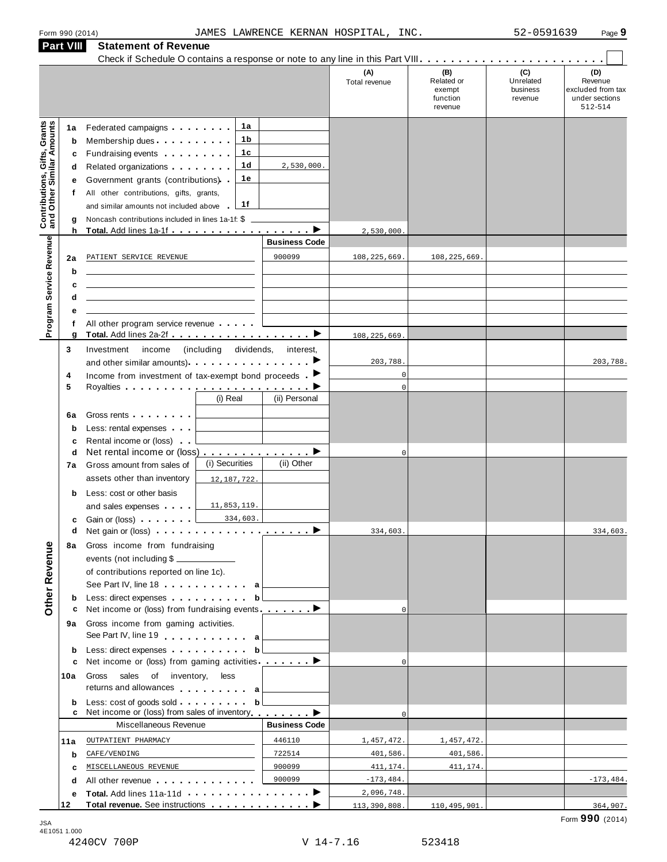|                                                                  | <b>Part VIII</b>                      | <b>Statement of Revenue</b>                                                                                                                                                                                                                                                                                                                                                                                                                                                                                                                                              |                                                    |                                        |                                                    |                                         |                                                                  |
|------------------------------------------------------------------|---------------------------------------|--------------------------------------------------------------------------------------------------------------------------------------------------------------------------------------------------------------------------------------------------------------------------------------------------------------------------------------------------------------------------------------------------------------------------------------------------------------------------------------------------------------------------------------------------------------------------|----------------------------------------------------|----------------------------------------|----------------------------------------------------|-----------------------------------------|------------------------------------------------------------------|
|                                                                  |                                       |                                                                                                                                                                                                                                                                                                                                                                                                                                                                                                                                                                          |                                                    | (A)<br>Total revenue                   | (B)<br>Related or<br>exempt<br>function<br>revenue | (C)<br>Unrelated<br>business<br>revenue | (D)<br>Revenue<br>excluded from tax<br>under sections<br>512-514 |
| <b>Contributions, Gifts, Grants</b><br>and Other Similar Amounts | 1a<br>b<br>c<br>d<br>е<br>f<br>g<br>h | 1a<br>Federated campaigns <b>Federated</b><br>1 b<br>Membership dues<br>1c<br>Fundraising events <b>Fundraising</b><br>1 <sub>d</sub><br>Related organizations <b>and the set of the set of the set of the set of the set of the set of the set of the set of the set of the set of the set of the set of the set of the set of the set of the set of the set of the set </b><br>1е<br>Government grants (contributions)<br>All other contributions, gifts, grants,<br>1f<br>and similar amounts not included above<br>Noncash contributions included in lines 1a-1f: \$ | 2,530,000.                                         | 2,530,000.                             |                                                    |                                         |                                                                  |
| Program Service Revenue                                          | 2a<br>b<br>c<br>d                     | PATIENT SERVICE REVENUE                                                                                                                                                                                                                                                                                                                                                                                                                                                                                                                                                  | <b>Business Code</b><br>900099                     | 108, 225, 669.                         | 108, 225, 669.                                     |                                         |                                                                  |
|                                                                  | е<br>f<br>g                           | All other program service revenue                                                                                                                                                                                                                                                                                                                                                                                                                                                                                                                                        |                                                    | 108, 225, 669                          |                                                    |                                         |                                                                  |
|                                                                  | 3<br>4<br>5                           | (including dividends,<br>Investment<br>income<br>and other similar amounts)<br>Income from investment of tax-exempt bond proceeds $\blacktriangleright$<br>(i) Real                                                                                                                                                                                                                                                                                                                                                                                                      | interest,<br>(ii) Personal                         | 203,788.<br>$\mathbf 0$<br>$\mathbf 0$ |                                                    |                                         | 203,788.                                                         |
|                                                                  | 6a<br>$\mathbf b$<br>c<br>d<br>7a     | Gross rents <b>Container</b><br>Less: rental expenses<br>Rental income or (loss)<br>Net rental income or (loss) ▶<br>(i) Securities<br>Gross amount from sales of                                                                                                                                                                                                                                                                                                                                                                                                        | (ii) Other                                         | $\mathbf{0}$                           |                                                    |                                         |                                                                  |
|                                                                  | b<br>c                                | assets other than inventory<br>12, 187, 722.<br>Less: cost or other basis<br>11,853,119<br>and sales expenses<br>334,603.<br>Gain or (loss) <b>Canada</b> Case of the Case of the Case of the Case of the Case of the Case of the Case of the Case of the Case of the Case of the Case of the Case of the Case of the Case of the Case of the Case of the Case o                                                                                                                                                                                                         |                                                    |                                        |                                                    |                                         |                                                                  |
| Other Revenue                                                    | d<br>8а                               | Net gain or (loss) $\cdots$ $\cdots$ $\cdots$ $\cdots$ $\cdots$<br>Gross income from fundraising<br>events (not including \$<br>of contributions reported on line 1c).<br>See Part IV, line 18 a                                                                                                                                                                                                                                                                                                                                                                         |                                                    | 334,603.                               |                                                    |                                         | 334,603.                                                         |
|                                                                  | b<br>с<br>9а                          | Less: direct expenses<br>Net income or (loss) from fundraising events $\ldots$<br>Gross income from gaming activities.<br>See Part IV, line 19                                                                                                                                                                                                                                                                                                                                                                                                                           | b                                                  | $\Omega$                               |                                                    |                                         |                                                                  |
|                                                                  | b<br>c<br>10a                         | Less: direct expenses<br>Net income or (loss) from gaming activities ________<br>Gross sales of inventory, less<br>returns and allowances and allowances                                                                                                                                                                                                                                                                                                                                                                                                                 | b                                                  | $\mathbf 0$                            |                                                    |                                         |                                                                  |
|                                                                  | b<br>c                                | Net income or (loss) from sales of inventory                                                                                                                                                                                                                                                                                                                                                                                                                                                                                                                             | $\mathbf{b}$                                       | $\Omega$                               |                                                    |                                         |                                                                  |
|                                                                  | 11a<br>b<br>c                         | Miscellaneous Revenue<br>OUTPATIENT PHARMACY<br>CAFE/VENDING<br>MISCELLANEOUS REVENUE                                                                                                                                                                                                                                                                                                                                                                                                                                                                                    | <b>Business Code</b><br>446110<br>722514<br>900099 | 1,457,472.<br>401,586.<br>411,174.     | 1,457,472.<br>401,586.<br>411,174.                 |                                         |                                                                  |
|                                                                  | d<br>е<br>12                          | All other revenue entitled to the state of the state of the state of the state of the state of the state of the                                                                                                                                                                                                                                                                                                                                                                                                                                                          | 900099                                             | $-173, 484.$<br>2,096,748.             |                                                    |                                         | $-173, 484.$                                                     |
|                                                                  |                                       |                                                                                                                                                                                                                                                                                                                                                                                                                                                                                                                                                                          |                                                    | 113,390,808.                           | 110, 495, 901.                                     |                                         | 364,907.                                                         |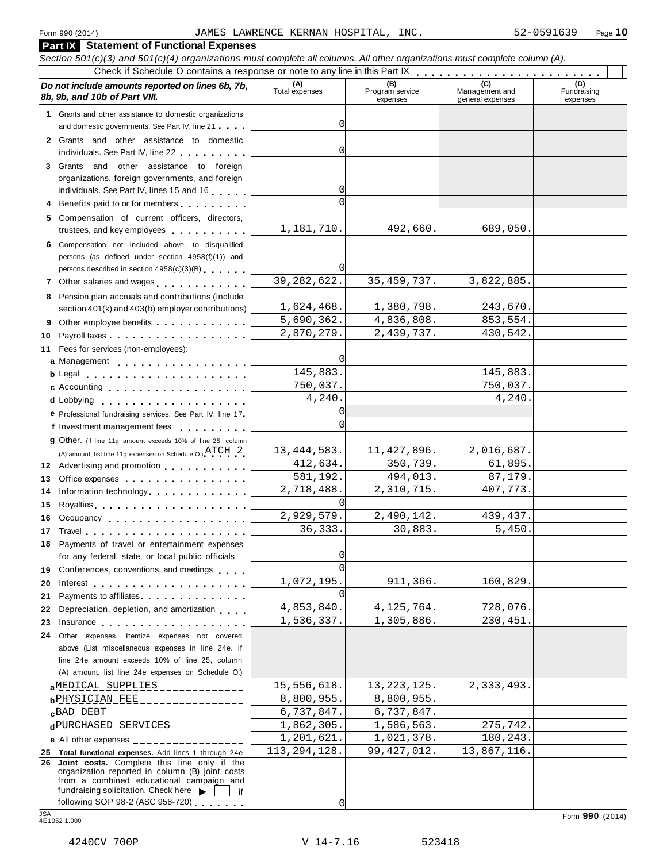**Part IX Statement of Functional Expenses**

| Section 501(c)(3) and 501(c)(4) organizations must complete all columns. All other organizations must complete column (A).                                                                                                                 |                       |                                    |                                    |                                |
|--------------------------------------------------------------------------------------------------------------------------------------------------------------------------------------------------------------------------------------------|-----------------------|------------------------------------|------------------------------------|--------------------------------|
|                                                                                                                                                                                                                                            |                       |                                    |                                    |                                |
| Do not include amounts reported on lines 6b, 7b,<br>8b, 9b, and 10b of Part VIII.                                                                                                                                                          | (A)<br>Total expenses | (B)<br>Program service<br>expenses | Management and<br>general expenses | (D)<br>Fundraising<br>expenses |
| 1 Grants and other assistance to domestic organizations                                                                                                                                                                                    |                       |                                    |                                    |                                |
| and domestic governments. See Part IV, line 21                                                                                                                                                                                             | 0                     |                                    |                                    |                                |
| 2 Grants and other assistance to domestic                                                                                                                                                                                                  |                       |                                    |                                    |                                |
| individuals. See Part IV, line 22                                                                                                                                                                                                          | 0                     |                                    |                                    |                                |
| 3 Grants and other assistance to foreign                                                                                                                                                                                                   |                       |                                    |                                    |                                |
| organizations, foreign governments, and foreign                                                                                                                                                                                            |                       |                                    |                                    |                                |
| individuals. See Part IV, lines 15 and 16                                                                                                                                                                                                  | 0                     |                                    |                                    |                                |
| 4 Benefits paid to or for members                                                                                                                                                                                                          | $\Omega$              |                                    |                                    |                                |
| 5 Compensation of current officers, directors,                                                                                                                                                                                             |                       |                                    |                                    |                                |
| trustees, and key employees                                                                                                                                                                                                                | 1,181,710.            | 492,660.                           | 689,050.                           |                                |
| 6 Compensation not included above, to disqualified                                                                                                                                                                                         |                       |                                    |                                    |                                |
| persons (as defined under section 4958(f)(1)) and                                                                                                                                                                                          |                       |                                    |                                    |                                |
| persons described in section 4958(c)(3)(B)                                                                                                                                                                                                 | $\Omega$              |                                    |                                    |                                |
| 7 Other salaries and wages <b>container and all the salaries</b>                                                                                                                                                                           | 39, 282, 622.         | 35, 459, 737.                      | 3,822,885.                         |                                |
| 8 Pension plan accruals and contributions (include                                                                                                                                                                                         |                       |                                    |                                    |                                |
| section 401(k) and 403(b) employer contributions)                                                                                                                                                                                          | 1,624,468.            | 1,380,798.                         | 243,670.                           |                                |
| Other employee benefits                                                                                                                                                                                                                    | 5,690,362.            | 4,836,808.                         | 853,554.                           |                                |
| 10                                                                                                                                                                                                                                         | 2,870,279.            | 2,439,737.                         | 430,542.                           |                                |
| 11 Fees for services (non-employees):                                                                                                                                                                                                      | $\Omega$              |                                    |                                    |                                |
| a Management                                                                                                                                                                                                                               | 145,883.              |                                    | 145,883.                           |                                |
|                                                                                                                                                                                                                                            | 750,037.              |                                    | 750,037.                           |                                |
| c Accounting                                                                                                                                                                                                                               | 4,240.                |                                    | 4,240.                             |                                |
|                                                                                                                                                                                                                                            | $\Omega$              |                                    |                                    |                                |
| e Professional fundraising services. See Part IV, line 17                                                                                                                                                                                  | $\Omega$              |                                    |                                    |                                |
| f Investment management fees                                                                                                                                                                                                               |                       |                                    |                                    |                                |
| 9 Other. (If line 11g amount exceeds 10% of line 25, column                                                                                                                                                                                | 13, 444, 583.         | 11, 427, 896.                      | 2,016,687.                         |                                |
| (A) amount, list line 11g expenses on Schedule O.) $\text{ATCH}$ 2                                                                                                                                                                         | 412,634.              | 350,739.                           | 61,895.                            |                                |
| 12 Advertising and promotion                                                                                                                                                                                                               | 581,192.              | 494,013.                           | 87,179.                            |                                |
| Office expenses example and the set of the set of the set of the set of the set of the set of the set of the set of the set of the set of the set of the set of the set of the set of the set of the set of the set of the set<br>13       | 2,718,488.            | 2,310,715.                         | 407,773.                           |                                |
| Information technology<br>14                                                                                                                                                                                                               | $\Omega$              |                                    |                                    |                                |
| 15                                                                                                                                                                                                                                         | 2,929,579.            | 2,490,142.                         | 439, 437.                          |                                |
| Occupancy<br>16                                                                                                                                                                                                                            | 36, 333.              | 30,883.                            | 5,450.                             |                                |
|                                                                                                                                                                                                                                            |                       |                                    |                                    |                                |
| <b>18</b> Payments of travel or entertainment expenses<br>for any federal, state, or local public officials                                                                                                                                | $\overline{0}$        |                                    |                                    |                                |
|                                                                                                                                                                                                                                            | $\Omega$              |                                    |                                    |                                |
| 19 Conferences, conventions, and meetings                                                                                                                                                                                                  | 1,072,195.            | 911,366.                           | 160,829.                           |                                |
| 20<br>Interest<br>Payments to affiliates <b>All Accords</b> Payments to affiliates<br>21                                                                                                                                                   | $\Omega$              |                                    |                                    |                                |
| Depreciation, depletion, and amortization<br>22                                                                                                                                                                                            | 4,853,840.            | 4, 125, 764.                       | 728,076.                           |                                |
| Insurance <b>All According to the Contract of the Contract of the Contract of the Contract of the Contract of the Contract of the Contract of the Contract of the Contract of the Contract of the Contract of the Contract of th</b><br>23 | 1,536,337.            | 1,305,886.                         | 230,451.                           |                                |
| Other expenses. Itemize expenses not covered<br>24                                                                                                                                                                                         |                       |                                    |                                    |                                |
| above (List miscellaneous expenses in line 24e. If                                                                                                                                                                                         |                       |                                    |                                    |                                |
| line 24e amount exceeds 10% of line 25, column                                                                                                                                                                                             |                       |                                    |                                    |                                |
| (A) amount, list line 24e expenses on Schedule O.)                                                                                                                                                                                         |                       |                                    |                                    |                                |
| aMEDICAL SUPPLIES                                                                                                                                                                                                                          | 15,556,618.           | 13, 223, 125.                      | 2,333,493.                         |                                |
| bPHYSICIAN_FEE_________________                                                                                                                                                                                                            | 8,800,955.            | 8,800,955.                         |                                    |                                |
| cBAD DEBT<br>. _ _ _ _ _ _ _ _ _ _ _ _ _ _ _ _ _                                                                                                                                                                                           | 6,737,847.            | 6,737,847.                         |                                    |                                |
| dPURCHASED_SERVICES___________                                                                                                                                                                                                             | 1,862,305.            | 1,586,563.                         | 275,742.                           |                                |
| e All other expenses $\frac{1}{1}$                                                                                                                                                                                                         | 1,201,621.            | 1,021,378.                         | 180, 243.                          |                                |
| 25 Total functional expenses. Add lines 1 through 24e                                                                                                                                                                                      | 113, 294, 128.        | 99, 427, 012.                      | 13,867,116.                        |                                |
| Joint costs. Complete this line only if the<br>26<br>organization reported in column (B) joint costs<br>from a combined educational campaign and<br>fundraising solicitation. Check here $\blacktriangleright$<br>if                       |                       |                                    |                                    |                                |
| following SOP 98-2 (ASC 958-720)<br><b>JSA</b>                                                                                                                                                                                             | $\overline{0}$        |                                    |                                    |                                |
| 4E1052 1.000                                                                                                                                                                                                                               |                       |                                    |                                    | Form 990 (2014)                |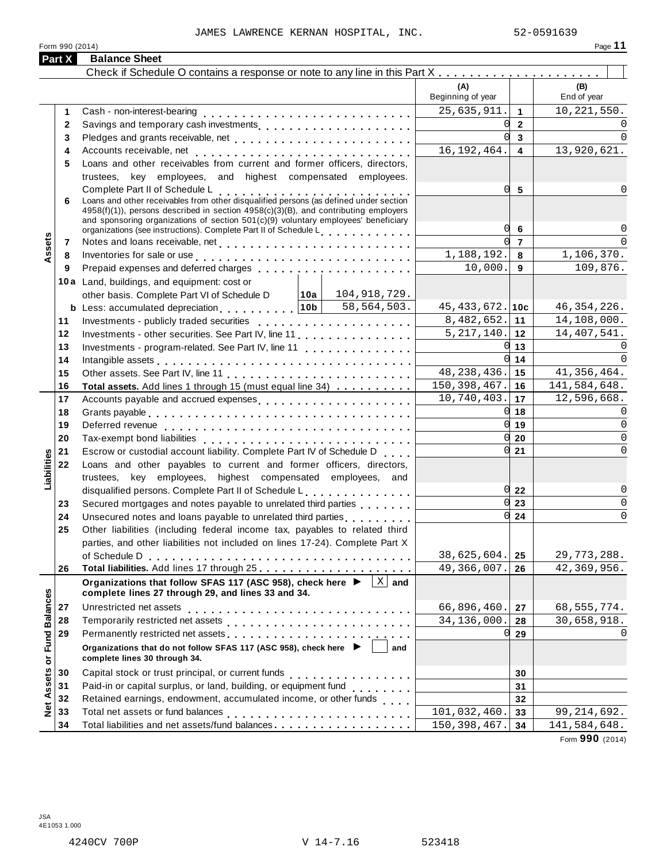Form <sup>990</sup> (2014) Page **11**

| Check if Schedule O contains a response or note to any line in this Part X<br>(A)<br>(B)<br>End of year<br>Beginning of year<br>25,635,911.<br>$\mathbf{1}$<br>1<br>0l<br>$\overline{2}$<br>$\mathbf{2}$<br>U<br>$\overline{3}$<br>3<br>16, 192, 464.<br>13,920,621.<br>$\overline{\mathbf{4}}$<br>4<br>Loans and other receivables from current and former officers, directors,<br>5<br>trustees, key employees, and highest compensated employees.<br>0l<br>Complete Part II of Schedule L<br>Loans and other receivables from other disqualified persons (as defined under section<br>5<br>6<br>4958(f)(1)), persons described in section 4958(c)(3)(B), and contributing employers<br>and sponsoring organizations of section 501(c)(9) voluntary employees' beneficiary<br>O<br>6<br>organizations (see instructions). Complete Part II of Schedule L<br>ssets<br>U<br>$\overline{7}$<br>7<br>1,106,370.<br>1,188,192.<br>Inventories for sale or use enterpreteral resources in the sale or use of the set of the set of the set of the<br>8<br>8<br>109,876.<br>10,000.<br>9<br>9<br>10a Land, buildings, and equipment: cost or<br>104,918,729.<br>other basis. Complete Part VI of Schedule D<br> 10a <br>58,564,503.<br><b>b</b> Less: accumulated depreciation $\begin{bmatrix} 10b \end{bmatrix}$<br>$45, 433, 672.$ 10c<br>46, 354, 226.<br>8,482,652.<br>14,108,000.<br>∣ 11<br>11<br>Investments - publicly traded securities<br>$5, 217, 140.$ 12<br>14,407,541.<br>Investments - other securities. See Part IV, line 11<br>12<br>$0\vert 13$<br>Investments - program-related. See Part IV, line 11<br>13<br>0l<br>14<br>14<br>Intangible assets enterpreteration of the contract of the contract of the contract of the contract of the contract of the contract of the contract of the contract of the contract of the contract of the contract of the cont<br>48, 238, 436.<br>41,356,464.<br>15<br>15<br>150, 398, 467.<br>141,584,648.<br>Total assets. Add lines 1 through 15 (must equal line 34)<br>16<br>16<br>10,740,403.<br>12,596,668.<br>17<br>17<br>Accounts payable and accrued expenses entitled and accrued expenses<br>$0 \vert 18$<br>18<br>$0 \vert 19$<br>19<br>$0\,$ 20<br>20<br>$0\vert 21$<br>Escrow or custodial account liability. Complete Part IV of Schedule D.<br>21<br>Liabilities<br>Loans and other payables to current and former officers, directors,<br>22<br>trustees, key employees, highest compensated employees, and<br>disqualified persons. Complete Part II of Schedule L.<br>$0\overline{22}$<br>23<br>Secured mortgages and notes payable to unrelated third parties<br>0l<br>23<br>$0\overline{24}$<br>24<br>Other liabilities (including federal income tax, payables to related third<br>25<br>parties, and other liabilities not included on lines 17-24). Complete Part X<br>38,625,604.<br>25<br>49,366,007.<br>26<br>26<br>$\overline{X}$ and<br>Organizations that follow SFAS 117 (ASC 958), check here ▶<br><b>Fund Balances</b><br>complete lines 27 through 29, and lines 33 and 34.<br>66,896,460.<br>27<br>27<br>34,136,000.<br>28<br>28<br>29<br>Permanently restricted net assets<br>intervals and intervals are not restricted to the set of assets are not restricted to the set of the set of the set of the set of the set of the set of the set of the set of the set of th<br>0l<br>29<br>Organizations that do not follow SFAS 117 (ASC 958), check here ▶<br>and<br>complete lines 30 through 34.<br>$\bf \bar{o}$<br>Assets<br>30<br>30<br>Paid-in or capital surplus, or land, building, or equipment fund<br><br>31<br>31<br>Retained earnings, endowment, accumulated income, or other funds<br>32<br>32<br>$\frac{d}{dz}$<br>33<br>101,032,460.<br>33<br>150, 398, 467.<br>34<br>34 | Part X | <b>Balance Sheet</b> |  |               |
|---------------------------------------------------------------------------------------------------------------------------------------------------------------------------------------------------------------------------------------------------------------------------------------------------------------------------------------------------------------------------------------------------------------------------------------------------------------------------------------------------------------------------------------------------------------------------------------------------------------------------------------------------------------------------------------------------------------------------------------------------------------------------------------------------------------------------------------------------------------------------------------------------------------------------------------------------------------------------------------------------------------------------------------------------------------------------------------------------------------------------------------------------------------------------------------------------------------------------------------------------------------------------------------------------------------------------------------------------------------------------------------------------------------------------------------------------------------------------------------------------------------------------------------------------------------------------------------------------------------------------------------------------------------------------------------------------------------------------------------------------------------------------------------------------------------------------------------------------------------------------------------------------------------------------------------------------------------------------------------------------------------------------------------------------------------------------------------------------------------------------------------------------------------------------------------------------------------------------------------------------------------------------------------------------------------------------------------------------------------------------------------------------------------------------------------------------------------------------------------------------------------------------------------------------------------------------------------------------------------------------------------------------------------------------------------------------------------------------------------------------------------------------------------------------------------------------------------------------------------------------------------------------------------------------------------------------------------------------------------------------------------------------------------------------------------------------------------------------------------------------------------------------------------------------------------------------------------------------------------------------------------------------------------------------------------------------------------------------------------------------------------------------------------------------------------------------------------------------------------------------------------------------------------------------------------------------------------------------------------------------------------------------------------------------------------------------------------------------------------------------------------------------------|--------|----------------------|--|---------------|
|                                                                                                                                                                                                                                                                                                                                                                                                                                                                                                                                                                                                                                                                                                                                                                                                                                                                                                                                                                                                                                                                                                                                                                                                                                                                                                                                                                                                                                                                                                                                                                                                                                                                                                                                                                                                                                                                                                                                                                                                                                                                                                                                                                                                                                                                                                                                                                                                                                                                                                                                                                                                                                                                                                                                                                                                                                                                                                                                                                                                                                                                                                                                                                                                                                                                                                                                                                                                                                                                                                                                                                                                                                                                                                                                                                                 |        |                      |  |               |
|                                                                                                                                                                                                                                                                                                                                                                                                                                                                                                                                                                                                                                                                                                                                                                                                                                                                                                                                                                                                                                                                                                                                                                                                                                                                                                                                                                                                                                                                                                                                                                                                                                                                                                                                                                                                                                                                                                                                                                                                                                                                                                                                                                                                                                                                                                                                                                                                                                                                                                                                                                                                                                                                                                                                                                                                                                                                                                                                                                                                                                                                                                                                                                                                                                                                                                                                                                                                                                                                                                                                                                                                                                                                                                                                                                                 |        |                      |  |               |
|                                                                                                                                                                                                                                                                                                                                                                                                                                                                                                                                                                                                                                                                                                                                                                                                                                                                                                                                                                                                                                                                                                                                                                                                                                                                                                                                                                                                                                                                                                                                                                                                                                                                                                                                                                                                                                                                                                                                                                                                                                                                                                                                                                                                                                                                                                                                                                                                                                                                                                                                                                                                                                                                                                                                                                                                                                                                                                                                                                                                                                                                                                                                                                                                                                                                                                                                                                                                                                                                                                                                                                                                                                                                                                                                                                                 |        |                      |  | 10, 221, 550. |
|                                                                                                                                                                                                                                                                                                                                                                                                                                                                                                                                                                                                                                                                                                                                                                                                                                                                                                                                                                                                                                                                                                                                                                                                                                                                                                                                                                                                                                                                                                                                                                                                                                                                                                                                                                                                                                                                                                                                                                                                                                                                                                                                                                                                                                                                                                                                                                                                                                                                                                                                                                                                                                                                                                                                                                                                                                                                                                                                                                                                                                                                                                                                                                                                                                                                                                                                                                                                                                                                                                                                                                                                                                                                                                                                                                                 |        |                      |  | $\Omega$      |
|                                                                                                                                                                                                                                                                                                                                                                                                                                                                                                                                                                                                                                                                                                                                                                                                                                                                                                                                                                                                                                                                                                                                                                                                                                                                                                                                                                                                                                                                                                                                                                                                                                                                                                                                                                                                                                                                                                                                                                                                                                                                                                                                                                                                                                                                                                                                                                                                                                                                                                                                                                                                                                                                                                                                                                                                                                                                                                                                                                                                                                                                                                                                                                                                                                                                                                                                                                                                                                                                                                                                                                                                                                                                                                                                                                                 |        |                      |  | $\Omega$      |
|                                                                                                                                                                                                                                                                                                                                                                                                                                                                                                                                                                                                                                                                                                                                                                                                                                                                                                                                                                                                                                                                                                                                                                                                                                                                                                                                                                                                                                                                                                                                                                                                                                                                                                                                                                                                                                                                                                                                                                                                                                                                                                                                                                                                                                                                                                                                                                                                                                                                                                                                                                                                                                                                                                                                                                                                                                                                                                                                                                                                                                                                                                                                                                                                                                                                                                                                                                                                                                                                                                                                                                                                                                                                                                                                                                                 |        |                      |  |               |
|                                                                                                                                                                                                                                                                                                                                                                                                                                                                                                                                                                                                                                                                                                                                                                                                                                                                                                                                                                                                                                                                                                                                                                                                                                                                                                                                                                                                                                                                                                                                                                                                                                                                                                                                                                                                                                                                                                                                                                                                                                                                                                                                                                                                                                                                                                                                                                                                                                                                                                                                                                                                                                                                                                                                                                                                                                                                                                                                                                                                                                                                                                                                                                                                                                                                                                                                                                                                                                                                                                                                                                                                                                                                                                                                                                                 |        |                      |  |               |
|                                                                                                                                                                                                                                                                                                                                                                                                                                                                                                                                                                                                                                                                                                                                                                                                                                                                                                                                                                                                                                                                                                                                                                                                                                                                                                                                                                                                                                                                                                                                                                                                                                                                                                                                                                                                                                                                                                                                                                                                                                                                                                                                                                                                                                                                                                                                                                                                                                                                                                                                                                                                                                                                                                                                                                                                                                                                                                                                                                                                                                                                                                                                                                                                                                                                                                                                                                                                                                                                                                                                                                                                                                                                                                                                                                                 |        |                      |  |               |
|                                                                                                                                                                                                                                                                                                                                                                                                                                                                                                                                                                                                                                                                                                                                                                                                                                                                                                                                                                                                                                                                                                                                                                                                                                                                                                                                                                                                                                                                                                                                                                                                                                                                                                                                                                                                                                                                                                                                                                                                                                                                                                                                                                                                                                                                                                                                                                                                                                                                                                                                                                                                                                                                                                                                                                                                                                                                                                                                                                                                                                                                                                                                                                                                                                                                                                                                                                                                                                                                                                                                                                                                                                                                                                                                                                                 |        |                      |  | 0             |
|                                                                                                                                                                                                                                                                                                                                                                                                                                                                                                                                                                                                                                                                                                                                                                                                                                                                                                                                                                                                                                                                                                                                                                                                                                                                                                                                                                                                                                                                                                                                                                                                                                                                                                                                                                                                                                                                                                                                                                                                                                                                                                                                                                                                                                                                                                                                                                                                                                                                                                                                                                                                                                                                                                                                                                                                                                                                                                                                                                                                                                                                                                                                                                                                                                                                                                                                                                                                                                                                                                                                                                                                                                                                                                                                                                                 |        |                      |  | 0             |
|                                                                                                                                                                                                                                                                                                                                                                                                                                                                                                                                                                                                                                                                                                                                                                                                                                                                                                                                                                                                                                                                                                                                                                                                                                                                                                                                                                                                                                                                                                                                                                                                                                                                                                                                                                                                                                                                                                                                                                                                                                                                                                                                                                                                                                                                                                                                                                                                                                                                                                                                                                                                                                                                                                                                                                                                                                                                                                                                                                                                                                                                                                                                                                                                                                                                                                                                                                                                                                                                                                                                                                                                                                                                                                                                                                                 |        |                      |  | $\Omega$      |
|                                                                                                                                                                                                                                                                                                                                                                                                                                                                                                                                                                                                                                                                                                                                                                                                                                                                                                                                                                                                                                                                                                                                                                                                                                                                                                                                                                                                                                                                                                                                                                                                                                                                                                                                                                                                                                                                                                                                                                                                                                                                                                                                                                                                                                                                                                                                                                                                                                                                                                                                                                                                                                                                                                                                                                                                                                                                                                                                                                                                                                                                                                                                                                                                                                                                                                                                                                                                                                                                                                                                                                                                                                                                                                                                                                                 |        |                      |  |               |
|                                                                                                                                                                                                                                                                                                                                                                                                                                                                                                                                                                                                                                                                                                                                                                                                                                                                                                                                                                                                                                                                                                                                                                                                                                                                                                                                                                                                                                                                                                                                                                                                                                                                                                                                                                                                                                                                                                                                                                                                                                                                                                                                                                                                                                                                                                                                                                                                                                                                                                                                                                                                                                                                                                                                                                                                                                                                                                                                                                                                                                                                                                                                                                                                                                                                                                                                                                                                                                                                                                                                                                                                                                                                                                                                                                                 |        |                      |  |               |
|                                                                                                                                                                                                                                                                                                                                                                                                                                                                                                                                                                                                                                                                                                                                                                                                                                                                                                                                                                                                                                                                                                                                                                                                                                                                                                                                                                                                                                                                                                                                                                                                                                                                                                                                                                                                                                                                                                                                                                                                                                                                                                                                                                                                                                                                                                                                                                                                                                                                                                                                                                                                                                                                                                                                                                                                                                                                                                                                                                                                                                                                                                                                                                                                                                                                                                                                                                                                                                                                                                                                                                                                                                                                                                                                                                                 |        |                      |  |               |
|                                                                                                                                                                                                                                                                                                                                                                                                                                                                                                                                                                                                                                                                                                                                                                                                                                                                                                                                                                                                                                                                                                                                                                                                                                                                                                                                                                                                                                                                                                                                                                                                                                                                                                                                                                                                                                                                                                                                                                                                                                                                                                                                                                                                                                                                                                                                                                                                                                                                                                                                                                                                                                                                                                                                                                                                                                                                                                                                                                                                                                                                                                                                                                                                                                                                                                                                                                                                                                                                                                                                                                                                                                                                                                                                                                                 |        |                      |  |               |
|                                                                                                                                                                                                                                                                                                                                                                                                                                                                                                                                                                                                                                                                                                                                                                                                                                                                                                                                                                                                                                                                                                                                                                                                                                                                                                                                                                                                                                                                                                                                                                                                                                                                                                                                                                                                                                                                                                                                                                                                                                                                                                                                                                                                                                                                                                                                                                                                                                                                                                                                                                                                                                                                                                                                                                                                                                                                                                                                                                                                                                                                                                                                                                                                                                                                                                                                                                                                                                                                                                                                                                                                                                                                                                                                                                                 |        |                      |  |               |
|                                                                                                                                                                                                                                                                                                                                                                                                                                                                                                                                                                                                                                                                                                                                                                                                                                                                                                                                                                                                                                                                                                                                                                                                                                                                                                                                                                                                                                                                                                                                                                                                                                                                                                                                                                                                                                                                                                                                                                                                                                                                                                                                                                                                                                                                                                                                                                                                                                                                                                                                                                                                                                                                                                                                                                                                                                                                                                                                                                                                                                                                                                                                                                                                                                                                                                                                                                                                                                                                                                                                                                                                                                                                                                                                                                                 |        |                      |  |               |
|                                                                                                                                                                                                                                                                                                                                                                                                                                                                                                                                                                                                                                                                                                                                                                                                                                                                                                                                                                                                                                                                                                                                                                                                                                                                                                                                                                                                                                                                                                                                                                                                                                                                                                                                                                                                                                                                                                                                                                                                                                                                                                                                                                                                                                                                                                                                                                                                                                                                                                                                                                                                                                                                                                                                                                                                                                                                                                                                                                                                                                                                                                                                                                                                                                                                                                                                                                                                                                                                                                                                                                                                                                                                                                                                                                                 |        |                      |  |               |
|                                                                                                                                                                                                                                                                                                                                                                                                                                                                                                                                                                                                                                                                                                                                                                                                                                                                                                                                                                                                                                                                                                                                                                                                                                                                                                                                                                                                                                                                                                                                                                                                                                                                                                                                                                                                                                                                                                                                                                                                                                                                                                                                                                                                                                                                                                                                                                                                                                                                                                                                                                                                                                                                                                                                                                                                                                                                                                                                                                                                                                                                                                                                                                                                                                                                                                                                                                                                                                                                                                                                                                                                                                                                                                                                                                                 |        |                      |  | $\Omega$      |
|                                                                                                                                                                                                                                                                                                                                                                                                                                                                                                                                                                                                                                                                                                                                                                                                                                                                                                                                                                                                                                                                                                                                                                                                                                                                                                                                                                                                                                                                                                                                                                                                                                                                                                                                                                                                                                                                                                                                                                                                                                                                                                                                                                                                                                                                                                                                                                                                                                                                                                                                                                                                                                                                                                                                                                                                                                                                                                                                                                                                                                                                                                                                                                                                                                                                                                                                                                                                                                                                                                                                                                                                                                                                                                                                                                                 |        |                      |  | $\Omega$      |
|                                                                                                                                                                                                                                                                                                                                                                                                                                                                                                                                                                                                                                                                                                                                                                                                                                                                                                                                                                                                                                                                                                                                                                                                                                                                                                                                                                                                                                                                                                                                                                                                                                                                                                                                                                                                                                                                                                                                                                                                                                                                                                                                                                                                                                                                                                                                                                                                                                                                                                                                                                                                                                                                                                                                                                                                                                                                                                                                                                                                                                                                                                                                                                                                                                                                                                                                                                                                                                                                                                                                                                                                                                                                                                                                                                                 |        |                      |  |               |
|                                                                                                                                                                                                                                                                                                                                                                                                                                                                                                                                                                                                                                                                                                                                                                                                                                                                                                                                                                                                                                                                                                                                                                                                                                                                                                                                                                                                                                                                                                                                                                                                                                                                                                                                                                                                                                                                                                                                                                                                                                                                                                                                                                                                                                                                                                                                                                                                                                                                                                                                                                                                                                                                                                                                                                                                                                                                                                                                                                                                                                                                                                                                                                                                                                                                                                                                                                                                                                                                                                                                                                                                                                                                                                                                                                                 |        |                      |  |               |
|                                                                                                                                                                                                                                                                                                                                                                                                                                                                                                                                                                                                                                                                                                                                                                                                                                                                                                                                                                                                                                                                                                                                                                                                                                                                                                                                                                                                                                                                                                                                                                                                                                                                                                                                                                                                                                                                                                                                                                                                                                                                                                                                                                                                                                                                                                                                                                                                                                                                                                                                                                                                                                                                                                                                                                                                                                                                                                                                                                                                                                                                                                                                                                                                                                                                                                                                                                                                                                                                                                                                                                                                                                                                                                                                                                                 |        |                      |  |               |
|                                                                                                                                                                                                                                                                                                                                                                                                                                                                                                                                                                                                                                                                                                                                                                                                                                                                                                                                                                                                                                                                                                                                                                                                                                                                                                                                                                                                                                                                                                                                                                                                                                                                                                                                                                                                                                                                                                                                                                                                                                                                                                                                                                                                                                                                                                                                                                                                                                                                                                                                                                                                                                                                                                                                                                                                                                                                                                                                                                                                                                                                                                                                                                                                                                                                                                                                                                                                                                                                                                                                                                                                                                                                                                                                                                                 |        |                      |  | $\Omega$      |
|                                                                                                                                                                                                                                                                                                                                                                                                                                                                                                                                                                                                                                                                                                                                                                                                                                                                                                                                                                                                                                                                                                                                                                                                                                                                                                                                                                                                                                                                                                                                                                                                                                                                                                                                                                                                                                                                                                                                                                                                                                                                                                                                                                                                                                                                                                                                                                                                                                                                                                                                                                                                                                                                                                                                                                                                                                                                                                                                                                                                                                                                                                                                                                                                                                                                                                                                                                                                                                                                                                                                                                                                                                                                                                                                                                                 |        |                      |  | $\mathbf 0$   |
|                                                                                                                                                                                                                                                                                                                                                                                                                                                                                                                                                                                                                                                                                                                                                                                                                                                                                                                                                                                                                                                                                                                                                                                                                                                                                                                                                                                                                                                                                                                                                                                                                                                                                                                                                                                                                                                                                                                                                                                                                                                                                                                                                                                                                                                                                                                                                                                                                                                                                                                                                                                                                                                                                                                                                                                                                                                                                                                                                                                                                                                                                                                                                                                                                                                                                                                                                                                                                                                                                                                                                                                                                                                                                                                                                                                 |        |                      |  | $\mathbf 0$   |
|                                                                                                                                                                                                                                                                                                                                                                                                                                                                                                                                                                                                                                                                                                                                                                                                                                                                                                                                                                                                                                                                                                                                                                                                                                                                                                                                                                                                                                                                                                                                                                                                                                                                                                                                                                                                                                                                                                                                                                                                                                                                                                                                                                                                                                                                                                                                                                                                                                                                                                                                                                                                                                                                                                                                                                                                                                                                                                                                                                                                                                                                                                                                                                                                                                                                                                                                                                                                                                                                                                                                                                                                                                                                                                                                                                                 |        |                      |  | 0             |
|                                                                                                                                                                                                                                                                                                                                                                                                                                                                                                                                                                                                                                                                                                                                                                                                                                                                                                                                                                                                                                                                                                                                                                                                                                                                                                                                                                                                                                                                                                                                                                                                                                                                                                                                                                                                                                                                                                                                                                                                                                                                                                                                                                                                                                                                                                                                                                                                                                                                                                                                                                                                                                                                                                                                                                                                                                                                                                                                                                                                                                                                                                                                                                                                                                                                                                                                                                                                                                                                                                                                                                                                                                                                                                                                                                                 |        |                      |  |               |
|                                                                                                                                                                                                                                                                                                                                                                                                                                                                                                                                                                                                                                                                                                                                                                                                                                                                                                                                                                                                                                                                                                                                                                                                                                                                                                                                                                                                                                                                                                                                                                                                                                                                                                                                                                                                                                                                                                                                                                                                                                                                                                                                                                                                                                                                                                                                                                                                                                                                                                                                                                                                                                                                                                                                                                                                                                                                                                                                                                                                                                                                                                                                                                                                                                                                                                                                                                                                                                                                                                                                                                                                                                                                                                                                                                                 |        |                      |  |               |
|                                                                                                                                                                                                                                                                                                                                                                                                                                                                                                                                                                                                                                                                                                                                                                                                                                                                                                                                                                                                                                                                                                                                                                                                                                                                                                                                                                                                                                                                                                                                                                                                                                                                                                                                                                                                                                                                                                                                                                                                                                                                                                                                                                                                                                                                                                                                                                                                                                                                                                                                                                                                                                                                                                                                                                                                                                                                                                                                                                                                                                                                                                                                                                                                                                                                                                                                                                                                                                                                                                                                                                                                                                                                                                                                                                                 |        |                      |  | 0             |
|                                                                                                                                                                                                                                                                                                                                                                                                                                                                                                                                                                                                                                                                                                                                                                                                                                                                                                                                                                                                                                                                                                                                                                                                                                                                                                                                                                                                                                                                                                                                                                                                                                                                                                                                                                                                                                                                                                                                                                                                                                                                                                                                                                                                                                                                                                                                                                                                                                                                                                                                                                                                                                                                                                                                                                                                                                                                                                                                                                                                                                                                                                                                                                                                                                                                                                                                                                                                                                                                                                                                                                                                                                                                                                                                                                                 |        |                      |  | 0             |
|                                                                                                                                                                                                                                                                                                                                                                                                                                                                                                                                                                                                                                                                                                                                                                                                                                                                                                                                                                                                                                                                                                                                                                                                                                                                                                                                                                                                                                                                                                                                                                                                                                                                                                                                                                                                                                                                                                                                                                                                                                                                                                                                                                                                                                                                                                                                                                                                                                                                                                                                                                                                                                                                                                                                                                                                                                                                                                                                                                                                                                                                                                                                                                                                                                                                                                                                                                                                                                                                                                                                                                                                                                                                                                                                                                                 |        |                      |  | $\mathbf 0$   |
|                                                                                                                                                                                                                                                                                                                                                                                                                                                                                                                                                                                                                                                                                                                                                                                                                                                                                                                                                                                                                                                                                                                                                                                                                                                                                                                                                                                                                                                                                                                                                                                                                                                                                                                                                                                                                                                                                                                                                                                                                                                                                                                                                                                                                                                                                                                                                                                                                                                                                                                                                                                                                                                                                                                                                                                                                                                                                                                                                                                                                                                                                                                                                                                                                                                                                                                                                                                                                                                                                                                                                                                                                                                                                                                                                                                 |        |                      |  |               |
|                                                                                                                                                                                                                                                                                                                                                                                                                                                                                                                                                                                                                                                                                                                                                                                                                                                                                                                                                                                                                                                                                                                                                                                                                                                                                                                                                                                                                                                                                                                                                                                                                                                                                                                                                                                                                                                                                                                                                                                                                                                                                                                                                                                                                                                                                                                                                                                                                                                                                                                                                                                                                                                                                                                                                                                                                                                                                                                                                                                                                                                                                                                                                                                                                                                                                                                                                                                                                                                                                                                                                                                                                                                                                                                                                                                 |        |                      |  |               |
|                                                                                                                                                                                                                                                                                                                                                                                                                                                                                                                                                                                                                                                                                                                                                                                                                                                                                                                                                                                                                                                                                                                                                                                                                                                                                                                                                                                                                                                                                                                                                                                                                                                                                                                                                                                                                                                                                                                                                                                                                                                                                                                                                                                                                                                                                                                                                                                                                                                                                                                                                                                                                                                                                                                                                                                                                                                                                                                                                                                                                                                                                                                                                                                                                                                                                                                                                                                                                                                                                                                                                                                                                                                                                                                                                                                 |        |                      |  | 29,773,288.   |
|                                                                                                                                                                                                                                                                                                                                                                                                                                                                                                                                                                                                                                                                                                                                                                                                                                                                                                                                                                                                                                                                                                                                                                                                                                                                                                                                                                                                                                                                                                                                                                                                                                                                                                                                                                                                                                                                                                                                                                                                                                                                                                                                                                                                                                                                                                                                                                                                                                                                                                                                                                                                                                                                                                                                                                                                                                                                                                                                                                                                                                                                                                                                                                                                                                                                                                                                                                                                                                                                                                                                                                                                                                                                                                                                                                                 |        |                      |  | 42,369,956.   |
|                                                                                                                                                                                                                                                                                                                                                                                                                                                                                                                                                                                                                                                                                                                                                                                                                                                                                                                                                                                                                                                                                                                                                                                                                                                                                                                                                                                                                                                                                                                                                                                                                                                                                                                                                                                                                                                                                                                                                                                                                                                                                                                                                                                                                                                                                                                                                                                                                                                                                                                                                                                                                                                                                                                                                                                                                                                                                                                                                                                                                                                                                                                                                                                                                                                                                                                                                                                                                                                                                                                                                                                                                                                                                                                                                                                 |        |                      |  |               |
|                                                                                                                                                                                                                                                                                                                                                                                                                                                                                                                                                                                                                                                                                                                                                                                                                                                                                                                                                                                                                                                                                                                                                                                                                                                                                                                                                                                                                                                                                                                                                                                                                                                                                                                                                                                                                                                                                                                                                                                                                                                                                                                                                                                                                                                                                                                                                                                                                                                                                                                                                                                                                                                                                                                                                                                                                                                                                                                                                                                                                                                                                                                                                                                                                                                                                                                                                                                                                                                                                                                                                                                                                                                                                                                                                                                 |        |                      |  | 68, 555, 774. |
|                                                                                                                                                                                                                                                                                                                                                                                                                                                                                                                                                                                                                                                                                                                                                                                                                                                                                                                                                                                                                                                                                                                                                                                                                                                                                                                                                                                                                                                                                                                                                                                                                                                                                                                                                                                                                                                                                                                                                                                                                                                                                                                                                                                                                                                                                                                                                                                                                                                                                                                                                                                                                                                                                                                                                                                                                                                                                                                                                                                                                                                                                                                                                                                                                                                                                                                                                                                                                                                                                                                                                                                                                                                                                                                                                                                 |        |                      |  | 30,658,918.   |
|                                                                                                                                                                                                                                                                                                                                                                                                                                                                                                                                                                                                                                                                                                                                                                                                                                                                                                                                                                                                                                                                                                                                                                                                                                                                                                                                                                                                                                                                                                                                                                                                                                                                                                                                                                                                                                                                                                                                                                                                                                                                                                                                                                                                                                                                                                                                                                                                                                                                                                                                                                                                                                                                                                                                                                                                                                                                                                                                                                                                                                                                                                                                                                                                                                                                                                                                                                                                                                                                                                                                                                                                                                                                                                                                                                                 |        |                      |  | 0             |
|                                                                                                                                                                                                                                                                                                                                                                                                                                                                                                                                                                                                                                                                                                                                                                                                                                                                                                                                                                                                                                                                                                                                                                                                                                                                                                                                                                                                                                                                                                                                                                                                                                                                                                                                                                                                                                                                                                                                                                                                                                                                                                                                                                                                                                                                                                                                                                                                                                                                                                                                                                                                                                                                                                                                                                                                                                                                                                                                                                                                                                                                                                                                                                                                                                                                                                                                                                                                                                                                                                                                                                                                                                                                                                                                                                                 |        |                      |  |               |
|                                                                                                                                                                                                                                                                                                                                                                                                                                                                                                                                                                                                                                                                                                                                                                                                                                                                                                                                                                                                                                                                                                                                                                                                                                                                                                                                                                                                                                                                                                                                                                                                                                                                                                                                                                                                                                                                                                                                                                                                                                                                                                                                                                                                                                                                                                                                                                                                                                                                                                                                                                                                                                                                                                                                                                                                                                                                                                                                                                                                                                                                                                                                                                                                                                                                                                                                                                                                                                                                                                                                                                                                                                                                                                                                                                                 |        |                      |  |               |
|                                                                                                                                                                                                                                                                                                                                                                                                                                                                                                                                                                                                                                                                                                                                                                                                                                                                                                                                                                                                                                                                                                                                                                                                                                                                                                                                                                                                                                                                                                                                                                                                                                                                                                                                                                                                                                                                                                                                                                                                                                                                                                                                                                                                                                                                                                                                                                                                                                                                                                                                                                                                                                                                                                                                                                                                                                                                                                                                                                                                                                                                                                                                                                                                                                                                                                                                                                                                                                                                                                                                                                                                                                                                                                                                                                                 |        |                      |  |               |
|                                                                                                                                                                                                                                                                                                                                                                                                                                                                                                                                                                                                                                                                                                                                                                                                                                                                                                                                                                                                                                                                                                                                                                                                                                                                                                                                                                                                                                                                                                                                                                                                                                                                                                                                                                                                                                                                                                                                                                                                                                                                                                                                                                                                                                                                                                                                                                                                                                                                                                                                                                                                                                                                                                                                                                                                                                                                                                                                                                                                                                                                                                                                                                                                                                                                                                                                                                                                                                                                                                                                                                                                                                                                                                                                                                                 |        |                      |  |               |
|                                                                                                                                                                                                                                                                                                                                                                                                                                                                                                                                                                                                                                                                                                                                                                                                                                                                                                                                                                                                                                                                                                                                                                                                                                                                                                                                                                                                                                                                                                                                                                                                                                                                                                                                                                                                                                                                                                                                                                                                                                                                                                                                                                                                                                                                                                                                                                                                                                                                                                                                                                                                                                                                                                                                                                                                                                                                                                                                                                                                                                                                                                                                                                                                                                                                                                                                                                                                                                                                                                                                                                                                                                                                                                                                                                                 |        |                      |  | 99, 214, 692. |
|                                                                                                                                                                                                                                                                                                                                                                                                                                                                                                                                                                                                                                                                                                                                                                                                                                                                                                                                                                                                                                                                                                                                                                                                                                                                                                                                                                                                                                                                                                                                                                                                                                                                                                                                                                                                                                                                                                                                                                                                                                                                                                                                                                                                                                                                                                                                                                                                                                                                                                                                                                                                                                                                                                                                                                                                                                                                                                                                                                                                                                                                                                                                                                                                                                                                                                                                                                                                                                                                                                                                                                                                                                                                                                                                                                                 |        |                      |  | 141,584,648.  |

Form **990** (2014)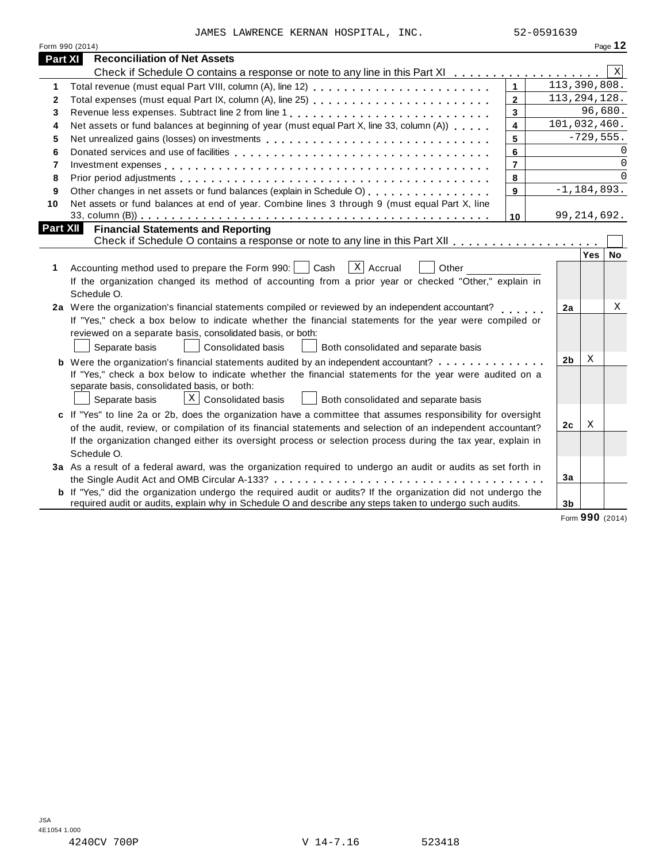JAMES LAWRENCE KERNAN HOSPITAL, INC. 52-0591639

|          | Form 990 (2014)                                                                                                       |                         |                 |             | Page 12      |
|----------|-----------------------------------------------------------------------------------------------------------------------|-------------------------|-----------------|-------------|--------------|
| Part XI  | <b>Reconciliation of Net Assets</b>                                                                                   |                         |                 |             |              |
|          | Check if Schedule O contains a response or note to any line in this Part XI                                           |                         |                 |             | $\mathbf{x}$ |
| 1        |                                                                                                                       | $\mathbf{1}$            | 113,390,808.    |             |              |
| 2        |                                                                                                                       | $\overline{2}$          | 113, 294, 128.  |             |              |
| 3        |                                                                                                                       | $\overline{\mathbf{3}}$ |                 | 96,680.     |              |
| 4        | Net assets or fund balances at beginning of year (must equal Part X, line 33, column (A))                             | $\overline{\mathbf{4}}$ | 101,032,460.    |             |              |
| 5        | Net unrealized gains (losses) on investments                                                                          | 5                       |                 | $-729,555.$ |              |
| 6        |                                                                                                                       | 6                       |                 |             |              |
| 7        |                                                                                                                       | $\overline{7}$          |                 |             | $\Omega$     |
| 8        |                                                                                                                       | 8                       |                 |             | $\Omega$     |
| 9        | Other changes in net assets or fund balances (explain in Schedule O)                                                  | 9                       | $-1, 184, 893.$ |             |              |
| 10       | Net assets or fund balances at end of year. Combine lines 3 through 9 (must equal Part X, line                        |                         |                 |             |              |
|          |                                                                                                                       | 10                      | 99, 214, 692.   |             |              |
| Part XII | <b>Financial Statements and Reporting</b>                                                                             |                         |                 |             |              |
|          |                                                                                                                       |                         |                 |             |              |
|          |                                                                                                                       |                         |                 | Yes         | No           |
| 1        | $x$ Accrual<br>Accounting method used to prepare the Form 990:     Cash<br>Other                                      |                         |                 |             |              |
|          | If the organization changed its method of accounting from a prior year or checked "Other," explain in                 |                         |                 |             |              |
|          | Schedule O.                                                                                                           |                         |                 |             |              |
|          | 2a Were the organization's financial statements compiled or reviewed by an independent accountant?                    |                         | 2a              |             | Χ            |
|          | If "Yes," check a box below to indicate whether the financial statements for the year were compiled or                |                         |                 |             |              |
|          | reviewed on a separate basis, consolidated basis, or both:                                                            |                         |                 |             |              |
|          | Separate basis<br><b>Consolidated basis</b><br>Both consolidated and separate basis                                   |                         |                 |             |              |
|          | <b>b</b> Were the organization's financial statements audited by an independent accountant?                           |                         | 2 <sub>b</sub>  | X           |              |
|          | If "Yes," check a box below to indicate whether the financial statements for the year were audited on a               |                         |                 |             |              |
|          | separate basis, consolidated basis, or both:                                                                          |                         |                 |             |              |
|          | $X$ Consolidated basis<br>Both consolidated and separate basis<br>Separate basis                                      |                         |                 |             |              |
|          | c If "Yes" to line 2a or 2b, does the organization have a committee that assumes responsibility for oversight         |                         |                 |             |              |
|          | of the audit, review, or compilation of its financial statements and selection of an independent accountant?          |                         | 2c              | X           |              |
|          | If the organization changed either its oversight process or selection process during the tax year, explain in         |                         |                 |             |              |
|          | Schedule O.                                                                                                           |                         |                 |             |              |
|          | 3a As a result of a federal award, was the organization required to undergo an audit or audits as set forth in        |                         |                 |             |              |
|          |                                                                                                                       |                         | 3a              |             |              |
|          | <b>b</b> If "Yes," did the organization undergo the required audit or audits? If the organization did not undergo the |                         |                 |             |              |
|          | required audit or audits, explain why in Schedule O and describe any steps taken to undergo such audits.              |                         | 3 <sub>b</sub>  |             |              |

Form **990** (2014)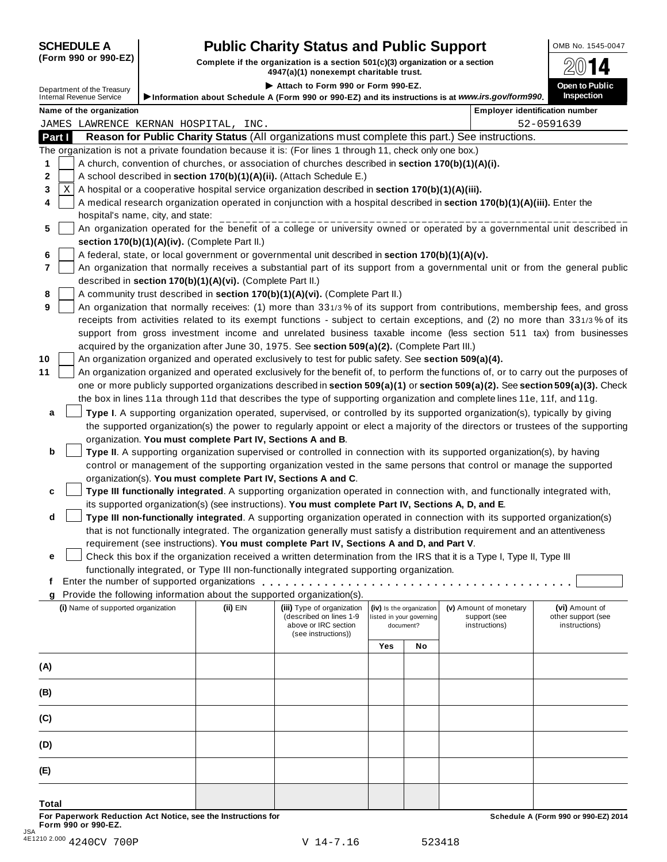# **SCHEDULE A Pub** OMB No. 1545-0047 **lic Charity Status and Public Support**

(Form 990 or 990-EZ) Complete if the organization is a section 501(c)(3) organization or a section  $4947(a)(1)$  nonexempt charitable trust.

|                |                                                        |                                                            | 4947 (a) 11 HOHEXEMPL CHANGE HUSL                                                                                                                                                                               |                          |                          |                                                                                                                                     |                                                                                                                   |  |
|----------------|--------------------------------------------------------|------------------------------------------------------------|-----------------------------------------------------------------------------------------------------------------------------------------------------------------------------------------------------------------|--------------------------|--------------------------|-------------------------------------------------------------------------------------------------------------------------------------|-------------------------------------------------------------------------------------------------------------------|--|
|                | Department of the Treasury<br>Internal Revenue Service |                                                            | Attach to Form 990 or Form 990-EZ.                                                                                                                                                                              |                          |                          |                                                                                                                                     | Open to Public<br><b>Inspection</b>                                                                               |  |
|                |                                                        |                                                            |                                                                                                                                                                                                                 |                          |                          | Information about Schedule A (Form 990 or 990-EZ) and its instructions is at www.irs.gov/form990.                                   |                                                                                                                   |  |
|                | Name of the organization                               |                                                            |                                                                                                                                                                                                                 |                          |                          |                                                                                                                                     | <b>Employer identification number</b>                                                                             |  |
|                | JAMES LAWRENCE KERNAN HOSPITAL, INC.                   |                                                            |                                                                                                                                                                                                                 |                          |                          |                                                                                                                                     | 52-0591639                                                                                                        |  |
| Part I         |                                                        |                                                            |                                                                                                                                                                                                                 |                          |                          | Reason for Public Charity Status (All organizations must complete this part.) See instructions.                                     |                                                                                                                   |  |
| 1              |                                                        |                                                            | The organization is not a private foundation because it is: (For lines 1 through 11, check only one box.)<br>A church, convention of churches, or association of churches described in section 170(b)(1)(A)(i). |                          |                          |                                                                                                                                     |                                                                                                                   |  |
| 2              |                                                        |                                                            | A school described in section 170(b)(1)(A)(ii). (Attach Schedule E.)                                                                                                                                            |                          |                          |                                                                                                                                     |                                                                                                                   |  |
| X<br>3         |                                                        |                                                            | A hospital or a cooperative hospital service organization described in section 170(b)(1)(A)(iii).                                                                                                               |                          |                          |                                                                                                                                     |                                                                                                                   |  |
| 4              |                                                        |                                                            |                                                                                                                                                                                                                 |                          |                          | A medical research organization operated in conjunction with a hospital described in section 170(b)(1)(A)(iii). Enter the           |                                                                                                                   |  |
|                | hospital's name, city, and state:                      |                                                            |                                                                                                                                                                                                                 |                          |                          |                                                                                                                                     |                                                                                                                   |  |
| 5              |                                                        |                                                            |                                                                                                                                                                                                                 |                          |                          | An organization operated for the benefit of a college or university owned or operated by a governmental unit described in           |                                                                                                                   |  |
|                |                                                        | section 170(b)(1)(A)(iv). (Complete Part II.)              |                                                                                                                                                                                                                 |                          |                          |                                                                                                                                     |                                                                                                                   |  |
| 6              |                                                        |                                                            | A federal, state, or local government or governmental unit described in section 170(b)(1)(A)(v).                                                                                                                |                          |                          |                                                                                                                                     |                                                                                                                   |  |
| $\overline{7}$ |                                                        |                                                            |                                                                                                                                                                                                                 |                          |                          | An organization that normally receives a substantial part of its support from a governmental unit or from the general public        |                                                                                                                   |  |
|                |                                                        | described in section 170(b)(1)(A)(vi). (Complete Part II.) |                                                                                                                                                                                                                 |                          |                          |                                                                                                                                     |                                                                                                                   |  |
| 8              |                                                        |                                                            | A community trust described in section 170(b)(1)(A)(vi). (Complete Part II.)                                                                                                                                    |                          |                          |                                                                                                                                     |                                                                                                                   |  |
| 9              |                                                        |                                                            |                                                                                                                                                                                                                 |                          |                          | An organization that normally receives: (1) more than 331/3% of its support from contributions, membership fees, and gross          |                                                                                                                   |  |
|                |                                                        |                                                            |                                                                                                                                                                                                                 |                          |                          | receipts from activities related to its exempt functions - subject to certain exceptions, and (2) no more than 331/3% of its        |                                                                                                                   |  |
|                |                                                        |                                                            |                                                                                                                                                                                                                 |                          |                          |                                                                                                                                     | support from gross investment income and unrelated business taxable income (less section 511 tax) from businesses |  |
|                |                                                        |                                                            | acquired by the organization after June 30, 1975. See section 509(a)(2). (Complete Part III.)                                                                                                                   |                          |                          |                                                                                                                                     |                                                                                                                   |  |
| 10             |                                                        |                                                            | An organization organized and operated exclusively to test for public safety. See section 509(a)(4).                                                                                                            |                          |                          |                                                                                                                                     |                                                                                                                   |  |
| 11             |                                                        |                                                            |                                                                                                                                                                                                                 |                          |                          | An organization organized and operated exclusively for the benefit of, to perform the functions of, or to carry out the purposes of |                                                                                                                   |  |
|                |                                                        |                                                            |                                                                                                                                                                                                                 |                          |                          | one or more publicly supported organizations described in section 509(a)(1) or section 509(a)(2). See section 509(a)(3). Check      |                                                                                                                   |  |
|                |                                                        |                                                            |                                                                                                                                                                                                                 |                          |                          | the box in lines 11a through 11d that describes the type of supporting organization and complete lines 11e, 11f, and 11g.           |                                                                                                                   |  |
| a              |                                                        |                                                            |                                                                                                                                                                                                                 |                          |                          | Type I. A supporting organization operated, supervised, or controlled by its supported organization(s), typically by giving         |                                                                                                                   |  |
|                |                                                        |                                                            |                                                                                                                                                                                                                 |                          |                          | the supported organization(s) the power to regularly appoint or elect a majority of the directors or trustees of the supporting     |                                                                                                                   |  |
|                |                                                        | organization. You must complete Part IV, Sections A and B. |                                                                                                                                                                                                                 |                          |                          |                                                                                                                                     |                                                                                                                   |  |
| b              |                                                        |                                                            |                                                                                                                                                                                                                 |                          |                          | Type II. A supporting organization supervised or controlled in connection with its supported organization(s), by having             |                                                                                                                   |  |
|                |                                                        |                                                            |                                                                                                                                                                                                                 |                          |                          | control or management of the supporting organization vested in the same persons that control or manage the supported                |                                                                                                                   |  |
|                |                                                        |                                                            | organization(s). You must complete Part IV, Sections A and C.                                                                                                                                                   |                          |                          |                                                                                                                                     |                                                                                                                   |  |
| c              |                                                        |                                                            |                                                                                                                                                                                                                 |                          |                          | Type III functionally integrated. A supporting organization operated in connection with, and functionally integrated with,          |                                                                                                                   |  |
|                |                                                        |                                                            | its supported organization(s) (see instructions). You must complete Part IV, Sections A, D, and E.                                                                                                              |                          |                          |                                                                                                                                     |                                                                                                                   |  |
| d              |                                                        |                                                            |                                                                                                                                                                                                                 |                          |                          | Type III non-functionally integrated. A supporting organization operated in connection with its supported organization(s)           |                                                                                                                   |  |
|                |                                                        |                                                            |                                                                                                                                                                                                                 |                          |                          | that is not functionally integrated. The organization generally must satisfy a distribution requirement and an attentiveness        |                                                                                                                   |  |
|                |                                                        |                                                            | requirement (see instructions). You must complete Part IV, Sections A and D, and Part V.                                                                                                                        |                          |                          | Check this box if the organization received a written determination from the IRS that it is a Type I, Type II, Type III             |                                                                                                                   |  |
| e              |                                                        |                                                            |                                                                                                                                                                                                                 |                          |                          |                                                                                                                                     |                                                                                                                   |  |
| Ť.             |                                                        |                                                            | functionally integrated, or Type III non-functionally integrated supporting organization.                                                                                                                       |                          |                          |                                                                                                                                     |                                                                                                                   |  |
| q              |                                                        |                                                            | Provide the following information about the supported organization(s).                                                                                                                                          |                          |                          |                                                                                                                                     |                                                                                                                   |  |
|                | (i) Name of supported organization                     | $(ii)$ EIN                                                 | (iii) Type of organization                                                                                                                                                                                      |                          | (iv) Is the organization | (v) Amount of monetary                                                                                                              | (vi) Amount of                                                                                                    |  |
|                |                                                        |                                                            | (described on lines 1-9                                                                                                                                                                                         | listed in your governing |                          | support (see                                                                                                                        | other support (see                                                                                                |  |
|                |                                                        |                                                            | above or IRC section<br>(see instructions))                                                                                                                                                                     |                          | document?                | instructions)                                                                                                                       | instructions)                                                                                                     |  |
|                |                                                        |                                                            |                                                                                                                                                                                                                 | Yes                      | No                       |                                                                                                                                     |                                                                                                                   |  |
|                |                                                        |                                                            |                                                                                                                                                                                                                 |                          |                          |                                                                                                                                     |                                                                                                                   |  |
| (A)            |                                                        |                                                            |                                                                                                                                                                                                                 |                          |                          |                                                                                                                                     |                                                                                                                   |  |
| (B)            |                                                        |                                                            |                                                                                                                                                                                                                 |                          |                          |                                                                                                                                     |                                                                                                                   |  |
|                |                                                        |                                                            |                                                                                                                                                                                                                 |                          |                          |                                                                                                                                     |                                                                                                                   |  |
| (C)            |                                                        |                                                            |                                                                                                                                                                                                                 |                          |                          |                                                                                                                                     |                                                                                                                   |  |
|                |                                                        |                                                            |                                                                                                                                                                                                                 |                          |                          |                                                                                                                                     |                                                                                                                   |  |
| (D)            |                                                        |                                                            |                                                                                                                                                                                                                 |                          |                          |                                                                                                                                     |                                                                                                                   |  |
| (E)            |                                                        |                                                            |                                                                                                                                                                                                                 |                          |                          |                                                                                                                                     |                                                                                                                   |  |
|                |                                                        |                                                            |                                                                                                                                                                                                                 |                          |                          |                                                                                                                                     |                                                                                                                   |  |
| Total          |                                                        |                                                            |                                                                                                                                                                                                                 |                          |                          |                                                                                                                                     |                                                                                                                   |  |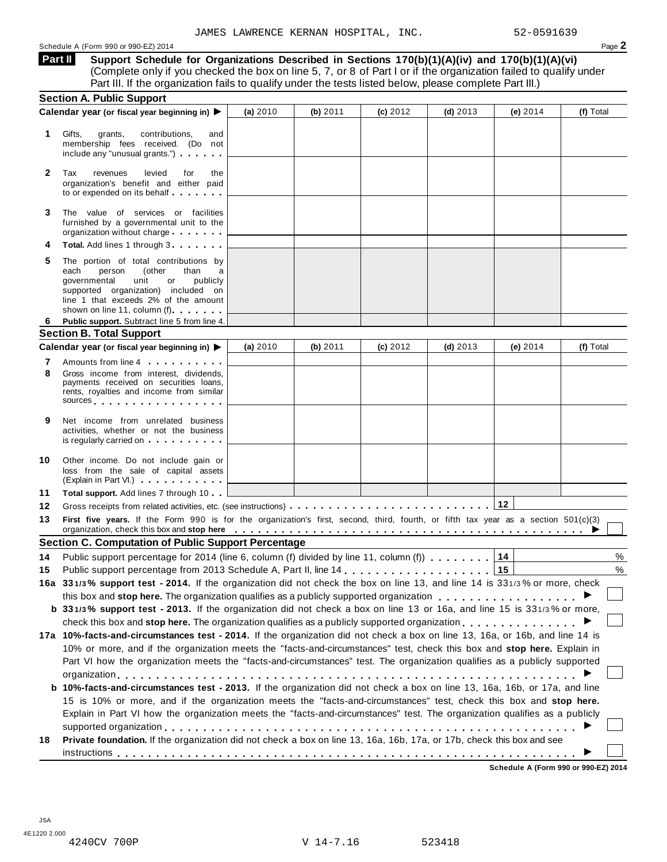Schedule <sup>A</sup> (Form <sup>990</sup> or 990-EZ) <sup>2014</sup> Page **2**

**Support Schedule for Organizations Described in Sections 170(b)(1)(A)(iv) and 170(b)(1)(A)(vi)** (Complete only if you checked the box on line 5, 7, or 8 of Part I or if the organization failed to qualify under Part III. If the organization fails to qualify under the tests listed below, please complete Part III.) **Part II**

|              | <b>Section A. Public Support</b>                                                                                                                                                                                                                                                                                                                                    |          |          |          |            |                                 |           |
|--------------|---------------------------------------------------------------------------------------------------------------------------------------------------------------------------------------------------------------------------------------------------------------------------------------------------------------------------------------------------------------------|----------|----------|----------|------------|---------------------------------|-----------|
|              | Calendar year (or fiscal year beginning in) ▶                                                                                                                                                                                                                                                                                                                       | (a) 2010 | (b) 2011 | (c) 2012 | (d) $2013$ | (e) $2014$                      | (f) Total |
| 1            | Gifts,<br>grants,<br>contributions,<br>and<br>membership fees received. (Do not<br>include any "unusual grants.")                                                                                                                                                                                                                                                   |          |          |          |            |                                 |           |
| $\mathbf{2}$ | Tax<br>levied<br>revenues<br>for<br>the<br>organization's benefit and either paid<br>to or expended on its behalf                                                                                                                                                                                                                                                   |          |          |          |            |                                 |           |
| 3            | The value of services or facilities<br>furnished by a governmental unit to the<br>organization without charge                                                                                                                                                                                                                                                       |          |          |          |            |                                 |           |
|              | <b>Total.</b> Add lines 1 through 3                                                                                                                                                                                                                                                                                                                                 |          |          |          |            |                                 |           |
| 5            | The portion of total contributions by<br>than<br>each<br>person<br>(other<br>a<br>unit<br>governmental<br>or<br>publicly<br>supported organization) included on<br>line 1 that exceeds 2% of the amount<br>shown on line 11, column (f)                                                                                                                             |          |          |          |            |                                 |           |
| 6            | Public support. Subtract line 5 from line 4.                                                                                                                                                                                                                                                                                                                        |          |          |          |            |                                 |           |
|              | <b>Section B. Total Support</b>                                                                                                                                                                                                                                                                                                                                     |          |          |          |            |                                 |           |
|              | Calendar year (or fiscal year beginning in) ▶                                                                                                                                                                                                                                                                                                                       | (a) 2010 | (b) 2011 | (c) 2012 | (d) $2013$ | (e) $2014$                      | (f) Total |
| 7            | Amounts from line 4 <b>contains the set of the set of the set of the set of the set of the set of the set of the set of the set of the set of the set of the set of the set of the set of the set of the set of the set of the s</b>                                                                                                                                |          |          |          |            |                                 |           |
| 8            | Gross income from interest, dividends,<br>payments received on securities loans,<br>rents, royalties and income from similar<br>sources and the set of the set of the set of the set of the set of the set of the set of the set of the set of                                                                                                                      |          |          |          |            |                                 |           |
| 9            | Net income from unrelated business<br>activities, whether or not the business<br>is regularly carried on the control of the state of the state of the state of the state of the state of the state of the state of the state of the state of the state of the state of the state of the state of the state of t                                                     |          |          |          |            |                                 |           |
| 10           | Other income. Do not include gain or<br>loss from the sale of capital assets<br>(Explain in Part VI.)                                                                                                                                                                                                                                                               |          |          |          |            |                                 |           |
| 11           | Total support. Add lines 7 through 10                                                                                                                                                                                                                                                                                                                               |          |          |          |            |                                 |           |
| 12           |                                                                                                                                                                                                                                                                                                                                                                     |          |          |          |            | 12                              |           |
| 13           | First five years. If the Form 990 is for the organization's first, second, third, fourth, or fifth tax year as a section 501(c)(3)<br>organization, check this box and stop here entired to prove the content of the content of the content of the content of the content of the content of the content of the content of the content of the content of the content |          |          |          |            |                                 |           |
|              | <b>Section C. Computation of Public Support Percentage</b>                                                                                                                                                                                                                                                                                                          |          |          |          |            |                                 |           |
| 14           | Public support percentage for 2014 (line 6, column (f) divided by line 11, column (f)                                                                                                                                                                                                                                                                               |          |          |          |            | 14                              | %         |
| 15           |                                                                                                                                                                                                                                                                                                                                                                     |          |          |          |            | 15                              | %         |
|              | 16a 331/3% support test - 2014. If the organization did not check the box on line 13, and line 14 is 331/3% or more, check                                                                                                                                                                                                                                          |          |          |          |            |                                 |           |
|              | this box and stop here. The organization qualifies as a publicly supported organization                                                                                                                                                                                                                                                                             |          |          |          |            |                                 |           |
|              | b 331/3% support test - 2013. If the organization did not check a box on line 13 or 16a, and line 15 is 331/3% or more,                                                                                                                                                                                                                                             |          |          |          |            |                                 |           |
|              | check this box and stop here. The organization qualifies as a publicly supported organization $\dots$ , $\dots$ , $\dots$ , $\dots$                                                                                                                                                                                                                                 |          |          |          |            |                                 |           |
|              | 17a 10%-facts-and-circumstances test - 2014. If the organization did not check a box on line 13, 16a, or 16b, and line 14 is                                                                                                                                                                                                                                        |          |          |          |            |                                 |           |
|              | 10% or more, and if the organization meets the "facts-and-circumstances" test, check this box and stop here. Explain in                                                                                                                                                                                                                                             |          |          |          |            |                                 |           |
|              | Part VI how the organization meets the "facts-and-circumstances" test. The organization qualifies as a publicly supported                                                                                                                                                                                                                                           |          |          |          |            |                                 |           |
|              |                                                                                                                                                                                                                                                                                                                                                                     |          |          |          |            |                                 |           |
|              | b 10%-facts-and-circumstances test - 2013. If the organization did not check a box on line 13, 16a, 16b, or 17a, and line                                                                                                                                                                                                                                           |          |          |          |            |                                 |           |
|              | 15 is 10% or more, and if the organization meets the "facts-and-circumstances" test, check this box and stop here.                                                                                                                                                                                                                                                  |          |          |          |            |                                 |           |
|              | Explain in Part VI how the organization meets the "facts-and-circumstances" test. The organization qualifies as a publicly                                                                                                                                                                                                                                          |          |          |          |            |                                 |           |
| 18           | Private foundation. If the organization did not check a box on line 13, 16a, 16b, 17a, or 17b, check this box and see                                                                                                                                                                                                                                               |          |          |          |            |                                 |           |
|              |                                                                                                                                                                                                                                                                                                                                                                     |          |          |          |            | Cabadule A (Farm 000 as 000 F7) |           |
|              |                                                                                                                                                                                                                                                                                                                                                                     |          |          |          |            |                                 |           |

**Schedule A (Form 990 or 990-EZ) 2014**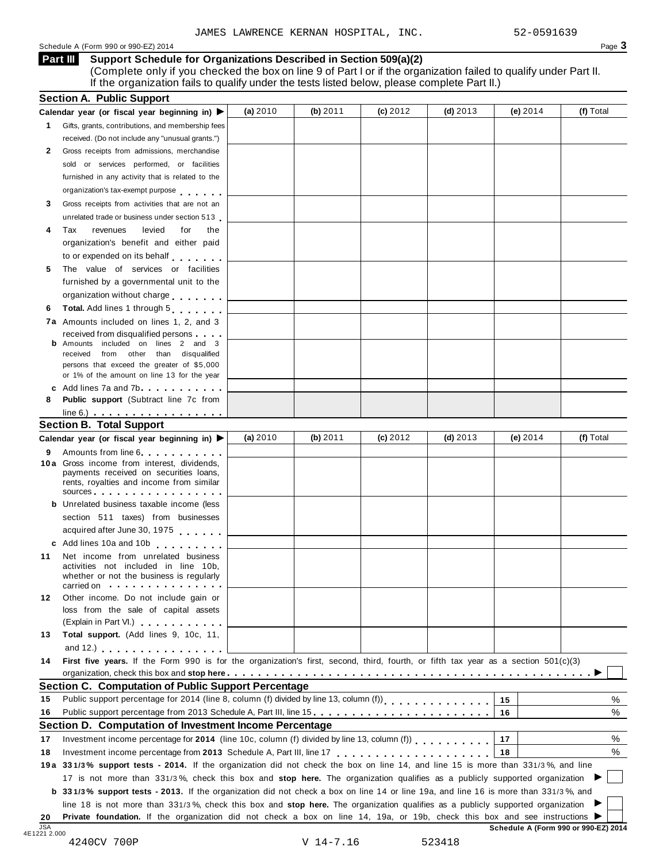#### Schedule <sup>A</sup> (Form <sup>990</sup> or 990-EZ) <sup>2014</sup> Page **3**

**Part III**

| <b>III</b> Support Schedule for Organizations Described in Section 509(a)(2) |  |
|------------------------------------------------------------------------------|--|
|------------------------------------------------------------------------------|--|

(Complete only if you checked the box on line 9 of Part I or if the organization failed to qualify under Part II. If the organization fails to qualify under the tests listed below, please complete Part II.)

|              | Calendar year (or fiscal year beginning in) $\blacktriangleright$                                                                                                                                                                                            | (a) 2010 | (b) 2011   | (c) 2012 | $(d)$ 2013 | (e) $2014$ | (f) Total |
|--------------|--------------------------------------------------------------------------------------------------------------------------------------------------------------------------------------------------------------------------------------------------------------|----------|------------|----------|------------|------------|-----------|
| $\mathbf{1}$ | Gifts, grants, contributions, and membership fees                                                                                                                                                                                                            |          |            |          |            |            |           |
|              | received. (Do not include any "unusual grants.")                                                                                                                                                                                                             |          |            |          |            |            |           |
| 2            | Gross receipts from admissions, merchandise                                                                                                                                                                                                                  |          |            |          |            |            |           |
|              | sold or services performed, or facilities                                                                                                                                                                                                                    |          |            |          |            |            |           |
|              | furnished in any activity that is related to the                                                                                                                                                                                                             |          |            |          |            |            |           |
|              | organization's tax-exempt purpose                                                                                                                                                                                                                            |          |            |          |            |            |           |
| 3            | Gross receipts from activities that are not an                                                                                                                                                                                                               |          |            |          |            |            |           |
|              | unrelated trade or business under section 513                                                                                                                                                                                                                |          |            |          |            |            |           |
| 4            | Tax<br>revenues<br>levied<br>for<br>the                                                                                                                                                                                                                      |          |            |          |            |            |           |
|              | organization's benefit and either paid                                                                                                                                                                                                                       |          |            |          |            |            |           |
|              | to or expended on its behalf                                                                                                                                                                                                                                 |          |            |          |            |            |           |
| 5            | The value of services or facilities                                                                                                                                                                                                                          |          |            |          |            |            |           |
|              | furnished by a governmental unit to the                                                                                                                                                                                                                      |          |            |          |            |            |           |
|              | organization without charge                                                                                                                                                                                                                                  |          |            |          |            |            |           |
| 6            | Total. Add lines 1 through 5                                                                                                                                                                                                                                 |          |            |          |            |            |           |
|              | 7a Amounts included on lines 1, 2, and 3                                                                                                                                                                                                                     |          |            |          |            |            |           |
|              | received from disqualified persons                                                                                                                                                                                                                           |          |            |          |            |            |           |
|              | <b>b</b> Amounts included on lines 2 and 3<br>received from other than disqualified                                                                                                                                                                          |          |            |          |            |            |           |
|              | persons that exceed the greater of \$5,000                                                                                                                                                                                                                   |          |            |          |            |            |           |
|              | or 1% of the amount on line 13 for the year                                                                                                                                                                                                                  |          |            |          |            |            |           |
|              | c Add lines 7a and 7b                                                                                                                                                                                                                                        |          |            |          |            |            |           |
| 8            | <b>Public support</b> (Subtract line 7c from                                                                                                                                                                                                                 |          |            |          |            |            |           |
|              | $line 6.)$ $\ldots$ $\ldots$ $\ldots$ $\ldots$ $\ldots$ $\ldots$                                                                                                                                                                                             |          |            |          |            |            |           |
|              | <b>Section B. Total Support</b>                                                                                                                                                                                                                              | (a) 2010 | (b) $2011$ | (c) 2012 | (d) $2013$ | (e) $2014$ | (f) Total |
|              | Calendar year (or fiscal year beginning in) $\blacktriangleright$                                                                                                                                                                                            |          |            |          |            |            |           |
| 9.           | Amounts from line 6.<br>10a Gross income from interest, dividends,                                                                                                                                                                                           |          |            |          |            |            |           |
|              | payments received on securities loans,                                                                                                                                                                                                                       |          |            |          |            |            |           |
|              | rents, royalties and income from similar                                                                                                                                                                                                                     |          |            |          |            |            |           |
|              | sources and the set of the set of the set of the set of the set of the set of the set of the set of the set of                                                                                                                                               |          |            |          |            |            |           |
|              | <b>b</b> Unrelated business taxable income (less                                                                                                                                                                                                             |          |            |          |            |            |           |
|              | section 511 taxes) from businesses                                                                                                                                                                                                                           |          |            |          |            |            |           |
|              | acquired after June 30, 1975                                                                                                                                                                                                                                 |          |            |          |            |            |           |
|              | c Add lines 10a and 10b                                                                                                                                                                                                                                      |          |            |          |            |            |           |
| 11           | Net income from unrelated business<br>activities not included in line 10b,                                                                                                                                                                                   |          |            |          |            |            |           |
|              | whether or not the business is regularly                                                                                                                                                                                                                     |          |            |          |            |            |           |
|              | carried on with a series and series are a series of the series of the series of the series of the series of th                                                                                                                                               |          |            |          |            |            |           |
| 12           | Other income. Do not include gain or                                                                                                                                                                                                                         |          |            |          |            |            |           |
|              | loss from the sale of capital assets                                                                                                                                                                                                                         |          |            |          |            |            |           |
|              | (Explain in Part VI.) <b>All Accords</b>                                                                                                                                                                                                                     |          |            |          |            |            |           |
| 13           | Total support. (Add lines 9, 10c, 11,                                                                                                                                                                                                                        |          |            |          |            |            |           |
|              | and 12.) $\ldots$ $\ldots$ $\ldots$ $\ldots$ $\ldots$                                                                                                                                                                                                        |          |            |          |            |            |           |
| 14           | First five years. If the Form 990 is for the organization's first, second, third, fourth, or fifth tax year as a section 501(c)(3)                                                                                                                           |          |            |          |            |            |           |
|              | <b>Section C. Computation of Public Support Percentage</b>                                                                                                                                                                                                   |          |            |          |            |            |           |
| 15           | Public support percentage for 2014 (line 8, column (f) divided by line 13, column (f))<br>[11]                                                                                                                                                               |          |            |          |            | 15         | %         |
| 16           | Public support percentage from 2013 Schedule A, Part III, line 15.                                                                                                                                                                                           |          |            |          |            | 16         | %         |
|              | Section D. Computation of Investment Income Percentage                                                                                                                                                                                                       |          |            |          |            |            |           |
| 17           | Investment income percentage for 2014 (line 10c, column (f) divided by line 13, column (f)                                                                                                                                                                   |          |            |          |            | 17         | $\%$      |
| 18           | Investment income percentage from 2013 Schedule A, Part III, line 17                                                                                                                                                                                         |          |            |          |            | 18         | %         |
|              | 19a 331/3% support tests - 2014. If the organization did not check the box on line 14, and line 15 is more than 331/3%, and line                                                                                                                             |          |            |          |            |            |           |
|              | 17 is not more than 331/3%, check this box and stop here. The organization qualifies as a publicly supported organization                                                                                                                                    |          |            |          |            |            |           |
|              |                                                                                                                                                                                                                                                              |          |            |          |            |            |           |
|              |                                                                                                                                                                                                                                                              |          |            |          |            |            |           |
|              | <b>b</b> 331/3% support tests - 2013. If the organization did not check a box on line 14 or line 19a, and line 16 is more than 331/3%, and                                                                                                                   |          |            |          |            |            |           |
| 20           | line 18 is not more than 331/3%, check this box and stop here. The organization qualifies as a publicly supported organization<br>Private foundation. If the organization did not check a box on line 14, 19a, or 19b, check this box and see instructions ▶ |          |            |          |            |            |           |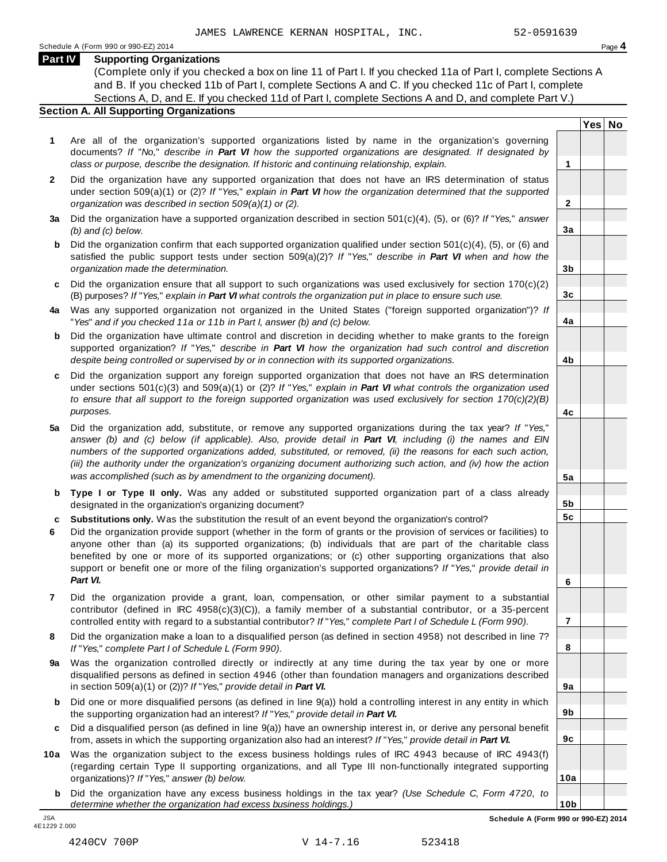**Yes No**

**2**

**3a**

**3b**

**3c**

**4a**

**4b**

**4c**

**5a**

**5b 5c**

**6**

**7**

**8**

**9a**

**9b**

**9c**

**10a**

**10b**

#### **Part IV Supporting Organizations**

(Complete only if you checked a box on line 11 of Part I. If you checked 11a of Part I, complete Sections A and B. If you checked 11b of Part I, complete Sections A and C. If you checked 11c of Part I, complete Sections A, D, and E. If you checked 11d of Part I, complete Sections A and D, and complete Part V.)

#### **Section A. All Supporting Organizations**

- **1** Are all of the organization's supported organizations listed by name in the organization's governing documents? *If* "*No,*" *describe in Part VI how the supported organizations are designated. If designated by class or purpose, describe the designation. If historic and continuing relationship, explain.* **1**
- **2** Did the organization have any supported organization that does not have an IRS determination of status under section 509(a)(1) or (2)? *If*"*Yes,*" *explain in Part VI how the organization determined that the supported organization was described in section 509(a)(1) or (2).*
- **3 a** Did the organization have a supported organization described in section 501(c)(4), (5), or (6)? *If* "*Yes,*" *answer (b) and (c) below.*
- **b** Did the organization confirm that each supported organization qualified under section 501(c)(4), (5), or (6) and | satisfied the public support tests under section 509(a)(2)? *If* "*Yes,*" *describe in Part VI when and how the organization made the determination.*
- **c** Did the organization ensure that all support to such organizations was used exclusively for section 170(c)(2) (B) purposes? *If*"*Yes,*" *explain in Part VI what controls the organization put in place to ensure such use.*
- **4 a** Was any supported organization not organized in the United States ("foreign supported organization")? *If* "*Yes*" *and if you checked 11a or 11b in Part I, answer (b) and (c) below.*
- **b** Did the organization have ultimate control and discretion in deciding whether to make grants to the foreign | supported organization? *If* "*Yes,*" *describe in Part VI how the organization had such control and discretion despite being controlled or supervised by or in connection with its supported organizations.*
- **c** Did the organization support any foreign supported organization that does not have an IRS determination under sections 501(c)(3) and 509(a)(1) or (2)? *If* "*Yes,*" *explain in Part VI what controls the organization used to ensure that all support to the foreign supported organization was used exclusively for section 170(c)(2)(B) purposes.*
- **5 a** Did the organization add, substitute, or remove any supported organizations during the tax year? *If* "*Yes,*" answer (b) and (c) below (if applicable). Also, provide detail in Part VI, including (i) the names and EIN *numbers of the supported organizations added, substituted, or removed, (ii) the reasons for each such action,* (iii) the authority under the organization's organizing document authorizing such action, and (iv) how the action *was accomplished (such as by amendment to the organizing document).*
- **b** Type I or Type II only. Was any added or substituted supported organization part of a class already | designated in the organization's organizing document?
- **c Substitutions only.** Was the substitution the result of an event beyond the organization's control?
- **6** Did the organization provide support (whether in the form of grants or the provision of services or facilities) to anyone other than (a) its supported organizations; (b) individuals that are part of the charitable class benefited by one or more of its supported organizations; or (c) other supporting organizations that also support or benefit one or more of the filing organization's supported organizations? *If* "*Yes,*" *provide detail in Part VI.*
- **7** Did the organization provide a grant, loan, compensation, or other similar payment to a substantial contributor (defined in IRC 4958(c)(3)(C)), a family member of a substantial contributor, or a 35-percent controlled entity with regard to a substantial contributor? *If*"*Yes,*" *complete Part I of Schedule L (Form 990).*
- **8** Did the organization make a loan to a disqualified person (as defined in section 4958) not described in line 7? *If* "*Yes,*" *complete Part I of Schedule L (Form 990).*
- **9 a** Was the organization controlled directly or indirectly at any time during the tax year by one or more  $|$ disqualified persons as defined in section 4946 (other than foundation managers and organizations described in section 509(a)(1) or (2))? *If*"*Yes,*" *provide detail in Part VI.*
- **b** Did one or more disqualified persons (as defined in line 9(a)) hold a controlling interest in any entity in which | the supporting organization had an interest? *If*"*Yes,*" *provide detail in Part VI.*
- **c** Did a disqualified person (as defined in line 9(a)) have an ownership interest in, or derive any personal benefit from, assets in which the supporting organization also had an interest? *If*"*Yes,*" *provide detail in Part VI.*
- **10a** Was the organization subject to the excess business holdings rules of IRC 4943 because of IRC 4943(f) | (regarding certain Type II supporting organizations, and all Type III non-functionally integrated supporting organizations)? *If*"*Yes,*" *answer (b) below.*
	- **b** Did the organization have any excess business holdings in the tax year? *(Use Schedule C, Form 4720, to determine whether the organization had excess business holdings.)*

4E1229 2.000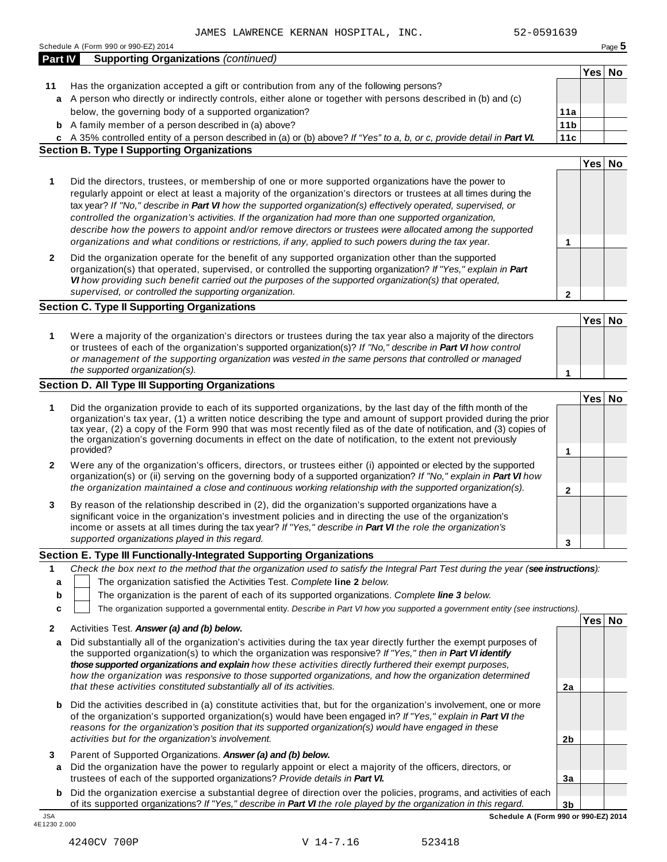| Part IV          | <b>Supporting Organizations (continued)</b>                                                                                                                                                                                                                                                                                                                                                                                                                                                                                                                                                                                                                                  |                         |        |  |
|------------------|------------------------------------------------------------------------------------------------------------------------------------------------------------------------------------------------------------------------------------------------------------------------------------------------------------------------------------------------------------------------------------------------------------------------------------------------------------------------------------------------------------------------------------------------------------------------------------------------------------------------------------------------------------------------------|-------------------------|--------|--|
|                  |                                                                                                                                                                                                                                                                                                                                                                                                                                                                                                                                                                                                                                                                              |                         | Yes No |  |
| 11               | Has the organization accepted a gift or contribution from any of the following persons?                                                                                                                                                                                                                                                                                                                                                                                                                                                                                                                                                                                      |                         |        |  |
| a                | A person who directly or indirectly controls, either alone or together with persons described in (b) and (c)                                                                                                                                                                                                                                                                                                                                                                                                                                                                                                                                                                 |                         |        |  |
|                  | below, the governing body of a supported organization?                                                                                                                                                                                                                                                                                                                                                                                                                                                                                                                                                                                                                       | 11a                     |        |  |
|                  | <b>b</b> A family member of a person described in (a) above?                                                                                                                                                                                                                                                                                                                                                                                                                                                                                                                                                                                                                 | 11 <sub>b</sub>         |        |  |
|                  | c A 35% controlled entity of a person described in (a) or (b) above? If "Yes" to a, b, or c, provide detail in Part VI.                                                                                                                                                                                                                                                                                                                                                                                                                                                                                                                                                      | 11c                     |        |  |
|                  | <b>Section B. Type I Supporting Organizations</b>                                                                                                                                                                                                                                                                                                                                                                                                                                                                                                                                                                                                                            |                         |        |  |
|                  |                                                                                                                                                                                                                                                                                                                                                                                                                                                                                                                                                                                                                                                                              |                         | Yes No |  |
| 1                | Did the directors, trustees, or membership of one or more supported organizations have the power to<br>regularly appoint or elect at least a majority of the organization's directors or trustees at all times during the<br>tax year? If "No," describe in Part VI how the supported organization(s) effectively operated, supervised, or<br>controlled the organization's activities. If the organization had more than one supported organization,<br>describe how the powers to appoint and/or remove directors or trustees were allocated among the supported<br>organizations and what conditions or restrictions, if any, applied to such powers during the tax year. | 1                       |        |  |
| 2                | Did the organization operate for the benefit of any supported organization other than the supported<br>organization(s) that operated, supervised, or controlled the supporting organization? If "Yes," explain in Part<br>VI how providing such benefit carried out the purposes of the supported organization(s) that operated,<br>supervised, or controlled the supporting organization.                                                                                                                                                                                                                                                                                   | $\overline{\mathbf{c}}$ |        |  |
|                  | <b>Section C. Type II Supporting Organizations</b>                                                                                                                                                                                                                                                                                                                                                                                                                                                                                                                                                                                                                           |                         |        |  |
|                  |                                                                                                                                                                                                                                                                                                                                                                                                                                                                                                                                                                                                                                                                              |                         | Yes No |  |
| 1                | Were a majority of the organization's directors or trustees during the tax year also a majority of the directors<br>or trustees of each of the organization's supported organization(s)? If "No," describe in Part VI how control<br>or management of the supporting organization was vested in the same persons that controlled or managed<br>the supported organization(s).                                                                                                                                                                                                                                                                                                |                         |        |  |
|                  |                                                                                                                                                                                                                                                                                                                                                                                                                                                                                                                                                                                                                                                                              | 1                       |        |  |
|                  | Section D. All Type III Supporting Organizations                                                                                                                                                                                                                                                                                                                                                                                                                                                                                                                                                                                                                             |                         |        |  |
| 1                | Did the organization provide to each of its supported organizations, by the last day of the fifth month of the<br>organization's tax year, (1) a written notice describing the type and amount of support provided during the prior<br>tax year, (2) a copy of the Form 990 that was most recently filed as of the date of notification, and (3) copies of<br>the organization's governing documents in effect on the date of notification, to the extent not previously<br>provided?                                                                                                                                                                                        | 1                       | Yes No |  |
| 2                | Were any of the organization's officers, directors, or trustees either (i) appointed or elected by the supported                                                                                                                                                                                                                                                                                                                                                                                                                                                                                                                                                             |                         |        |  |
|                  | organization(s) or (ii) serving on the governing body of a supported organization? If "No," explain in Part VI how<br>the organization maintained a close and continuous working relationship with the supported organization(s).                                                                                                                                                                                                                                                                                                                                                                                                                                            | $\mathbf{2}$            |        |  |
| 3                | By reason of the relationship described in (2), did the organization's supported organizations have a<br>significant voice in the organization's investment policies and in directing the use of the organization's<br>income or assets at all times during the tax year? If "Yes," describe in Part VI the role the organization's<br>supported organizations played in this regard.                                                                                                                                                                                                                                                                                        | 3                       |        |  |
|                  | Section E. Type III Functionally-Integrated Supporting Organizations                                                                                                                                                                                                                                                                                                                                                                                                                                                                                                                                                                                                         |                         |        |  |
| 1<br>а<br>b<br>c | Check the box next to the method that the organization used to satisfy the Integral Part Test during the year (see instructions):<br>The organization satisfied the Activities Test. Complete line 2 below.<br>The organization is the parent of each of its supported organizations. Complete line 3 below.<br>The organization supported a governmental entity. Describe in Part VI how you supported a government entity (see instructions).                                                                                                                                                                                                                              |                         |        |  |
|                  |                                                                                                                                                                                                                                                                                                                                                                                                                                                                                                                                                                                                                                                                              |                         | Yes No |  |
| 2<br>a           | Activities Test. Answer (a) and (b) below.<br>Did substantially all of the organization's activities during the tax year directly further the exempt purposes of<br>the supported organization(s) to which the organization was responsive? If "Yes," then in Part VI identify<br>those supported organizations and explain how these activities directly furthered their exempt purposes,                                                                                                                                                                                                                                                                                   |                         |        |  |
|                  | how the organization was responsive to those supported organizations, and how the organization determined<br>that these activities constituted substantially all of its activities.                                                                                                                                                                                                                                                                                                                                                                                                                                                                                          | 2a                      |        |  |
| b                | Did the activities described in (a) constitute activities that, but for the organization's involvement, one or more<br>of the organization's supported organization(s) would have been engaged in? If "Yes," explain in Part VI the<br>reasons for the organization's position that its supported organization(s) would have engaged in these<br>activities but for the organization's involvement.                                                                                                                                                                                                                                                                          | 2 <sub>b</sub>          |        |  |
|                  |                                                                                                                                                                                                                                                                                                                                                                                                                                                                                                                                                                                                                                                                              |                         |        |  |
| 3<br>a           | Parent of Supported Organizations. Answer (a) and (b) below.<br>Did the organization have the power to regularly appoint or elect a majority of the officers, directors, or                                                                                                                                                                                                                                                                                                                                                                                                                                                                                                  |                         |        |  |
|                  | trustees of each of the supported organizations? Provide details in Part VI.<br><b>b</b> Did the organization exercise a substantial degree of direction over the policies, programs, and activities of each                                                                                                                                                                                                                                                                                                                                                                                                                                                                 | 3a                      |        |  |

**3b b** Did the organization exercise a substantial degree of direction over the policies, programs, and activities of each  $|$ of its supported organizations? *If"Yes," describe in Part VI the role played by the organization in this regard.* JSA **Schedule A (Form 990 or 990-EZ) 2014**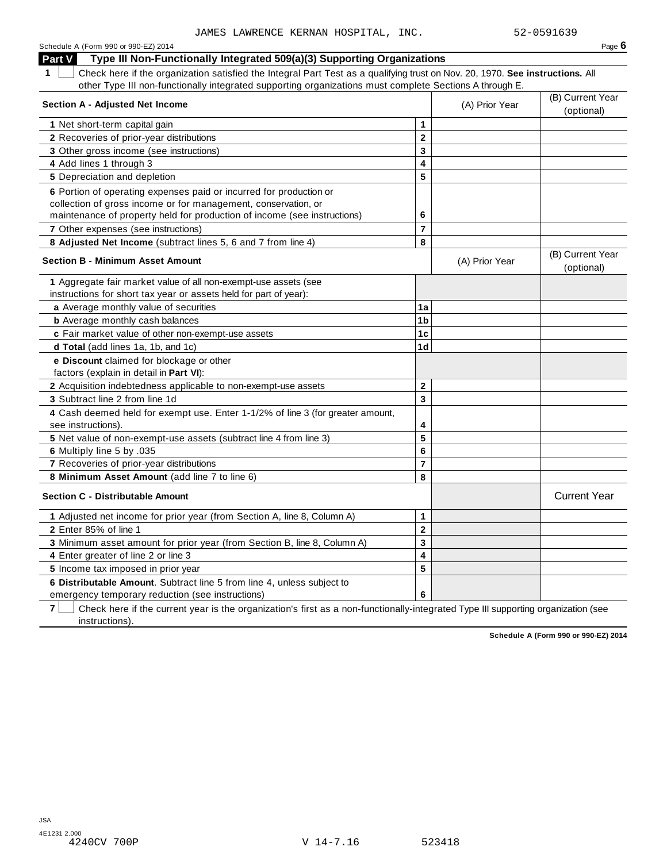| Schedule A (Form 990 or 990-EZ) 2014                                                                                               |                |                | Page $6$                       |
|------------------------------------------------------------------------------------------------------------------------------------|----------------|----------------|--------------------------------|
| Part V<br>Type III Non-Functionally Integrated 509(a)(3) Supporting Organizations                                                  |                |                |                                |
| Check here if the organization satisfied the Integral Part Test as a qualifying trust on Nov. 20, 1970. See instructions. All<br>1 |                |                |                                |
| other Type III non-functionally integrated supporting organizations must complete Sections A through E.                            |                |                |                                |
| <b>Section A - Adjusted Net Income</b>                                                                                             |                | (A) Prior Year | (B) Current Year               |
|                                                                                                                                    |                |                | (optional)                     |
| 1 Net short-term capital gain                                                                                                      | 1              |                |                                |
| 2 Recoveries of prior-year distributions                                                                                           | $\mathbf 2$    |                |                                |
| 3 Other gross income (see instructions)                                                                                            | 3              |                |                                |
| 4 Add lines 1 through 3                                                                                                            | 4              |                |                                |
| 5 Depreciation and depletion                                                                                                       | 5              |                |                                |
| 6 Portion of operating expenses paid or incurred for production or                                                                 |                |                |                                |
| collection of gross income or for management, conservation, or                                                                     |                |                |                                |
| maintenance of property held for production of income (see instructions)                                                           | 6              |                |                                |
| 7 Other expenses (see instructions)                                                                                                | $\overline{7}$ |                |                                |
| 8 Adjusted Net Income (subtract lines 5, 6 and 7 from line 4)                                                                      | 8              |                |                                |
| <b>Section B - Minimum Asset Amount</b>                                                                                            |                | (A) Prior Year | (B) Current Year<br>(optional) |
| 1 Aggregate fair market value of all non-exempt-use assets (see                                                                    |                |                |                                |
| instructions for short tax year or assets held for part of year):                                                                  |                |                |                                |
| a Average monthly value of securities                                                                                              | 1a             |                |                                |
| <b>b</b> Average monthly cash balances                                                                                             | 1 <sub>b</sub> |                |                                |
| c Fair market value of other non-exempt-use assets                                                                                 | 1c             |                |                                |
| d Total (add lines 1a, 1b, and 1c)                                                                                                 | 1 <sub>d</sub> |                |                                |
| e Discount claimed for blockage or other                                                                                           |                |                |                                |
| factors (explain in detail in Part VI):                                                                                            |                |                |                                |
| 2 Acquisition indebtedness applicable to non-exempt-use assets                                                                     | $\mathbf{2}$   |                |                                |
| 3 Subtract line 2 from line 1d                                                                                                     | 3              |                |                                |
| 4 Cash deemed held for exempt use. Enter 1-1/2% of line 3 (for greater amount,                                                     |                |                |                                |
| see instructions).                                                                                                                 | 4              |                |                                |
| 5 Net value of non-exempt-use assets (subtract line 4 from line 3)                                                                 | 5              |                |                                |
| 6 Multiply line 5 by .035                                                                                                          | 6              |                |                                |
| 7 Recoveries of prior-year distributions                                                                                           | $\overline{7}$ |                |                                |
| 8 Minimum Asset Amount (add line 7 to line 6)                                                                                      | 8              |                |                                |
| <b>Section C - Distributable Amount</b>                                                                                            |                |                | <b>Current Year</b>            |
| 1 Adjusted net income for prior year (from Section A, line 8, Column A)                                                            | $\mathbf 1$    |                |                                |
| 2 Enter 85% of line 1                                                                                                              | $\mathbf 2$    |                |                                |
| 3 Minimum asset amount for prior year (from Section B, line 8, Column A)                                                           | 3              |                |                                |
| 4 Enter greater of line 2 or line 3                                                                                                | 4              |                |                                |
| 5 Income tax imposed in prior year                                                                                                 | 5              |                |                                |
| 6 Distributable Amount. Subtract line 5 from line 4, unless subject to                                                             |                |                |                                |
| emergency temporary reduction (see instructions)                                                                                   | 6              |                |                                |

**7** Check here if the current year is the organization's first as a non-functionally-integrated Type III supporting organization (see instructions).

**Schedule A (Form 990 or 990-EZ) 2014**

V 14-7.16 523418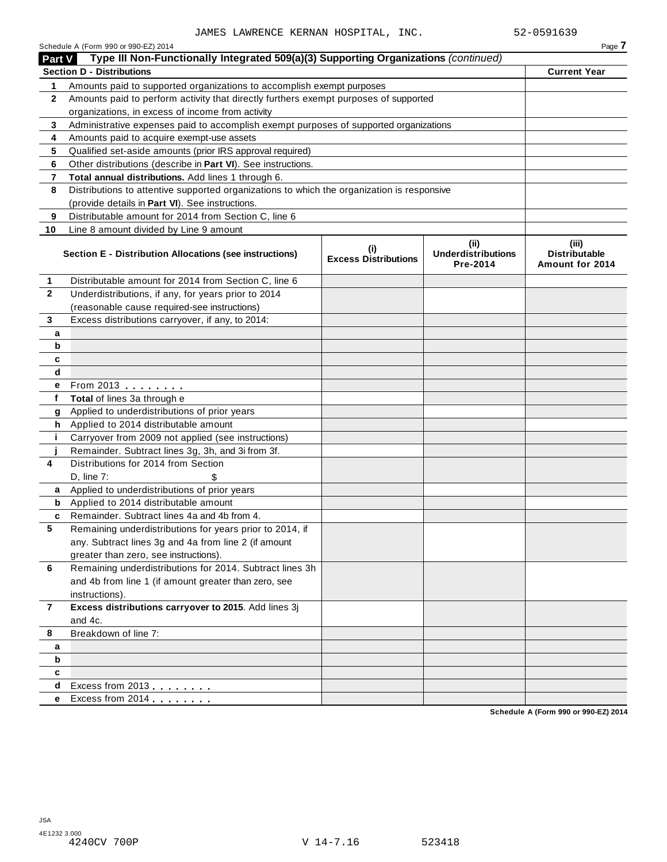| <b>Part V</b>  | Schedule A (Form 990 or 990-EZ) 2014<br>Type III Non-Functionally Integrated 509(a)(3) Supporting Organizations (continued) |                                    |                                               | Page 7                                           |
|----------------|-----------------------------------------------------------------------------------------------------------------------------|------------------------------------|-----------------------------------------------|--------------------------------------------------|
|                | <b>Section D - Distributions</b>                                                                                            |                                    |                                               | <b>Current Year</b>                              |
| 1              | Amounts paid to supported organizations to accomplish exempt purposes                                                       |                                    |                                               |                                                  |
| $\mathbf{2}$   | Amounts paid to perform activity that directly furthers exempt purposes of supported                                        |                                    |                                               |                                                  |
|                | organizations, in excess of income from activity                                                                            |                                    |                                               |                                                  |
| 3              | Administrative expenses paid to accomplish exempt purposes of supported organizations                                       |                                    |                                               |                                                  |
| 4              | Amounts paid to acquire exempt-use assets                                                                                   |                                    |                                               |                                                  |
| 5              | Qualified set-aside amounts (prior IRS approval required)                                                                   |                                    |                                               |                                                  |
| 6              | Other distributions (describe in Part VI). See instructions.                                                                |                                    |                                               |                                                  |
| 7              | Total annual distributions. Add lines 1 through 6.                                                                          |                                    |                                               |                                                  |
| 8              | Distributions to attentive supported organizations to which the organization is responsive                                  |                                    |                                               |                                                  |
|                | (provide details in Part VI). See instructions.                                                                             |                                    |                                               |                                                  |
| 9              | Distributable amount for 2014 from Section C, line 6                                                                        |                                    |                                               |                                                  |
| 10             | Line 8 amount divided by Line 9 amount                                                                                      |                                    |                                               |                                                  |
|                | Section E - Distribution Allocations (see instructions)                                                                     | (i)<br><b>Excess Distributions</b> | (ii)<br><b>Underdistributions</b><br>Pre-2014 | (iii)<br><b>Distributable</b><br>Amount for 2014 |
| 1              | Distributable amount for 2014 from Section C, line 6                                                                        |                                    |                                               |                                                  |
| $\mathbf{2}$   | Underdistributions, if any, for years prior to 2014                                                                         |                                    |                                               |                                                  |
|                | (reasonable cause required-see instructions)                                                                                |                                    |                                               |                                                  |
| 3              | Excess distributions carryover, if any, to 2014:                                                                            |                                    |                                               |                                                  |
| a              |                                                                                                                             |                                    |                                               |                                                  |
| b              |                                                                                                                             |                                    |                                               |                                                  |
| c              |                                                                                                                             |                                    |                                               |                                                  |
| d              |                                                                                                                             |                                    |                                               |                                                  |
| e              | From 2013                                                                                                                   |                                    |                                               |                                                  |
| f              | Total of lines 3a through e                                                                                                 |                                    |                                               |                                                  |
| g              | Applied to underdistributions of prior years                                                                                |                                    |                                               |                                                  |
| h              | Applied to 2014 distributable amount                                                                                        |                                    |                                               |                                                  |
| j.             | Carryover from 2009 not applied (see instructions)                                                                          |                                    |                                               |                                                  |
|                | Remainder. Subtract lines 3g, 3h, and 3i from 3f.                                                                           |                                    |                                               |                                                  |
| 4              | Distributions for 2014 from Section                                                                                         |                                    |                                               |                                                  |
|                | D, line 7:                                                                                                                  |                                    |                                               |                                                  |
| a              | Applied to underdistributions of prior years                                                                                |                                    |                                               |                                                  |
| b              | Applied to 2014 distributable amount                                                                                        |                                    |                                               |                                                  |
| c              | Remainder. Subtract lines 4a and 4b from 4.                                                                                 |                                    |                                               |                                                  |
| 5              | Remaining underdistributions for years prior to 2014, if                                                                    |                                    |                                               |                                                  |
|                | any. Subtract lines 3g and 4a from line 2 (if amount                                                                        |                                    |                                               |                                                  |
|                | greater than zero, see instructions).                                                                                       |                                    |                                               |                                                  |
| 6              | Remaining underdistributions for 2014. Subtract lines 3h                                                                    |                                    |                                               |                                                  |
|                | and 4b from line 1 (if amount greater than zero, see                                                                        |                                    |                                               |                                                  |
|                | instructions).                                                                                                              |                                    |                                               |                                                  |
| $\overline{7}$ | Excess distributions carryover to 2015. Add lines 3j                                                                        |                                    |                                               |                                                  |
|                | and 4c.                                                                                                                     |                                    |                                               |                                                  |
| 8              | Breakdown of line 7:                                                                                                        |                                    |                                               |                                                  |
| a              |                                                                                                                             |                                    |                                               |                                                  |
| b              |                                                                                                                             |                                    |                                               |                                                  |
| c              |                                                                                                                             |                                    |                                               |                                                  |
| d              | Excess from 2013                                                                                                            |                                    |                                               |                                                  |
| e              | Excess from 2014                                                                                                            |                                    |                                               |                                                  |
|                |                                                                                                                             |                                    |                                               | $(T_{2111} 000 - 000 - 000 - 000)$               |

**Schedule A (Form 990 or 990-EZ) 2014**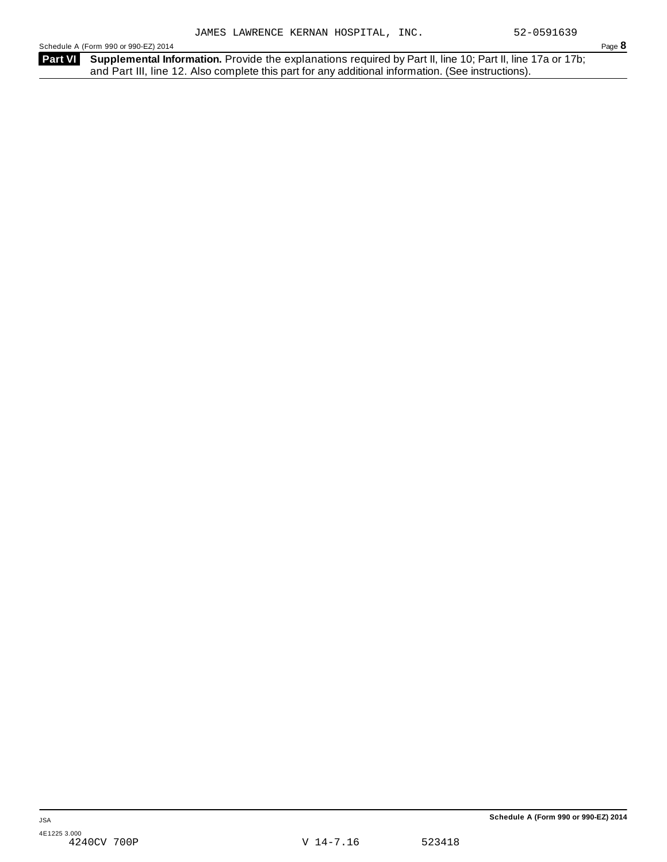Schedule A (Form 990 or 990-EZ) 2014 Page 8

Part VI Supplemental Information. Provide the explanations required by Part II, line 10; Part II, line 17a or 17b; and Part III, line 12. Also complete this part for any additional information. (See instructions).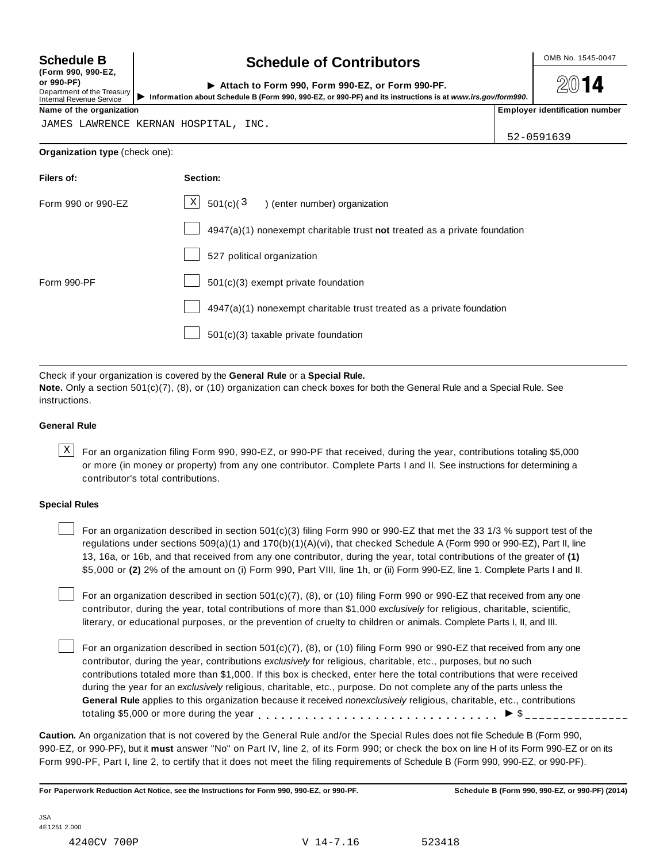**(Form 990, 990-EZ, or 990-PF)** Department of the Treasury<br>Internal Revenue Service

### **Schedule B chedule of Contributors**

**2014** 

| or 990-PF)<br>Department of the Treasury<br>Internal Revenue Service | Attach to Form 990, Form 990-EZ, or Form 990-PF.<br>Information about Schedule B (Form 990, 990-EZ, or 990-PF) and its instructions is at www.irs.gov/form990. | 2014                                  |
|----------------------------------------------------------------------|----------------------------------------------------------------------------------------------------------------------------------------------------------------|---------------------------------------|
| Name of the organization                                             |                                                                                                                                                                | <b>Employer identification number</b> |

JAMES LAWRENCE KERNAN HOSPITAL, INC.

52-0591639

#### **Organization type** (check one):

| Filers of:         | Section:                                                                  |
|--------------------|---------------------------------------------------------------------------|
| Form 990 or 990-EZ | $X$ 501(c)(3) (enter number) organization                                 |
|                    | 4947(a)(1) nonexempt charitable trust not treated as a private foundation |
|                    | 527 political organization                                                |
| Form 990-PF        | 501(c)(3) exempt private foundation                                       |
|                    | 4947(a)(1) nonexempt charitable trust treated as a private foundation     |
|                    | 501(c)(3) taxable private foundation                                      |
|                    |                                                                           |

Check if your organization is covered by the **General Rule** or a **Special Rule.**

**Note.** Only a section 501(c)(7), (8), or (10) organization can check boxes for both the General Rule and a Special Rule. See instructions.

#### **General Rule**

 $\text{X}$  For an organization filing Form 990, 990-EZ, or 990-PF that received, during the year, contributions totaling \$5,000 or more (in money or property) from any one contributor. Complete Parts I and II. See instructions for determining a contributor's total contributions.

#### **Special Rules**

For an organization described in section 501(c)(3) filing Form 990 or 990-EZ that met the 33 1/3 % support test of the regulations under sections 509(a)(1) and 170(b)(1)(A)(vi), that checked Schedule A (Form 990 or 990-EZ), Part II, line 13, 16a, or 16b, and that received from any one contributor, during the year, total contributions of the greater of **(1)** \$5,000 or **(2)** 2% of the amount on (i) Form 990, Part VIII, line 1h, or (ii) Form 990-EZ, line 1. Complete Parts I and II.

For an organization described in section 501(c)(7), (8), or (10) filing Form 990 or 990-EZ that received from any one contributor, during the year, total contributions of more than \$1,000 *exclusively* for religious, charitable, scientific, literary, or educational purposes, or the prevention of cruelty to children or animals. Complete Parts I, II, and III.

For an organization described in section 501(c)(7), (8), or (10) filing Form 990 or 990-EZ that received from any one contributor, during the year, contributions *exclusively* for religious, charitable, etc., purposes, but no such contributions totaled more than \$1,000. If this box is checked, enter here the total contributions that were received during the year for an *exclusively* religious, charitable, etc., purpose. Do not complete any of the parts unless the **General Rule** applies to this organization because it received *nonexclusively* religious, charitable, etc., contributions General Rule applies to this organization because it received *nonexclusively* religious, charitable, etc., contra<br>totaling \$5,000 or more during the year<br>experience in the security of the security of  $\frac{1}{2}$ 

**Caution.** An organization that is not covered by the General Rule and/or the Special Rules does not file Schedule B (Form 990, 990-EZ, or 990-PF), but it **must** answer "No" on Part IV, line 2, of its Form 990; or check the box on line H of its Form 990-EZ or on its Form 990-PF, Part I, line 2, to certify that it does not meet the filing requirements of Schedule B (Form 990, 990-EZ, or 990-PF).

For Paperwork Reduction Act Notice, see the Instructions for Form 990, 990-EZ, or 990-PF. Schedule B (Form 990, 990-EZ, or 990-PF) (2014)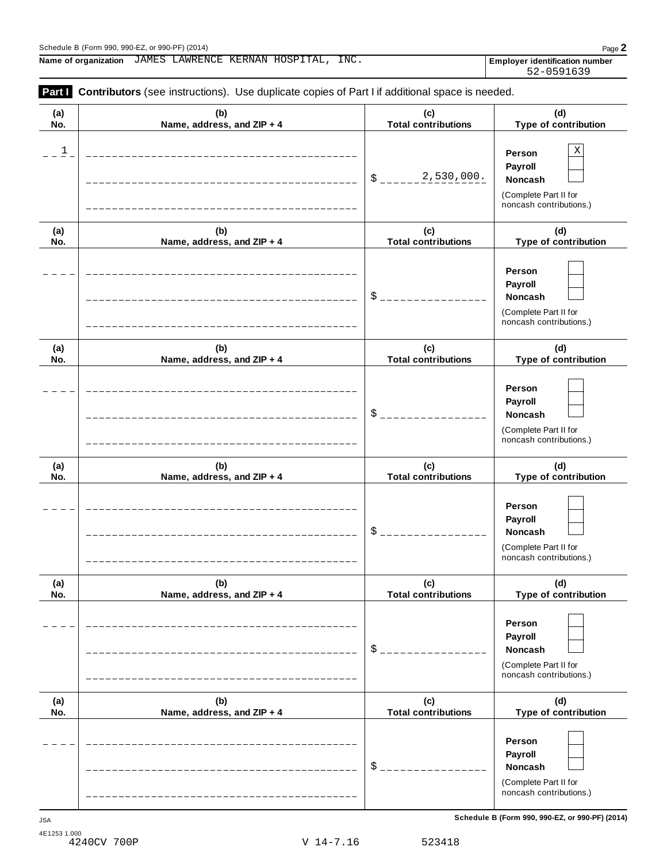**Name of organization Employer identification number** JAMES LAWRENCE KERNAN HOSPITAL, INC.

| Part I                  | Contributors (see instructions). Use duplicate copies of Part I if additional space is needed. |                                   |                                                                                       |
|-------------------------|------------------------------------------------------------------------------------------------|-----------------------------------|---------------------------------------------------------------------------------------|
| (a)<br>No.              | (b)<br>Name, address, and ZIP + 4                                                              | (c)<br><b>Total contributions</b> | (d)<br>Type of contribution                                                           |
| $\overline{\mathbf{1}}$ |                                                                                                | 2,530,000.<br>\$                  | Χ<br>Person<br>Payroll<br>Noncash<br>(Complete Part II for<br>noncash contributions.) |
| (a)<br>No.              | (b)<br>Name, address, and ZIP + 4                                                              | (c)<br><b>Total contributions</b> | (d)<br>Type of contribution                                                           |
|                         |                                                                                                | \$                                | Person<br>Payroll<br>Noncash<br>(Complete Part II for<br>noncash contributions.)      |
| (a)<br>No.              | (b)<br>Name, address, and ZIP + 4                                                              | (c)<br><b>Total contributions</b> | (d)<br>Type of contribution                                                           |
|                         |                                                                                                | \$                                | Person<br>Payroll<br>Noncash<br>(Complete Part II for<br>noncash contributions.)      |
| (a)<br>No.              | (b)<br>Name, address, and ZIP + 4                                                              | (c)<br><b>Total contributions</b> | (d)<br>Type of contribution                                                           |
|                         |                                                                                                | \$                                | Person<br>Payroll<br>Noncash<br>(Complete Part II for<br>noncash contributions.)      |
| (a)<br>No.              | (b)<br>Name, address, and ZIP + 4                                                              | (c)<br><b>Total contributions</b> | (d)<br>Type of contribution                                                           |
|                         |                                                                                                | $\mathcal{S}_{-}$                 | Person<br>Payroll<br>Noncash<br>(Complete Part II for<br>noncash contributions.)      |
| (a)<br>No.              | (b)<br>Name, address, and ZIP + 4                                                              | (c)<br><b>Total contributions</b> | (d)<br>Type of contribution                                                           |
|                         |                                                                                                | $\mathsf S$ .                     | Person<br>Payroll<br>Noncash<br>(Complete Part II for<br>noncash contributions.)      |

**Schedule B (Form 990, 990-EZ, or 990-PF) (2014)** JSA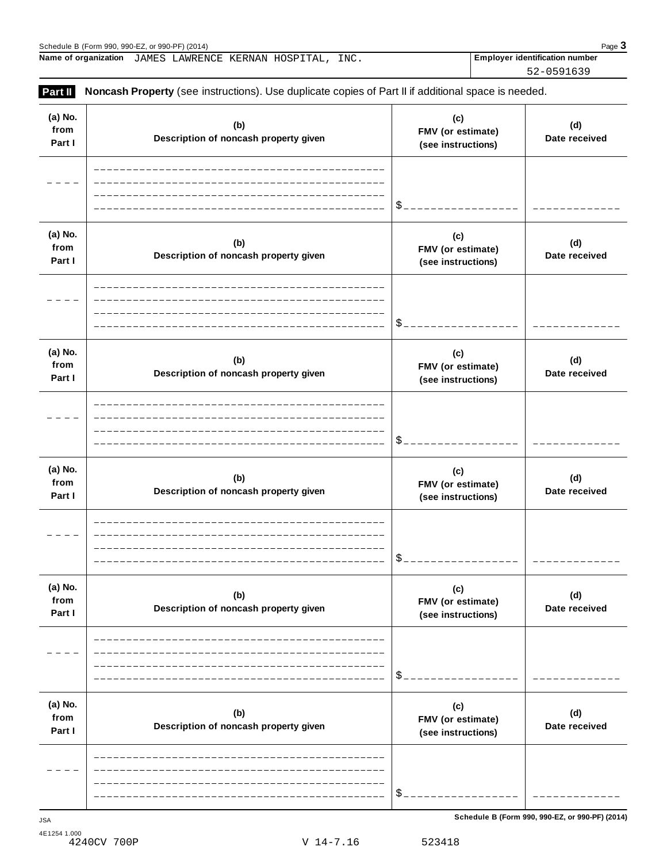**(a) No.**

**Name of organization Employer identification number** JAMES LAWRENCE KERNAN HOSPITAL, INC.

**(b)**

**Part II Noncash Property** (see instructions). Use duplicate copies of Part II if additional space is needed.

**(c)**

**from FMV (or estimate) Description of noncash property given Date received Part I (see instructions)**  $=$   $=$   $=$ \$ -------**(a) No. (c) (d) (b) from FMV (or estimate) Description of noncash property given Date received Part I (see instructions)**  $\frac{1}{2}$ \$ **(a) No. (c) (b) (d) from FMV (or estimate) Description of noncash property given Date received Part I (see instructions)**  $=$   $-$ \$ **(a) No. (c) (b) (d) from FMV (or estimate) Description of noncash property given Date received Part I (see instructions)**  $- - -$ \$ **(a) No. (c) (b) (d) from FMV (or estimate) Description of noncash property given Date received Part I (see instructions)** \$ **(a) No. (c) (b) (d) from FMV (or estimate) Description of noncash property given Date received Part I (see instructions)**

\$

$$
330, 330 - CL, 01, 330 - L
$$

**(d)**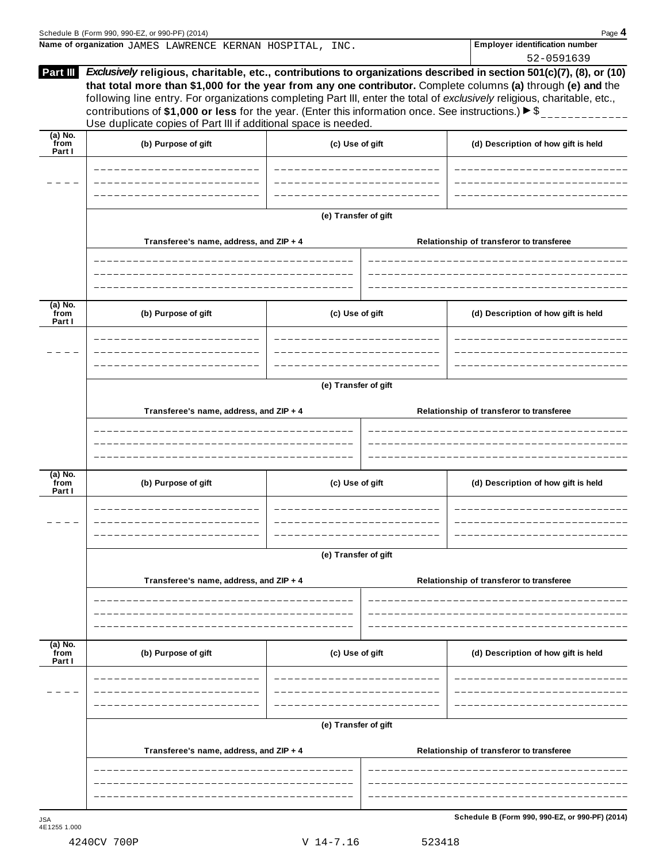|                             | Schedule B (Form 990, 990-EZ, or 990-PF) (2014)                                                                                                                                             |                      | Page 4                                                                                                                                                                                                                                                                                                                                                           |  |  |  |  |  |
|-----------------------------|---------------------------------------------------------------------------------------------------------------------------------------------------------------------------------------------|----------------------|------------------------------------------------------------------------------------------------------------------------------------------------------------------------------------------------------------------------------------------------------------------------------------------------------------------------------------------------------------------|--|--|--|--|--|
|                             | Name of organization JAMES LAWRENCE KERNAN HOSPITAL, INC.                                                                                                                                   |                      | <b>Employer identification number</b><br>52-0591639                                                                                                                                                                                                                                                                                                              |  |  |  |  |  |
| Part III                    | contributions of \$1,000 or less for the year. (Enter this information once. See instructions.) $\blacktriangleright$ \$<br>Use duplicate copies of Part III if additional space is needed. |                      | Exclusively religious, charitable, etc., contributions to organizations described in section 501(c)(7), (8), or (10)<br>that total more than \$1,000 for the year from any one contributor. Complete columns (a) through (e) and the<br>following line entry. For organizations completing Part III, enter the total of exclusively religious, charitable, etc., |  |  |  |  |  |
| $(a)$ No.<br>from<br>Part I | (b) Purpose of gift                                                                                                                                                                         | (c) Use of gift      | (d) Description of how gift is held                                                                                                                                                                                                                                                                                                                              |  |  |  |  |  |
|                             |                                                                                                                                                                                             |                      |                                                                                                                                                                                                                                                                                                                                                                  |  |  |  |  |  |
|                             | Transferee's name, address, and ZIP + 4                                                                                                                                                     | (e) Transfer of gift | Relationship of transferor to transferee                                                                                                                                                                                                                                                                                                                         |  |  |  |  |  |
|                             |                                                                                                                                                                                             |                      |                                                                                                                                                                                                                                                                                                                                                                  |  |  |  |  |  |
| (a) No.<br>from<br>Part I   | (b) Purpose of gift                                                                                                                                                                         | (c) Use of gift      | (d) Description of how gift is held                                                                                                                                                                                                                                                                                                                              |  |  |  |  |  |
|                             |                                                                                                                                                                                             |                      |                                                                                                                                                                                                                                                                                                                                                                  |  |  |  |  |  |
|                             | (e) Transfer of gift                                                                                                                                                                        |                      |                                                                                                                                                                                                                                                                                                                                                                  |  |  |  |  |  |
|                             | Transferee's name, address, and ZIP + 4                                                                                                                                                     |                      | Relationship of transferor to transferee                                                                                                                                                                                                                                                                                                                         |  |  |  |  |  |
| (a) No.<br>from<br>Part I   | (b) Purpose of gift                                                                                                                                                                         | (c) Use of gift      | (d) Description of how gift is held                                                                                                                                                                                                                                                                                                                              |  |  |  |  |  |
|                             | (e) Transfer of gift                                                                                                                                                                        |                      |                                                                                                                                                                                                                                                                                                                                                                  |  |  |  |  |  |
|                             | Transferee's name, address, and ZIP + 4                                                                                                                                                     |                      | Relationship of transferor to transferee                                                                                                                                                                                                                                                                                                                         |  |  |  |  |  |
| (a) No.<br>from             | (b) Purpose of gift                                                                                                                                                                         | (c) Use of gift      | (d) Description of how gift is held                                                                                                                                                                                                                                                                                                                              |  |  |  |  |  |
| Part I                      |                                                                                                                                                                                             |                      |                                                                                                                                                                                                                                                                                                                                                                  |  |  |  |  |  |
|                             | (e) Transfer of gift                                                                                                                                                                        |                      |                                                                                                                                                                                                                                                                                                                                                                  |  |  |  |  |  |
|                             | Transferee's name, address, and ZIP + 4                                                                                                                                                     |                      | Relationship of transferor to transferee                                                                                                                                                                                                                                                                                                                         |  |  |  |  |  |
|                             |                                                                                                                                                                                             |                      |                                                                                                                                                                                                                                                                                                                                                                  |  |  |  |  |  |
|                             |                                                                                                                                                                                             |                      |                                                                                                                                                                                                                                                                                                                                                                  |  |  |  |  |  |

4240CV 700P V 14-7.16 523418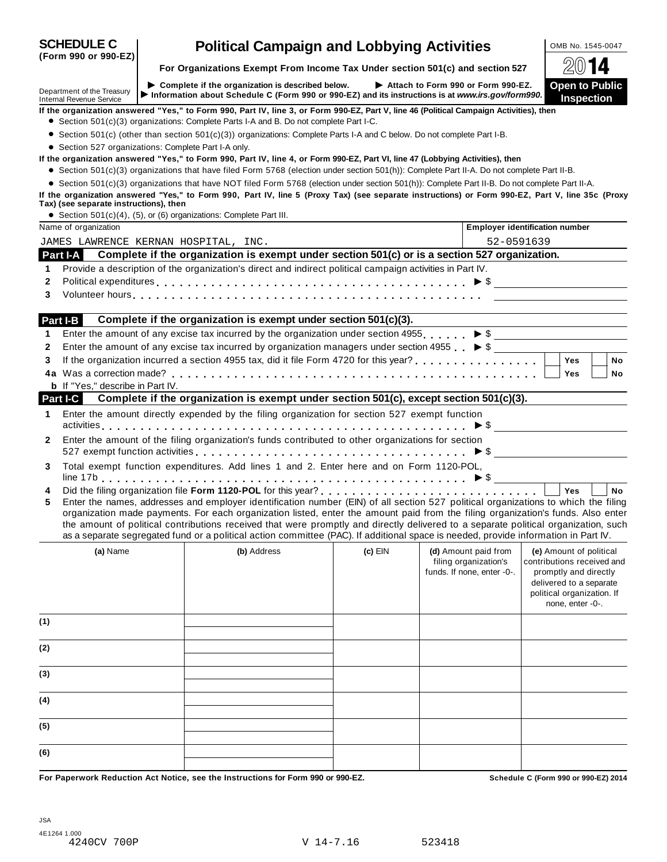| <b>SCHEDULE C</b><br>(Form 990 or 990-EZ)                     | <b>Political Campaign and Lobbying Activities</b>                                                                                                                                                                                                                                                                                                                                                                                                                                                                                                    |           |                                                     |                                                                                                                                  | OMB No. 1545-0047                          |           |
|---------------------------------------------------------------|------------------------------------------------------------------------------------------------------------------------------------------------------------------------------------------------------------------------------------------------------------------------------------------------------------------------------------------------------------------------------------------------------------------------------------------------------------------------------------------------------------------------------------------------------|-----------|-----------------------------------------------------|----------------------------------------------------------------------------------------------------------------------------------|--------------------------------------------|-----------|
|                                                               | For Organizations Exempt From Income Tax Under section 501(c) and section 527                                                                                                                                                                                                                                                                                                                                                                                                                                                                        |           |                                                     |                                                                                                                                  | 4                                          |           |
| Department of the Treasury<br><b>Internal Revenue Service</b> | Complete if the organization is described below.<br>Information about Schedule C (Form 990 or 990-EZ) and its instructions is at www.irs.gov/form990.                                                                                                                                                                                                                                                                                                                                                                                                |           | Attach to Form 990 or Form 990-EZ.                  |                                                                                                                                  | <b>Open to Public</b><br><b>Inspection</b> |           |
|                                                               | If the organization answered "Yes," to Form 990, Part IV, line 3, or Form 990-EZ, Part V, line 46 (Political Campaign Activities), then<br>• Section 501(c)(3) organizations: Complete Parts I-A and B. Do not complete Part I-C.                                                                                                                                                                                                                                                                                                                    |           |                                                     |                                                                                                                                  |                                            |           |
|                                                               | • Section 501(c) (other than section 501(c)(3)) organizations: Complete Parts I-A and C below. Do not complete Part I-B.                                                                                                                                                                                                                                                                                                                                                                                                                             |           |                                                     |                                                                                                                                  |                                            |           |
| • Section 527 organizations: Complete Part I-A only.          | If the organization answered "Yes," to Form 990, Part IV, line 4, or Form 990-EZ, Part VI, line 47 (Lobbying Activities), then                                                                                                                                                                                                                                                                                                                                                                                                                       |           |                                                     |                                                                                                                                  |                                            |           |
|                                                               | • Section 501(c)(3) organizations that have filed Form 5768 (election under section 501(h)): Complete Part II-A. Do not complete Part II-B.                                                                                                                                                                                                                                                                                                                                                                                                          |           |                                                     |                                                                                                                                  |                                            |           |
|                                                               | • Section 501(c)(3) organizations that have NOT filed Form 5768 (election under section 501(h)): Complete Part II-B. Do not complete Part II-A.                                                                                                                                                                                                                                                                                                                                                                                                      |           |                                                     |                                                                                                                                  |                                            |           |
|                                                               | If the organization answered "Yes," to Form 990, Part IV, line 5 (Proxy Tax) (see separate instructions) or Form 990-EZ, Part V, line 35c (Proxy                                                                                                                                                                                                                                                                                                                                                                                                     |           |                                                     |                                                                                                                                  |                                            |           |
| Tax) (see separate instructions), then                        | • Section 501(c)(4), (5), or (6) organizations: Complete Part III.                                                                                                                                                                                                                                                                                                                                                                                                                                                                                   |           |                                                     |                                                                                                                                  |                                            |           |
| Name of organization                                          |                                                                                                                                                                                                                                                                                                                                                                                                                                                                                                                                                      |           |                                                     | <b>Employer identification number</b>                                                                                            |                                            |           |
| JAMES LAWRENCE KERNAN HOSPITAL, INC.                          |                                                                                                                                                                                                                                                                                                                                                                                                                                                                                                                                                      |           | 52-0591639                                          |                                                                                                                                  |                                            |           |
|                                                               | Part I-A Complete if the organization is exempt under section 501(c) or is a section 527 organization.                                                                                                                                                                                                                                                                                                                                                                                                                                               |           |                                                     |                                                                                                                                  |                                            |           |
| 1                                                             | Provide a description of the organization's direct and indirect political campaign activities in Part IV.                                                                                                                                                                                                                                                                                                                                                                                                                                            |           |                                                     |                                                                                                                                  |                                            |           |
| $\mathbf{2}$                                                  | Political expenditures $\ldots \ldots \ldots \ldots \ldots \ldots \ldots \ldots \ldots \ldots \ldots \ldots \ldots \vdots \bullet \$                                                                                                                                                                                                                                                                                                                                                                                                                 |           |                                                     |                                                                                                                                  |                                            |           |
| 3                                                             |                                                                                                                                                                                                                                                                                                                                                                                                                                                                                                                                                      |           |                                                     |                                                                                                                                  |                                            |           |
|                                                               |                                                                                                                                                                                                                                                                                                                                                                                                                                                                                                                                                      |           |                                                     |                                                                                                                                  |                                            |           |
| Part I-B                                                      | Complete if the organization is exempt under section 501(c)(3).                                                                                                                                                                                                                                                                                                                                                                                                                                                                                      |           |                                                     |                                                                                                                                  |                                            |           |
| 1                                                             | Enter the amount of any excise tax incurred by the organization under section 4955. $\triangleright$ \$                                                                                                                                                                                                                                                                                                                                                                                                                                              |           |                                                     |                                                                                                                                  |                                            |           |
| 2                                                             | Enter the amount of any excise tax incurred by organization managers under section 4955 $\blacktriangleright$ \$                                                                                                                                                                                                                                                                                                                                                                                                                                     |           |                                                     |                                                                                                                                  |                                            |           |
| 3                                                             |                                                                                                                                                                                                                                                                                                                                                                                                                                                                                                                                                      |           |                                                     | <b>Yes</b>                                                                                                                       |                                            | <b>No</b> |
| 4a.                                                           |                                                                                                                                                                                                                                                                                                                                                                                                                                                                                                                                                      |           |                                                     | <b>Yes</b>                                                                                                                       |                                            | No        |
| <b>b</b> If "Yes," describe in Part IV.                       |                                                                                                                                                                                                                                                                                                                                                                                                                                                                                                                                                      |           |                                                     |                                                                                                                                  |                                            |           |
| Part I-C                                                      | Complete if the organization is exempt under section 501(c), except section 501(c)(3).                                                                                                                                                                                                                                                                                                                                                                                                                                                               |           |                                                     |                                                                                                                                  |                                            |           |
| 1                                                             | Enter the amount directly expended by the filing organization for section 527 exempt function                                                                                                                                                                                                                                                                                                                                                                                                                                                        |           |                                                     |                                                                                                                                  |                                            |           |
| $\mathbf{2}$                                                  | Enter the amount of the filing organization's funds contributed to other organizations for section<br>527 exempt function activities $\ldots \ldots \ldots \ldots \ldots \ldots \ldots \ldots \ldots \ldots \ldots \ldots \blacktriangleright$ \$ $\blacksquare$                                                                                                                                                                                                                                                                                     |           |                                                     |                                                                                                                                  |                                            |           |
| 3                                                             | Total exempt function expenditures. Add lines 1 and 2. Enter here and on Form 1120-POL,                                                                                                                                                                                                                                                                                                                                                                                                                                                              |           |                                                     |                                                                                                                                  |                                            |           |
| 4<br>5                                                        | Enter the names, addresses and employer identification number (EIN) of all section 527 political organizations to which the filing<br>organization made payments. For each organization listed, enter the amount paid from the filing organization's funds. Also enter<br>the amount of political contributions received that were promptly and directly delivered to a separate political organization, such<br>as a separate segregated fund or a political action committee (PAC). If additional space is needed, provide information in Part IV. |           |                                                     | <b>Yes</b>                                                                                                                       |                                            | <b>No</b> |
| (a) Name                                                      | (b) Address                                                                                                                                                                                                                                                                                                                                                                                                                                                                                                                                          | $(c)$ EIN | (d) Amount paid from                                | (e) Amount of political                                                                                                          |                                            |           |
|                                                               |                                                                                                                                                                                                                                                                                                                                                                                                                                                                                                                                                      |           | filing organization's<br>funds. If none, enter -0-. | contributions received and<br>promptly and directly<br>delivered to a separate<br>political organization. If<br>none, enter -0-. |                                            |           |
| (1)                                                           |                                                                                                                                                                                                                                                                                                                                                                                                                                                                                                                                                      |           |                                                     |                                                                                                                                  |                                            |           |
| (2)                                                           |                                                                                                                                                                                                                                                                                                                                                                                                                                                                                                                                                      |           |                                                     |                                                                                                                                  |                                            |           |
| (3)                                                           |                                                                                                                                                                                                                                                                                                                                                                                                                                                                                                                                                      |           |                                                     |                                                                                                                                  |                                            |           |
| (4)                                                           |                                                                                                                                                                                                                                                                                                                                                                                                                                                                                                                                                      |           |                                                     |                                                                                                                                  |                                            |           |
| (5)                                                           |                                                                                                                                                                                                                                                                                                                                                                                                                                                                                                                                                      |           |                                                     |                                                                                                                                  |                                            |           |
| (6)                                                           |                                                                                                                                                                                                                                                                                                                                                                                                                                                                                                                                                      |           |                                                     |                                                                                                                                  |                                            |           |
|                                                               | For Panerwork Poduction, Act Notice, see the Instructions for Form 000 or 000 FZ                                                                                                                                                                                                                                                                                                                                                                                                                                                                     |           |                                                     | $Rahadula C$ (Ferm 000 or 000 EZ) 2014                                                                                           |                                            |           |

For Paperwork Reduction Act Notice, see the Instructions for Form 990 or 990-EZ. Schedule C (Form 990 or 990-EZ) 2014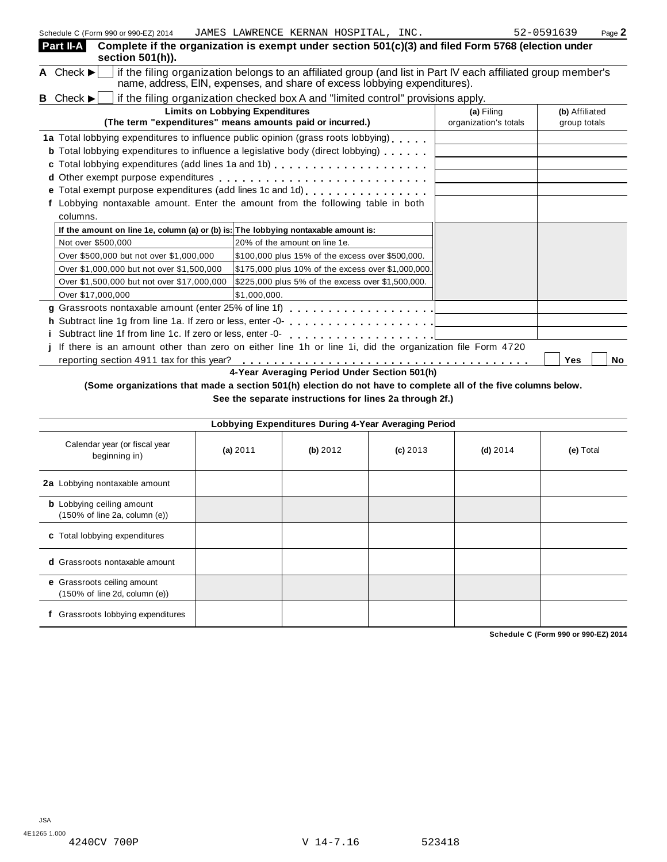| Schedule C (Form 990 or 990-EZ) 2014                                                                    | JAMES LAWRENCE KERNAN HOSPITAL, INC.                                                                                                                                                       |  |                       | 52-0591639     | Page 2 |
|---------------------------------------------------------------------------------------------------------|--------------------------------------------------------------------------------------------------------------------------------------------------------------------------------------------|--|-----------------------|----------------|--------|
| Part II-A<br>section 501(h)).                                                                           | Complete if the organization is exempt under section 501(c)(3) and filed Form 5768 (election under                                                                                         |  |                       |                |        |
| A Check $\blacktriangleright$                                                                           | if the filing organization belongs to an affiliated group (and list in Part IV each affiliated group member's<br>name, address, EIN, expenses, and share of excess lobbying expenditures). |  |                       |                |        |
| <b>B</b> Check $\blacktriangleright$                                                                    | if the filing organization checked box A and "limited control" provisions apply.                                                                                                           |  |                       |                |        |
|                                                                                                         | <b>Limits on Lobbying Expenditures</b>                                                                                                                                                     |  | (a) Filing            | (b) Affiliated |        |
|                                                                                                         | (The term "expenditures" means amounts paid or incurred.)                                                                                                                                  |  | organization's totals | group totals   |        |
| 1a Total lobbying expenditures to influence public opinion (grass roots lobbying)                       |                                                                                                                                                                                            |  |                       |                |        |
| <b>b</b> Total lobbying expenditures to influence a legislative body (direct lobbying)                  |                                                                                                                                                                                            |  |                       |                |        |
|                                                                                                         |                                                                                                                                                                                            |  |                       |                |        |
|                                                                                                         |                                                                                                                                                                                            |  |                       |                |        |
| e Total exempt purpose expenditures (add lines 1c and 1d)                                               |                                                                                                                                                                                            |  |                       |                |        |
| Lobbying nontaxable amount. Enter the amount from the following table in both                           |                                                                                                                                                                                            |  |                       |                |        |
| columns.                                                                                                |                                                                                                                                                                                            |  |                       |                |        |
| If the amount on line 1e, column (a) or (b) is: The lobbying nontaxable amount is:                      |                                                                                                                                                                                            |  |                       |                |        |
| Not over \$500,000                                                                                      | 20% of the amount on line 1e.                                                                                                                                                              |  |                       |                |        |
| Over \$500,000 but not over \$1,000,000                                                                 | \$100,000 plus 15% of the excess over \$500,000.                                                                                                                                           |  |                       |                |        |
| Over \$1,000,000 but not over \$1,500,000                                                               | \$175,000 plus 10% of the excess over \$1,000,000.                                                                                                                                         |  |                       |                |        |
| Over \$1,500,000 but not over \$17,000,000                                                              | \$225,000 plus 5% of the excess over \$1,500,000.                                                                                                                                          |  |                       |                |        |
| Over \$17,000,000                                                                                       | \$1,000,000.                                                                                                                                                                               |  |                       |                |        |
|                                                                                                         |                                                                                                                                                                                            |  |                       |                |        |
|                                                                                                         |                                                                                                                                                                                            |  |                       |                |        |
|                                                                                                         |                                                                                                                                                                                            |  |                       |                |        |
| If there is an amount other than zero on either line 1h or line 1i, did the organization file Form 4720 |                                                                                                                                                                                            |  |                       |                |        |
| reporting section 4911 tax for this year?<br><b>No</b><br>Yes                                           |                                                                                                                                                                                            |  |                       |                |        |

**4-Year Averaging Period Under Section 501(h)**

(Some organizations that made a section 501(h) election do not have to complete all of the five columns below.

**See the separate instructions for lines 2a through 2f.)**

| Lobbying Expenditures During 4-Year Averaging Period              |          |          |            |            |           |  |  |
|-------------------------------------------------------------------|----------|----------|------------|------------|-----------|--|--|
| Calendar year (or fiscal year<br>beginning in)                    | (a) 2011 | (b) 2012 | $(c)$ 2013 | $(d)$ 2014 | (e) Total |  |  |
| 2a Lobbying nontaxable amount                                     |          |          |            |            |           |  |  |
| <b>b</b> Lobbying ceiling amount<br>(150% of line 2a, column (e)) |          |          |            |            |           |  |  |
| c Total lobbying expenditures                                     |          |          |            |            |           |  |  |
| <b>d</b> Grassroots nontaxable amount                             |          |          |            |            |           |  |  |
| e Grassroots ceiling amount<br>(150% of line 2d, column (e))      |          |          |            |            |           |  |  |
| Grassroots lobbying expenditures                                  |          |          |            |            |           |  |  |

**Schedule C (Form 990 or 990-EZ) 2014**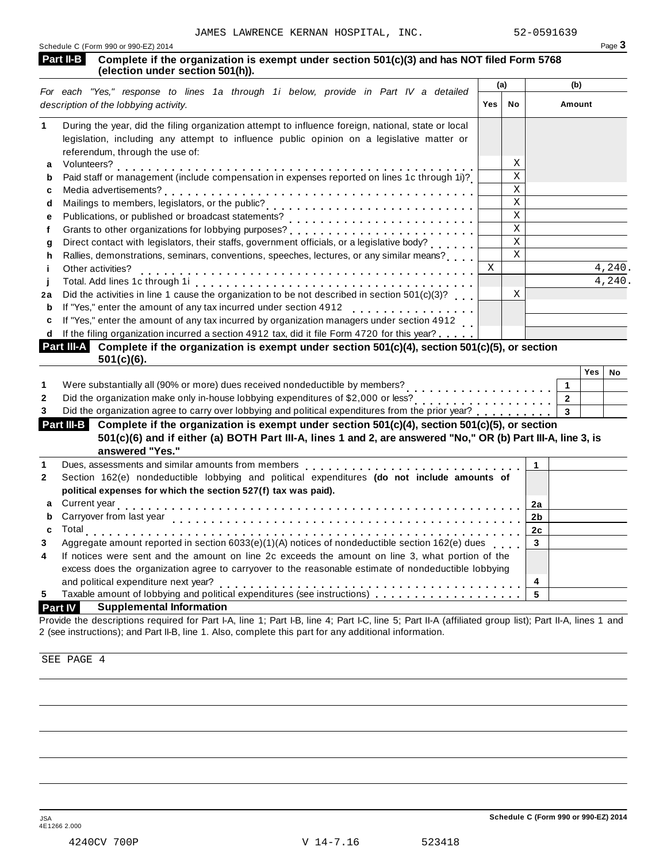| <b>Part II-B</b><br>Complete if the organization is exempt under section 501(c)(3) and has NOT filed Form 5768<br>(election under section 501(h)).                                                                                                                                                                           |   |                         |     |                                  |     |        |
|------------------------------------------------------------------------------------------------------------------------------------------------------------------------------------------------------------------------------------------------------------------------------------------------------------------------------|---|-------------------------|-----|----------------------------------|-----|--------|
| For each "Yes," response to lines 1a through 1i below, provide in Part IV a detailed                                                                                                                                                                                                                                         |   | (a)                     | (b) |                                  |     |        |
| description of the lobbying activity.                                                                                                                                                                                                                                                                                        |   |                         |     | No<br>Amount                     |     |        |
| During the year, did the filing organization attempt to influence foreign, national, state or local                                                                                                                                                                                                                          |   |                         |     |                                  |     |        |
| legislation, including any attempt to influence public opinion on a legislative matter or                                                                                                                                                                                                                                    |   |                         |     |                                  |     |        |
| referendum, through the use of:<br>a                                                                                                                                                                                                                                                                                         |   | Χ                       |     |                                  |     |        |
| Volunteers?<br>Paid staff or management (include compensation in expenses reported on lines 1c through 1i)?<br>b                                                                                                                                                                                                             |   | $\mathbf{X}$            |     |                                  |     |        |
|                                                                                                                                                                                                                                                                                                                              |   | $\mathbf X$             |     |                                  |     |        |
| c<br>d                                                                                                                                                                                                                                                                                                                       |   | $\mathbf X$             |     |                                  |     |        |
| e                                                                                                                                                                                                                                                                                                                            |   | $\mathbf X$             |     |                                  |     |        |
|                                                                                                                                                                                                                                                                                                                              |   | $\mathbf X$             |     |                                  |     |        |
| Direct contact with legislators, their staffs, government officials, or a legislative body?<br>g                                                                                                                                                                                                                             |   | $\mathbf X$             |     |                                  |     |        |
| Rallies, demonstrations, seminars, conventions, speeches, lectures, or any similar means?<br>h                                                                                                                                                                                                                               |   | $\overline{\mathbf{x}}$ |     |                                  |     |        |
| Other activities?                                                                                                                                                                                                                                                                                                            | X |                         |     |                                  |     | 4,240. |
|                                                                                                                                                                                                                                                                                                                              |   |                         |     |                                  |     | 4,240. |
| Did the activities in line 1 cause the organization to be not described in section 501(c)(3)?<br>2a                                                                                                                                                                                                                          |   | X                       |     |                                  |     |        |
| If "Yes," enter the amount of any tax incurred under section 4912<br>If "Yes," enter the amount of any tax incurred under section 4912<br>b                                                                                                                                                                                  |   |                         |     |                                  |     |        |
| If "Yes," enter the amount of any tax incurred by organization managers under section 4912<br>c                                                                                                                                                                                                                              |   |                         |     |                                  |     |        |
| If the filing organization incurred a section 4912 tax, did it file Form 4720 for this year?                                                                                                                                                                                                                                 |   |                         |     |                                  |     |        |
|                                                                                                                                                                                                                                                                                                                              |   |                         |     |                                  |     |        |
|                                                                                                                                                                                                                                                                                                                              |   |                         |     |                                  |     |        |
| $501(c)(6)$ .                                                                                                                                                                                                                                                                                                                |   |                         |     |                                  |     |        |
|                                                                                                                                                                                                                                                                                                                              |   |                         |     |                                  | Yes |        |
| Were substantially all (90% or more) dues received nondeductible by members?<br>.                                                                                                                                                                                                                                            |   |                         |     | 1                                |     |        |
| Did the organization agree to carry over lobbying and political expenditures from the prior year?                                                                                                                                                                                                                            |   |                         |     | $\overline{2}$<br>$\overline{3}$ |     |        |
| Complete if the organization is exempt under section 501(c)(4), section 501(c)(5), or section<br>501(c)(6) and if either (a) BOTH Part III-A, lines 1 and 2, are answered "No," OR (b) Part III-A, line 3, is<br>answered "Yes."                                                                                             |   |                         |     |                                  |     |        |
| Dues, assessments and similar amounts from members                                                                                                                                                                                                                                                                           |   |                         | 1   |                                  |     |        |
| Section 162(e) nondeductible lobbying and political expenditures (do not include amounts of<br>political expenses for which the section 527(f) tax was paid).                                                                                                                                                                |   |                         |     |                                  |     |        |
| Current year                                                                                                                                                                                                                                                                                                                 |   |                         | 2a  |                                  |     |        |
| Carryover from last year                                                                                                                                                                                                                                                                                                     |   |                         | 2b  |                                  |     |        |
|                                                                                                                                                                                                                                                                                                                              |   |                         | 2c  |                                  |     |        |
| Aggregate amount reported in section 6033(e)(1)(A) notices of nondeductible section 162(e) dues                                                                                                                                                                                                                              |   |                         | 3   |                                  |     |        |
| If notices were sent and the amount on line 2c exceeds the amount on line 3, what portion of the                                                                                                                                                                                                                             |   |                         |     |                                  |     |        |
| excess does the organization agree to carryover to the reasonable estimate of nondeductible lobbying                                                                                                                                                                                                                         |   |                         |     |                                  |     |        |
| Part III-A Complete if the organization is exempt under section 501(c)(4), section 501(c)(5), or section<br><b>Part III-B</b><br>a<br>b<br>c<br>and political expenditure next year?<br>and political expenditure next year?<br>Taxable amount of lobbying and political expenditures (see instructions) ................... |   |                         | 4   |                                  |     | No     |

Provide the descriptions required for Part I-A, line 1; Part I-B, line 4; Part I-C, line 5; Part II-A (affiliated group list); Part II-A, lines 1 and 2 (see instructions); and Part II-B, line 1. Also, complete this part for any additional information.

SEE PAGE 4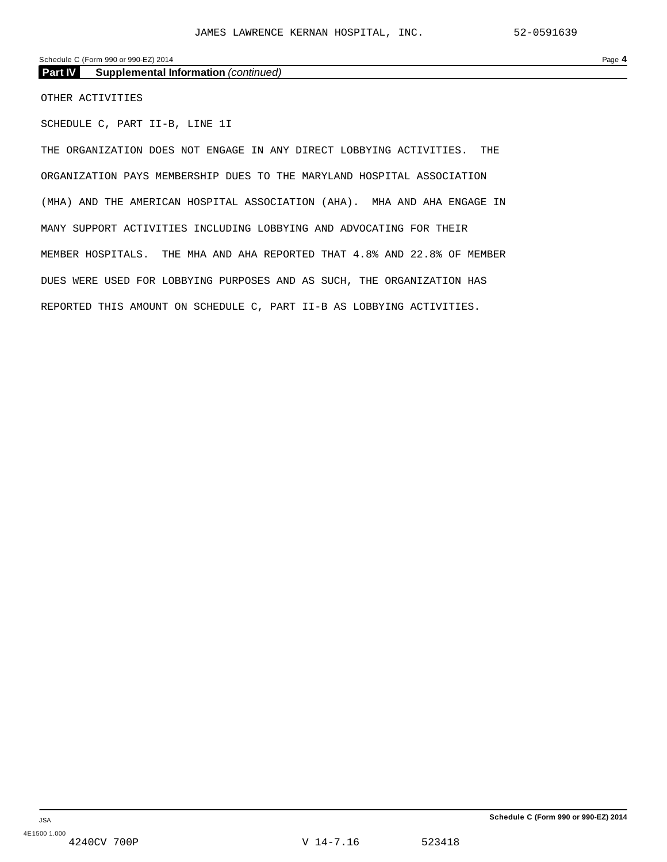#### Schedule C (Form 990 or 990-EZ) 2014 Page **4**

**Part IV Supplemental Information** *(continued)*

OTHER ACTIVITIES

SCHEDULE C, PART II-B, LINE 1I

THE ORGANIZATION DOES NOT ENGAGE IN ANY DIRECT LOBBYING ACTIVITIES. THE ORGANIZATION PAYS MEMBERSHIP DUES TO THE MARYLAND HOSPITAL ASSOCIATION (MHA) AND THE AMERICAN HOSPITAL ASSOCIATION (AHA). MHA AND AHA ENGAGE IN MANY SUPPORT ACTIVITIES INCLUDING LOBBYING AND ADVOCATING FOR THEIR MEMBER HOSPITALS. THE MHA AND AHA REPORTED THAT 4.8% AND 22.8% OF MEMBER DUES WERE USED FOR LOBBYING PURPOSES AND AS SUCH, THE ORGANIZATION HAS REPORTED THIS AMOUNT ON SCHEDULE C, PART II-B AS LOBBYING ACTIVITIES.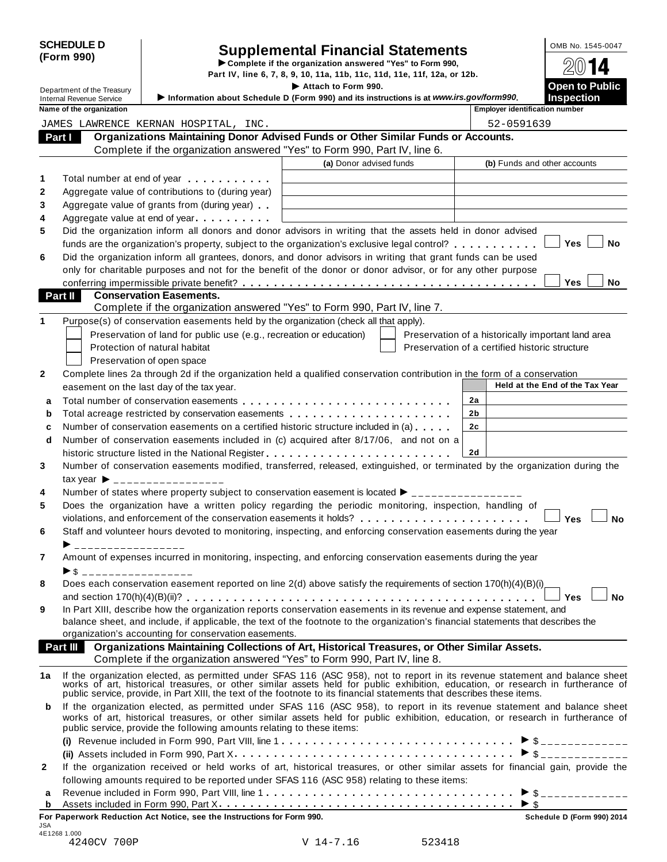| <b>SCHEDULE D</b> |  |
|-------------------|--|
| (Form 990)        |  |

# Supplemental Financial Statements<br>
Complete if the organization answered "Yes" to Form 990,<br>
art IV, line 6, 7, 8, 9, 10, 11a, 11b, 11c, 11d, 11e, 11f, 12a, or 12b.<br>
Attach to Form 990.

Department of the Treasury **I Attach Formal Part IV, line 6, 7, 8, 9, 10, 11a, 11b, 11c, 11d, 11e, 11f, 12a, or 12b.**<br>■ **Attach to Form 990.** 

|              | Department of the Treasury      |                                                                                                                                                                                                                                      | Attach to Form 990.     |                                                    | <b>Open to Public</b>                         |
|--------------|---------------------------------|--------------------------------------------------------------------------------------------------------------------------------------------------------------------------------------------------------------------------------------|-------------------------|----------------------------------------------------|-----------------------------------------------|
|              | <b>Internal Revenue Service</b> | Information about Schedule D (Form 990) and its instructions is at www.irs.gov/form990.                                                                                                                                              |                         |                                                    | <b>Inspection</b>                             |
|              | Name of the organization        |                                                                                                                                                                                                                                      |                         | <b>Employer identification number</b>              |                                               |
|              |                                 | JAMES LAWRENCE KERNAN HOSPITAL, INC.                                                                                                                                                                                                 |                         | 52-0591639                                         |                                               |
| Part I       |                                 | Organizations Maintaining Donor Advised Funds or Other Similar Funds or Accounts.                                                                                                                                                    |                         |                                                    |                                               |
|              |                                 | Complete if the organization answered "Yes" to Form 990, Part IV, line 6.                                                                                                                                                            |                         |                                                    |                                               |
|              |                                 |                                                                                                                                                                                                                                      | (a) Donor advised funds | (b) Funds and other accounts                       |                                               |
| 1            |                                 | Total number at end of year <b>that the state of the state of the state of the state of the state of the state of the state of the state of the state of the state of the state of the state of the state of the state of the st</b> |                         |                                                    |                                               |
| $\mathbf{2}$ |                                 | Aggregate value of contributions to (during year)                                                                                                                                                                                    |                         |                                                    |                                               |
| 3            |                                 | Aggregate value of grants from (during year)                                                                                                                                                                                         |                         |                                                    |                                               |
| 4            |                                 | Aggregate value at end of year experience in the state of the state of the state of the state of the state of the state of the state of the state of the state of the state of the state of the state of the state of the stat       |                         |                                                    |                                               |
| 5            |                                 | Did the organization inform all donors and donor advisors in writing that the assets held in donor advised                                                                                                                           |                         |                                                    |                                               |
|              |                                 | funds are the organization's property, subject to the organization's exclusive legal control?                                                                                                                                        |                         |                                                    | <b>Yes</b><br>No                              |
| 6            |                                 | Did the organization inform all grantees, donors, and donor advisors in writing that grant funds can be used                                                                                                                         |                         |                                                    |                                               |
|              |                                 | only for charitable purposes and not for the benefit of the donor or donor advisor, or for any other purpose                                                                                                                         |                         |                                                    |                                               |
|              |                                 |                                                                                                                                                                                                                                      |                         |                                                    | Yes<br>No                                     |
|              | Part II                         | <b>Conservation Easements.</b>                                                                                                                                                                                                       |                         |                                                    |                                               |
|              |                                 | Complete if the organization answered "Yes" to Form 990, Part IV, line 7.                                                                                                                                                            |                         |                                                    |                                               |
| 1            |                                 | Purpose(s) of conservation easements held by the organization (check all that apply).                                                                                                                                                |                         |                                                    |                                               |
|              |                                 | Preservation of land for public use (e.g., recreation or education)                                                                                                                                                                  |                         | Preservation of a historically important land area |                                               |
|              |                                 | Protection of natural habitat                                                                                                                                                                                                        |                         | Preservation of a certified historic structure     |                                               |
|              |                                 | Preservation of open space                                                                                                                                                                                                           |                         |                                                    |                                               |
| $\mathbf{2}$ |                                 | Complete lines 2a through 2d if the organization held a qualified conservation contribution in the form of a conservation                                                                                                            |                         |                                                    |                                               |
|              |                                 | easement on the last day of the tax year.                                                                                                                                                                                            |                         |                                                    | Held at the End of the Tax Year               |
| a            |                                 |                                                                                                                                                                                                                                      |                         | 2a                                                 |                                               |
| b            |                                 | Total acreage restricted by conservation easements                                                                                                                                                                                   |                         | 2 <sub>b</sub>                                     |                                               |
| c            |                                 | Number of conservation easements on a certified historic structure included in (a)                                                                                                                                                   |                         | 2c                                                 |                                               |
| d            |                                 | Number of conservation easements included in (c) acquired after 8/17/06, and not on a                                                                                                                                                |                         |                                                    |                                               |
|              |                                 |                                                                                                                                                                                                                                      |                         | 2d                                                 |                                               |
| 3            |                                 | Number of conservation easements modified, transferred, released, extinguished, or terminated by the organization during the                                                                                                         |                         |                                                    |                                               |
|              |                                 | $\text{tax year}$ $\rightarrow$ _________________                                                                                                                                                                                    |                         |                                                    |                                               |
| 4            |                                 | Number of states where property subject to conservation easement is located $\blacktriangleright$ ________________                                                                                                                   |                         |                                                    |                                               |
| 5            |                                 | Does the organization have a written policy regarding the periodic monitoring, inspection, handling of                                                                                                                               |                         |                                                    |                                               |
|              |                                 |                                                                                                                                                                                                                                      |                         |                                                    | Yes<br><b>No</b>                              |
| 6            |                                 | Staff and volunteer hours devoted to monitoring, inspecting, and enforcing conservation easements during the year                                                                                                                    |                         |                                                    |                                               |
|              |                                 |                                                                                                                                                                                                                                      |                         |                                                    |                                               |
| 7            |                                 | Amount of expenses incurred in monitoring, inspecting, and enforcing conservation easements during the year                                                                                                                          |                         |                                                    |                                               |
|              | $\blacktriangleright$ \$        |                                                                                                                                                                                                                                      |                         |                                                    |                                               |
| 8            |                                 | Does each conservation easement reported on line $2(d)$ above satisfy the requirements of section $170(h)(4)(B)(i)$ .                                                                                                                |                         |                                                    |                                               |
|              |                                 |                                                                                                                                                                                                                                      |                         |                                                    | <b>No</b><br>Yes l                            |
| 9            |                                 | In Part XIII, describe how the organization reports conservation easements in its revenue and expense statement, and                                                                                                                 |                         |                                                    |                                               |
|              |                                 | balance sheet, and include, if applicable, the text of the footnote to the organization's financial statements that describes the                                                                                                    |                         |                                                    |                                               |
|              |                                 | organization's accounting for conservation easements.                                                                                                                                                                                |                         |                                                    |                                               |
|              | <b>Part III</b>                 | Organizations Maintaining Collections of Art, Historical Treasures, or Other Similar Assets.                                                                                                                                         |                         |                                                    |                                               |
|              |                                 | Complete if the organization answered "Yes" to Form 990, Part IV, line 8.                                                                                                                                                            |                         |                                                    |                                               |
| 1a           |                                 | If the organization elected, as permitted under SFAS 116 (ASC 958), not to report in its revenue statement and balance sheet works of art, historical treasures, or other similar assets held for public exhibition, education       |                         |                                                    |                                               |
|              |                                 | public service, provide, in Part XIII, the text of the footnote to its financial statements that describes these items.                                                                                                              |                         |                                                    |                                               |
| b            |                                 | If the organization elected, as permitted under SFAS 116 (ASC 958), to report in its revenue statement and balance sheet                                                                                                             |                         |                                                    |                                               |
|              |                                 | works of art, historical treasures, or other similar assets held for public exhibition, education, or research in furtherance of<br>public service, provide the following amounts relating to these items:                           |                         |                                                    |                                               |
|              |                                 |                                                                                                                                                                                                                                      |                         |                                                    | $\triangleright$ \$ _ _ _ _ _ _ _ _ _ _ _ _ _ |
|              |                                 |                                                                                                                                                                                                                                      |                         |                                                    | $\triangleright$ \$ _ _ _ _ _ _ _ _ _ _ _ _ _ |
| 2            |                                 | If the organization received or held works of art, historical treasures, or other similar assets for financial gain, provide the                                                                                                     |                         |                                                    |                                               |
|              |                                 | following amounts required to be reported under SFAS 116 (ASC 958) relating to these items:                                                                                                                                          |                         |                                                    |                                               |
| а            |                                 |                                                                                                                                                                                                                                      |                         |                                                    |                                               |
| $\mathbf b$  |                                 |                                                                                                                                                                                                                                      |                         |                                                    |                                               |

| For Paperwork Reduction Act Notice, see the Instructions for Form 990. | Schedule D (Form 990) 2014 |        |  |
|------------------------------------------------------------------------|----------------------------|--------|--|
| JSA                                                                    |                            |        |  |
| 4E1268 1.000                                                           |                            |        |  |
| 4240CV 700P                                                            | V 14-7.16                  | 523418 |  |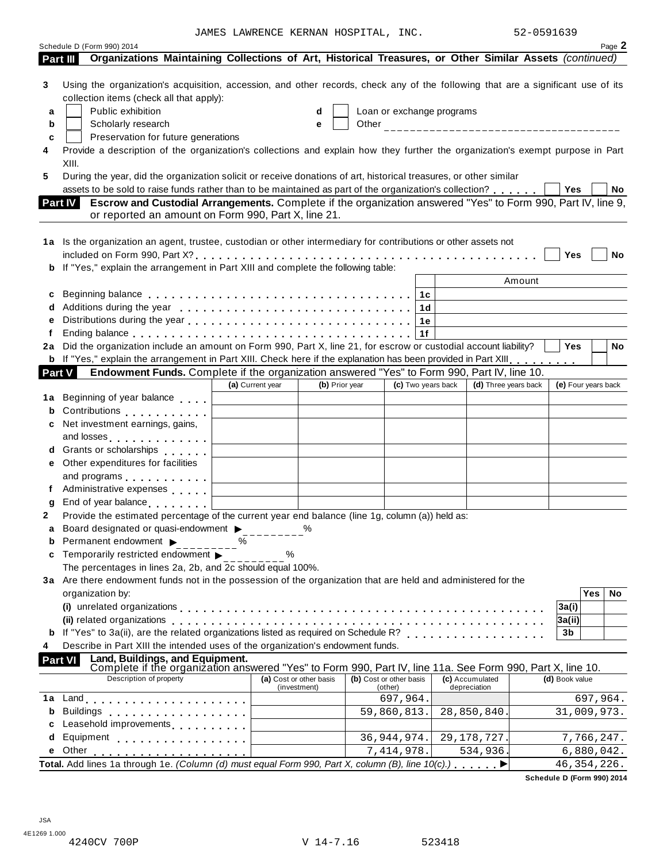JAMES LAWRENCE KERNAN HOSPITAL, INC. 52-0591639

|                  | Schedule D (Form 990) 2014<br>Organizations Maintaining Collections of Art, Historical Treasures, or Other Similar Assets (continued)<br>Part III                                                                                                              |                  |                                         |                                    |                    |                           |                                 |                     |            | Page 2 |
|------------------|----------------------------------------------------------------------------------------------------------------------------------------------------------------------------------------------------------------------------------------------------------------|------------------|-----------------------------------------|------------------------------------|--------------------|---------------------------|---------------------------------|---------------------|------------|--------|
| 3<br>a<br>b<br>c | Using the organization's acquisition, accession, and other records, check any of the following that are a significant use of its<br>collection items (check all that apply):<br>Public exhibition<br>Scholarly research<br>Preservation for future generations |                  | d<br>e                                  |                                    |                    | Loan or exchange programs |                                 |                     |            |        |
|                  | Provide a description of the organization's collections and explain how they further the organization's exempt purpose in Part<br>XIII.                                                                                                                        |                  |                                         |                                    |                    |                           |                                 |                     |            |        |
| 5                | During the year, did the organization solicit or receive donations of art, historical treasures, or other similar                                                                                                                                              |                  |                                         |                                    |                    |                           |                                 |                     |            |        |
|                  | assets to be sold to raise funds rather than to be maintained as part of the organization's collection?<br>Escrow and Custodial Arrangements. Complete if the organization answered "Yes" to Form 990, Part IV, line 9,<br>Part IV                             |                  |                                         |                                    |                    |                           |                                 | Yes                 |            | No     |
|                  | or reported an amount on Form 990, Part X, line 21.                                                                                                                                                                                                            |                  |                                         |                                    |                    |                           |                                 |                     |            |        |
|                  |                                                                                                                                                                                                                                                                |                  |                                         |                                    |                    |                           |                                 |                     |            |        |
|                  | 1a Is the organization an agent, trustee, custodian or other intermediary for contributions or other assets not                                                                                                                                                |                  |                                         |                                    |                    |                           |                                 | Yes                 |            | No     |
|                  | b If "Yes," explain the arrangement in Part XIII and complete the following table:                                                                                                                                                                             |                  |                                         |                                    |                    |                           |                                 |                     |            |        |
|                  |                                                                                                                                                                                                                                                                |                  |                                         |                                    |                    |                           | Amount                          |                     |            |        |
| с                |                                                                                                                                                                                                                                                                |                  |                                         |                                    | 1c                 |                           |                                 |                     |            |        |
|                  |                                                                                                                                                                                                                                                                |                  |                                         |                                    | 1d                 |                           |                                 |                     |            |        |
|                  |                                                                                                                                                                                                                                                                |                  |                                         |                                    | 1e                 |                           |                                 |                     |            |        |
|                  |                                                                                                                                                                                                                                                                |                  |                                         |                                    | 1f                 |                           |                                 | <b>Yes</b>          |            |        |
| 2a               | Did the organization include an amount on Form 990, Part X, line 21, for escrow or custodial account liability?<br>b If "Yes," explain the arrangement in Part XIII. Check here if the explanation has been provided in Part XIII.                             |                  |                                         |                                    |                    |                           |                                 |                     |            | No     |
| <b>Part V</b>    | Endowment Funds. Complete if the organization answered "Yes" to Form 990, Part IV, line 10.                                                                                                                                                                    |                  |                                         |                                    |                    |                           |                                 |                     |            |        |
|                  |                                                                                                                                                                                                                                                                | (a) Current year | (b) Prior year                          |                                    | (c) Two years back |                           | (d) Three years back            | (e) Four years back |            |        |
| 1a               | Beginning of year balance                                                                                                                                                                                                                                      |                  |                                         |                                    |                    |                           |                                 |                     |            |        |
| b                | Contributions <b>Contributions</b>                                                                                                                                                                                                                             |                  |                                         |                                    |                    |                           |                                 |                     |            |        |
| c                | Net investment earnings, gains,                                                                                                                                                                                                                                |                  |                                         |                                    |                    |                           |                                 |                     |            |        |
|                  | and losses                                                                                                                                                                                                                                                     |                  |                                         |                                    |                    |                           |                                 |                     |            |        |
|                  | d Grants or scholarships                                                                                                                                                                                                                                       |                  |                                         |                                    |                    |                           |                                 |                     |            |        |
| е                | Other expenditures for facilities                                                                                                                                                                                                                              |                  |                                         |                                    |                    |                           |                                 |                     |            |        |
|                  | and programs entering and programs                                                                                                                                                                                                                             |                  |                                         |                                    |                    |                           |                                 |                     |            |        |
| f                | Administrative expenses                                                                                                                                                                                                                                        |                  |                                         |                                    |                    |                           |                                 |                     |            |        |
|                  | End of year balance expansion of year of the state of the state of the state of the state of the state of the state of the state of the state of the state of the state of the state of the state of the state of the state of                                 |                  |                                         |                                    |                    |                           |                                 |                     |            |        |
| $\mathbf{2}$     | Provide the estimated percentage of the current year end balance (line 1g, column (a)) held as:<br>Board designated or quasi-endowment >                                                                                                                       |                  |                                         |                                    |                    |                           |                                 |                     |            |        |
| b                | Permanent endowment ▶                                                                                                                                                                                                                                          | ℅                |                                         |                                    |                    |                           |                                 |                     |            |        |
| c                | Temporarily restricted endowment                                                                                                                                                                                                                               | %                |                                         |                                    |                    |                           |                                 |                     |            |        |
|                  | The percentages in lines 2a, 2b, and 2c should equal 100%.                                                                                                                                                                                                     |                  |                                         |                                    |                    |                           |                                 |                     |            |        |
|                  | 3a Are there endowment funds not in the possession of the organization that are held and administered for the                                                                                                                                                  |                  |                                         |                                    |                    |                           |                                 |                     |            |        |
|                  | organization by:                                                                                                                                                                                                                                               |                  |                                         |                                    |                    |                           |                                 |                     | <b>Yes</b> | No     |
|                  | (i) unrelated organizations enterpresent resources in the contract of the contract of the contract of the control of the contract of the contract of the contract of the contract of the contract of the contract of the contr                                 |                  |                                         |                                    |                    |                           |                                 | 3a(i)               |            |        |
|                  |                                                                                                                                                                                                                                                                |                  |                                         |                                    |                    |                           |                                 | 3a(ii)              |            |        |
|                  | <b>b</b> If "Yes" to 3a(ii), are the related organizations listed as required on Schedule R?                                                                                                                                                                   |                  |                                         |                                    |                    |                           |                                 | 3b                  |            |        |
|                  | Describe in Part XIII the intended uses of the organization's endowment funds.<br>Part VI                                                                                                                                                                      |                  |                                         |                                    |                    |                           |                                 |                     |            |        |
|                  | Land, Buildings, and Equipment.<br>Complete if the organization answered "Yes" to Form 990, Part IV, line 11a. See Form 990, Part X, line 10.                                                                                                                  |                  |                                         |                                    |                    |                           |                                 |                     |            |        |
|                  | Description of property                                                                                                                                                                                                                                        |                  | (a) Cost or other basis<br>(investment) | (b) Cost or other basis<br>(other) |                    |                           | (c) Accumulated<br>depreciation | (d) Book value      |            |        |
| 1a               | Land experience in the series of the series of the series of the series of the series of the series of the series of the series of the series of the series of the series of the series of the series of the series of the ser                                 |                  |                                         |                                    | 697,964.           |                           |                                 |                     | 697,964.   |        |
| b                | <b>Buildings</b><br>.                                                                                                                                                                                                                                          |                  |                                         |                                    | 59,860,813.        |                           | 28,850,840.                     | 31,009,973.         |            |        |
|                  | Leasehold improvements entitled and the set of                                                                                                                                                                                                                 |                  |                                         |                                    |                    |                           |                                 |                     |            |        |
| d                | Equipment experience and a series and a series of the series of the series of the series of the series of the                                                                                                                                                  |                  |                                         |                                    | 36,944,974.        |                           | 29, 178, 727.                   |                     | 7,766,247. |        |
| е                | Other                                                                                                                                                                                                                                                          |                  |                                         |                                    | 7,414,978.         |                           | 534,936.                        |                     | 6,880,042. |        |
|                  | Total. Add lines 1a through 1e. (Column (d) must equal Form 990, Part X, column (B), line $10(c)$ .)                                                                                                                                                           |                  |                                         |                                    |                    |                           |                                 | 46, 354, 226.       |            |        |

**Schedule D (Form 990) 2014**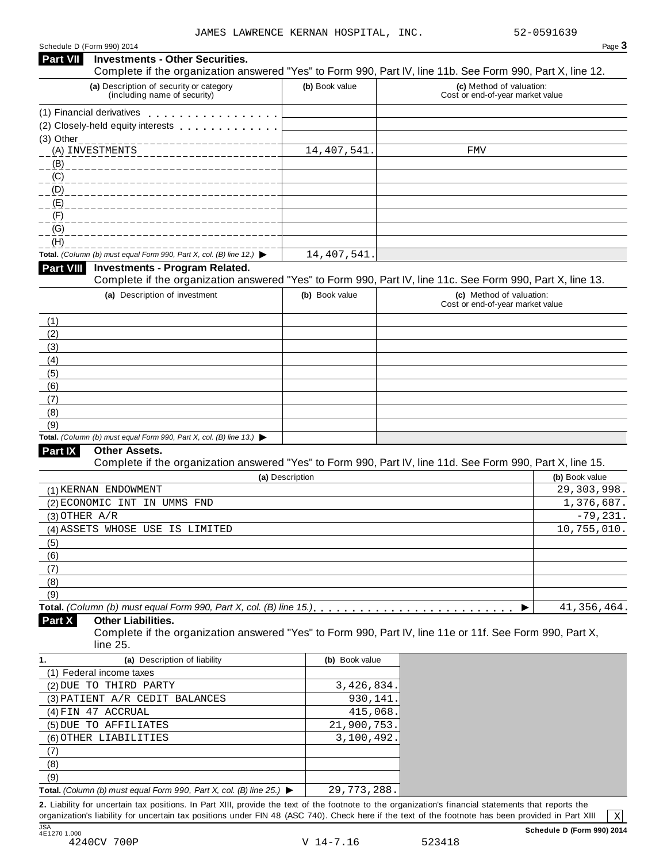| Schedule D (Form 990) 2014 |  |  |
|----------------------------|--|--|
|                            |  |  |

|                   | Schedule D (Form 990) 2014                                                                                                                                                                                                    |                 | Page 3                                                                                                                                               |
|-------------------|-------------------------------------------------------------------------------------------------------------------------------------------------------------------------------------------------------------------------------|-----------------|------------------------------------------------------------------------------------------------------------------------------------------------------|
| <b>Part VII</b>   | <b>Investments - Other Securities.</b>                                                                                                                                                                                        |                 | Complete if the organization answered "Yes" to Form 990, Part IV, line 11b. See Form 990, Part X, line 12.                                           |
|                   | (a) Description of security or category<br>(including name of security)                                                                                                                                                       | (b) Book value  | (c) Method of valuation:<br>Cost or end-of-year market value                                                                                         |
|                   | (1) Financial derivatives experience of the state of the state of the state of the state of the state of the state of the state of the state of the state of the state of the state of the state of the state of the state of |                 |                                                                                                                                                      |
|                   | (2) Closely-held equity interests                                                                                                                                                                                             |                 |                                                                                                                                                      |
| (3) Other         |                                                                                                                                                                                                                               |                 |                                                                                                                                                      |
|                   | (A) INVESTMENTS                                                                                                                                                                                                               | 14, 407, 541.   | FMV                                                                                                                                                  |
| (B)               |                                                                                                                                                                                                                               |                 |                                                                                                                                                      |
| (C)               |                                                                                                                                                                                                                               |                 |                                                                                                                                                      |
| (D)               |                                                                                                                                                                                                                               |                 |                                                                                                                                                      |
| (E)               |                                                                                                                                                                                                                               |                 |                                                                                                                                                      |
| (F)               |                                                                                                                                                                                                                               |                 |                                                                                                                                                      |
| (G)               |                                                                                                                                                                                                                               |                 |                                                                                                                                                      |
| (H)               |                                                                                                                                                                                                                               |                 |                                                                                                                                                      |
|                   | Total. (Column (b) must equal Form 990, Part X, col. (B) line 12.) $\blacktriangleright$                                                                                                                                      | 14,407,541      |                                                                                                                                                      |
| Part VIII         | <b>Investments - Program Related.</b>                                                                                                                                                                                         |                 | Complete if the organization answered "Yes" to Form 990, Part IV, line 11c. See Form 990, Part X, line 13.                                           |
|                   | (a) Description of investment                                                                                                                                                                                                 | (b) Book value  | (c) Method of valuation:                                                                                                                             |
|                   |                                                                                                                                                                                                                               |                 | Cost or end-of-year market value                                                                                                                     |
| (1)               |                                                                                                                                                                                                                               |                 |                                                                                                                                                      |
| (2)               |                                                                                                                                                                                                                               |                 |                                                                                                                                                      |
| (3)               |                                                                                                                                                                                                                               |                 |                                                                                                                                                      |
| (4)               |                                                                                                                                                                                                                               |                 |                                                                                                                                                      |
| (5)               |                                                                                                                                                                                                                               |                 |                                                                                                                                                      |
| (6)               |                                                                                                                                                                                                                               |                 |                                                                                                                                                      |
| (7)               |                                                                                                                                                                                                                               |                 |                                                                                                                                                      |
| (8)               |                                                                                                                                                                                                                               |                 |                                                                                                                                                      |
| (9)               |                                                                                                                                                                                                                               |                 |                                                                                                                                                      |
|                   | Total. (Column (b) must equal Form 990, Part X, col. (B) line 13.) $\blacktriangleright$                                                                                                                                      |                 |                                                                                                                                                      |
| Part IX           | <b>Other Assets.</b>                                                                                                                                                                                                          |                 | Complete if the organization answered "Yes" to Form 990, Part IV, line 11d. See Form 990, Part X, line 15.                                           |
|                   |                                                                                                                                                                                                                               | (a) Description | (b) Book value                                                                                                                                       |
|                   | (1) KERNAN ENDOWMENT                                                                                                                                                                                                          |                 | 29, 303, 998.                                                                                                                                        |
|                   | (2) ECONOMIC INT IN UMMS FND                                                                                                                                                                                                  |                 | 1,376,687.                                                                                                                                           |
| $(3)$ OTHER $A/R$ |                                                                                                                                                                                                                               |                 | $-79, 231.$                                                                                                                                          |
|                   | (4) ASSETS WHOSE USE IS LIMITED                                                                                                                                                                                               |                 | 10,755,010.                                                                                                                                          |
| (5)               |                                                                                                                                                                                                                               |                 |                                                                                                                                                      |
| (6)               |                                                                                                                                                                                                                               |                 |                                                                                                                                                      |
| (7)               |                                                                                                                                                                                                                               |                 |                                                                                                                                                      |
| (8)               |                                                                                                                                                                                                                               |                 |                                                                                                                                                      |
| (9)               |                                                                                                                                                                                                                               |                 |                                                                                                                                                      |
|                   |                                                                                                                                                                                                                               |                 | 41, 356, 464.<br>▶                                                                                                                                   |
| Part X            | <b>Other Liabilities.</b>                                                                                                                                                                                                     |                 |                                                                                                                                                      |
|                   |                                                                                                                                                                                                                               |                 | Complete if the organization answered "Yes" to Form 990, Part IV, line 11e or 11f. See Form 990, Part X,                                             |
|                   | line 25.                                                                                                                                                                                                                      |                 |                                                                                                                                                      |
| 1.                | (a) Description of liability                                                                                                                                                                                                  | (b) Book value  |                                                                                                                                                      |
|                   | (1) Federal income taxes                                                                                                                                                                                                      |                 |                                                                                                                                                      |
|                   | (2) DUE TO THIRD PARTY                                                                                                                                                                                                        | 3,426,834.      |                                                                                                                                                      |
|                   | (3) PATIENT A/R CEDIT BALANCES                                                                                                                                                                                                | 930,141         |                                                                                                                                                      |
|                   | (4) FIN 47 ACCRUAL                                                                                                                                                                                                            | 415,068.        |                                                                                                                                                      |
|                   | (5) DUE TO AFFILIATES                                                                                                                                                                                                         | 21,900,753.     |                                                                                                                                                      |
|                   | (6) OTHER LIABILITIES                                                                                                                                                                                                         | 3,100,492.      |                                                                                                                                                      |
| (7)               |                                                                                                                                                                                                                               |                 |                                                                                                                                                      |
| (8)               |                                                                                                                                                                                                                               |                 |                                                                                                                                                      |
| (9)               |                                                                                                                                                                                                                               |                 |                                                                                                                                                      |
|                   | Total. (Column (b) must equal Form 990, Part X, col. (B) line 25.) $\blacktriangleright$                                                                                                                                      | 29, 773, 288.   | 2. Liability for uncertain tax positions. In Part XIII, provide the text of the footnote to the organization's financial statements that reports the |

organization's liability for uncertain tax positions under FIN 48 (ASC 740). Check here ifthe text of the footnote has been provided in Part XIII JSA<br>4E1270 1.000

 $\sqrt{X}$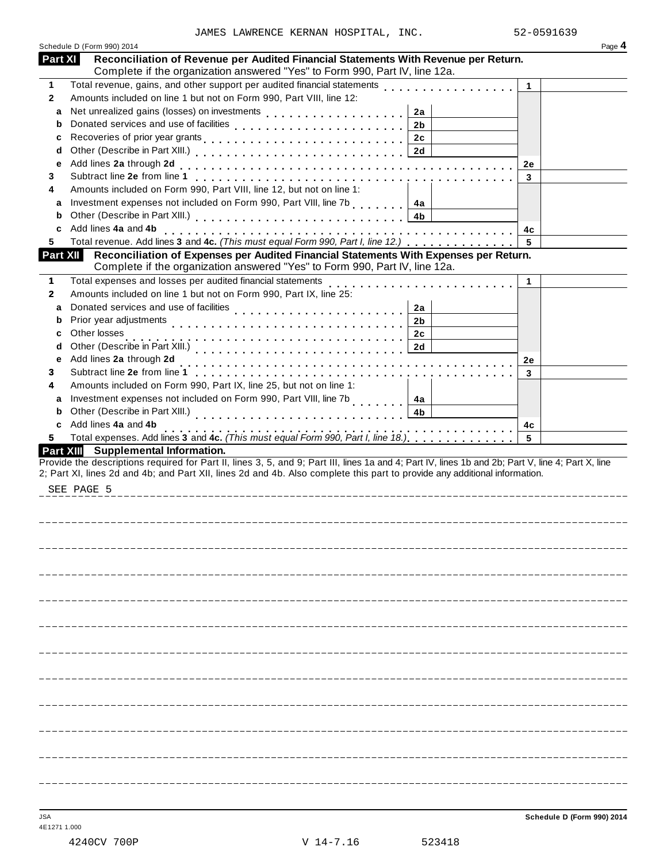|              | Schedule D (Form 990) 2014                                                                                                                                           |              | Page 4 |
|--------------|----------------------------------------------------------------------------------------------------------------------------------------------------------------------|--------------|--------|
| Part XI      | Reconciliation of Revenue per Audited Financial Statements With Revenue per Return.<br>Complete if the organization answered "Yes" to Form 990, Part IV, line 12a.   |              |        |
| 1            | Total revenue, gains, and other support per audited financial statements                                                                                             | $\mathbf{1}$ |        |
| $\mathbf{2}$ | Amounts included on line 1 but not on Form 990, Part VIII, line 12:                                                                                                  |              |        |
| a            | 2a                                                                                                                                                                   |              |        |
| b            | 2 <sub>b</sub>                                                                                                                                                       |              |        |
| c            | 2c                                                                                                                                                                   |              |        |
| d            |                                                                                                                                                                      |              |        |
| е            |                                                                                                                                                                      | 2e           |        |
| 3            |                                                                                                                                                                      | 3            |        |
| 4            | Amounts included on Form 990, Part VIII, line 12, but not on line 1:                                                                                                 |              |        |
| a            | Investment expenses not included on Form 990, Part VIII, line 7b<br>4a                                                                                               |              |        |
| b            | 4b                                                                                                                                                                   |              |        |
| c            | Add lines 4a and 4b                                                                                                                                                  | 4с           |        |
| 5            | Total revenue. Add lines 3 and 4c. (This must equal Form 990, Part I, line 12.)                                                                                      | 5            |        |
| Part XII     | Reconciliation of Expenses per Audited Financial Statements With Expenses per Return.<br>Complete if the organization answered "Yes" to Form 990, Part IV, line 12a. |              |        |
| 1            | Total expenses and losses per audited financial statements                                                                                                           | 1            |        |
| $\mathbf{2}$ | Amounts included on line 1 but not on Form 990, Part IX, line 25:                                                                                                    |              |        |
| a            | Donated services and use of facilities<br>2a                                                                                                                         |              |        |
| b            | Prior year adjustments<br>2 <sub>b</sub>                                                                                                                             |              |        |
| с            | Other losses<br>2c                                                                                                                                                   |              |        |
| d            | 2d                                                                                                                                                                   |              |        |
| е            | Add lines 2a through 2d                                                                                                                                              | 2e           |        |
| 3            |                                                                                                                                                                      | 3            |        |
| 4            | Amounts included on Form 990, Part IX, line 25, but not on line 1:                                                                                                   |              |        |
| a            | Investment expenses not included on Form 990, Part VIII, line 7b<br>4a                                                                                               |              |        |
| b            | Other (Describe in Part XIII.)<br>4b                                                                                                                                 |              |        |
| c            | Add lines 4a and 4b                                                                                                                                                  |              |        |
| 5            | Total expenses. Add lines 3 and 4c. (This must equal Form 990, Part I, line 18.)                                                                                     | 4с<br>5      |        |
|              | Part XIII Supplemental Information.                                                                                                                                  |              |        |
|              | Provide the descriptions required for Part II, lines 3, 5, and 9; Part III, lines 1a and 4; Part IV, lines 1b and 2b; Part V, line 4; Part X, line                   |              |        |
|              | 2; Part XI, lines 2d and 4b; and Part XII, lines 2d and 4b. Also complete this part to provide any additional information.                                           |              |        |
|              | SEE PAGE 5                                                                                                                                                           |              |        |
|              |                                                                                                                                                                      |              |        |
|              |                                                                                                                                                                      |              |        |
|              |                                                                                                                                                                      |              |        |
|              |                                                                                                                                                                      |              |        |
|              |                                                                                                                                                                      |              |        |
|              |                                                                                                                                                                      |              |        |
|              |                                                                                                                                                                      |              |        |
|              |                                                                                                                                                                      |              |        |
|              |                                                                                                                                                                      |              |        |
|              |                                                                                                                                                                      |              |        |
|              |                                                                                                                                                                      |              |        |
|              |                                                                                                                                                                      |              |        |
|              |                                                                                                                                                                      |              |        |
|              |                                                                                                                                                                      |              |        |
|              |                                                                                                                                                                      |              |        |
|              |                                                                                                                                                                      |              |        |
|              |                                                                                                                                                                      |              |        |
|              |                                                                                                                                                                      |              |        |
|              |                                                                                                                                                                      |              |        |
|              |                                                                                                                                                                      |              |        |
|              |                                                                                                                                                                      |              |        |
|              |                                                                                                                                                                      |              |        |
|              |                                                                                                                                                                      |              |        |
|              |                                                                                                                                                                      |              |        |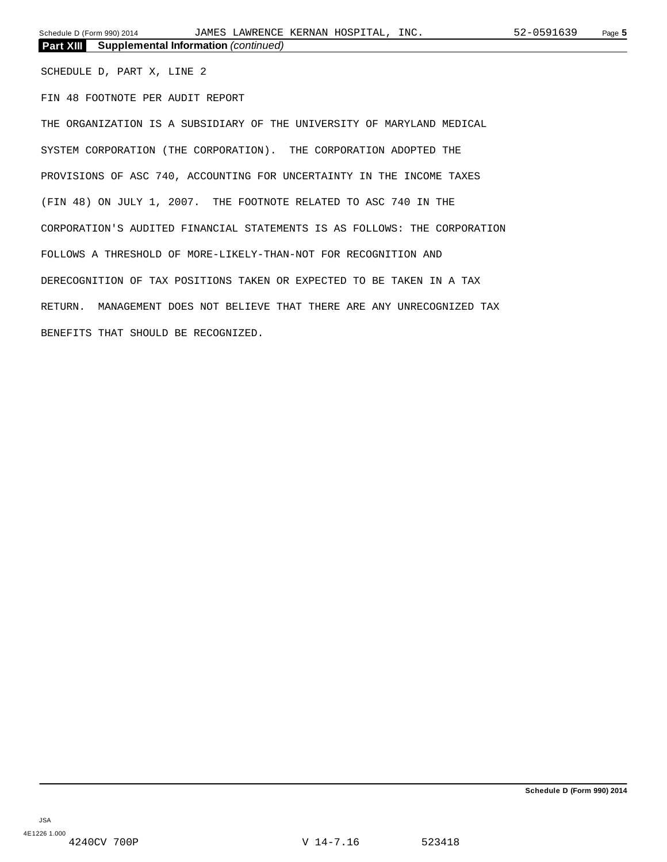SCHEDULE D, PART X, LINE 2

FIN 48 FOOTNOTE PER AUDIT REPORT

THE ORGANIZATION IS A SUBSIDIARY OF THE UNIVERSITY OF MARYLAND MEDICAL SYSTEM CORPORATION (THE CORPORATION). THE CORPORATION ADOPTED THE PROVISIONS OF ASC 740, ACCOUNTING FOR UNCERTAINTY IN THE INCOME TAXES (FIN 48) ON JULY 1, 2007. THE FOOTNOTE RELATED TO ASC 740 IN THE CORPORATION'S AUDITED FINANCIAL STATEMENTS IS AS FOLLOWS: THE CORPORATION FOLLOWS A THRESHOLD OF MORE-LIKELY-THAN-NOT FOR RECOGNITION AND DERECOGNITION OF TAX POSITIONS TAKEN OR EXPECTED TO BE TAKEN IN A TAX RETURN. MANAGEMENT DOES NOT BELIEVE THAT THERE ARE ANY UNRECOGNIZED TAX BENEFITS THAT SHOULD BE RECOGNIZED.

**Schedule D (Form 990) 2014**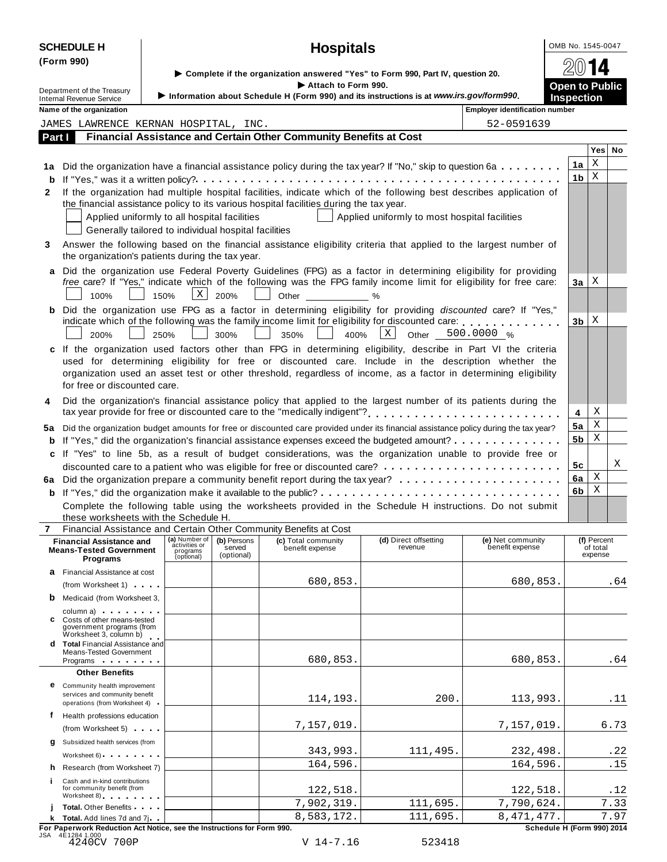| <b>CHEDULE H</b> |  |  |
|------------------|--|--|
|                  |  |  |

| <b>SCHEDULE H</b>          | <b>Hospitals</b>                                                                        | OMB No. 1545-0047     |
|----------------------------|-----------------------------------------------------------------------------------------|-----------------------|
| (Form 990)                 |                                                                                         | 2014                  |
|                            | Complete if the organization answered "Yes" to Form 990, Part IV, question 20.          |                       |
| Department of the Treasury | Attach to Form 990.                                                                     | <b>Open to Public</b> |
| Internal Revenue Service   | Information about Schedule H (Form 990) and its instructions is at www.irs.gov/form990. | Inspection            |

|        | Internal Revenue Service<br>Name of the organization                                                       |                                                          |                                     |                                                                                                                                                                                                                                                                                                                                            | <b>INTO MARKING AND A CONTRACTLY TO THE VEHICLE IN THE INCHINESE IS AT 1999</b> | <b>Employer identification number</b> | <b>IIISPECHOL</b>                  |   |          |
|--------|------------------------------------------------------------------------------------------------------------|----------------------------------------------------------|-------------------------------------|--------------------------------------------------------------------------------------------------------------------------------------------------------------------------------------------------------------------------------------------------------------------------------------------------------------------------------------------|---------------------------------------------------------------------------------|---------------------------------------|------------------------------------|---|----------|
|        | JAMES LAWRENCE KERNAN HOSPITAL, INC.                                                                       |                                                          |                                     |                                                                                                                                                                                                                                                                                                                                            |                                                                                 | 52-0591639                            |                                    |   |          |
| Part I |                                                                                                            |                                                          |                                     | Financial Assistance and Certain Other Community Benefits at Cost                                                                                                                                                                                                                                                                          |                                                                                 |                                       |                                    |   |          |
|        |                                                                                                            |                                                          |                                     |                                                                                                                                                                                                                                                                                                                                            |                                                                                 |                                       |                                    |   | Yes   No |
|        |                                                                                                            |                                                          |                                     | 1a Did the organization have a financial assistance policy during the tax year? If "No," skip to question 6a                                                                                                                                                                                                                               |                                                                                 |                                       | 1a                                 | X |          |
|        |                                                                                                            |                                                          |                                     |                                                                                                                                                                                                                                                                                                                                            |                                                                                 |                                       | 1b                                 | Χ |          |
|        |                                                                                                            |                                                          |                                     | If the organization had multiple hospital facilities, indicate which of the following best describes application of                                                                                                                                                                                                                        |                                                                                 |                                       |                                    |   |          |
| 2      | Applied uniformly to all hospital facilities<br>Generally tailored to individual hospital facilities       |                                                          |                                     | the financial assistance policy to its various hospital facilities during the tax year.                                                                                                                                                                                                                                                    | Applied uniformly to most hospital facilities                                   |                                       |                                    |   |          |
| 3      | the organization's patients during the tax year.                                                           |                                                          |                                     | Answer the following based on the financial assistance eligibility criteria that applied to the largest number of                                                                                                                                                                                                                          |                                                                                 |                                       |                                    |   |          |
|        | 100%<br>150%                                                                                               | $\mathbf{X}$                                             | 200%                                | a Did the organization use Federal Poverty Guidelines (FPG) as a factor in determining eligibility for providing<br>free care? If "Yes," indicate which of the following was the FPG family income limit for eligibility for free care:<br>Other                                                                                           |                                                                                 |                                       | За                                 | Χ |          |
|        |                                                                                                            |                                                          |                                     | <b>b</b> Did the organization use FPG as a factor in determining eligibility for providing discounted care? If "Yes,"                                                                                                                                                                                                                      |                                                                                 |                                       |                                    |   |          |
|        | 200%<br>250%                                                                                               |                                                          | 300%                                | indicate which of the following was the family income limit for eligibility for discounted care:<br>400%<br>350%                                                                                                                                                                                                                           | X<br>Other                                                                      | 500.0000 %                            | 3b                                 | Χ |          |
|        | for free or discounted care.                                                                               |                                                          |                                     | c If the organization used factors other than FPG in determining eligibility, describe in Part VI the criteria<br>used for determining eligibility for free or discounted care. Include in the description whether the<br>organization used an asset test or other threshold, regardless of income, as a factor in determining eligibility |                                                                                 |                                       |                                    |   |          |
| 4      |                                                                                                            |                                                          |                                     | Did the organization's financial assistance policy that applied to the largest number of its patients during the                                                                                                                                                                                                                           |                                                                                 |                                       | 4                                  | х |          |
|        |                                                                                                            |                                                          |                                     |                                                                                                                                                                                                                                                                                                                                            |                                                                                 |                                       | 5a                                 | Χ |          |
|        |                                                                                                            |                                                          |                                     | 5a Did the organization budget amounts for free or discounted care provided under its financial assistance policy during the tax year?                                                                                                                                                                                                     |                                                                                 |                                       | 5b                                 | Χ |          |
|        |                                                                                                            |                                                          |                                     | <b>b</b> If "Yes," did the organization's financial assistance expenses exceed the budgeted amount?                                                                                                                                                                                                                                        |                                                                                 |                                       |                                    |   |          |
|        |                                                                                                            |                                                          |                                     | c If "Yes" to line 5b, as a result of budget considerations, was the organization unable to provide free or                                                                                                                                                                                                                                |                                                                                 |                                       | 5c                                 |   | Χ        |
|        |                                                                                                            |                                                          |                                     |                                                                                                                                                                                                                                                                                                                                            |                                                                                 |                                       | 6a                                 | Χ |          |
|        |                                                                                                            |                                                          |                                     |                                                                                                                                                                                                                                                                                                                                            |                                                                                 |                                       |                                    | Χ |          |
|        |                                                                                                            |                                                          |                                     |                                                                                                                                                                                                                                                                                                                                            |                                                                                 |                                       | 6b                                 |   |          |
|        |                                                                                                            |                                                          |                                     | Complete the following table using the worksheets provided in the Schedule H instructions. Do not submit                                                                                                                                                                                                                                   |                                                                                 |                                       |                                    |   |          |
| 7      | these worksheets with the Schedule H.<br>Financial Assistance and Certain Other Community Benefits at Cost |                                                          |                                     |                                                                                                                                                                                                                                                                                                                                            |                                                                                 |                                       |                                    |   |          |
|        | <b>Financial Assistance and</b><br><b>Means-Tested Government</b><br>Programs                              | (a) Number of<br>activities or<br>programs<br>(optional) | (b) Persons<br>served<br>(optional) | (c) Total community<br>benefit expense                                                                                                                                                                                                                                                                                                     | (d) Direct offsetting<br>revenue                                                | (e) Net community<br>benefit expense  | (f) Percent<br>of total<br>expense |   |          |
|        | <b>a</b> Financial Assistance at cost                                                                      |                                                          |                                     |                                                                                                                                                                                                                                                                                                                                            |                                                                                 |                                       |                                    |   |          |
|        | (from Worksheet 1)                                                                                         |                                                          |                                     | 680,853.                                                                                                                                                                                                                                                                                                                                   |                                                                                 | 680,853.                              |                                    |   | .64      |
|        | <b>b</b> Medicaid (from Worksheet 3,                                                                       |                                                          |                                     |                                                                                                                                                                                                                                                                                                                                            |                                                                                 |                                       |                                    |   |          |
|        | column a) column a<br>C Costs of other means-tested<br>government programs (from<br>Worksheet 3, column b) |                                                          |                                     |                                                                                                                                                                                                                                                                                                                                            |                                                                                 |                                       |                                    |   |          |
|        | <b>d</b> Total Financial Assistance and<br><b>Means-Tested Government</b><br>Programs                      |                                                          |                                     | 680,853.                                                                                                                                                                                                                                                                                                                                   |                                                                                 | 680,853.                              |                                    |   | .64      |
|        | <b>Other Benefits</b>                                                                                      |                                                          |                                     |                                                                                                                                                                                                                                                                                                                                            |                                                                                 |                                       |                                    |   |          |
|        | <b>e</b> Community health improvement<br>services and community benefit                                    |                                                          |                                     | 114,193.                                                                                                                                                                                                                                                                                                                                   | 200.                                                                            | 113,993.                              |                                    |   | .11      |
|        | operations (from Worksheet 4)                                                                              |                                                          |                                     |                                                                                                                                                                                                                                                                                                                                            |                                                                                 |                                       |                                    |   |          |
| f      | Health professions education                                                                               |                                                          |                                     | 7,157,019.                                                                                                                                                                                                                                                                                                                                 |                                                                                 | 7,157,019.                            |                                    |   | 6.73     |
|        | (from Worksheet 5)                                                                                         |                                                          |                                     |                                                                                                                                                                                                                                                                                                                                            |                                                                                 |                                       |                                    |   |          |

JSA 4E1284 1.000 4240CV 700P V 14-7.16 523418

**i**

**g** Subsidized health services (from |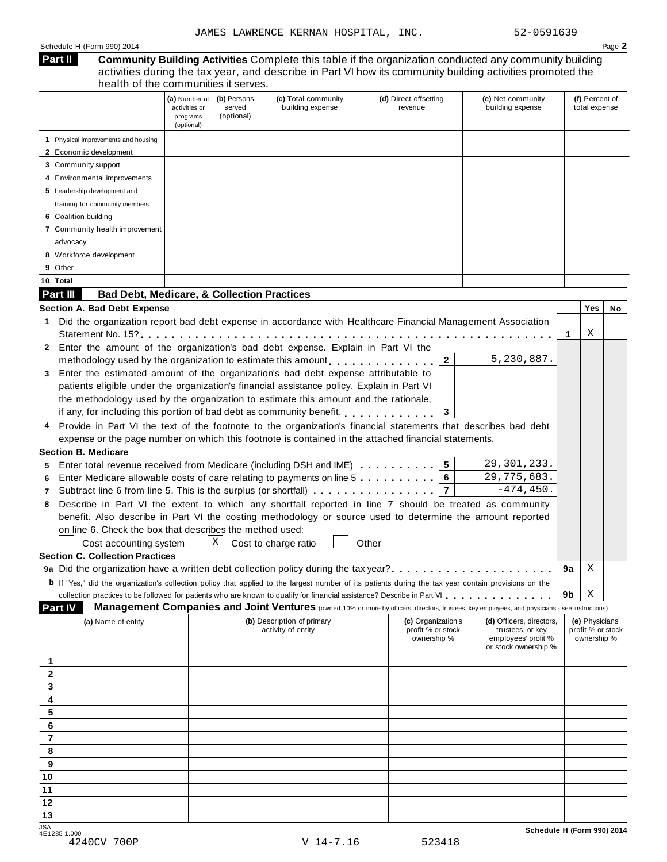| Schedule H (Form 990) 2014 | $P$ age. |
|----------------------------|----------|
|----------------------------|----------|

#### **Community Building Activities** Complete this table if the organization conducted any community building activities during the tax year, and describe in Part VI how its community building activities promoted the health of the communities it serves. **Part II**

|                                                                                                                                                              | (a) Number of<br>activities or<br>programs<br>(optional) | (b) Persons<br>(c) Total community<br>(e) Net community<br>(d) Direct offsetting<br>building expense<br>building expense<br>served<br>revenue<br>(optional) |                                                                                                                                                |                                                        |                                                                                             |    |                                                     |    |  |  |
|--------------------------------------------------------------------------------------------------------------------------------------------------------------|----------------------------------------------------------|-------------------------------------------------------------------------------------------------------------------------------------------------------------|------------------------------------------------------------------------------------------------------------------------------------------------|--------------------------------------------------------|---------------------------------------------------------------------------------------------|----|-----------------------------------------------------|----|--|--|
| 1 Physical improvements and housing                                                                                                                          |                                                          |                                                                                                                                                             |                                                                                                                                                |                                                        |                                                                                             |    |                                                     |    |  |  |
| 2 Economic development                                                                                                                                       |                                                          |                                                                                                                                                             |                                                                                                                                                |                                                        |                                                                                             |    |                                                     |    |  |  |
| 3 Community support                                                                                                                                          |                                                          |                                                                                                                                                             |                                                                                                                                                |                                                        |                                                                                             |    |                                                     |    |  |  |
| 4 Environmental improvements                                                                                                                                 |                                                          |                                                                                                                                                             |                                                                                                                                                |                                                        |                                                                                             |    |                                                     |    |  |  |
| 5 Leadership development and                                                                                                                                 |                                                          |                                                                                                                                                             |                                                                                                                                                |                                                        |                                                                                             |    |                                                     |    |  |  |
| training for community members                                                                                                                               |                                                          |                                                                                                                                                             |                                                                                                                                                |                                                        |                                                                                             |    |                                                     |    |  |  |
| 6 Coalition building                                                                                                                                         |                                                          |                                                                                                                                                             |                                                                                                                                                |                                                        |                                                                                             |    |                                                     |    |  |  |
| 7 Community health improvement                                                                                                                               |                                                          |                                                                                                                                                             |                                                                                                                                                |                                                        |                                                                                             |    |                                                     |    |  |  |
| advocacy                                                                                                                                                     |                                                          |                                                                                                                                                             |                                                                                                                                                |                                                        |                                                                                             |    |                                                     |    |  |  |
| 8 Workforce development                                                                                                                                      |                                                          |                                                                                                                                                             |                                                                                                                                                |                                                        |                                                                                             |    |                                                     |    |  |  |
| 9 Other                                                                                                                                                      |                                                          |                                                                                                                                                             |                                                                                                                                                |                                                        |                                                                                             |    |                                                     |    |  |  |
| 10 Total                                                                                                                                                     |                                                          |                                                                                                                                                             |                                                                                                                                                |                                                        |                                                                                             |    |                                                     |    |  |  |
| Part III<br><b>Bad Debt, Medicare, &amp; Collection Practices</b>                                                                                            |                                                          |                                                                                                                                                             |                                                                                                                                                |                                                        |                                                                                             |    |                                                     |    |  |  |
| Section A. Bad Debt Expense                                                                                                                                  |                                                          |                                                                                                                                                             |                                                                                                                                                |                                                        |                                                                                             |    | Yes                                                 | No |  |  |
| Did the organization report bad debt expense in accordance with Healthcare Financial Management Association<br>1.<br>Statement No. $15$ ?                    |                                                          |                                                                                                                                                             |                                                                                                                                                |                                                        |                                                                                             | 1  | Χ                                                   |    |  |  |
| 2 Enter the amount of the organization's bad debt expense. Explain in Part VI the                                                                            |                                                          |                                                                                                                                                             |                                                                                                                                                |                                                        | 5,230,887.                                                                                  |    |                                                     |    |  |  |
| methodology used by the organization to estimate this amount every even in the extended methodology used by the                                              |                                                          |                                                                                                                                                             |                                                                                                                                                | $\mathbf{2}$                                           |                                                                                             |    |                                                     |    |  |  |
| Enter the estimated amount of the organization's bad debt expense attributable to<br>3                                                                       |                                                          |                                                                                                                                                             |                                                                                                                                                |                                                        |                                                                                             |    |                                                     |    |  |  |
| patients eligible under the organization's financial assistance policy. Explain in Part VI                                                                   |                                                          |                                                                                                                                                             |                                                                                                                                                |                                                        |                                                                                             |    |                                                     |    |  |  |
| the methodology used by the organization to estimate this amount and the rationale,                                                                          |                                                          |                                                                                                                                                             |                                                                                                                                                |                                                        |                                                                                             |    |                                                     |    |  |  |
| if any, for including this portion of bad debt as community benefit.                                                                                         |                                                          |                                                                                                                                                             |                                                                                                                                                | 3                                                      |                                                                                             |    |                                                     |    |  |  |
| Provide in Part VI the text of the footnote to the organization's financial statements that describes bad debt                                               |                                                          |                                                                                                                                                             |                                                                                                                                                |                                                        |                                                                                             |    |                                                     |    |  |  |
| expense or the page number on which this footnote is contained in the attached financial statements.                                                         |                                                          |                                                                                                                                                             |                                                                                                                                                |                                                        |                                                                                             |    |                                                     |    |  |  |
| <b>Section B. Medicare</b>                                                                                                                                   |                                                          |                                                                                                                                                             |                                                                                                                                                |                                                        |                                                                                             |    |                                                     |    |  |  |
| Enter total revenue received from Medicare (including DSH and IME)<br>5                                                                                      |                                                          |                                                                                                                                                             |                                                                                                                                                | $5\phantom{.0}$                                        | 29, 301, 233.                                                                               |    |                                                     |    |  |  |
| Enter Medicare allowable costs of care relating to payments on line 5<br>6                                                                                   |                                                          |                                                                                                                                                             |                                                                                                                                                | 6                                                      | 29,775,683.                                                                                 |    |                                                     |    |  |  |
| Subtract line 6 from line 5. This is the surplus (or shortfall) $\ldots \ldots \ldots \ldots$<br>7                                                           |                                                          |                                                                                                                                                             |                                                                                                                                                | $\overline{7}$                                         | $-474, 450.$                                                                                |    |                                                     |    |  |  |
| Describe in Part VI the extent to which any shortfall reported in line 7 should be treated as community<br>8                                                 |                                                          |                                                                                                                                                             |                                                                                                                                                |                                                        |                                                                                             |    |                                                     |    |  |  |
| benefit. Also describe in Part VI the costing methodology or source used to determine the amount reported                                                    |                                                          |                                                                                                                                                             |                                                                                                                                                |                                                        |                                                                                             |    |                                                     |    |  |  |
| on line 6. Check the box that describes the method used:                                                                                                     |                                                          |                                                                                                                                                             |                                                                                                                                                |                                                        |                                                                                             |    |                                                     |    |  |  |
| Cost accounting system                                                                                                                                       |                                                          |                                                                                                                                                             | $X$ Cost to charge ratio                                                                                                                       | Other                                                  |                                                                                             |    |                                                     |    |  |  |
| <b>Section C. Collection Practices</b>                                                                                                                       |                                                          |                                                                                                                                                             |                                                                                                                                                |                                                        |                                                                                             |    |                                                     |    |  |  |
| 9a Did the organization have a written debt collection policy during the tax year?                                                                           |                                                          |                                                                                                                                                             |                                                                                                                                                |                                                        |                                                                                             | 9a | Χ                                                   |    |  |  |
| <b>b</b> If "Yes," did the organization's collection policy that applied to the largest number of its patients during the tax year contain provisions on the |                                                          |                                                                                                                                                             |                                                                                                                                                |                                                        |                                                                                             |    |                                                     |    |  |  |
|                                                                                                                                                              |                                                          |                                                                                                                                                             |                                                                                                                                                |                                                        |                                                                                             | 9b | Χ                                                   |    |  |  |
| Part IV                                                                                                                                                      |                                                          |                                                                                                                                                             | Management Companies and Joint Ventures (owned 10% or more by officers, directors, trustees, key employees, and physicians - see instructions) |                                                        |                                                                                             |    |                                                     |    |  |  |
| (a) Name of entity                                                                                                                                           |                                                          |                                                                                                                                                             | (b) Description of primary<br>activity of entity                                                                                               | (c) Organization's<br>profit % or stock<br>ownership % | (d) Officers, directors,<br>trustees, or key<br>employees' profit %<br>or stock ownership % |    | (e) Physicians'<br>profit % or stock<br>ownership % |    |  |  |
| 1                                                                                                                                                            |                                                          |                                                                                                                                                             |                                                                                                                                                |                                                        |                                                                                             |    |                                                     |    |  |  |
| $\overline{2}$                                                                                                                                               |                                                          |                                                                                                                                                             |                                                                                                                                                |                                                        |                                                                                             |    |                                                     |    |  |  |
| 3                                                                                                                                                            |                                                          |                                                                                                                                                             |                                                                                                                                                |                                                        |                                                                                             |    |                                                     |    |  |  |
| 4                                                                                                                                                            |                                                          |                                                                                                                                                             |                                                                                                                                                |                                                        |                                                                                             |    |                                                     |    |  |  |
| 5                                                                                                                                                            |                                                          |                                                                                                                                                             |                                                                                                                                                |                                                        |                                                                                             |    |                                                     |    |  |  |
| 6                                                                                                                                                            |                                                          |                                                                                                                                                             |                                                                                                                                                |                                                        |                                                                                             |    |                                                     |    |  |  |
| $\overline{\mathbf{7}}$                                                                                                                                      |                                                          |                                                                                                                                                             |                                                                                                                                                |                                                        |                                                                                             |    |                                                     |    |  |  |
| 8                                                                                                                                                            |                                                          |                                                                                                                                                             |                                                                                                                                                |                                                        |                                                                                             |    |                                                     |    |  |  |
| 9                                                                                                                                                            |                                                          |                                                                                                                                                             |                                                                                                                                                |                                                        |                                                                                             |    |                                                     |    |  |  |
| 10                                                                                                                                                           |                                                          |                                                                                                                                                             |                                                                                                                                                |                                                        |                                                                                             |    |                                                     |    |  |  |
| 11                                                                                                                                                           |                                                          |                                                                                                                                                             |                                                                                                                                                |                                                        |                                                                                             |    |                                                     |    |  |  |
| 12                                                                                                                                                           |                                                          |                                                                                                                                                             |                                                                                                                                                |                                                        |                                                                                             |    |                                                     |    |  |  |
| 13                                                                                                                                                           |                                                          |                                                                                                                                                             |                                                                                                                                                |                                                        |                                                                                             |    |                                                     |    |  |  |
|                                                                                                                                                              |                                                          |                                                                                                                                                             |                                                                                                                                                |                                                        |                                                                                             |    |                                                     |    |  |  |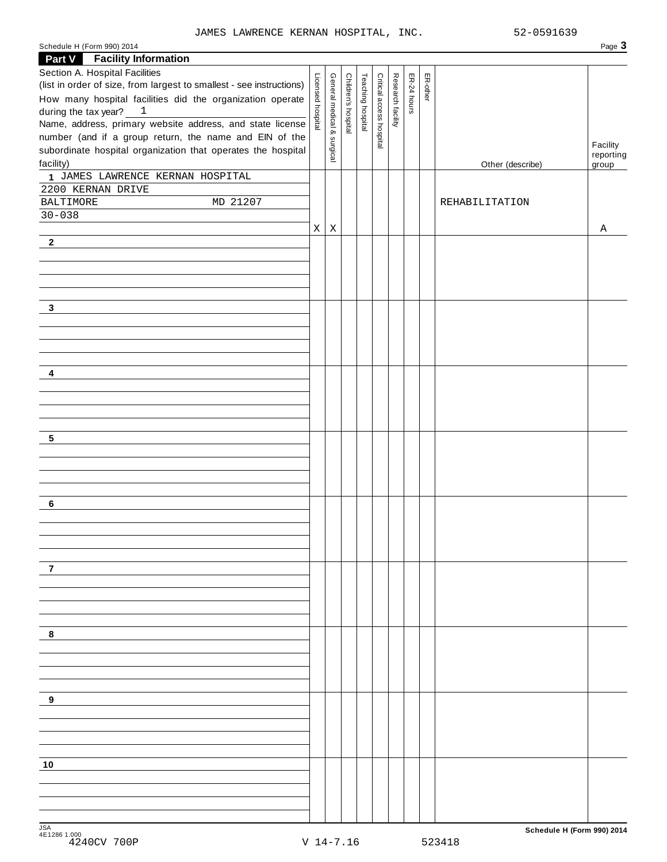Schedule <sup>H</sup> (Form 990) <sup>2014</sup> Page **3**

| <b>Facility Information</b><br><b>Part V</b>                                                                                                                                                                                                                                                                                                                                                        |                   |                            |                    |                   |                          |                   |             |          |                  |                                |
|-----------------------------------------------------------------------------------------------------------------------------------------------------------------------------------------------------------------------------------------------------------------------------------------------------------------------------------------------------------------------------------------------------|-------------------|----------------------------|--------------------|-------------------|--------------------------|-------------------|-------------|----------|------------------|--------------------------------|
| Section A. Hospital Facilities<br>(list in order of size, from largest to smallest - see instructions)<br>How many hospital facilities did the organization operate<br>during the tax year? $1$<br>Name, address, primary website address, and state license<br>number (and if a group return, the name and EIN of the<br>subordinate hospital organization that operates the hospital<br>facility) | Licensed hospital | General medical & surgical | Children's hospita | Teaching hospital | Critical access hospital | Research facility | ER-24 hours | ER-other | Other (describe) | Facility<br>reporting<br>group |
| 1 JAMES LAWRENCE KERNAN HOSPITAL                                                                                                                                                                                                                                                                                                                                                                    |                   |                            |                    |                   |                          |                   |             |          |                  |                                |
| 2200 KERNAN DRIVE<br>MD 21207<br><b>BALTIMORE</b>                                                                                                                                                                                                                                                                                                                                                   |                   |                            |                    |                   |                          |                   |             |          | REHABILITATION   |                                |
| $30 - 038$                                                                                                                                                                                                                                                                                                                                                                                          |                   |                            |                    |                   |                          |                   |             |          |                  |                                |
|                                                                                                                                                                                                                                                                                                                                                                                                     | X                 | Χ                          |                    |                   |                          |                   |             |          |                  | Α                              |
| $\mathbf{2}$                                                                                                                                                                                                                                                                                                                                                                                        |                   |                            |                    |                   |                          |                   |             |          |                  |                                |
|                                                                                                                                                                                                                                                                                                                                                                                                     |                   |                            |                    |                   |                          |                   |             |          |                  |                                |
| 3                                                                                                                                                                                                                                                                                                                                                                                                   |                   |                            |                    |                   |                          |                   |             |          |                  |                                |
|                                                                                                                                                                                                                                                                                                                                                                                                     |                   |                            |                    |                   |                          |                   |             |          |                  |                                |
| 4                                                                                                                                                                                                                                                                                                                                                                                                   |                   |                            |                    |                   |                          |                   |             |          |                  |                                |
|                                                                                                                                                                                                                                                                                                                                                                                                     |                   |                            |                    |                   |                          |                   |             |          |                  |                                |
|                                                                                                                                                                                                                                                                                                                                                                                                     |                   |                            |                    |                   |                          |                   |             |          |                  |                                |
|                                                                                                                                                                                                                                                                                                                                                                                                     |                   |                            |                    |                   |                          |                   |             |          |                  |                                |
| 5                                                                                                                                                                                                                                                                                                                                                                                                   |                   |                            |                    |                   |                          |                   |             |          |                  |                                |
|                                                                                                                                                                                                                                                                                                                                                                                                     |                   |                            |                    |                   |                          |                   |             |          |                  |                                |
|                                                                                                                                                                                                                                                                                                                                                                                                     |                   |                            |                    |                   |                          |                   |             |          |                  |                                |
|                                                                                                                                                                                                                                                                                                                                                                                                     |                   |                            |                    |                   |                          |                   |             |          |                  |                                |
|                                                                                                                                                                                                                                                                                                                                                                                                     |                   |                            |                    |                   |                          |                   |             |          |                  |                                |
| 6                                                                                                                                                                                                                                                                                                                                                                                                   |                   |                            |                    |                   |                          |                   |             |          |                  |                                |
|                                                                                                                                                                                                                                                                                                                                                                                                     |                   |                            |                    |                   |                          |                   |             |          |                  |                                |
|                                                                                                                                                                                                                                                                                                                                                                                                     |                   |                            |                    |                   |                          |                   |             |          |                  |                                |
|                                                                                                                                                                                                                                                                                                                                                                                                     |                   |                            |                    |                   |                          |                   |             |          |                  |                                |
| 7                                                                                                                                                                                                                                                                                                                                                                                                   |                   |                            |                    |                   |                          |                   |             |          |                  |                                |
|                                                                                                                                                                                                                                                                                                                                                                                                     |                   |                            |                    |                   |                          |                   |             |          |                  |                                |
|                                                                                                                                                                                                                                                                                                                                                                                                     |                   |                            |                    |                   |                          |                   |             |          |                  |                                |
|                                                                                                                                                                                                                                                                                                                                                                                                     |                   |                            |                    |                   |                          |                   |             |          |                  |                                |
| 8                                                                                                                                                                                                                                                                                                                                                                                                   |                   |                            |                    |                   |                          |                   |             |          |                  |                                |
|                                                                                                                                                                                                                                                                                                                                                                                                     |                   |                            |                    |                   |                          |                   |             |          |                  |                                |
|                                                                                                                                                                                                                                                                                                                                                                                                     |                   |                            |                    |                   |                          |                   |             |          |                  |                                |
|                                                                                                                                                                                                                                                                                                                                                                                                     |                   |                            |                    |                   |                          |                   |             |          |                  |                                |
| 9                                                                                                                                                                                                                                                                                                                                                                                                   |                   |                            |                    |                   |                          |                   |             |          |                  |                                |
|                                                                                                                                                                                                                                                                                                                                                                                                     |                   |                            |                    |                   |                          |                   |             |          |                  |                                |
|                                                                                                                                                                                                                                                                                                                                                                                                     |                   |                            |                    |                   |                          |                   |             |          |                  |                                |
|                                                                                                                                                                                                                                                                                                                                                                                                     |                   |                            |                    |                   |                          |                   |             |          |                  |                                |
| 10                                                                                                                                                                                                                                                                                                                                                                                                  |                   |                            |                    |                   |                          |                   |             |          |                  |                                |
|                                                                                                                                                                                                                                                                                                                                                                                                     |                   |                            |                    |                   |                          |                   |             |          |                  |                                |
|                                                                                                                                                                                                                                                                                                                                                                                                     |                   |                            |                    |                   |                          |                   |             |          |                  |                                |
|                                                                                                                                                                                                                                                                                                                                                                                                     |                   |                            |                    |                   |                          |                   |             |          |                  |                                |
|                                                                                                                                                                                                                                                                                                                                                                                                     |                   |                            |                    |                   |                          |                   |             |          |                  |                                |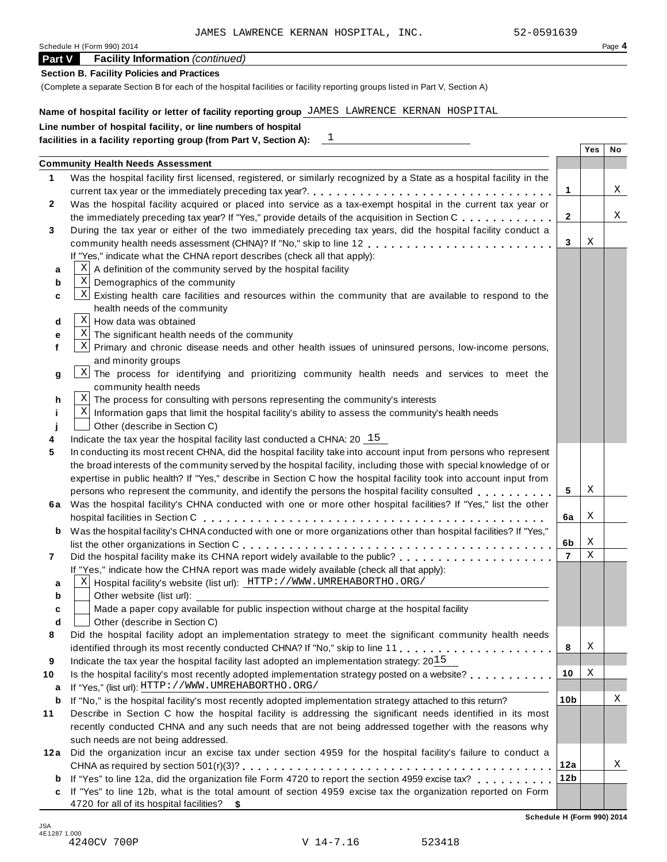1

| Schedule H (Form 990) 2014 | $P$ <sub>age</sub> $4$ |
|----------------------------|------------------------|
|                            |                        |

## **Part V Facility Information** *(continued)*

## **Section B. Facility Policies and Practices**

(Complete a separate Section B for each of the hospital facilities or facility reporting groups listed in Part V, Section A)

## **Name of hospital facility or letter of facility reporting group** JAMES LAWRENCE KERNAN HOSPITAL

# **Line number of hospital facility, or line numbers of hospital**

|      | <b>Community Health Needs Assessment</b>                                                                                            |                 |   |   |
|------|-------------------------------------------------------------------------------------------------------------------------------------|-----------------|---|---|
| 1    | Was the hospital facility first licensed, registered, or similarly recognized by a State as a hospital facility in the              |                 |   |   |
|      |                                                                                                                                     | 1               |   | Χ |
| 2    | Was the hospital facility acquired or placed into service as a tax-exempt hospital in the current tax year or                       |                 |   |   |
|      | the immediately preceding tax year? If "Yes," provide details of the acquisition in Section C.                                      | $\mathbf{2}$    |   | Χ |
| 3    | During the tax year or either of the two immediately preceding tax years, did the hospital facility conduct a                       |                 |   |   |
|      | community health needs assessment (CHNA)? If "No," skip to line 12                                                                  | 3               | Χ |   |
|      | If "Yes," indicate what the CHNA report describes (check all that apply):                                                           |                 |   |   |
| а    | Χ<br>A definition of the community served by the hospital facility                                                                  |                 |   |   |
| b    | Χ<br>Demographics of the community                                                                                                  |                 |   |   |
| c    | Existing health care facilities and resources within the community that are available to respond to the<br> X                       |                 |   |   |
|      | health needs of the community                                                                                                       |                 |   |   |
| d    | Χ<br>How data was obtained                                                                                                          |                 |   |   |
| е    | X<br>The significant health needs of the community                                                                                  |                 |   |   |
| f    | Primary and chronic disease needs and other health issues of uninsured persons, low-income persons,<br> X                           |                 |   |   |
|      | and minority groups                                                                                                                 |                 |   |   |
| g    | $\vert X \vert$<br>The process for identifying and prioritizing community health needs and services to meet the                     |                 |   |   |
|      | community health needs                                                                                                              |                 |   |   |
| h    | Χ<br>The process for consulting with persons representing the community's interests                                                 |                 |   |   |
| Ť    | X<br>Information gaps that limit the hospital facility's ability to assess the community's health needs                             |                 |   |   |
|      | Other (describe in Section C)                                                                                                       |                 |   |   |
| 4    | Indicate the tax year the hospital facility last conducted a CHNA: $20\frac{15}{15}$                                                |                 |   |   |
| 5    | In conducting its most recent CHNA, did the hospital facility take into account input from persons who represent                    |                 |   |   |
|      | the broad interests of the community served by the hospital facility, including those with special knowledge of or                  |                 |   |   |
|      | expertise in public health? If "Yes," describe in Section C how the hospital facility took into account input from                  |                 |   |   |
|      | persons who represent the community, and identify the persons the hospital facility consulted                                       | 5               | Χ |   |
|      | 6a Was the hospital facility's CHNA conducted with one or more other hospital facilities? If "Yes," list the other                  |                 |   |   |
|      |                                                                                                                                     | 6а              | Χ |   |
| b    | Was the hospital facility's CHNA conducted with one or more organizations other than hospital facilities? If "Yes,"                 |                 |   |   |
|      |                                                                                                                                     | 6b              | Χ |   |
| 7    | Did the hospital facility make its CHNA report widely available to the public?                                                      | $\overline{7}$  | X |   |
|      | If "Yes," indicate how the CHNA report was made widely available (check all that apply):                                            |                 |   |   |
| a    | Χ<br>Hospital facility's website (list url): HTTP: / / WWW. UMREHABORTHO. ORG/                                                      |                 |   |   |
| b    | Other website (list url):                                                                                                           |                 |   |   |
| C    | Made a paper copy available for public inspection without charge at the hospital facility                                           |                 |   |   |
| d    | Other (describe in Section C)                                                                                                       |                 |   |   |
| 8    | Did the hospital facility adopt an implementation strategy to meet the significant community health needs                           |                 |   |   |
|      |                                                                                                                                     | 8               | Χ |   |
| 9    | Indicate the tax year the hospital facility last adopted an implementation strategy: $20\overline{15}$                              |                 |   |   |
| 10   | Is the hospital facility's most recently adopted implementation strategy posted on a website?                                       | 10              | Χ |   |
| a    | If "Yes," (list url): HTTP: / / WWW. UMREHABORTHO. ORG/                                                                             |                 |   |   |
| b    | If "No," is the hospital facility's most recently adopted implementation strategy attached to this return?                          | 10 <sub>b</sub> |   | Χ |
| 11   | Describe in Section C how the hospital facility is addressing the significant needs identified in its most                          |                 |   |   |
|      | recently conducted CHNA and any such needs that are not being addressed together with the reasons why                               |                 |   |   |
|      | such needs are not being addressed.                                                                                                 |                 |   |   |
| 12 a | Did the organization incur an excise tax under section 4959 for the hospital facility's failure to conduct a                        |                 |   |   |
|      |                                                                                                                                     |                 |   | Χ |
|      | CHNA as required by section $501(r)(3)? \ldots \ldots \ldots \ldots \ldots \ldots \ldots \ldots \ldots \ldots \ldots \ldots \ldots$ | 12a             |   |   |

**c** If "Yes" to line 12b, what is the total amount of section 4959 excise tax the organization reported on Form 4720 for all of its hospital facilities? **\$**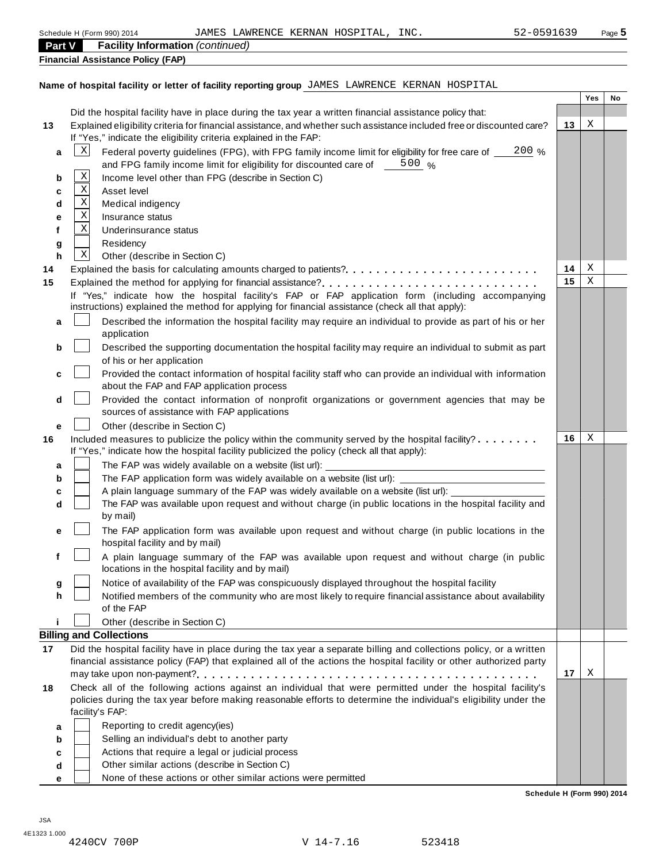| Part V | <b>Facility Information (continued)</b>                                                                                |         |     |    |
|--------|------------------------------------------------------------------------------------------------------------------------|---------|-----|----|
|        | <b>Financial Assistance Policy (FAP)</b>                                                                               |         |     |    |
|        |                                                                                                                        |         |     |    |
|        | Name of hospital facility or letter of facility reporting group JAMES LAWRENCE KERNAN HOSPITAL                         |         |     |    |
|        |                                                                                                                        |         | Yes | No |
|        | Did the hospital facility have in place during the tax year a written financial assistance policy that:                |         |     |    |
| 13     | Explained eligibility criteria for financial assistance, and whether such assistance included free or discounted care? | 13      | Χ   |    |
|        | If "Yes," indicate the eligibility criteria explained in the FAP:                                                      |         |     |    |
| a      | $\mathbf{x}$<br>Federal poverty guidelines (FPG), with FPG family income limit for eligibility for free care of _      | $200\%$ |     |    |
|        | and FPG family income limit for eligibility for discounted care of $\frac{500}{2}$ %<br>$\mathbf X$                    |         |     |    |
| b      | Income level other than FPG (describe in Section C)<br>Χ                                                               |         |     |    |
| c      | Asset level<br>$\mathbf X$                                                                                             |         |     |    |
| d      | Medical indigency<br>Χ<br>Insurance status                                                                             |         |     |    |
| е<br>f | X<br>Underinsurance status                                                                                             |         |     |    |
|        | Residency                                                                                                              |         |     |    |
| g<br>h | X<br>Other (describe in Section C)                                                                                     |         |     |    |
| 14     | Explained the basis for calculating amounts charged to patients?                                                       | 14      | Χ   |    |
| 15     |                                                                                                                        | 15      | Χ   |    |
|        | If "Yes," indicate how the hospital facility's FAP or FAP application form (including accompanying                     |         |     |    |
|        | instructions) explained the method for applying for financial assistance (check all that apply):                       |         |     |    |
| a      | Described the information the hospital facility may require an individual to provide as part of his or her             |         |     |    |
|        | application                                                                                                            |         |     |    |
| b      | Described the supporting documentation the hospital facility may require an individual to submit as part               |         |     |    |
|        | of his or her application                                                                                              |         |     |    |
| c      | Provided the contact information of hospital facility staff who can provide an individual with information             |         |     |    |
|        | about the FAP and FAP application process                                                                              |         |     |    |
| d      | Provided the contact information of nonprofit organizations or government agencies that may be                         |         |     |    |
|        | sources of assistance with FAP applications                                                                            |         |     |    |
| е      | Other (describe in Section C)                                                                                          |         |     |    |
| 16     | Included measures to publicize the policy within the community served by the hospital facility?                        | 16      | Χ   |    |
|        | If "Yes," indicate how the hospital facility publicized the policy (check all that apply):                             |         |     |    |
| а      | The FAP was widely available on a website (list url):                                                                  |         |     |    |
| b      | The FAP application form was widely available on a website (list url):                                                 |         |     |    |
| с      | A plain language summary of the FAP was widely available on a website (list url):                                      |         |     |    |
| d      | The FAP was available upon request and without charge (in public locations in the hospital facility and                |         |     |    |
|        | by mail)                                                                                                               |         |     |    |
|        | The FAP application form was available upon request and without charge (in public locations in the                     |         |     |    |
|        | hospital facility and by mail)                                                                                         |         |     |    |
|        | A plain language summary of the FAP was available upon request and without charge (in public                           |         |     |    |
|        | locations in the hospital facility and by mail)                                                                        |         |     |    |
| g      | Notice of availability of the FAP was conspicuously displayed throughout the hospital facility                         |         |     |    |
| h      | Notified members of the community who are most likely to require financial assistance about availability<br>of the FAP |         |     |    |
|        | Other (describe in Section C)                                                                                          |         |     |    |
|        | <b>Billing and Collections</b>                                                                                         |         |     |    |
| 17     | Did the hospital facility have in place during the tax year a separate billing and collections policy, or a written    |         |     |    |
|        | financial assistance policy (FAP) that explained all of the actions the hospital facility or other authorized party    |         |     |    |
|        |                                                                                                                        | 17      | Χ   |    |
| 18     | Check all of the following actions against an individual that were permitted under the hospital facility's             |         |     |    |
|        | policies during the tax year before making reasonable efforts to determine the individual's eligibility under the      |         |     |    |
|        | facility's FAP:                                                                                                        |         |     |    |
| а      | Reporting to credit agency(ies)                                                                                        |         |     |    |
| b      | Selling an individual's debt to another party                                                                          |         |     |    |
| c      | Actions that require a legal or judicial process                                                                       |         |     |    |
| d      | Other similar actions (describe in Section C)                                                                          |         |     |    |

**e**  $\overline{\phantom{0}}$ None of these actions or other similar actions were permitted

**Schedule H (Form 990) 2014**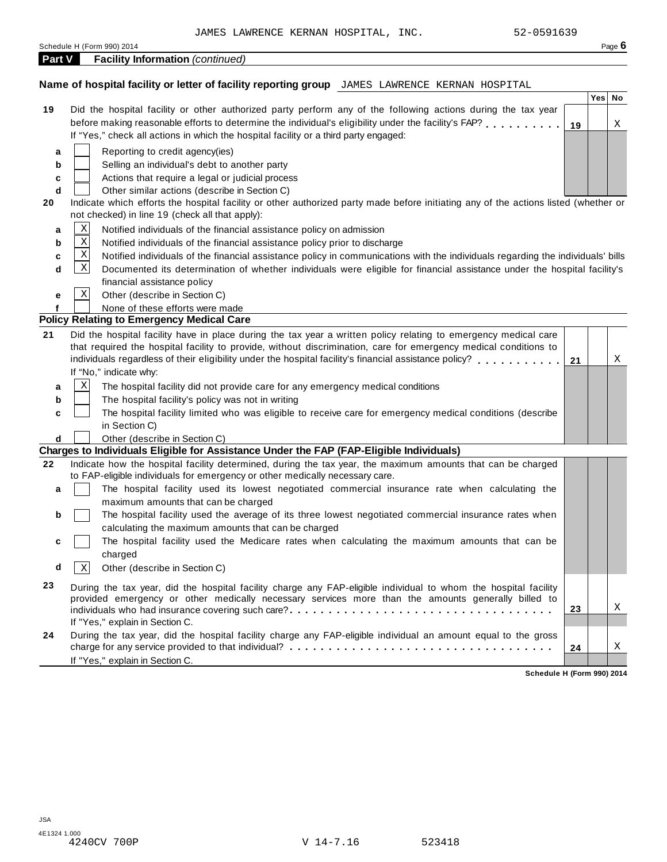|        | 52-0591639<br>JAMES LAWRENCE KERNAN HOSPITAL, INC.                                                                                                                                                                    |    |        |        |
|--------|-----------------------------------------------------------------------------------------------------------------------------------------------------------------------------------------------------------------------|----|--------|--------|
|        | Schedule H (Form 990) 2014                                                                                                                                                                                            |    |        | Page 6 |
| Part V | <b>Facility Information (continued)</b>                                                                                                                                                                               |    |        |        |
|        |                                                                                                                                                                                                                       |    |        |        |
|        | Name of hospital facility or letter of facility reporting group JAMES LAWRENCE KERNAN HOSPITAL                                                                                                                        |    |        |        |
|        |                                                                                                                                                                                                                       |    | Yes No |        |
| 19     | Did the hospital facility or other authorized party perform any of the following actions during the tax year                                                                                                          |    |        |        |
|        | before making reasonable efforts to determine the individual's eligibility under the facility's FAP?                                                                                                                  | 19 |        | Χ      |
|        | If "Yes," check all actions in which the hospital facility or a third party engaged:                                                                                                                                  |    |        |        |
| a      | Reporting to credit agency(ies)                                                                                                                                                                                       |    |        |        |
| b      | Selling an individual's debt to another party                                                                                                                                                                         |    |        |        |
| c      | Actions that require a legal or judicial process                                                                                                                                                                      |    |        |        |
| d      | Other similar actions (describe in Section C)                                                                                                                                                                         |    |        |        |
| 20     | Indicate which efforts the hospital facility or other authorized party made before initiating any of the actions listed (whether or                                                                                   |    |        |        |
|        | not checked) in line 19 (check all that apply):                                                                                                                                                                       |    |        |        |
| a      | $\mathbf X$<br>Notified individuals of the financial assistance policy on admission<br>$\mathbf X$                                                                                                                    |    |        |        |
| b      | Notified individuals of the financial assistance policy prior to discharge                                                                                                                                            |    |        |        |
| c      | $\mathbf X$<br>Notified individuals of the financial assistance policy in communications with the individuals regarding the individuals' bills<br>Χ                                                                   |    |        |        |
| d      | Documented its determination of whether individuals were eligible for financial assistance under the hospital facility's                                                                                              |    |        |        |
|        | financial assistance policy<br>X                                                                                                                                                                                      |    |        |        |
| е      | Other (describe in Section C)                                                                                                                                                                                         |    |        |        |
|        | None of these efforts were made<br><b>Policy Relating to Emergency Medical Care</b>                                                                                                                                   |    |        |        |
|        | Did the hospital facility have in place during the tax year a written policy relating to emergency medical care                                                                                                       |    |        |        |
| 21     | that required the hospital facility to provide, without discrimination, care for emergency medical conditions to                                                                                                      |    |        |        |
|        | individuals regardless of their eligibility under the hospital facility's financial assistance policy?                                                                                                                | 21 |        | Χ      |
|        | If "No," indicate why:                                                                                                                                                                                                |    |        |        |
| a      | X<br>The hospital facility did not provide care for any emergency medical conditions                                                                                                                                  |    |        |        |
| b      | The hospital facility's policy was not in writing                                                                                                                                                                     |    |        |        |
| c      | The hospital facility limited who was eligible to receive care for emergency medical conditions (describe                                                                                                             |    |        |        |
|        | in Section C)                                                                                                                                                                                                         |    |        |        |
| d      | Other (describe in Section C)                                                                                                                                                                                         |    |        |        |
|        | Charges to Individuals Eligible for Assistance Under the FAP (FAP-Eligible Individuals)                                                                                                                               |    |        |        |
| 22     | Indicate how the hospital facility determined, during the tax year, the maximum amounts that can be charged                                                                                                           |    |        |        |
|        | to FAP-eligible individuals for emergency or other medically necessary care.                                                                                                                                          |    |        |        |
| a      | The hospital facility used its lowest negotiated commercial insurance rate when calculating the                                                                                                                       |    |        |        |
|        | maximum amounts that can be charged                                                                                                                                                                                   |    |        |        |
| b      | The hospital facility used the average of its three lowest negotiated commercial insurance rates when                                                                                                                 |    |        |        |
|        | calculating the maximum amounts that can be charged                                                                                                                                                                   |    |        |        |
| c      | The hospital facility used the Medicare rates when calculating the maximum amounts that can be                                                                                                                        |    |        |        |
|        | charged                                                                                                                                                                                                               |    |        |        |
| d      | Other (describe in Section C)<br>X                                                                                                                                                                                    |    |        |        |
| 23     |                                                                                                                                                                                                                       |    |        |        |
|        | During the tax year, did the hospital facility charge any FAP-eligible individual to whom the hospital facility<br>provided emergency or other medically necessary services more than the amounts generally billed to |    |        |        |
|        |                                                                                                                                                                                                                       | 23 |        | Χ      |
|        | If "Yes," explain in Section C.                                                                                                                                                                                       |    |        |        |
| 24     | During the tax year, did the hospital facility charge any FAP-eligible individual an amount equal to the gross                                                                                                        |    |        |        |
|        |                                                                                                                                                                                                                       | 24 |        | Χ      |
|        | If "Yes," explain in Section C.                                                                                                                                                                                       |    |        |        |

**Schedule H (Form 990) 2014**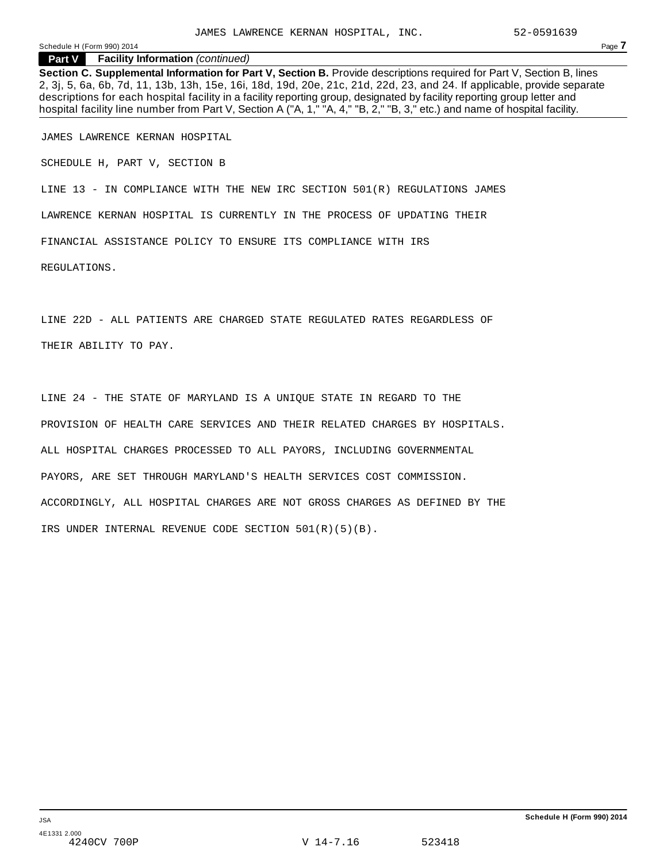Schedule <sup>H</sup> (Form 990) <sup>2014</sup> Page **7**

**Part V Facility Information** *(continued)*

**Section C. Supplemental Information for Part V, Section B.** Provide descriptions required for Part V, Section B, lines 2, 3j, 5, 6a, 6b, 7d, 11, 13b, 13h, 15e, 16i, 18d, 19d, 20e, 21c, 21d, 22d, 23, and 24. If applicable, provide separate descriptions for each hospital facility in a facility reporting group, designated by facility reporting group letter and hospital facility line number from Part V, Section A ("A, 1," "A, 4," "B, 2," "B, 3," etc.) and name of hospital facility.

JAMES LAWRENCE KERNAN HOSPITAL

SCHEDULE H, PART V, SECTION B

LINE 13 - IN COMPLIANCE WITH THE NEW IRC SECTION 501(R) REGULATIONS JAMES

LAWRENCE KERNAN HOSPITAL IS CURRENTLY IN THE PROCESS OF UPDATING THEIR

FINANCIAL ASSISTANCE POLICY TO ENSURE ITS COMPLIANCE WITH IRS

REGULATIONS.

LINE 22D - ALL PATIENTS ARE CHARGED STATE REGULATED RATES REGARDLESS OF THEIR ABILITY TO PAY.

LINE 24 - THE STATE OF MARYLAND IS A UNIQUE STATE IN REGARD TO THE PROVISION OF HEALTH CARE SERVICES AND THEIR RELATED CHARGES BY HOSPITALS. ALL HOSPITAL CHARGES PROCESSED TO ALL PAYORS, INCLUDING GOVERNMENTAL PAYORS, ARE SET THROUGH MARYLAND'S HEALTH SERVICES COST COMMISSION. ACCORDINGLY, ALL HOSPITAL CHARGES ARE NOT GROSS CHARGES AS DEFINED BY THE IRS UNDER INTERNAL REVENUE CODE SECTION 501(R)(5)(B).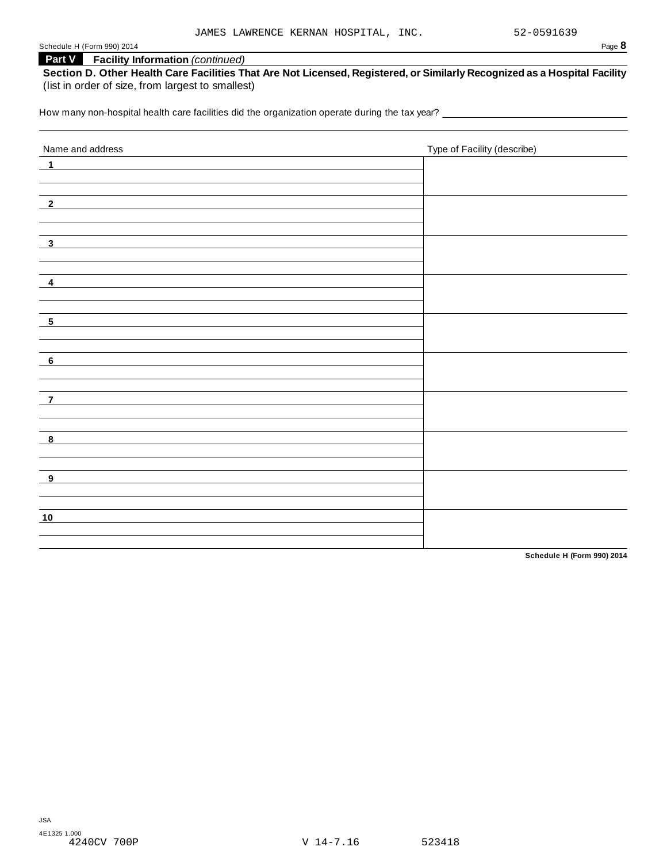Schedule <sup>H</sup> (Form 990) <sup>2014</sup> Page **8**

## **Part V Facility Information** *(continued)*

Section D. Other Health Care Facilities That Are Not Licensed, Registered, or Similarly Recognized as a Hospital Facility (list in order of size, from largest to smallest)

How many non-hospital health care facilities did the organization operate during the tax year?<br>

| Name and address           | Type of Facility (describe) |
|----------------------------|-----------------------------|
| $\overline{\mathbf{1}}$    |                             |
|                            |                             |
|                            |                             |
| $\overline{\phantom{2}}^2$ |                             |
|                            |                             |
| $\overline{\phantom{0}3}$  |                             |
|                            |                             |
|                            |                             |
| $\overline{\mathbf{4}}$    |                             |
|                            |                             |
|                            |                             |
| $-5$                       |                             |
|                            |                             |
| 6                          |                             |
|                            |                             |
|                            |                             |
| $\overline{z}$             |                             |
|                            |                             |
|                            |                             |
| $\overline{\mathbf{8}}$    |                             |
|                            |                             |
| $_{9}$                     |                             |
|                            |                             |
|                            |                             |
| 10                         |                             |
|                            |                             |
|                            |                             |

**Schedule H (Form 990) 2014**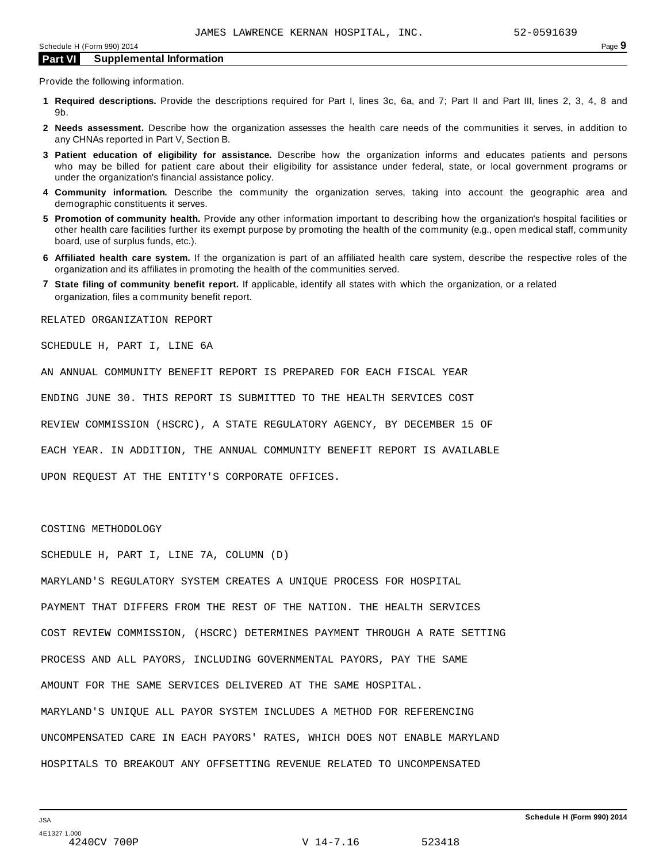Provide the following information.

- **1 Required descriptions.** Provide the descriptions required for Part I, lines 3c, 6a, and 7; Part II and Part III, lines 2, 3, 4, 8 and 9b.
- **2 Needs assessment.** Describe how the organization assesses the health care needs of the communities it serves, in addition to any CHNAs reported in Part V, Section B.
- **3 Patient education of eligibility for assistance.** Describe how the organization informs and educates patients and persons who may be billed for patient care about their eligibility for assistance under federal, state, or local government programs or under the organization's financial assistance policy.
- **4 Community information.** Describe the community the organization serves, taking into account the geographic area and demographic constituents it serves.
- **5 Promotion of community health.** Provide any other information important to describing how the organization's hospital facilities or other health care facilities further its exempt purpose by promoting the health of the community (e.g., open medical staff, community board, use of surplus funds, etc.).
- **6 Affiliated health care system.** If the organization is part of an affiliated health care system, describe the respective roles of the organization and its affiliates in promoting the health of the communities served.
- **7 State filing of community benefit report.** If applicable, identify all states with which the organization, or a related organization, files a community benefit report.

RELATED ORGANIZATION REPORT

SCHEDULE H, PART I, LINE 6A

AN ANNUAL COMMUNITY BENEFIT REPORT IS PREPARED FOR EACH FISCAL YEAR

ENDING JUNE 30. THIS REPORT IS SUBMITTED TO THE HEALTH SERVICES COST

REVIEW COMMISSION (HSCRC), A STATE REGULATORY AGENCY, BY DECEMBER 15 OF

EACH YEAR. IN ADDITION, THE ANNUAL COMMUNITY BENEFIT REPORT IS AVAILABLE

UPON REQUEST AT THE ENTITY'S CORPORATE OFFICES.

COSTING METHODOLOGY

SCHEDULE H, PART I, LINE 7A, COLUMN (D)

MARYLAND'S REGULATORY SYSTEM CREATES A UNIQUE PROCESS FOR HOSPITAL PAYMENT THAT DIFFERS FROM THE REST OF THE NATION. THE HEALTH SERVICES COST REVIEW COMMISSION, (HSCRC) DETERMINES PAYMENT THROUGH A RATE SETTING PROCESS AND ALL PAYORS, INCLUDING GOVERNMENTAL PAYORS, PAY THE SAME AMOUNT FOR THE SAME SERVICES DELIVERED AT THE SAME HOSPITAL. MARYLAND'S UNIQUE ALL PAYOR SYSTEM INCLUDES A METHOD FOR REFERENCING UNCOMPENSATED CARE IN EACH PAYORS' RATES, WHICH DOES NOT ENABLE MARYLAND HOSPITALS TO BREAKOUT ANY OFFSETTING REVENUE RELATED TO UNCOMPENSATED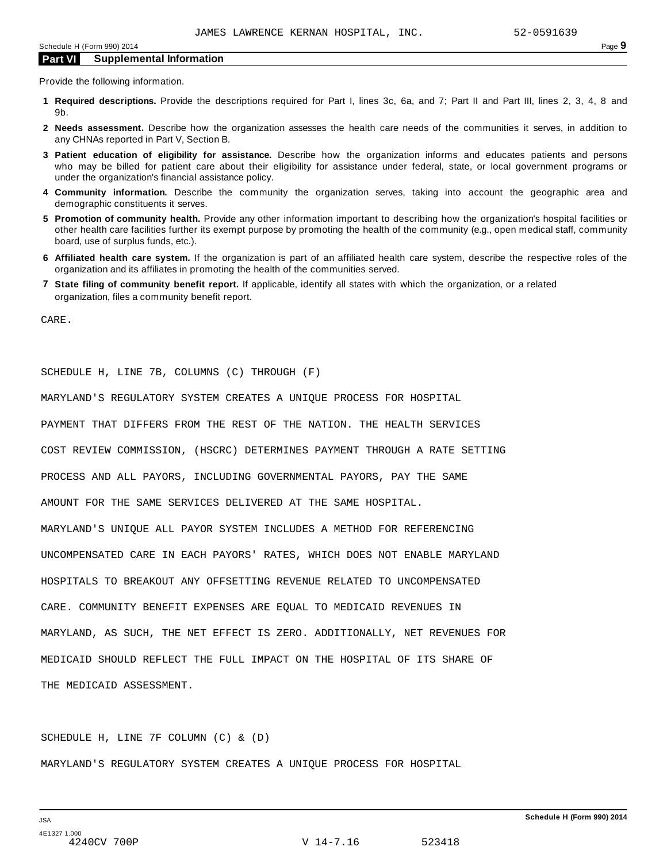Provide the following information.

- **1 Required descriptions.** Provide the descriptions required for Part I, lines 3c, 6a, and 7; Part II and Part III, lines 2, 3, 4, 8 and 9b.
- **2 Needs assessment.** Describe how the organization assesses the health care needs of the communities it serves, in addition to any CHNAs reported in Part V, Section B.
- **3 Patient education of eligibility for assistance.** Describe how the organization informs and educates patients and persons who may be billed for patient care about their eligibility for assistance under federal, state, or local government programs or under the organization's financial assistance policy.
- **4 Community information.** Describe the community the organization serves, taking into account the geographic area and demographic constituents it serves.
- **5 Promotion of community health.** Provide any other information important to describing how the organization's hospital facilities or other health care facilities further its exempt purpose by promoting the health of the community (e.g., open medical staff, community board, use of surplus funds, etc.).
- **6 Affiliated health care system.** If the organization is part of an affiliated health care system, describe the respective roles of the organization and its affiliates in promoting the health of the communities served.
- **7 State filing of community benefit report.** If applicable, identify all states with which the organization, or a related organization, files a community benefit report.

CARE.

SCHEDULE H, LINE 7B, COLUMNS (C) THROUGH (F)

MARYLAND'S REGULATORY SYSTEM CREATES A UNIQUE PROCESS FOR HOSPITAL

PAYMENT THAT DIFFERS FROM THE REST OF THE NATION. THE HEALTH SERVICES

COST REVIEW COMMISSION, (HSCRC) DETERMINES PAYMENT THROUGH A RATE SETTING

PROCESS AND ALL PAYORS, INCLUDING GOVERNMENTAL PAYORS, PAY THE SAME

AMOUNT FOR THE SAME SERVICES DELIVERED AT THE SAME HOSPITAL.

MARYLAND'S UNIQUE ALL PAYOR SYSTEM INCLUDES A METHOD FOR REFERENCING

UNCOMPENSATED CARE IN EACH PAYORS' RATES, WHICH DOES NOT ENABLE MARYLAND

HOSPITALS TO BREAKOUT ANY OFFSETTING REVENUE RELATED TO UNCOMPENSATED

CARE. COMMUNITY BENEFIT EXPENSES ARE EQUAL TO MEDICAID REVENUES IN

MARYLAND, AS SUCH, THE NET EFFECT IS ZERO. ADDITIONALLY, NET REVENUES FOR

MEDICAID SHOULD REFLECT THE FULL IMPACT ON THE HOSPITAL OF ITS SHARE OF

THE MEDICAID ASSESSMENT.

SCHEDULE H, LINE 7F COLUMN (C) & (D) MARYLAND'S REGULATORY SYSTEM CREATES A UNIQUE PROCESS FOR HOSPITAL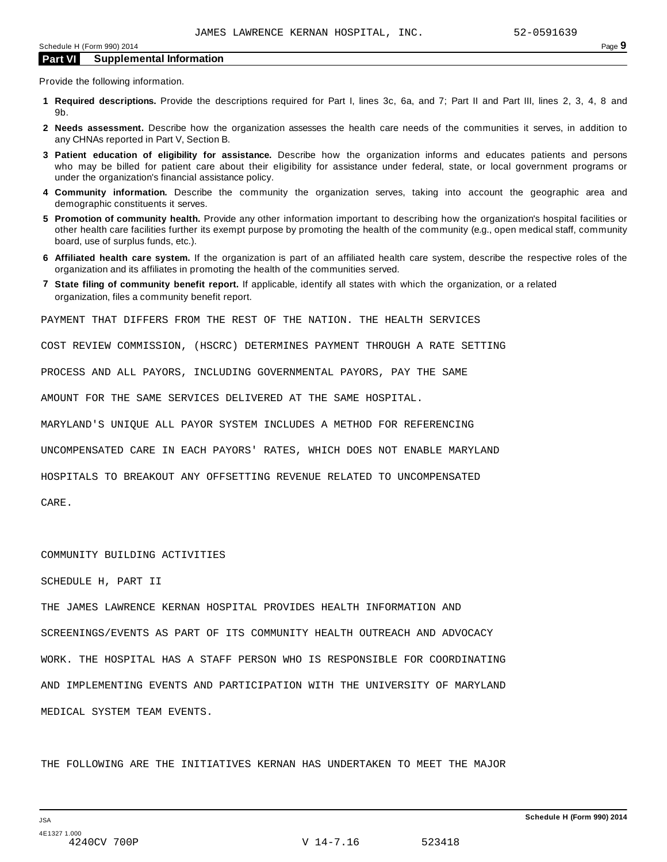Provide the following information.

- **1 Required descriptions.** Provide the descriptions required for Part I, lines 3c, 6a, and 7; Part II and Part III, lines 2, 3, 4, 8 and 9b.
- **2 Needs assessment.** Describe how the organization assesses the health care needs of the communities it serves, in addition to any CHNAs reported in Part V, Section B.
- **3 Patient education of eligibility for assistance.** Describe how the organization informs and educates patients and persons who may be billed for patient care about their eligibility for assistance under federal, state, or local government programs or under the organization's financial assistance policy.
- **4 Community information.** Describe the community the organization serves, taking into account the geographic area and demographic constituents it serves.
- **5 Promotion of community health.** Provide any other information important to describing how the organization's hospital facilities or other health care facilities further its exempt purpose by promoting the health of the community (e.g., open medical staff, community board, use of surplus funds, etc.).
- **6 Affiliated health care system.** If the organization is part of an affiliated health care system, describe the respective roles of the organization and its affiliates in promoting the health of the communities served.
- **7 State filing of community benefit report.** If applicable, identify all states with which the organization, or a related organization, files a community benefit report.

PAYMENT THAT DIFFERS FROM THE REST OF THE NATION. THE HEALTH SERVICES

COST REVIEW COMMISSION, (HSCRC) DETERMINES PAYMENT THROUGH A RATE SETTING

PROCESS AND ALL PAYORS, INCLUDING GOVERNMENTAL PAYORS, PAY THE SAME

AMOUNT FOR THE SAME SERVICES DELIVERED AT THE SAME HOSPITAL.

MARYLAND'S UNIQUE ALL PAYOR SYSTEM INCLUDES A METHOD FOR REFERENCING

UNCOMPENSATED CARE IN EACH PAYORS' RATES, WHICH DOES NOT ENABLE MARYLAND

HOSPITALS TO BREAKOUT ANY OFFSETTING REVENUE RELATED TO UNCOMPENSATED

CARE.

#### COMMUNITY BUILDING ACTIVITIES

SCHEDULE H, PART II

THE JAMES LAWRENCE KERNAN HOSPITAL PROVIDES HEALTH INFORMATION AND

SCREENINGS/EVENTS AS PART OF ITS COMMUNITY HEALTH OUTREACH AND ADVOCACY

WORK. THE HOSPITAL HAS A STAFF PERSON WHO IS RESPONSIBLE FOR COORDINATING AND IMPLEMENTING EVENTS AND PARTICIPATION WITH THE UNIVERSITY OF MARYLAND

MEDICAL SYSTEM TEAM EVENTS.

THE FOLLOWING ARE THE INITIATIVES KERNAN HAS UNDERTAKEN TO MEET THE MAJOR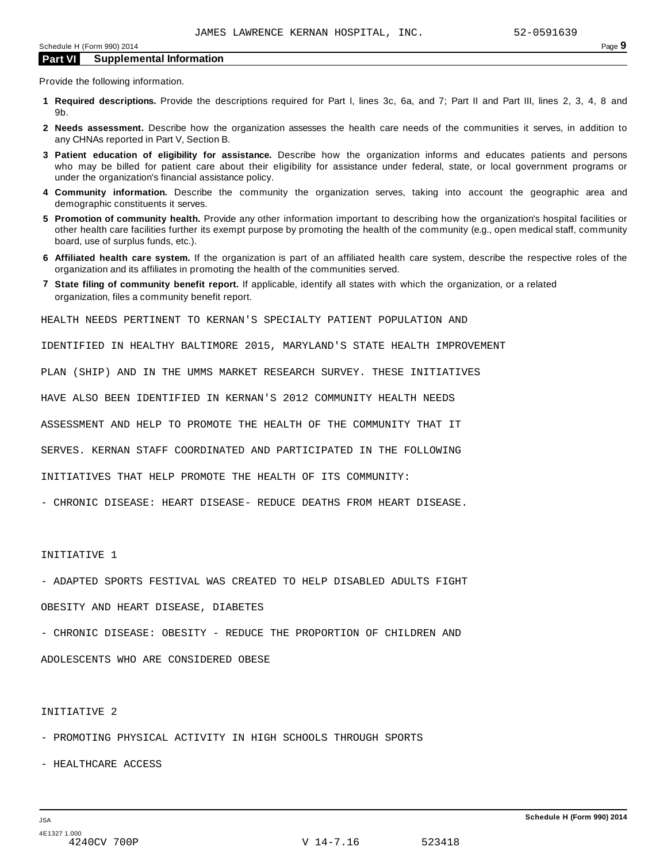Provide the following information.

- **1 Required descriptions.** Provide the descriptions required for Part I, lines 3c, 6a, and 7; Part II and Part III, lines 2, 3, 4, 8 and 9b.
- **2 Needs assessment.** Describe how the organization assesses the health care needs of the communities it serves, in addition to any CHNAs reported in Part V, Section B.
- **3 Patient education of eligibility for assistance.** Describe how the organization informs and educates patients and persons who may be billed for patient care about their eligibility for assistance under federal, state, or local government programs or under the organization's financial assistance policy.
- **4 Community information.** Describe the community the organization serves, taking into account the geographic area and demographic constituents it serves.
- **5 Promotion of community health.** Provide any other information important to describing how the organization's hospital facilities or other health care facilities further its exempt purpose by promoting the health of the community (e.g., open medical staff, community board, use of surplus funds, etc.).
- **6 Affiliated health care system.** If the organization is part of an affiliated health care system, describe the respective roles of the organization and its affiliates in promoting the health of the communities served.
- **7 State filing of community benefit report.** If applicable, identify all states with which the organization, or a related organization, files a community benefit report.

HEALTH NEEDS PERTINENT TO KERNAN'S SPECIALTY PATIENT POPULATION AND

IDENTIFIED IN HEALTHY BALTIMORE 2015, MARYLAND'S STATE HEALTH IMPROVEMENT

PLAN (SHIP) AND IN THE UMMS MARKET RESEARCH SURVEY. THESE INITIATIVES

HAVE ALSO BEEN IDENTIFIED IN KERNAN'S 2012 COMMUNITY HEALTH NEEDS

ASSESSMENT AND HELP TO PROMOTE THE HEALTH OF THE COMMUNITY THAT IT

SERVES. KERNAN STAFF COORDINATED AND PARTICIPATED IN THE FOLLOWING

INITIATIVES THAT HELP PROMOTE THE HEALTH OF ITS COMMUNITY:

- CHRONIC DISEASE: HEART DISEASE- REDUCE DEATHS FROM HEART DISEASE.

## INITIATIVE 1

- ADAPTED SPORTS FESTIVAL WAS CREATED TO HELP DISABLED ADULTS FIGHT

OBESITY AND HEART DISEASE, DIABETES

- CHRONIC DISEASE: OBESITY - REDUCE THE PROPORTION OF CHILDREN AND

ADOLESCENTS WHO ARE CONSIDERED OBESE

#### INITIATIVE 2

- PROMOTING PHYSICAL ACTIVITY IN HIGH SCHOOLS THROUGH SPORTS

- HEALTHCARE ACCESS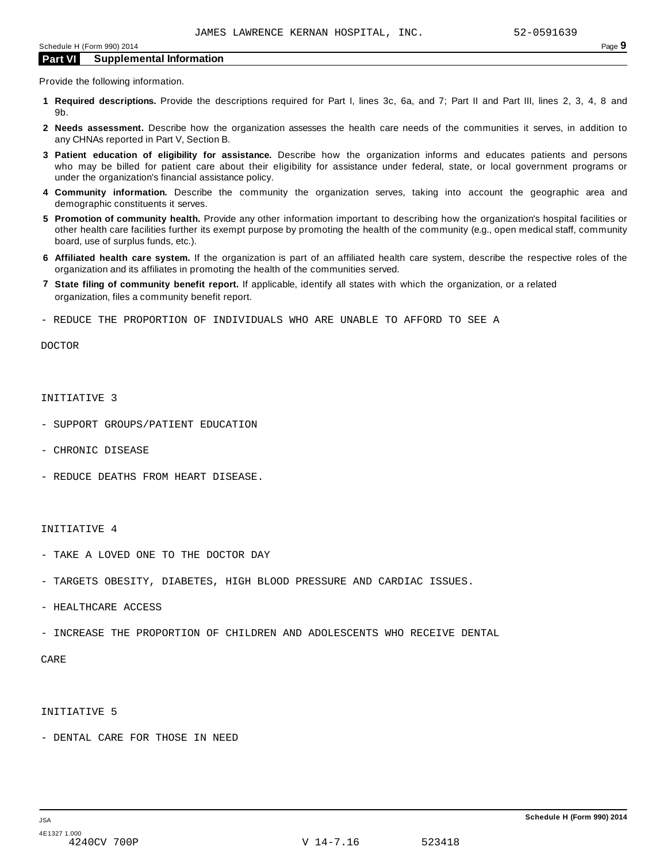Provide the following information.

- **1 Required descriptions.** Provide the descriptions required for Part I, lines 3c, 6a, and 7; Part II and Part III, lines 2, 3, 4, 8 and 9b.
- **2 Needs assessment.** Describe how the organization assesses the health care needs of the communities it serves, in addition to any CHNAs reported in Part V, Section B.
- **3 Patient education of eligibility for assistance.** Describe how the organization informs and educates patients and persons who may be billed for patient care about their eligibility for assistance under federal, state, or local government programs or under the organization's financial assistance policy.
- **4 Community information.** Describe the community the organization serves, taking into account the geographic area and demographic constituents it serves.
- **5 Promotion of community health.** Provide any other information important to describing how the organization's hospital facilities or other health care facilities further its exempt purpose by promoting the health of the community (e.g., open medical staff, community board, use of surplus funds, etc.).
- **6 Affiliated health care system.** If the organization is part of an affiliated health care system, describe the respective roles of the organization and its affiliates in promoting the health of the communities served.
- **7 State filing of community benefit report.** If applicable, identify all states with which the organization, or a related organization, files a community benefit report.
- REDUCE THE PROPORTION OF INDIVIDUALS WHO ARE UNABLE TO AFFORD TO SEE A

DOCTOR

#### INITIATIVE 3

- SUPPORT GROUPS/PATIENT EDUCATION
- CHRONIC DISEASE
- REDUCE DEATHS FROM HEART DISEASE.

#### INITIATIVE 4

- TAKE A LOVED ONE TO THE DOCTOR DAY
- TARGETS OBESITY, DIABETES, HIGH BLOOD PRESSURE AND CARDIAC ISSUES.
- HEALTHCARE ACCESS
- INCREASE THE PROPORTION OF CHILDREN AND ADOLESCENTS WHO RECEIVE DENTAL

CARE

## INITIATIVE 5

- DENTAL CARE FOR THOSE IN NEED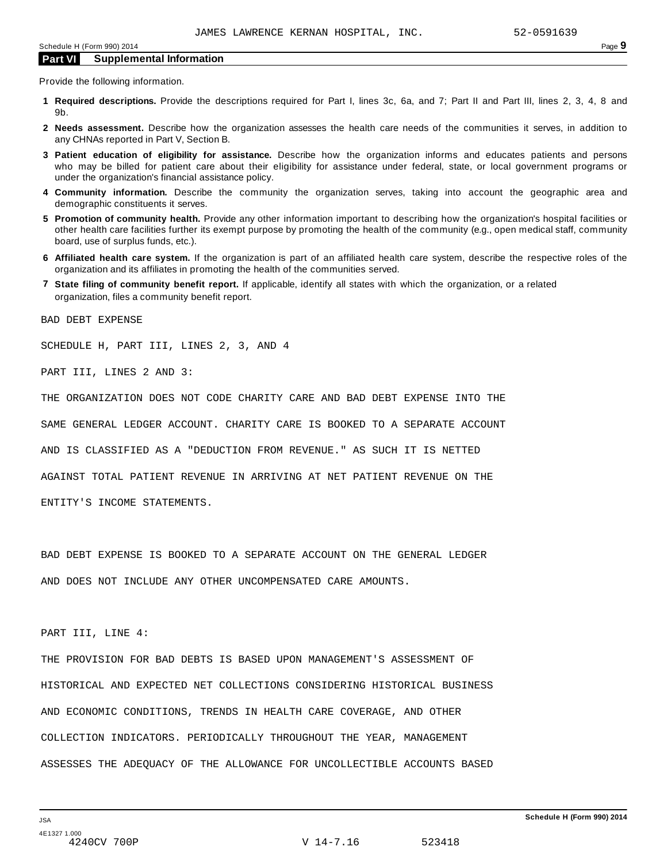Provide the following information.

- **1 Required descriptions.** Provide the descriptions required for Part I, lines 3c, 6a, and 7; Part II and Part III, lines 2, 3, 4, 8 and 9b.
- **2 Needs assessment.** Describe how the organization assesses the health care needs of the communities it serves, in addition to any CHNAs reported in Part V, Section B.
- **3 Patient education of eligibility for assistance.** Describe how the organization informs and educates patients and persons who may be billed for patient care about their eligibility for assistance under federal, state, or local government programs or under the organization's financial assistance policy.
- **4 Community information.** Describe the community the organization serves, taking into account the geographic area and demographic constituents it serves.
- **5 Promotion of community health.** Provide any other information important to describing how the organization's hospital facilities or other health care facilities further its exempt purpose by promoting the health of the community (e.g., open medical staff, community board, use of surplus funds, etc.).
- **6 Affiliated health care system.** If the organization is part of an affiliated health care system, describe the respective roles of the organization and its affiliates in promoting the health of the communities served.
- **7 State filing of community benefit report.** If applicable, identify all states with which the organization, or a related organization, files a community benefit report.

BAD DEBT EXPENSE

SCHEDULE H, PART III, LINES 2, 3, AND 4

PART III, LINES 2 AND 3:

THE ORGANIZATION DOES NOT CODE CHARITY CARE AND BAD DEBT EXPENSE INTO THE

SAME GENERAL LEDGER ACCOUNT. CHARITY CARE IS BOOKED TO A SEPARATE ACCOUNT

AND IS CLASSIFIED AS A "DEDUCTION FROM REVENUE." AS SUCH IT IS NETTED

AGAINST TOTAL PATIENT REVENUE IN ARRIVING AT NET PATIENT REVENUE ON THE

ENTITY'S INCOME STATEMENTS.

BAD DEBT EXPENSE IS BOOKED TO A SEPARATE ACCOUNT ON THE GENERAL LEDGER

AND DOES NOT INCLUDE ANY OTHER UNCOMPENSATED CARE AMOUNTS.

PART III, LINE 4:

THE PROVISION FOR BAD DEBTS IS BASED UPON MANAGEMENT'S ASSESSMENT OF HISTORICAL AND EXPECTED NET COLLECTIONS CONSIDERING HISTORICAL BUSINESS AND ECONOMIC CONDITIONS, TRENDS IN HEALTH CARE COVERAGE, AND OTHER COLLECTION INDICATORS. PERIODICALLY THROUGHOUT THE YEAR, MANAGEMENT ASSESSES THE ADEQUACY OF THE ALLOWANCE FOR UNCOLLECTIBLE ACCOUNTS BASED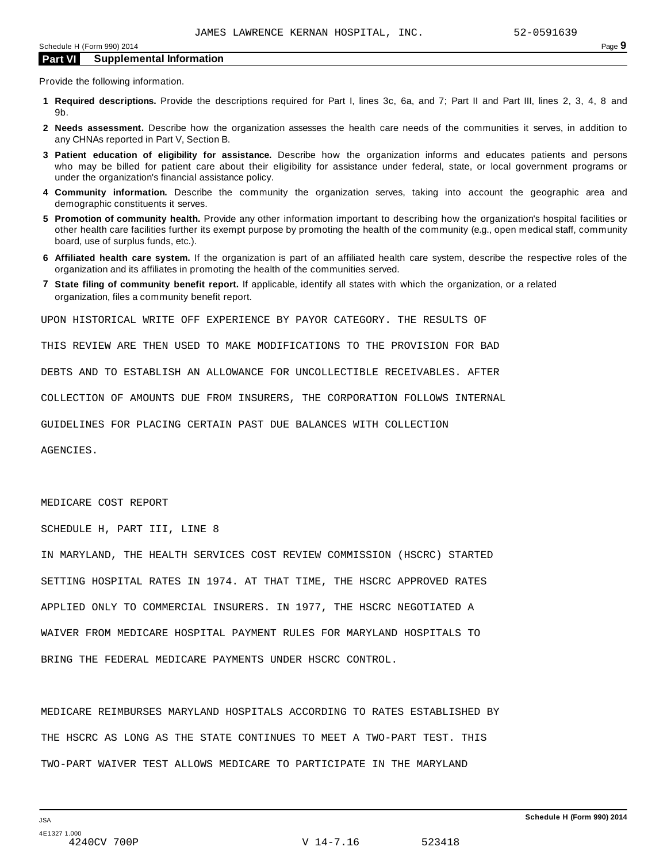Provide the following information.

- **1 Required descriptions.** Provide the descriptions required for Part I, lines 3c, 6a, and 7; Part II and Part III, lines 2, 3, 4, 8 and 9b.
- **2 Needs assessment.** Describe how the organization assesses the health care needs of the communities it serves, in addition to any CHNAs reported in Part V, Section B.
- **3 Patient education of eligibility for assistance.** Describe how the organization informs and educates patients and persons who may be billed for patient care about their eligibility for assistance under federal, state, or local government programs or under the organization's financial assistance policy.
- **4 Community information.** Describe the community the organization serves, taking into account the geographic area and demographic constituents it serves.
- **5 Promotion of community health.** Provide any other information important to describing how the organization's hospital facilities or other health care facilities further its exempt purpose by promoting the health of the community (e.g., open medical staff, community board, use of surplus funds, etc.).
- **6 Affiliated health care system.** If the organization is part of an affiliated health care system, describe the respective roles of the organization and its affiliates in promoting the health of the communities served.
- **7 State filing of community benefit report.** If applicable, identify all states with which the organization, or a related organization, files a community benefit report.

UPON HISTORICAL WRITE OFF EXPERIENCE BY PAYOR CATEGORY. THE RESULTS OF

THIS REVIEW ARE THEN USED TO MAKE MODIFICATIONS TO THE PROVISION FOR BAD

DEBTS AND TO ESTABLISH AN ALLOWANCE FOR UNCOLLECTIBLE RECEIVABLES. AFTER

COLLECTION OF AMOUNTS DUE FROM INSURERS, THE CORPORATION FOLLOWS INTERNAL

GUIDELINES FOR PLACING CERTAIN PAST DUE BALANCES WITH COLLECTION

AGENCIES.

#### MEDICARE COST REPORT

SCHEDULE H, PART III, LINE 8

IN MARYLAND, THE HEALTH SERVICES COST REVIEW COMMISSION (HSCRC) STARTED SETTING HOSPITAL RATES IN 1974. AT THAT TIME, THE HSCRC APPROVED RATES APPLIED ONLY TO COMMERCIAL INSURERS. IN 1977, THE HSCRC NEGOTIATED A WAIVER FROM MEDICARE HOSPITAL PAYMENT RULES FOR MARYLAND HOSPITALS TO BRING THE FEDERAL MEDICARE PAYMENTS UNDER HSCRC CONTROL.

MEDICARE REIMBURSES MARYLAND HOSPITALS ACCORDING TO RATES ESTABLISHED BY THE HSCRC AS LONG AS THE STATE CONTINUES TO MEET A TWO-PART TEST. THIS TWO-PART WAIVER TEST ALLOWS MEDICARE TO PARTICIPATE IN THE MARYLAND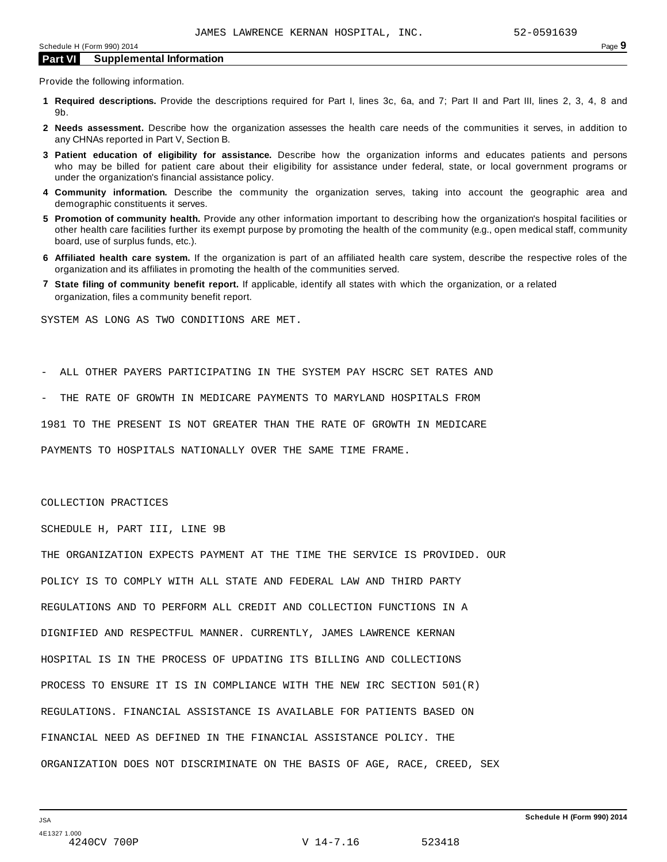Provide the following information.

- **1 Required descriptions.** Provide the descriptions required for Part I, lines 3c, 6a, and 7; Part II and Part III, lines 2, 3, 4, 8 and 9b.
- **2 Needs assessment.** Describe how the organization assesses the health care needs of the communities it serves, in addition to any CHNAs reported in Part V, Section B.
- **3 Patient education of eligibility for assistance.** Describe how the organization informs and educates patients and persons who may be billed for patient care about their eligibility for assistance under federal, state, or local government programs or under the organization's financial assistance policy.
- **4 Community information.** Describe the community the organization serves, taking into account the geographic area and demographic constituents it serves.
- **5 Promotion of community health.** Provide any other information important to describing how the organization's hospital facilities or other health care facilities further its exempt purpose by promoting the health of the community (e.g., open medical staff, community board, use of surplus funds, etc.).
- **6 Affiliated health care system.** If the organization is part of an affiliated health care system, describe the respective roles of the organization and its affiliates in promoting the health of the communities served.
- **7 State filing of community benefit report.** If applicable, identify all states with which the organization, or a related organization, files a community benefit report.

SYSTEM AS LONG AS TWO CONDITIONS ARE MET.

- ALL OTHER PAYERS PARTICIPATING IN THE SYSTEM PAY HSCRC SET RATES AND

THE RATE OF GROWTH IN MEDICARE PAYMENTS TO MARYLAND HOSPITALS FROM

1981 TO THE PRESENT IS NOT GREATER THAN THE RATE OF GROWTH IN MEDICARE

PAYMENTS TO HOSPITALS NATIONALLY OVER THE SAME TIME FRAME.

#### COLLECTION PRACTICES

SCHEDULE H, PART III, LINE 9B

THE ORGANIZATION EXPECTS PAYMENT AT THE TIME THE SERVICE IS PROVIDED. OUR POLICY IS TO COMPLY WITH ALL STATE AND FEDERAL LAW AND THIRD PARTY REGULATIONS AND TO PERFORM ALL CREDIT AND COLLECTION FUNCTIONS IN A DIGNIFIED AND RESPECTFUL MANNER. CURRENTLY, JAMES LAWRENCE KERNAN HOSPITAL IS IN THE PROCESS OF UPDATING ITS BILLING AND COLLECTIONS PROCESS TO ENSURE IT IS IN COMPLIANCE WITH THE NEW IRC SECTION 501(R) REGULATIONS. FINANCIAL ASSISTANCE IS AVAILABLE FOR PATIENTS BASED ON FINANCIAL NEED AS DEFINED IN THE FINANCIAL ASSISTANCE POLICY. THE ORGANIZATION DOES NOT DISCRIMINATE ON THE BASIS OF AGE, RACE, CREED, SEX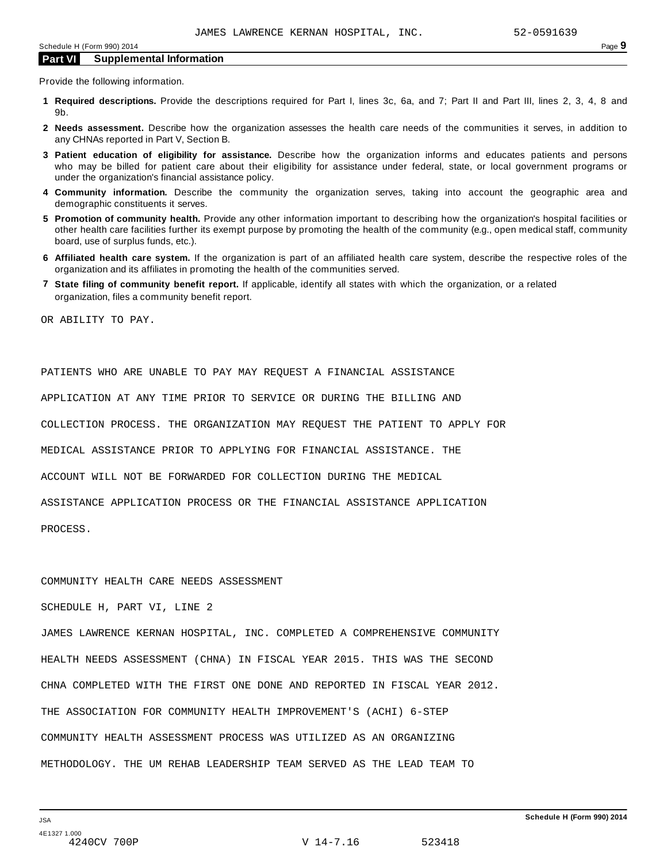Provide the following information.

- **1 Required descriptions.** Provide the descriptions required for Part I, lines 3c, 6a, and 7; Part II and Part III, lines 2, 3, 4, 8 and 9b.
- **2 Needs assessment.** Describe how the organization assesses the health care needs of the communities it serves, in addition to any CHNAs reported in Part V, Section B.
- **3 Patient education of eligibility for assistance.** Describe how the organization informs and educates patients and persons who may be billed for patient care about their eligibility for assistance under federal, state, or local government programs or under the organization's financial assistance policy.
- **4 Community information.** Describe the community the organization serves, taking into account the geographic area and demographic constituents it serves.
- **5 Promotion of community health.** Provide any other information important to describing how the organization's hospital facilities or other health care facilities further its exempt purpose by promoting the health of the community (e.g., open medical staff, community board, use of surplus funds, etc.).
- **6 Affiliated health care system.** If the organization is part of an affiliated health care system, describe the respective roles of the organization and its affiliates in promoting the health of the communities served.
- **7 State filing of community benefit report.** If applicable, identify all states with which the organization, or a related organization, files a community benefit report.

OR ABILITY TO PAY.

PATIENTS WHO ARE UNABLE TO PAY MAY REQUEST A FINANCIAL ASSISTANCE APPLICATION AT ANY TIME PRIOR TO SERVICE OR DURING THE BILLING AND COLLECTION PROCESS. THE ORGANIZATION MAY REQUEST THE PATIENT TO APPLY FOR MEDICAL ASSISTANCE PRIOR TO APPLYING FOR FINANCIAL ASSISTANCE. THE ACCOUNT WILL NOT BE FORWARDED FOR COLLECTION DURING THE MEDICAL ASSISTANCE APPLICATION PROCESS OR THE FINANCIAL ASSISTANCE APPLICATION PROCESS.

#### COMMUNITY HEALTH CARE NEEDS ASSESSMENT

SCHEDULE H, PART VI, LINE 2

JAMES LAWRENCE KERNAN HOSPITAL, INC. COMPLETED A COMPREHENSIVE COMMUNITY HEALTH NEEDS ASSESSMENT (CHNA) IN FISCAL YEAR 2015. THIS WAS THE SECOND CHNA COMPLETED WITH THE FIRST ONE DONE AND REPORTED IN FISCAL YEAR 2012. THE ASSOCIATION FOR COMMUNITY HEALTH IMPROVEMENT'S (ACHI) 6-STEP COMMUNITY HEALTH ASSESSMENT PROCESS WAS UTILIZED AS AN ORGANIZING METHODOLOGY. THE UM REHAB LEADERSHIP TEAM SERVED AS THE LEAD TEAM TO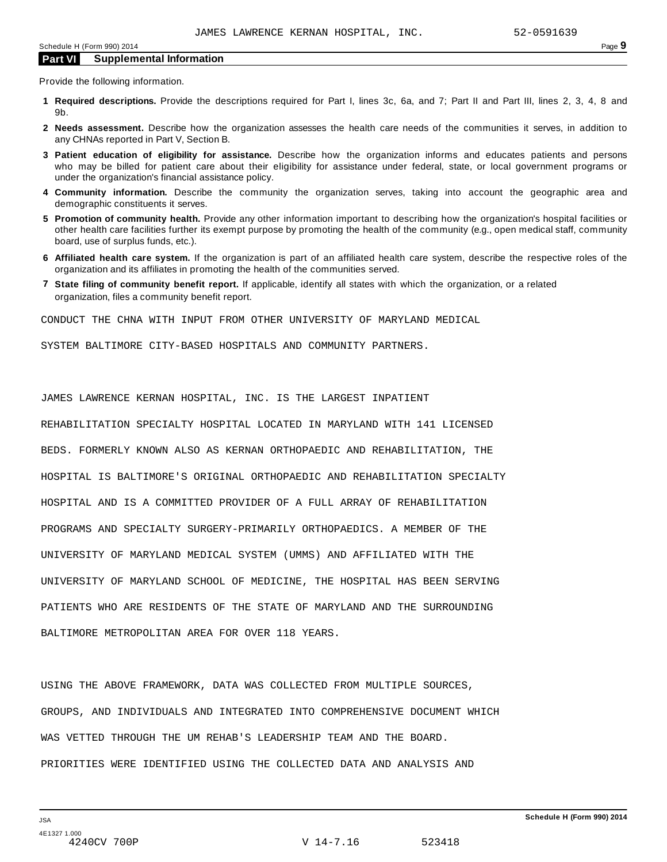Provide the following information.

- **1 Required descriptions.** Provide the descriptions required for Part I, lines 3c, 6a, and 7; Part II and Part III, lines 2, 3, 4, 8 and 9b.
- **2 Needs assessment.** Describe how the organization assesses the health care needs of the communities it serves, in addition to any CHNAs reported in Part V, Section B.
- **3 Patient education of eligibility for assistance.** Describe how the organization informs and educates patients and persons who may be billed for patient care about their eligibility for assistance under federal, state, or local government programs or under the organization's financial assistance policy.
- **4 Community information.** Describe the community the organization serves, taking into account the geographic area and demographic constituents it serves.
- **5 Promotion of community health.** Provide any other information important to describing how the organization's hospital facilities or other health care facilities further its exempt purpose by promoting the health of the community (e.g., open medical staff, community board, use of surplus funds, etc.).
- **6 Affiliated health care system.** If the organization is part of an affiliated health care system, describe the respective roles of the organization and its affiliates in promoting the health of the communities served.
- **7 State filing of community benefit report.** If applicable, identify all states with which the organization, or a related organization, files a community benefit report.

CONDUCT THE CHNA WITH INPUT FROM OTHER UNIVERSITY OF MARYLAND MEDICAL

SYSTEM BALTIMORE CITY-BASED HOSPITALS AND COMMUNITY PARTNERS.

JAMES LAWRENCE KERNAN HOSPITAL, INC. IS THE LARGEST INPATIENT

REHABILITATION SPECIALTY HOSPITAL LOCATED IN MARYLAND WITH 141 LICENSED BEDS. FORMERLY KNOWN ALSO AS KERNAN ORTHOPAEDIC AND REHABILITATION, THE HOSPITAL IS BALTIMORE'S ORIGINAL ORTHOPAEDIC AND REHABILITATION SPECIALTY HOSPITAL AND IS A COMMITTED PROVIDER OF A FULL ARRAY OF REHABILITATION PROGRAMS AND SPECIALTY SURGERY-PRIMARILY ORTHOPAEDICS. A MEMBER OF THE UNIVERSITY OF MARYLAND MEDICAL SYSTEM (UMMS) AND AFFILIATED WITH THE UNIVERSITY OF MARYLAND SCHOOL OF MEDICINE, THE HOSPITAL HAS BEEN SERVING PATIENTS WHO ARE RESIDENTS OF THE STATE OF MARYLAND AND THE SURROUNDING BALTIMORE METROPOLITAN AREA FOR OVER 118 YEARS.

USING THE ABOVE FRAMEWORK, DATA WAS COLLECTED FROM MULTIPLE SOURCES, GROUPS, AND INDIVIDUALS AND INTEGRATED INTO COMPREHENSIVE DOCUMENT WHICH WAS VETTED THROUGH THE UM REHAB'S LEADERSHIP TEAM AND THE BOARD. PRIORITIES WERE IDENTIFIED USING THE COLLECTED DATA AND ANALYSIS AND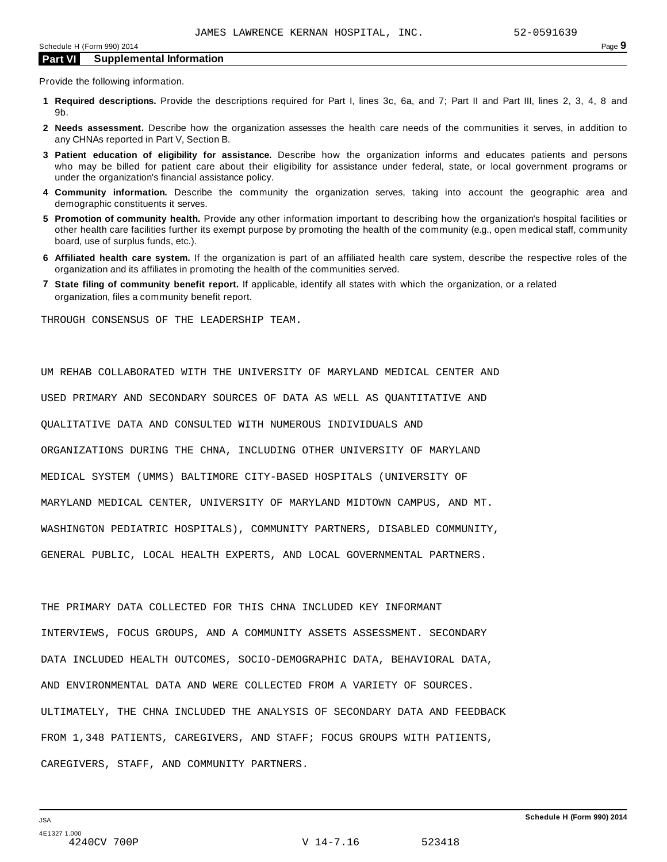Provide the following information.

- **1 Required descriptions.** Provide the descriptions required for Part I, lines 3c, 6a, and 7; Part II and Part III, lines 2, 3, 4, 8 and 9b.
- **2 Needs assessment.** Describe how the organization assesses the health care needs of the communities it serves, in addition to any CHNAs reported in Part V, Section B.
- **3 Patient education of eligibility for assistance.** Describe how the organization informs and educates patients and persons who may be billed for patient care about their eligibility for assistance under federal, state, or local government programs or under the organization's financial assistance policy.
- **4 Community information.** Describe the community the organization serves, taking into account the geographic area and demographic constituents it serves.
- **5 Promotion of community health.** Provide any other information important to describing how the organization's hospital facilities or other health care facilities further its exempt purpose by promoting the health of the community (e.g., open medical staff, community board, use of surplus funds, etc.).
- **6 Affiliated health care system.** If the organization is part of an affiliated health care system, describe the respective roles of the organization and its affiliates in promoting the health of the communities served.
- **7 State filing of community benefit report.** If applicable, identify all states with which the organization, or a related organization, files a community benefit report.

THROUGH CONSENSUS OF THE LEADERSHIP TEAM.

UM REHAB COLLABORATED WITH THE UNIVERSITY OF MARYLAND MEDICAL CENTER AND USED PRIMARY AND SECONDARY SOURCES OF DATA AS WELL AS QUANTITATIVE AND QUALITATIVE DATA AND CONSULTED WITH NUMEROUS INDIVIDUALS AND ORGANIZATIONS DURING THE CHNA, INCLUDING OTHER UNIVERSITY OF MARYLAND MEDICAL SYSTEM (UMMS) BALTIMORE CITY-BASED HOSPITALS (UNIVERSITY OF MARYLAND MEDICAL CENTER, UNIVERSITY OF MARYLAND MIDTOWN CAMPUS, AND MT. WASHINGTON PEDIATRIC HOSPITALS), COMMUNITY PARTNERS, DISABLED COMMUNITY, GENERAL PUBLIC, LOCAL HEALTH EXPERTS, AND LOCAL GOVERNMENTAL PARTNERS.

THE PRIMARY DATA COLLECTED FOR THIS CHNA INCLUDED KEY INFORMANT INTERVIEWS, FOCUS GROUPS, AND A COMMUNITY ASSETS ASSESSMENT. SECONDARY DATA INCLUDED HEALTH OUTCOMES, SOCIO-DEMOGRAPHIC DATA, BEHAVIORAL DATA, AND ENVIRONMENTAL DATA AND WERE COLLECTED FROM A VARIETY OF SOURCES. ULTIMATELY, THE CHNA INCLUDED THE ANALYSIS OF SECONDARY DATA AND FEEDBACK FROM 1,348 PATIENTS, CAREGIVERS, AND STAFF; FOCUS GROUPS WITH PATIENTS, CAREGIVERS, STAFF, AND COMMUNITY PARTNERS.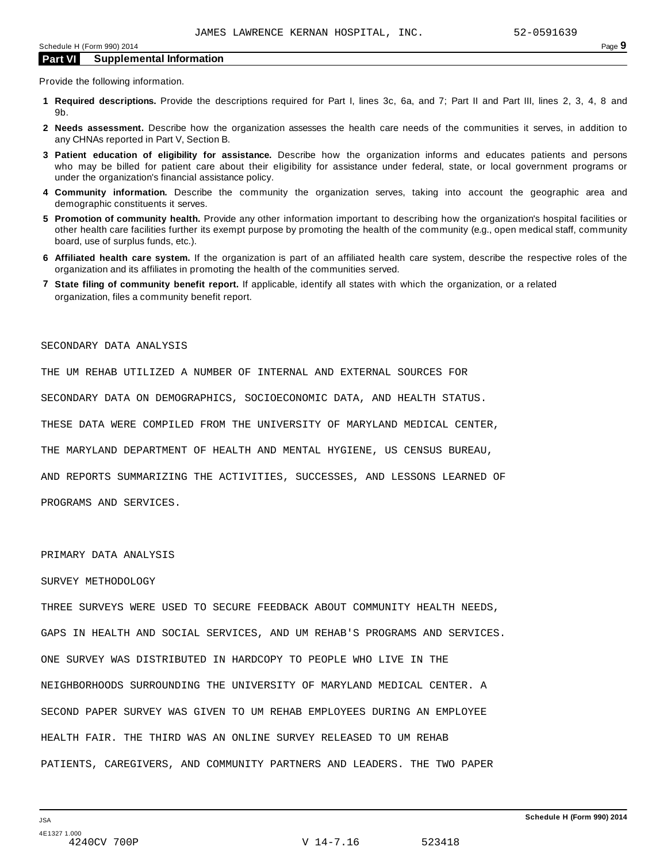Provide the following information.

- **1 Required descriptions.** Provide the descriptions required for Part I, lines 3c, 6a, and 7; Part II and Part III, lines 2, 3, 4, 8 and 9b.
- **2 Needs assessment.** Describe how the organization assesses the health care needs of the communities it serves, in addition to any CHNAs reported in Part V, Section B.
- **3 Patient education of eligibility for assistance.** Describe how the organization informs and educates patients and persons who may be billed for patient care about their eligibility for assistance under federal, state, or local government programs or under the organization's financial assistance policy.
- **4 Community information.** Describe the community the organization serves, taking into account the geographic area and demographic constituents it serves.
- **5 Promotion of community health.** Provide any other information important to describing how the organization's hospital facilities or other health care facilities further its exempt purpose by promoting the health of the community (e.g., open medical staff, community board, use of surplus funds, etc.).
- **6 Affiliated health care system.** If the organization is part of an affiliated health care system, describe the respective roles of the organization and its affiliates in promoting the health of the communities served.
- **7 State filing of community benefit report.** If applicable, identify all states with which the organization, or a related organization, files a community benefit report.

#### SECONDARY DATA ANALYSIS

THE UM REHAB UTILIZED A NUMBER OF INTERNAL AND EXTERNAL SOURCES FOR

SECONDARY DATA ON DEMOGRAPHICS, SOCIOECONOMIC DATA, AND HEALTH STATUS.

THESE DATA WERE COMPILED FROM THE UNIVERSITY OF MARYLAND MEDICAL CENTER,

THE MARYLAND DEPARTMENT OF HEALTH AND MENTAL HYGIENE, US CENSUS BUREAU,

AND REPORTS SUMMARIZING THE ACTIVITIES, SUCCESSES, AND LESSONS LEARNED OF

PROGRAMS AND SERVICES.

## PRIMARY DATA ANALYSIS

#### SURVEY METHODOLOGY

THREE SURVEYS WERE USED TO SECURE FEEDBACK ABOUT COMMUNITY HEALTH NEEDS, GAPS IN HEALTH AND SOCIAL SERVICES, AND UM REHAB'S PROGRAMS AND SERVICES. ONE SURVEY WAS DISTRIBUTED IN HARDCOPY TO PEOPLE WHO LIVE IN THE NEIGHBORHOODS SURROUNDING THE UNIVERSITY OF MARYLAND MEDICAL CENTER. A SECOND PAPER SURVEY WAS GIVEN TO UM REHAB EMPLOYEES DURING AN EMPLOYEE HEALTH FAIR. THE THIRD WAS AN ONLINE SURVEY RELEASED TO UM REHAB PATIENTS, CAREGIVERS, AND COMMUNITY PARTNERS AND LEADERS. THE TWO PAPER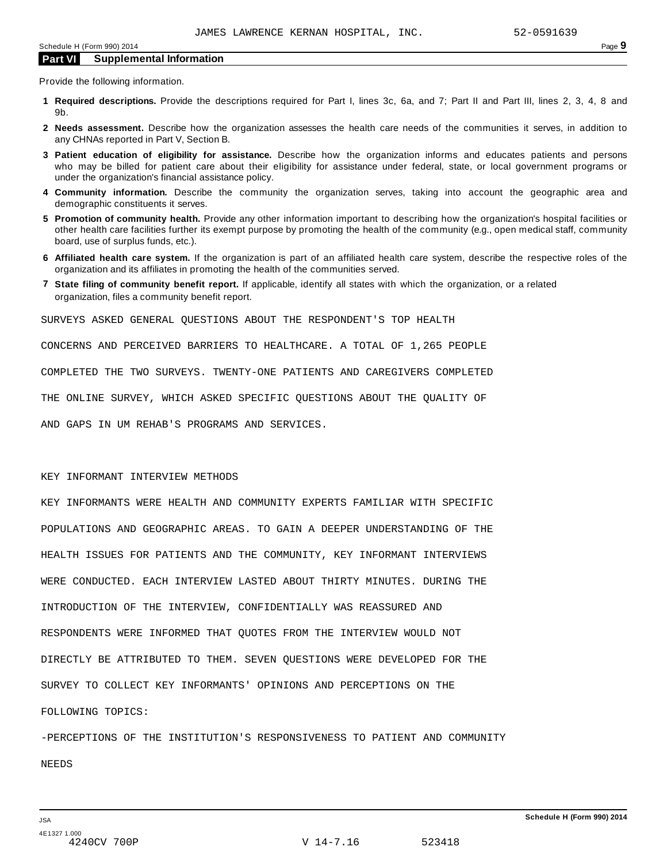Provide the following information.

- **1 Required descriptions.** Provide the descriptions required for Part I, lines 3c, 6a, and 7; Part II and Part III, lines 2, 3, 4, 8 and 9b.
- **2 Needs assessment.** Describe how the organization assesses the health care needs of the communities it serves, in addition to any CHNAs reported in Part V, Section B.
- **3 Patient education of eligibility for assistance.** Describe how the organization informs and educates patients and persons who may be billed for patient care about their eligibility for assistance under federal, state, or local government programs or under the organization's financial assistance policy.
- **4 Community information.** Describe the community the organization serves, taking into account the geographic area and demographic constituents it serves.
- **5 Promotion of community health.** Provide any other information important to describing how the organization's hospital facilities or other health care facilities further its exempt purpose by promoting the health of the community (e.g., open medical staff, community board, use of surplus funds, etc.).
- **6 Affiliated health care system.** If the organization is part of an affiliated health care system, describe the respective roles of the organization and its affiliates in promoting the health of the communities served.
- **7 State filing of community benefit report.** If applicable, identify all states with which the organization, or a related organization, files a community benefit report.

SURVEYS ASKED GENERAL QUESTIONS ABOUT THE RESPONDENT'S TOP HEALTH

CONCERNS AND PERCEIVED BARRIERS TO HEALTHCARE. A TOTAL OF 1,265 PEOPLE

COMPLETED THE TWO SURVEYS. TWENTY-ONE PATIENTS AND CAREGIVERS COMPLETED

THE ONLINE SURVEY, WHICH ASKED SPECIFIC QUESTIONS ABOUT THE QUALITY OF

AND GAPS IN UM REHAB'S PROGRAMS AND SERVICES.

#### KEY INFORMANT INTERVIEW METHODS

KEY INFORMANTS WERE HEALTH AND COMMUNITY EXPERTS FAMILIAR WITH SPECIFIC POPULATIONS AND GEOGRAPHIC AREAS. TO GAIN A DEEPER UNDERSTANDING OF THE HEALTH ISSUES FOR PATIENTS AND THE COMMUNITY, KEY INFORMANT INTERVIEWS WERE CONDUCTED. EACH INTERVIEW LASTED ABOUT THIRTY MINUTES. DURING THE INTRODUCTION OF THE INTERVIEW, CONFIDENTIALLY WAS REASSURED AND RESPONDENTS WERE INFORMED THAT QUOTES FROM THE INTERVIEW WOULD NOT DIRECTLY BE ATTRIBUTED TO THEM. SEVEN QUESTIONS WERE DEVELOPED FOR THE SURVEY TO COLLECT KEY INFORMANTS' OPINIONS AND PERCEPTIONS ON THE FOLLOWING TOPICS:

-PERCEPTIONS OF THE INSTITUTION'S RESPONSIVENESS TO PATIENT AND COMMUNITY NEEDS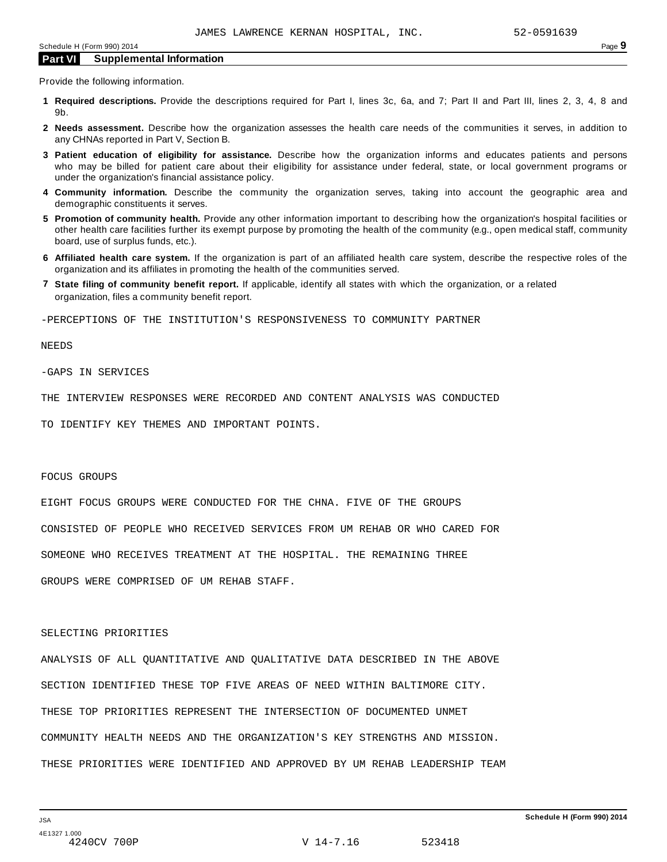Provide the following information.

- **1 Required descriptions.** Provide the descriptions required for Part I, lines 3c, 6a, and 7; Part II and Part III, lines 2, 3, 4, 8 and 9b.
- **2 Needs assessment.** Describe how the organization assesses the health care needs of the communities it serves, in addition to any CHNAs reported in Part V, Section B.
- **3 Patient education of eligibility for assistance.** Describe how the organization informs and educates patients and persons who may be billed for patient care about their eligibility for assistance under federal, state, or local government programs or under the organization's financial assistance policy.
- **4 Community information.** Describe the community the organization serves, taking into account the geographic area and demographic constituents it serves.
- **5 Promotion of community health.** Provide any other information important to describing how the organization's hospital facilities or other health care facilities further its exempt purpose by promoting the health of the community (e.g., open medical staff, community board, use of surplus funds, etc.).
- **6 Affiliated health care system.** If the organization is part of an affiliated health care system, describe the respective roles of the organization and its affiliates in promoting the health of the communities served.
- **7 State filing of community benefit report.** If applicable, identify all states with which the organization, or a related organization, files a community benefit report.

-PERCEPTIONS OF THE INSTITUTION'S RESPONSIVENESS TO COMMUNITY PARTNER

NEEDS

-GAPS IN SERVICES

THE INTERVIEW RESPONSES WERE RECORDED AND CONTENT ANALYSIS WAS CONDUCTED

TO IDENTIFY KEY THEMES AND IMPORTANT POINTS.

#### FOCUS GROUPS

EIGHT FOCUS GROUPS WERE CONDUCTED FOR THE CHNA. FIVE OF THE GROUPS CONSISTED OF PEOPLE WHO RECEIVED SERVICES FROM UM REHAB OR WHO CARED FOR SOMEONE WHO RECEIVES TREATMENT AT THE HOSPITAL. THE REMAINING THREE GROUPS WERE COMPRISED OF UM REHAB STAFF.

#### SELECTING PRIORITIES

ANALYSIS OF ALL QUANTITATIVE AND QUALITATIVE DATA DESCRIBED IN THE ABOVE SECTION IDENTIFIED THESE TOP FIVE AREAS OF NEED WITHIN BALTIMORE CITY. THESE TOP PRIORITIES REPRESENT THE INTERSECTION OF DOCUMENTED UNMET COMMUNITY HEALTH NEEDS AND THE ORGANIZATION'S KEY STRENGTHS AND MISSION. THESE PRIORITIES WERE IDENTIFIED AND APPROVED BY UM REHAB LEADERSHIP TEAM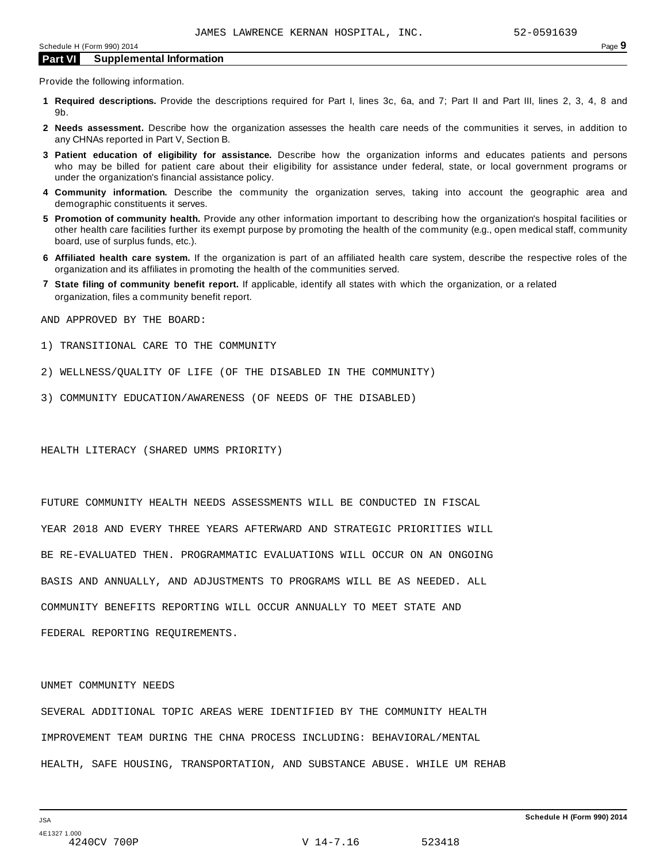Provide the following information.

- **1 Required descriptions.** Provide the descriptions required for Part I, lines 3c, 6a, and 7; Part II and Part III, lines 2, 3, 4, 8 and 9b.
- **2 Needs assessment.** Describe how the organization assesses the health care needs of the communities it serves, in addition to any CHNAs reported in Part V, Section B.
- **3 Patient education of eligibility for assistance.** Describe how the organization informs and educates patients and persons who may be billed for patient care about their eligibility for assistance under federal, state, or local government programs or under the organization's financial assistance policy.
- **4 Community information.** Describe the community the organization serves, taking into account the geographic area and demographic constituents it serves.
- **5 Promotion of community health.** Provide any other information important to describing how the organization's hospital facilities or other health care facilities further its exempt purpose by promoting the health of the community (e.g., open medical staff, community board, use of surplus funds, etc.).
- **6 Affiliated health care system.** If the organization is part of an affiliated health care system, describe the respective roles of the organization and its affiliates in promoting the health of the communities served.
- **7 State filing of community benefit report.** If applicable, identify all states with which the organization, or a related organization, files a community benefit report.

AND APPROVED BY THE BOARD:

- 1) TRANSITIONAL CARE TO THE COMMUNITY
- 2) WELLNESS/QUALITY OF LIFE (OF THE DISABLED IN THE COMMUNITY)
- 3) COMMUNITY EDUCATION/AWARENESS (OF NEEDS OF THE DISABLED)

HEALTH LITERACY (SHARED UMMS PRIORITY)

FUTURE COMMUNITY HEALTH NEEDS ASSESSMENTS WILL BE CONDUCTED IN FISCAL YEAR 2018 AND EVERY THREE YEARS AFTERWARD AND STRATEGIC PRIORITIES WILL BE RE-EVALUATED THEN. PROGRAMMATIC EVALUATIONS WILL OCCUR ON AN ONGOING BASIS AND ANNUALLY, AND ADJUSTMENTS TO PROGRAMS WILL BE AS NEEDED. ALL COMMUNITY BENEFITS REPORTING WILL OCCUR ANNUALLY TO MEET STATE AND FEDERAL REPORTING REQUIREMENTS.

#### UNMET COMMUNITY NEEDS

SEVERAL ADDITIONAL TOPIC AREAS WERE IDENTIFIED BY THE COMMUNITY HEALTH IMPROVEMENT TEAM DURING THE CHNA PROCESS INCLUDING: BEHAVIORAL/MENTAL HEALTH, SAFE HOUSING, TRANSPORTATION, AND SUBSTANCE ABUSE. WHILE UM REHAB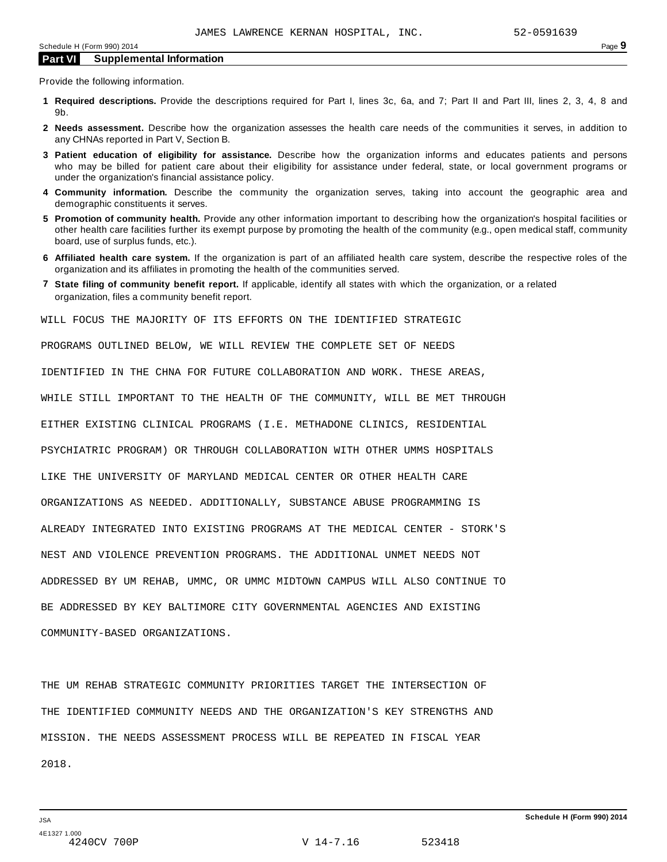Provide the following information.

- **1 Required descriptions.** Provide the descriptions required for Part I, lines 3c, 6a, and 7; Part II and Part III, lines 2, 3, 4, 8 and 9b.
- **2 Needs assessment.** Describe how the organization assesses the health care needs of the communities it serves, in addition to any CHNAs reported in Part V, Section B.
- **3 Patient education of eligibility for assistance.** Describe how the organization informs and educates patients and persons who may be billed for patient care about their eligibility for assistance under federal, state, or local government programs or under the organization's financial assistance policy.
- **4 Community information.** Describe the community the organization serves, taking into account the geographic area and demographic constituents it serves.
- **5 Promotion of community health.** Provide any other information important to describing how the organization's hospital facilities or other health care facilities further its exempt purpose by promoting the health of the community (e.g., open medical staff, community board, use of surplus funds, etc.).
- **6 Affiliated health care system.** If the organization is part of an affiliated health care system, describe the respective roles of the organization and its affiliates in promoting the health of the communities served.
- **7 State filing of community benefit report.** If applicable, identify all states with which the organization, or a related organization, files a community benefit report.

WILL FOCUS THE MAJORITY OF ITS EFFORTS ON THE IDENTIFIED STRATEGIC

PROGRAMS OUTLINED BELOW, WE WILL REVIEW THE COMPLETE SET OF NEEDS

IDENTIFIED IN THE CHNA FOR FUTURE COLLABORATION AND WORK. THESE AREAS,

WHILE STILL IMPORTANT TO THE HEALTH OF THE COMMUNITY, WILL BE MET THROUGH

EITHER EXISTING CLINICAL PROGRAMS (I.E. METHADONE CLINICS, RESIDENTIAL

PSYCHIATRIC PROGRAM) OR THROUGH COLLABORATION WITH OTHER UMMS HOSPITALS

LIKE THE UNIVERSITY OF MARYLAND MEDICAL CENTER OR OTHER HEALTH CARE

ORGANIZATIONS AS NEEDED. ADDITIONALLY, SUBSTANCE ABUSE PROGRAMMING IS

ALREADY INTEGRATED INTO EXISTING PROGRAMS AT THE MEDICAL CENTER - STORK'S

NEST AND VIOLENCE PREVENTION PROGRAMS. THE ADDITIONAL UNMET NEEDS NOT

ADDRESSED BY UM REHAB, UMMC, OR UMMC MIDTOWN CAMPUS WILL ALSO CONTINUE TO

BE ADDRESSED BY KEY BALTIMORE CITY GOVERNMENTAL AGENCIES AND EXISTING

COMMUNITY-BASED ORGANIZATIONS.

THE UM REHAB STRATEGIC COMMUNITY PRIORITIES TARGET THE INTERSECTION OF THE IDENTIFIED COMMUNITY NEEDS AND THE ORGANIZATION'S KEY STRENGTHS AND MISSION. THE NEEDS ASSESSMENT PROCESS WILL BE REPEATED IN FISCAL YEAR 2018.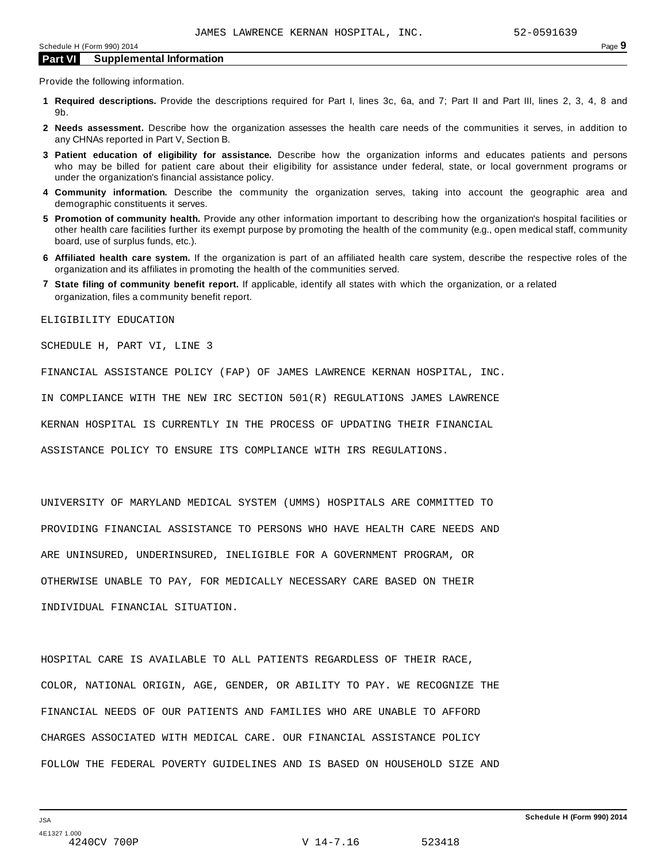Provide the following information.

- **1 Required descriptions.** Provide the descriptions required for Part I, lines 3c, 6a, and 7; Part II and Part III, lines 2, 3, 4, 8 and 9b.
- **2 Needs assessment.** Describe how the organization assesses the health care needs of the communities it serves, in addition to any CHNAs reported in Part V, Section B.
- **3 Patient education of eligibility for assistance.** Describe how the organization informs and educates patients and persons who may be billed for patient care about their eligibility for assistance under federal, state, or local government programs or under the organization's financial assistance policy.
- **4 Community information.** Describe the community the organization serves, taking into account the geographic area and demographic constituents it serves.
- **5 Promotion of community health.** Provide any other information important to describing how the organization's hospital facilities or other health care facilities further its exempt purpose by promoting the health of the community (e.g., open medical staff, community board, use of surplus funds, etc.).
- **6 Affiliated health care system.** If the organization is part of an affiliated health care system, describe the respective roles of the organization and its affiliates in promoting the health of the communities served.
- **7 State filing of community benefit report.** If applicable, identify all states with which the organization, or a related organization, files a community benefit report.

ELIGIBILITY EDUCATION

SCHEDULE H, PART VI, LINE 3

FINANCIAL ASSISTANCE POLICY (FAP) OF JAMES LAWRENCE KERNAN HOSPITAL, INC.

IN COMPLIANCE WITH THE NEW IRC SECTION 501(R) REGULATIONS JAMES LAWRENCE

KERNAN HOSPITAL IS CURRENTLY IN THE PROCESS OF UPDATING THEIR FINANCIAL

ASSISTANCE POLICY TO ENSURE ITS COMPLIANCE WITH IRS REGULATIONS.

UNIVERSITY OF MARYLAND MEDICAL SYSTEM (UMMS) HOSPITALS ARE COMMITTED TO PROVIDING FINANCIAL ASSISTANCE TO PERSONS WHO HAVE HEALTH CARE NEEDS AND ARE UNINSURED, UNDERINSURED, INELIGIBLE FOR A GOVERNMENT PROGRAM, OR OTHERWISE UNABLE TO PAY, FOR MEDICALLY NECESSARY CARE BASED ON THEIR INDIVIDUAL FINANCIAL SITUATION.

HOSPITAL CARE IS AVAILABLE TO ALL PATIENTS REGARDLESS OF THEIR RACE, COLOR, NATIONAL ORIGIN, AGE, GENDER, OR ABILITY TO PAY. WE RECOGNIZE THE FINANCIAL NEEDS OF OUR PATIENTS AND FAMILIES WHO ARE UNABLE TO AFFORD CHARGES ASSOCIATED WITH MEDICAL CARE. OUR FINANCIAL ASSISTANCE POLICY FOLLOW THE FEDERAL POVERTY GUIDELINES AND IS BASED ON HOUSEHOLD SIZE AND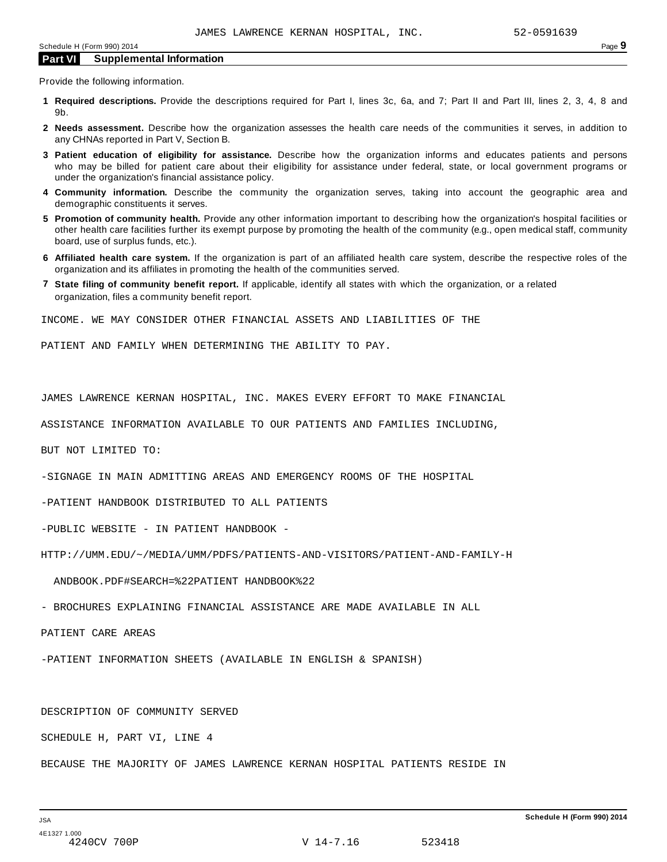Provide the following information.

- **1 Required descriptions.** Provide the descriptions required for Part I, lines 3c, 6a, and 7; Part II and Part III, lines 2, 3, 4, 8 and 9b.
- **2 Needs assessment.** Describe how the organization assesses the health care needs of the communities it serves, in addition to any CHNAs reported in Part V, Section B.
- **3 Patient education of eligibility for assistance.** Describe how the organization informs and educates patients and persons who may be billed for patient care about their eligibility for assistance under federal, state, or local government programs or under the organization's financial assistance policy.
- **4 Community information.** Describe the community the organization serves, taking into account the geographic area and demographic constituents it serves.
- **5 Promotion of community health.** Provide any other information important to describing how the organization's hospital facilities or other health care facilities further its exempt purpose by promoting the health of the community (e.g., open medical staff, community board, use of surplus funds, etc.).
- **6 Affiliated health care system.** If the organization is part of an affiliated health care system, describe the respective roles of the organization and its affiliates in promoting the health of the communities served.
- **7 State filing of community benefit report.** If applicable, identify all states with which the organization, or a related organization, files a community benefit report.

INCOME. WE MAY CONSIDER OTHER FINANCIAL ASSETS AND LIABILITIES OF THE

PATIENT AND FAMILY WHEN DETERMINING THE ABILITY TO PAY.

JAMES LAWRENCE KERNAN HOSPITAL, INC. MAKES EVERY EFFORT TO MAKE FINANCIAL

ASSISTANCE INFORMATION AVAILABLE TO OUR PATIENTS AND FAMILIES INCLUDING,

BUT NOT LIMITED TO:

-SIGNAGE IN MAIN ADMITTING AREAS AND EMERGENCY ROOMS OF THE HOSPITAL

-PATIENT HANDBOOK DISTRIBUTED TO ALL PATIENTS

-PUBLIC WEBSITE - IN PATIENT HANDBOOK -

HTTP://UMM.EDU/~/MEDIA/UMM/PDFS/PATIENTS-AND-VISITORS/PATIENT-AND-FAMILY-H

ANDBOOK.PDF#SEARCH=%22PATIENT HANDBOOK%22

- BROCHURES EXPLAINING FINANCIAL ASSISTANCE ARE MADE AVAILABLE IN ALL

PATIENT CARE AREAS

-PATIENT INFORMATION SHEETS (AVAILABLE IN ENGLISH & SPANISH)

DESCRIPTION OF COMMUNITY SERVED

SCHEDULE H, PART VI, LINE 4

BECAUSE THE MAJORITY OF JAMES LAWRENCE KERNAN HOSPITAL PATIENTS RESIDE IN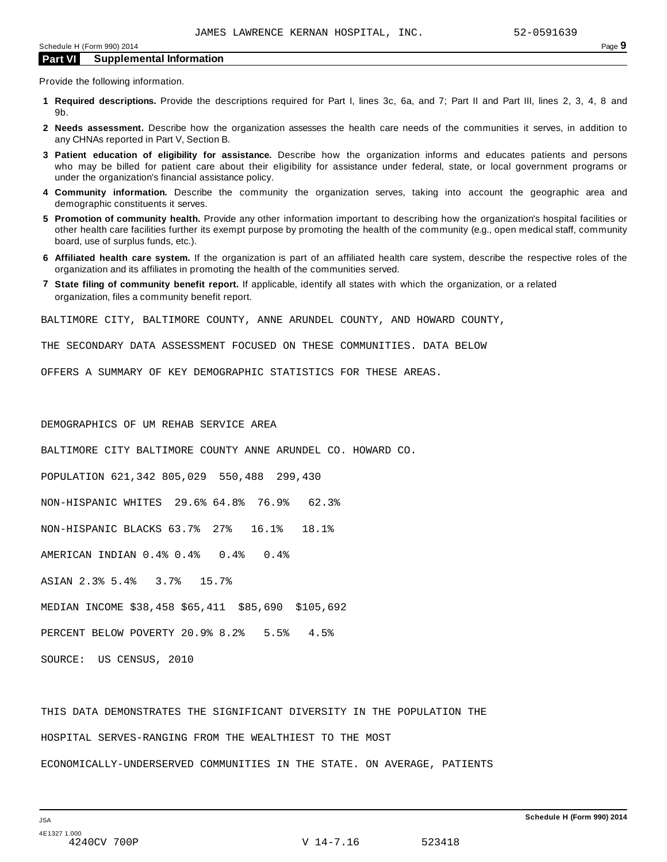Provide the following information.

- **1 Required descriptions.** Provide the descriptions required for Part I, lines 3c, 6a, and 7; Part II and Part III, lines 2, 3, 4, 8 and 9b.
- **2 Needs assessment.** Describe how the organization assesses the health care needs of the communities it serves, in addition to any CHNAs reported in Part V, Section B.
- **3 Patient education of eligibility for assistance.** Describe how the organization informs and educates patients and persons who may be billed for patient care about their eligibility for assistance under federal, state, or local government programs or under the organization's financial assistance policy.
- **4 Community information.** Describe the community the organization serves, taking into account the geographic area and demographic constituents it serves.
- **5 Promotion of community health.** Provide any other information important to describing how the organization's hospital facilities or other health care facilities further its exempt purpose by promoting the health of the community (e.g., open medical staff, community board, use of surplus funds, etc.).
- **6 Affiliated health care system.** If the organization is part of an affiliated health care system, describe the respective roles of the organization and its affiliates in promoting the health of the communities served.
- **7 State filing of community benefit report.** If applicable, identify all states with which the organization, or a related organization, files a community benefit report.

BALTIMORE CITY, BALTIMORE COUNTY, ANNE ARUNDEL COUNTY, AND HOWARD COUNTY,

THE SECONDARY DATA ASSESSMENT FOCUSED ON THESE COMMUNITIES. DATA BELOW

OFFERS A SUMMARY OF KEY DEMOGRAPHIC STATISTICS FOR THESE AREAS.

DEMOGRAPHICS OF UM REHAB SERVICE AREA BALTIMORE CITY BALTIMORE COUNTY ANNE ARUNDEL CO. HOWARD CO. POPULATION 621,342 805,029 550,488 299,430 NON-HISPANIC WHITES 29.6% 64.8% 76.9% 62.3% NON-HISPANIC BLACKS 63.7% 27% 16.1% 18.1% AMERICAN INDIAN 0.4% 0.4% 0.4% 0.4% ASIAN 2.3% 5.4% 3.7% 15.7% MEDIAN INCOME \$38,458 \$65,411 \$85,690 \$105,692 PERCENT BELOW POVERTY 20.9% 8.2% 5.5% 4.5%

SOURCE: US CENSUS, 2010

THIS DATA DEMONSTRATES THE SIGNIFICANT DIVERSITY IN THE POPULATION THE HOSPITAL SERVES-RANGING FROM THE WEALTHIEST TO THE MOST ECONOMICALLY-UNDERSERVED COMMUNITIES IN THE STATE. ON AVERAGE, PATIENTS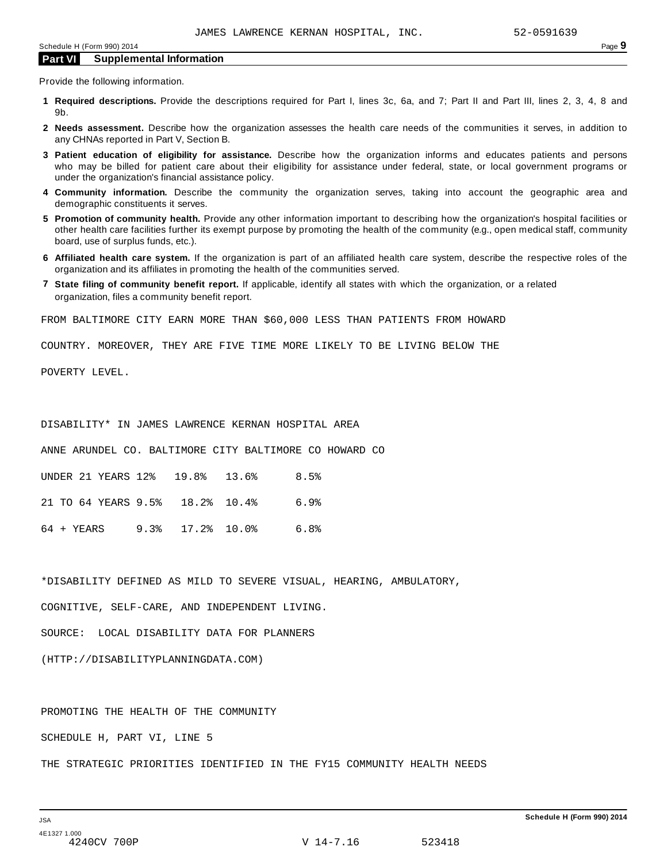Provide the following information.

- **1 Required descriptions.** Provide the descriptions required for Part I, lines 3c, 6a, and 7; Part II and Part III, lines 2, 3, 4, 8 and 9b.
- **2 Needs assessment.** Describe how the organization assesses the health care needs of the communities it serves, in addition to any CHNAs reported in Part V, Section B.
- **3 Patient education of eligibility for assistance.** Describe how the organization informs and educates patients and persons who may be billed for patient care about their eligibility for assistance under federal, state, or local government programs or under the organization's financial assistance policy.
- **4 Community information.** Describe the community the organization serves, taking into account the geographic area and demographic constituents it serves.
- **5 Promotion of community health.** Provide any other information important to describing how the organization's hospital facilities or other health care facilities further its exempt purpose by promoting the health of the community (e.g., open medical staff, community board, use of surplus funds, etc.).
- **6 Affiliated health care system.** If the organization is part of an affiliated health care system, describe the respective roles of the organization and its affiliates in promoting the health of the communities served.
- **7 State filing of community benefit report.** If applicable, identify all states with which the organization, or a related organization, files a community benefit report.

FROM BALTIMORE CITY EARN MORE THAN \$60,000 LESS THAN PATIENTS FROM HOWARD

COUNTRY. MOREOVER, THEY ARE FIVE TIME MORE LIKELY TO BE LIVING BELOW THE

POVERTY LEVEL.

DISABILITY\* IN JAMES LAWRENCE KERNAN HOSPITAL AREA

ANNE ARUNDEL CO. BALTIMORE CITY BALTIMORE CO HOWARD CO

|  |  | UNDER 21 YEARS 12% 19.8% 13.6% 8.5%  |      |
|--|--|--------------------------------------|------|
|  |  | 21 TO 64 YEARS 9.5% 18.2% 10.4% 6.9% |      |
|  |  |                                      | 6.8% |

\*DISABILITY DEFINED AS MILD TO SEVERE VISUAL, HEARING, AMBULATORY,

COGNITIVE, SELF-CARE, AND INDEPENDENT LIVING.

SOURCE: LOCAL DISABILITY DATA FOR PLANNERS

(HTTP://DISABILITYPLANNINGDATA.COM)

PROMOTING THE HEALTH OF THE COMMUNITY

SCHEDULE H, PART VI, LINE 5

THE STRATEGIC PRIORITIES IDENTIFIED IN THE FY15 COMMUNITY HEALTH NEEDS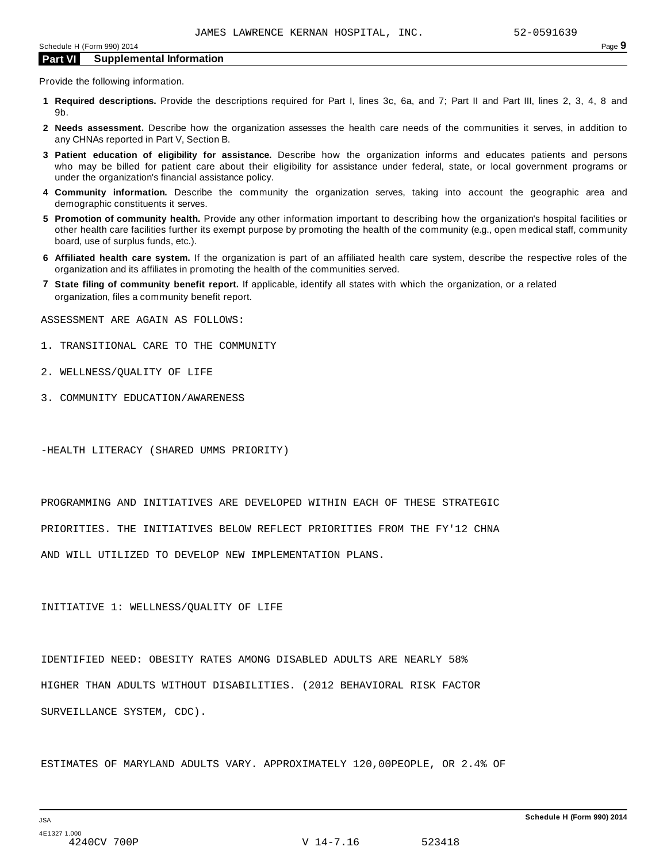Provide the following information.

- **1 Required descriptions.** Provide the descriptions required for Part I, lines 3c, 6a, and 7; Part II and Part III, lines 2, 3, 4, 8 and 9b.
- **2 Needs assessment.** Describe how the organization assesses the health care needs of the communities it serves, in addition to any CHNAs reported in Part V, Section B.
- **3 Patient education of eligibility for assistance.** Describe how the organization informs and educates patients and persons who may be billed for patient care about their eligibility for assistance under federal, state, or local government programs or under the organization's financial assistance policy.
- **4 Community information.** Describe the community the organization serves, taking into account the geographic area and demographic constituents it serves.
- **5 Promotion of community health.** Provide any other information important to describing how the organization's hospital facilities or other health care facilities further its exempt purpose by promoting the health of the community (e.g., open medical staff, community board, use of surplus funds, etc.).
- **6 Affiliated health care system.** If the organization is part of an affiliated health care system, describe the respective roles of the organization and its affiliates in promoting the health of the communities served.
- **7 State filing of community benefit report.** If applicable, identify all states with which the organization, or a related organization, files a community benefit report.

ASSESSMENT ARE AGAIN AS FOLLOWS:

- 1. TRANSITIONAL CARE TO THE COMMUNITY
- 2. WELLNESS/QUALITY OF LIFE
- 3. COMMUNITY EDUCATION/AWARENESS

-HEALTH LITERACY (SHARED UMMS PRIORITY)

PROGRAMMING AND INITIATIVES ARE DEVELOPED WITHIN EACH OF THESE STRATEGIC

PRIORITIES. THE INITIATIVES BELOW REFLECT PRIORITIES FROM THE FY'12 CHNA

AND WILL UTILIZED TO DEVELOP NEW IMPLEMENTATION PLANS.

INITIATIVE 1: WELLNESS/QUALITY OF LIFE

IDENTIFIED NEED: OBESITY RATES AMONG DISABLED ADULTS ARE NEARLY 58% HIGHER THAN ADULTS WITHOUT DISABILITIES. (2012 BEHAVIORAL RISK FACTOR SURVEILLANCE SYSTEM, CDC).

ESTIMATES OF MARYLAND ADULTS VARY. APPROXIMATELY 120,00PEOPLE, OR 2.4% OF

4240CV 700P V 14-7.16 523418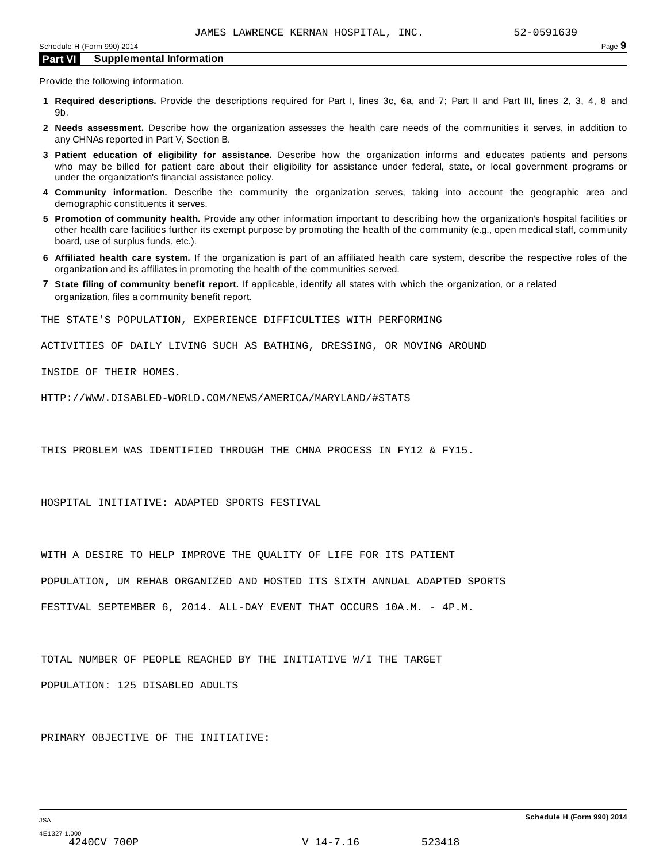Provide the following information.

- **1 Required descriptions.** Provide the descriptions required for Part I, lines 3c, 6a, and 7; Part II and Part III, lines 2, 3, 4, 8 and 9b.
- **2 Needs assessment.** Describe how the organization assesses the health care needs of the communities it serves, in addition to any CHNAs reported in Part V, Section B.
- **3 Patient education of eligibility for assistance.** Describe how the organization informs and educates patients and persons who may be billed for patient care about their eligibility for assistance under federal, state, or local government programs or under the organization's financial assistance policy.
- **4 Community information.** Describe the community the organization serves, taking into account the geographic area and demographic constituents it serves.
- **5 Promotion of community health.** Provide any other information important to describing how the organization's hospital facilities or other health care facilities further its exempt purpose by promoting the health of the community (e.g., open medical staff, community board, use of surplus funds, etc.).
- **6 Affiliated health care system.** If the organization is part of an affiliated health care system, describe the respective roles of the organization and its affiliates in promoting the health of the communities served.
- **7 State filing of community benefit report.** If applicable, identify all states with which the organization, or a related organization, files a community benefit report.

THE STATE'S POPULATION, EXPERIENCE DIFFICULTIES WITH PERFORMING

ACTIVITIES OF DAILY LIVING SUCH AS BATHING, DRESSING, OR MOVING AROUND

INSIDE OF THEIR HOMES.

HTTP://WWW.DISABLED-WORLD.COM/NEWS/AMERICA/MARYLAND/#STATS

THIS PROBLEM WAS IDENTIFIED THROUGH THE CHNA PROCESS IN FY12 & FY15.

HOSPITAL INITIATIVE: ADAPTED SPORTS FESTIVAL

WITH A DESIRE TO HELP IMPROVE THE QUALITY OF LIFE FOR ITS PATIENT

POPULATION, UM REHAB ORGANIZED AND HOSTED ITS SIXTH ANNUAL ADAPTED SPORTS

FESTIVAL SEPTEMBER 6, 2014. ALL-DAY EVENT THAT OCCURS 10A.M. - 4P.M.

TOTAL NUMBER OF PEOPLE REACHED BY THE INITIATIVE W/I THE TARGET

POPULATION: 125 DISABLED ADULTS

PRIMARY OBJECTIVE OF THE INITIATIVE: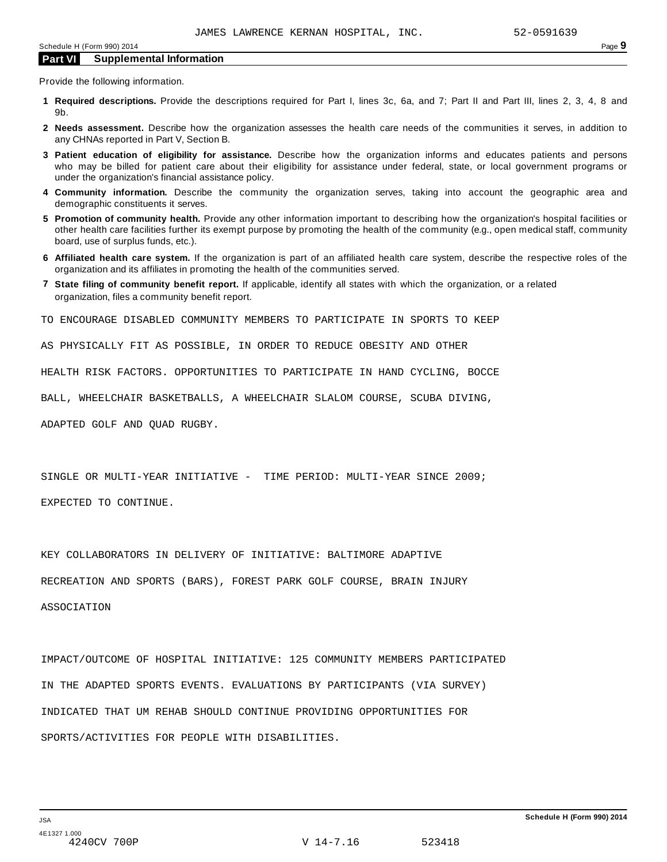Provide the following information.

- **1 Required descriptions.** Provide the descriptions required for Part I, lines 3c, 6a, and 7; Part II and Part III, lines 2, 3, 4, 8 and 9b.
- **2 Needs assessment.** Describe how the organization assesses the health care needs of the communities it serves, in addition to any CHNAs reported in Part V, Section B.
- **3 Patient education of eligibility for assistance.** Describe how the organization informs and educates patients and persons who may be billed for patient care about their eligibility for assistance under federal, state, or local government programs or under the organization's financial assistance policy.
- **4 Community information.** Describe the community the organization serves, taking into account the geographic area and demographic constituents it serves.
- **5 Promotion of community health.** Provide any other information important to describing how the organization's hospital facilities or other health care facilities further its exempt purpose by promoting the health of the community (e.g., open medical staff, community board, use of surplus funds, etc.).
- **6 Affiliated health care system.** If the organization is part of an affiliated health care system, describe the respective roles of the organization and its affiliates in promoting the health of the communities served.
- **7 State filing of community benefit report.** If applicable, identify all states with which the organization, or a related organization, files a community benefit report.

TO ENCOURAGE DISABLED COMMUNITY MEMBERS TO PARTICIPATE IN SPORTS TO KEEP

AS PHYSICALLY FIT AS POSSIBLE, IN ORDER TO REDUCE OBESITY AND OTHER

HEALTH RISK FACTORS. OPPORTUNITIES TO PARTICIPATE IN HAND CYCLING, BOCCE

BALL, WHEELCHAIR BASKETBALLS, A WHEELCHAIR SLALOM COURSE, SCUBA DIVING,

ADAPTED GOLF AND QUAD RUGBY.

SINGLE OR MULTI-YEAR INITIATIVE - TIME PERIOD: MULTI-YEAR SINCE 2009;

EXPECTED TO CONTINUE.

KEY COLLABORATORS IN DELIVERY OF INITIATIVE: BALTIMORE ADAPTIVE

RECREATION AND SPORTS (BARS), FOREST PARK GOLF COURSE, BRAIN INJURY

ASSOCIATION

IMPACT/OUTCOME OF HOSPITAL INITIATIVE: 125 COMMUNITY MEMBERS PARTICIPATED IN THE ADAPTED SPORTS EVENTS. EVALUATIONS BY PARTICIPANTS (VIA SURVEY) INDICATED THAT UM REHAB SHOULD CONTINUE PROVIDING OPPORTUNITIES FOR SPORTS/ACTIVITIES FOR PEOPLE WITH DISABILITIES.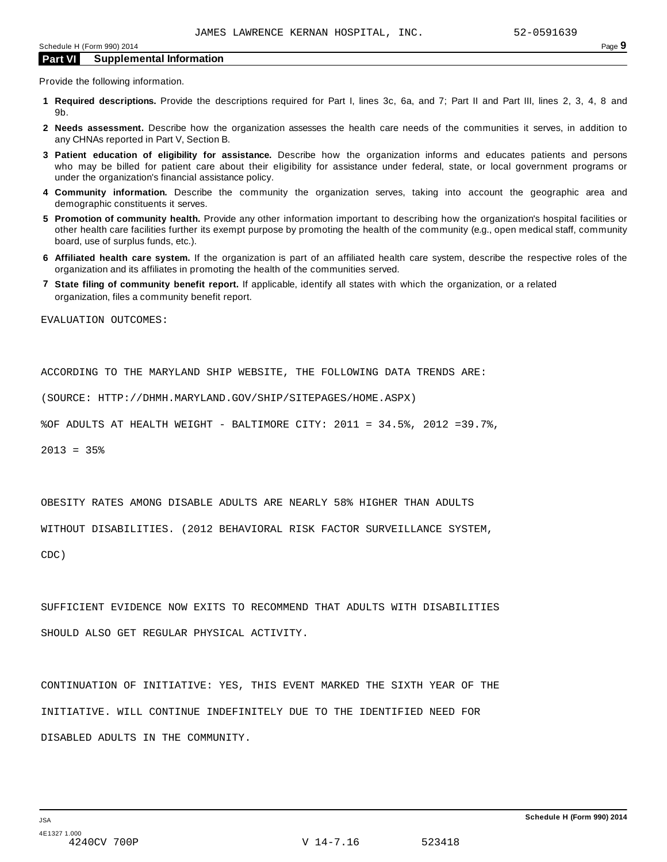Provide the following information.

- **1 Required descriptions.** Provide the descriptions required for Part I, lines 3c, 6a, and 7; Part II and Part III, lines 2, 3, 4, 8 and 9b.
- **2 Needs assessment.** Describe how the organization assesses the health care needs of the communities it serves, in addition to any CHNAs reported in Part V, Section B.
- **3 Patient education of eligibility for assistance.** Describe how the organization informs and educates patients and persons who may be billed for patient care about their eligibility for assistance under federal, state, or local government programs or under the organization's financial assistance policy.
- **4 Community information.** Describe the community the organization serves, taking into account the geographic area and demographic constituents it serves.
- **5 Promotion of community health.** Provide any other information important to describing how the organization's hospital facilities or other health care facilities further its exempt purpose by promoting the health of the community (e.g., open medical staff, community board, use of surplus funds, etc.).
- **6 Affiliated health care system.** If the organization is part of an affiliated health care system, describe the respective roles of the organization and its affiliates in promoting the health of the communities served.
- **7 State filing of community benefit report.** If applicable, identify all states with which the organization, or a related organization, files a community benefit report.

EVALUATION OUTCOMES:

ACCORDING TO THE MARYLAND SHIP WEBSITE, THE FOLLOWING DATA TRENDS ARE:

(SOURCE: HTTP://DHMH.MARYLAND.GOV/SHIP/SITEPAGES/HOME.ASPX)

%OF ADULTS AT HEALTH WEIGHT - BALTIMORE CITY: 2011 = 34.5%, 2012 =39.7%,

2013 = 35%

OBESITY RATES AMONG DISABLE ADULTS ARE NEARLY 58% HIGHER THAN ADULTS

WITHOUT DISABILITIES. (2012 BEHAVIORAL RISK FACTOR SURVEILLANCE SYSTEM,

CDC)

SUFFICIENT EVIDENCE NOW EXITS TO RECOMMEND THAT ADULTS WITH DISABILITIES SHOULD ALSO GET REGULAR PHYSICAL ACTIVITY.

CONTINUATION OF INITIATIVE: YES, THIS EVENT MARKED THE SIXTH YEAR OF THE INITIATIVE. WILL CONTINUE INDEFINITELY DUE TO THE IDENTIFIED NEED FOR DISABLED ADULTS IN THE COMMUNITY.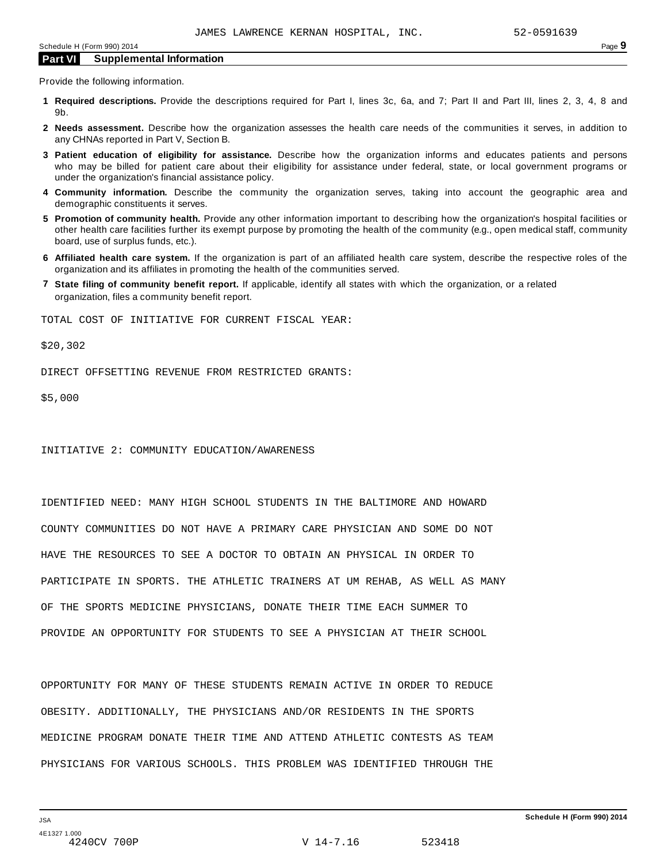Provide the following information.

- **1 Required descriptions.** Provide the descriptions required for Part I, lines 3c, 6a, and 7; Part II and Part III, lines 2, 3, 4, 8 and 9b.
- **2 Needs assessment.** Describe how the organization assesses the health care needs of the communities it serves, in addition to any CHNAs reported in Part V, Section B.
- **3 Patient education of eligibility for assistance.** Describe how the organization informs and educates patients and persons who may be billed for patient care about their eligibility for assistance under federal, state, or local government programs or under the organization's financial assistance policy.
- **4 Community information.** Describe the community the organization serves, taking into account the geographic area and demographic constituents it serves.
- **5 Promotion of community health.** Provide any other information important to describing how the organization's hospital facilities or other health care facilities further its exempt purpose by promoting the health of the community (e.g., open medical staff, community board, use of surplus funds, etc.).
- **6 Affiliated health care system.** If the organization is part of an affiliated health care system, describe the respective roles of the organization and its affiliates in promoting the health of the communities served.
- **7 State filing of community benefit report.** If applicable, identify all states with which the organization, or a related organization, files a community benefit report.

TOTAL COST OF INITIATIVE FOR CURRENT FISCAL YEAR:

\$20,302

DIRECT OFFSETTING REVENUE FROM RESTRICTED GRANTS:

\$5,000

INITIATIVE 2: COMMUNITY EDUCATION/AWARENESS

IDENTIFIED NEED: MANY HIGH SCHOOL STUDENTS IN THE BALTIMORE AND HOWARD COUNTY COMMUNITIES DO NOT HAVE A PRIMARY CARE PHYSICIAN AND SOME DO NOT HAVE THE RESOURCES TO SEE A DOCTOR TO OBTAIN AN PHYSICAL IN ORDER TO PARTICIPATE IN SPORTS. THE ATHLETIC TRAINERS AT UM REHAB, AS WELL AS MANY OF THE SPORTS MEDICINE PHYSICIANS, DONATE THEIR TIME EACH SUMMER TO PROVIDE AN OPPORTUNITY FOR STUDENTS TO SEE A PHYSICIAN AT THEIR SCHOOL

OPPORTUNITY FOR MANY OF THESE STUDENTS REMAIN ACTIVE IN ORDER TO REDUCE OBESITY. ADDITIONALLY, THE PHYSICIANS AND/OR RESIDENTS IN THE SPORTS MEDICINE PROGRAM DONATE THEIR TIME AND ATTEND ATHLETIC CONTESTS AS TEAM PHYSICIANS FOR VARIOUS SCHOOLS. THIS PROBLEM WAS IDENTIFIED THROUGH THE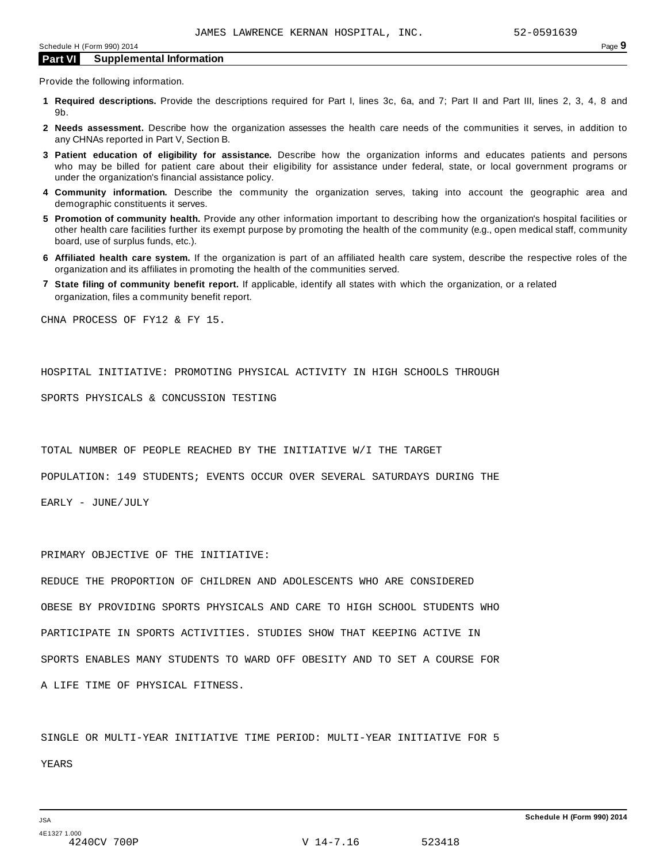Provide the following information.

- **1 Required descriptions.** Provide the descriptions required for Part I, lines 3c, 6a, and 7; Part II and Part III, lines 2, 3, 4, 8 and 9b.
- **2 Needs assessment.** Describe how the organization assesses the health care needs of the communities it serves, in addition to any CHNAs reported in Part V, Section B.
- **3 Patient education of eligibility for assistance.** Describe how the organization informs and educates patients and persons who may be billed for patient care about their eligibility for assistance under federal, state, or local government programs or under the organization's financial assistance policy.
- **4 Community information.** Describe the community the organization serves, taking into account the geographic area and demographic constituents it serves.
- **5 Promotion of community health.** Provide any other information important to describing how the organization's hospital facilities or other health care facilities further its exempt purpose by promoting the health of the community (e.g., open medical staff, community board, use of surplus funds, etc.).
- **6 Affiliated health care system.** If the organization is part of an affiliated health care system, describe the respective roles of the organization and its affiliates in promoting the health of the communities served.
- **7 State filing of community benefit report.** If applicable, identify all states with which the organization, or a related organization, files a community benefit report.

CHNA PROCESS OF FY12 & FY 15.

HOSPITAL INITIATIVE: PROMOTING PHYSICAL ACTIVITY IN HIGH SCHOOLS THROUGH

SPORTS PHYSICALS & CONCUSSION TESTING

TOTAL NUMBER OF PEOPLE REACHED BY THE INITIATIVE W/I THE TARGET

POPULATION: 149 STUDENTS; EVENTS OCCUR OVER SEVERAL SATURDAYS DURING THE

EARLY - JUNE/JULY

PRIMARY OBJECTIVE OF THE INITIATIVE:

REDUCE THE PROPORTION OF CHILDREN AND ADOLESCENTS WHO ARE CONSIDERED OBESE BY PROVIDING SPORTS PHYSICALS AND CARE TO HIGH SCHOOL STUDENTS WHO PARTICIPATE IN SPORTS ACTIVITIES. STUDIES SHOW THAT KEEPING ACTIVE IN SPORTS ENABLES MANY STUDENTS TO WARD OFF OBESITY AND TO SET A COURSE FOR A LIFE TIME OF PHYSICAL FITNESS.

SINGLE OR MULTI-YEAR INITIATIVE TIME PERIOD: MULTI-YEAR INITIATIVE FOR 5 YEARS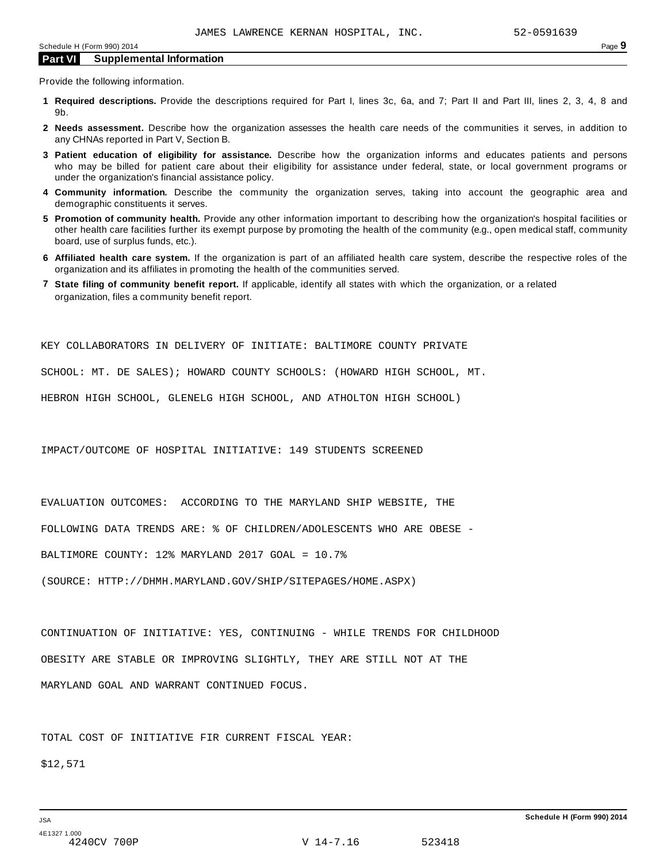Provide the following information.

- **1 Required descriptions.** Provide the descriptions required for Part I, lines 3c, 6a, and 7; Part II and Part III, lines 2, 3, 4, 8 and 9b.
- **2 Needs assessment.** Describe how the organization assesses the health care needs of the communities it serves, in addition to any CHNAs reported in Part V, Section B.
- **3 Patient education of eligibility for assistance.** Describe how the organization informs and educates patients and persons who may be billed for patient care about their eligibility for assistance under federal, state, or local government programs or under the organization's financial assistance policy.
- **4 Community information.** Describe the community the organization serves, taking into account the geographic area and demographic constituents it serves.
- **5 Promotion of community health.** Provide any other information important to describing how the organization's hospital facilities or other health care facilities further its exempt purpose by promoting the health of the community (e.g., open medical staff, community board, use of surplus funds, etc.).
- **6 Affiliated health care system.** If the organization is part of an affiliated health care system, describe the respective roles of the organization and its affiliates in promoting the health of the communities served.
- **7 State filing of community benefit report.** If applicable, identify all states with which the organization, or a related organization, files a community benefit report.

KEY COLLABORATORS IN DELIVERY OF INITIATE: BALTIMORE COUNTY PRIVATE

SCHOOL: MT. DE SALES); HOWARD COUNTY SCHOOLS: (HOWARD HIGH SCHOOL, MT.

HEBRON HIGH SCHOOL, GLENELG HIGH SCHOOL, AND ATHOLTON HIGH SCHOOL)

IMPACT/OUTCOME OF HOSPITAL INITIATIVE: 149 STUDENTS SCREENED

EVALUATION OUTCOMES: ACCORDING TO THE MARYLAND SHIP WEBSITE, THE

FOLLOWING DATA TRENDS ARE: % OF CHILDREN/ADOLESCENTS WHO ARE OBESE -

BALTIMORE COUNTY: 12% MARYLAND 2017 GOAL = 10.7%

(SOURCE: HTTP://DHMH.MARYLAND.GOV/SHIP/SITEPAGES/HOME.ASPX)

CONTINUATION OF INITIATIVE: YES, CONTINUING - WHILE TRENDS FOR CHILDHOOD OBESITY ARE STABLE OR IMPROVING SLIGHTLY, THEY ARE STILL NOT AT THE MARYLAND GOAL AND WARRANT CONTINUED FOCUS.

TOTAL COST OF INITIATIVE FIR CURRENT FISCAL YEAR:

\$12,571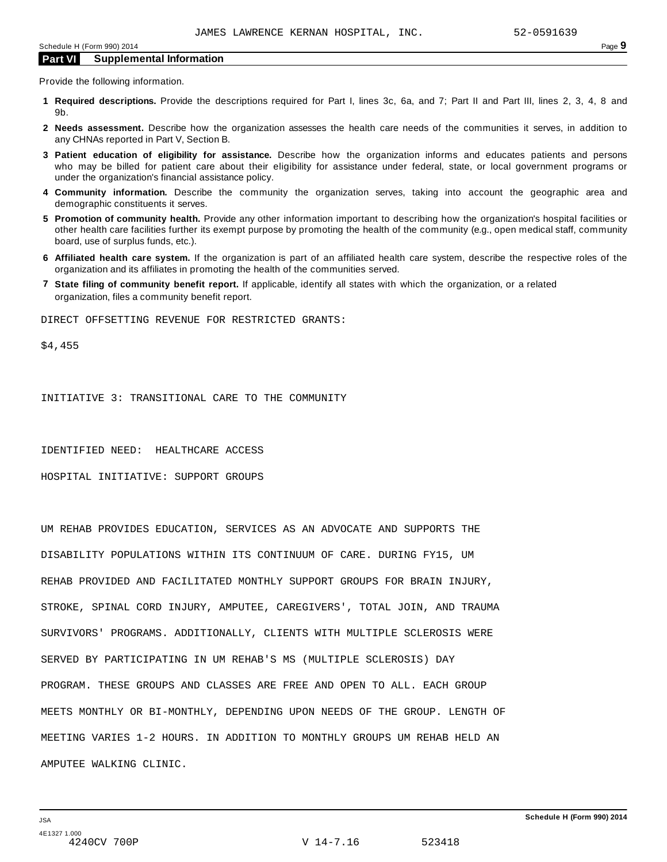Provide the following information.

- **1 Required descriptions.** Provide the descriptions required for Part I, lines 3c, 6a, and 7; Part II and Part III, lines 2, 3, 4, 8 and 9b.
- **2 Needs assessment.** Describe how the organization assesses the health care needs of the communities it serves, in addition to any CHNAs reported in Part V, Section B.
- **3 Patient education of eligibility for assistance.** Describe how the organization informs and educates patients and persons who may be billed for patient care about their eligibility for assistance under federal, state, or local government programs or under the organization's financial assistance policy.
- **4 Community information.** Describe the community the organization serves, taking into account the geographic area and demographic constituents it serves.
- **5 Promotion of community health.** Provide any other information important to describing how the organization's hospital facilities or other health care facilities further its exempt purpose by promoting the health of the community (e.g., open medical staff, community board, use of surplus funds, etc.).
- **6 Affiliated health care system.** If the organization is part of an affiliated health care system, describe the respective roles of the organization and its affiliates in promoting the health of the communities served.
- **7 State filing of community benefit report.** If applicable, identify all states with which the organization, or a related organization, files a community benefit report.

DIRECT OFFSETTING REVENUE FOR RESTRICTED GRANTS:

\$4,455

INITIATIVE 3: TRANSITIONAL CARE TO THE COMMUNITY

IDENTIFIED NEED: HEALTHCARE ACCESS

HOSPITAL INITIATIVE: SUPPORT GROUPS

UM REHAB PROVIDES EDUCATION, SERVICES AS AN ADVOCATE AND SUPPORTS THE DISABILITY POPULATIONS WITHIN ITS CONTINUUM OF CARE. DURING FY15, UM REHAB PROVIDED AND FACILITATED MONTHLY SUPPORT GROUPS FOR BRAIN INJURY, STROKE, SPINAL CORD INJURY, AMPUTEE, CAREGIVERS', TOTAL JOIN, AND TRAUMA SURVIVORS' PROGRAMS. ADDITIONALLY, CLIENTS WITH MULTIPLE SCLEROSIS WERE SERVED BY PARTICIPATING IN UM REHAB'S MS (MULTIPLE SCLEROSIS) DAY PROGRAM. THESE GROUPS AND CLASSES ARE FREE AND OPEN TO ALL. EACH GROUP MEETS MONTHLY OR BI-MONTHLY, DEPENDING UPON NEEDS OF THE GROUP. LENGTH OF MEETING VARIES 1-2 HOURS. IN ADDITION TO MONTHLY GROUPS UM REHAB HELD AN AMPUTEE WALKING CLINIC.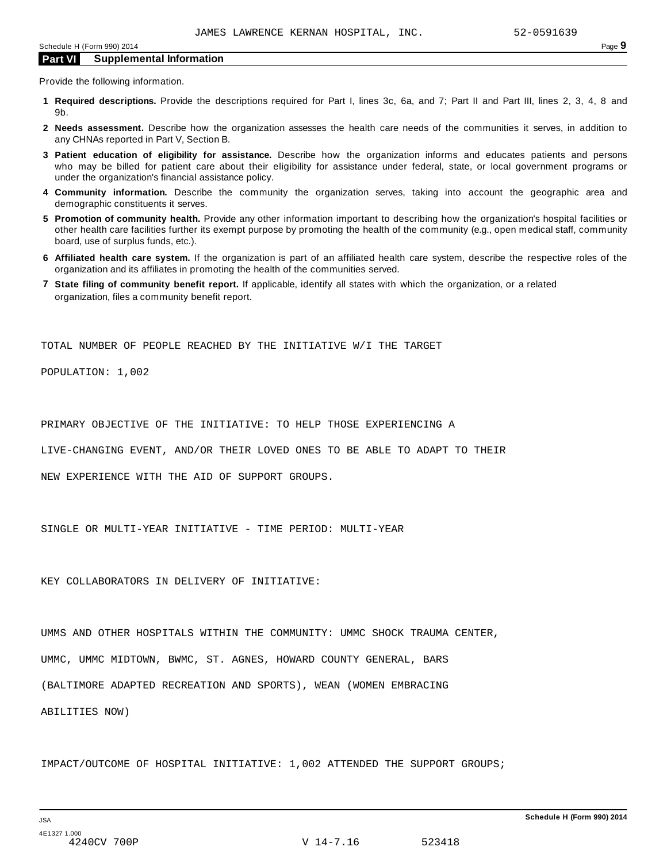Provide the following information.

- **1 Required descriptions.** Provide the descriptions required for Part I, lines 3c, 6a, and 7; Part II and Part III, lines 2, 3, 4, 8 and 9b.
- **2 Needs assessment.** Describe how the organization assesses the health care needs of the communities it serves, in addition to any CHNAs reported in Part V, Section B.
- **3 Patient education of eligibility for assistance.** Describe how the organization informs and educates patients and persons who may be billed for patient care about their eligibility for assistance under federal, state, or local government programs or under the organization's financial assistance policy.
- **4 Community information.** Describe the community the organization serves, taking into account the geographic area and demographic constituents it serves.
- **5 Promotion of community health.** Provide any other information important to describing how the organization's hospital facilities or other health care facilities further its exempt purpose by promoting the health of the community (e.g., open medical staff, community board, use of surplus funds, etc.).
- **6 Affiliated health care system.** If the organization is part of an affiliated health care system, describe the respective roles of the organization and its affiliates in promoting the health of the communities served.
- **7 State filing of community benefit report.** If applicable, identify all states with which the organization, or a related organization, files a community benefit report.

TOTAL NUMBER OF PEOPLE REACHED BY THE INITIATIVE W/I THE TARGET

POPULATION: 1,002

PRIMARY OBJECTIVE OF THE INITIATIVE: TO HELP THOSE EXPERIENCING A

LIVE-CHANGING EVENT, AND/OR THEIR LOVED ONES TO BE ABLE TO ADAPT TO THEIR

NEW EXPERIENCE WITH THE AID OF SUPPORT GROUPS.

SINGLE OR MULTI-YEAR INITIATIVE - TIME PERIOD: MULTI-YEAR

KEY COLLABORATORS IN DELIVERY OF INITIATIVE:

UMMS AND OTHER HOSPITALS WITHIN THE COMMUNITY: UMMC SHOCK TRAUMA CENTER, UMMC, UMMC MIDTOWN, BWMC, ST. AGNES, HOWARD COUNTY GENERAL, BARS (BALTIMORE ADAPTED RECREATION AND SPORTS), WEAN (WOMEN EMBRACING ABILITIES NOW)

IMPACT/OUTCOME OF HOSPITAL INITIATIVE: 1,002 ATTENDED THE SUPPORT GROUPS;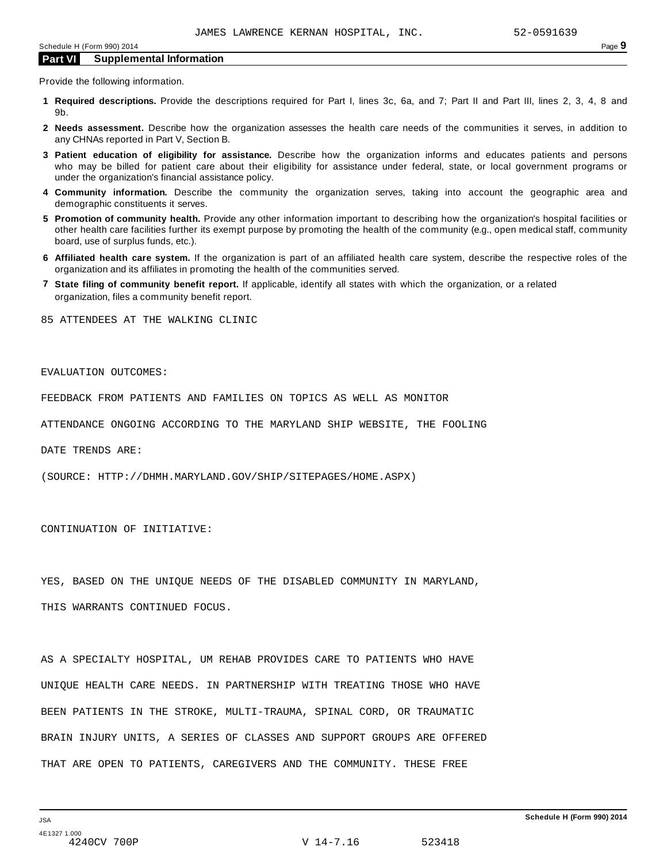Provide the following information.

- **1 Required descriptions.** Provide the descriptions required for Part I, lines 3c, 6a, and 7; Part II and Part III, lines 2, 3, 4, 8 and 9b.
- **2 Needs assessment.** Describe how the organization assesses the health care needs of the communities it serves, in addition to any CHNAs reported in Part V, Section B.
- **3 Patient education of eligibility for assistance.** Describe how the organization informs and educates patients and persons who may be billed for patient care about their eligibility for assistance under federal, state, or local government programs or under the organization's financial assistance policy.
- **4 Community information.** Describe the community the organization serves, taking into account the geographic area and demographic constituents it serves.
- **5 Promotion of community health.** Provide any other information important to describing how the organization's hospital facilities or other health care facilities further its exempt purpose by promoting the health of the community (e.g., open medical staff, community board, use of surplus funds, etc.).
- **6 Affiliated health care system.** If the organization is part of an affiliated health care system, describe the respective roles of the organization and its affiliates in promoting the health of the communities served.
- **7 State filing of community benefit report.** If applicable, identify all states with which the organization, or a related organization, files a community benefit report.

85 ATTENDEES AT THE WALKING CLINIC

### EVALUATION OUTCOMES:

FEEDBACK FROM PATIENTS AND FAMILIES ON TOPICS AS WELL AS MONITOR

ATTENDANCE ONGOING ACCORDING TO THE MARYLAND SHIP WEBSITE, THE FOOLING

DATE TRENDS ARE:

(SOURCE: HTTP://DHMH.MARYLAND.GOV/SHIP/SITEPAGES/HOME.ASPX)

CONTINUATION OF INITIATIVE:

YES, BASED ON THE UNIQUE NEEDS OF THE DISABLED COMMUNITY IN MARYLAND,

THIS WARRANTS CONTINUED FOCUS.

AS A SPECIALTY HOSPITAL, UM REHAB PROVIDES CARE TO PATIENTS WHO HAVE UNIQUE HEALTH CARE NEEDS. IN PARTNERSHIP WITH TREATING THOSE WHO HAVE BEEN PATIENTS IN THE STROKE, MULTI-TRAUMA, SPINAL CORD, OR TRAUMATIC BRAIN INJURY UNITS, A SERIES OF CLASSES AND SUPPORT GROUPS ARE OFFERED THAT ARE OPEN TO PATIENTS, CAREGIVERS AND THE COMMUNITY. THESE FREE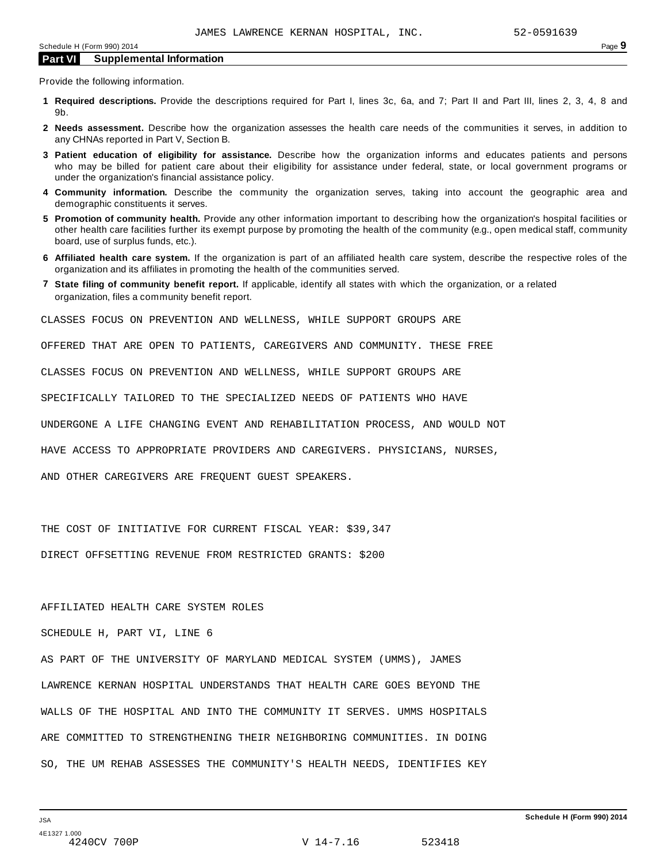Provide the following information.

- **1 Required descriptions.** Provide the descriptions required for Part I, lines 3c, 6a, and 7; Part II and Part III, lines 2, 3, 4, 8 and 9b.
- **2 Needs assessment.** Describe how the organization assesses the health care needs of the communities it serves, in addition to any CHNAs reported in Part V, Section B.
- **3 Patient education of eligibility for assistance.** Describe how the organization informs and educates patients and persons who may be billed for patient care about their eligibility for assistance under federal, state, or local government programs or under the organization's financial assistance policy.
- **4 Community information.** Describe the community the organization serves, taking into account the geographic area and demographic constituents it serves.
- **5 Promotion of community health.** Provide any other information important to describing how the organization's hospital facilities or other health care facilities further its exempt purpose by promoting the health of the community (e.g., open medical staff, community board, use of surplus funds, etc.).
- **6 Affiliated health care system.** If the organization is part of an affiliated health care system, describe the respective roles of the organization and its affiliates in promoting the health of the communities served.
- **7 State filing of community benefit report.** If applicable, identify all states with which the organization, or a related organization, files a community benefit report.

CLASSES FOCUS ON PREVENTION AND WELLNESS, WHILE SUPPORT GROUPS ARE

OFFERED THAT ARE OPEN TO PATIENTS, CAREGIVERS AND COMMUNITY. THESE FREE

CLASSES FOCUS ON PREVENTION AND WELLNESS, WHILE SUPPORT GROUPS ARE

SPECIFICALLY TAILORED TO THE SPECIALIZED NEEDS OF PATIENTS WHO HAVE

UNDERGONE A LIFE CHANGING EVENT AND REHABILITATION PROCESS, AND WOULD NOT

HAVE ACCESS TO APPROPRIATE PROVIDERS AND CAREGIVERS. PHYSICIANS, NURSES,

AND OTHER CAREGIVERS ARE FREQUENT GUEST SPEAKERS.

THE COST OF INITIATIVE FOR CURRENT FISCAL YEAR: \$39,347

DIRECT OFFSETTING REVENUE FROM RESTRICTED GRANTS: \$200

### AFFILIATED HEALTH CARE SYSTEM ROLES

SCHEDULE H, PART VI, LINE 6

AS PART OF THE UNIVERSITY OF MARYLAND MEDICAL SYSTEM (UMMS), JAMES LAWRENCE KERNAN HOSPITAL UNDERSTANDS THAT HEALTH CARE GOES BEYOND THE WALLS OF THE HOSPITAL AND INTO THE COMMUNITY IT SERVES. UMMS HOSPITALS ARE COMMITTED TO STRENGTHENING THEIR NEIGHBORING COMMUNITIES. IN DOING SO, THE UM REHAB ASSESSES THE COMMUNITY'S HEALTH NEEDS, IDENTIFIES KEY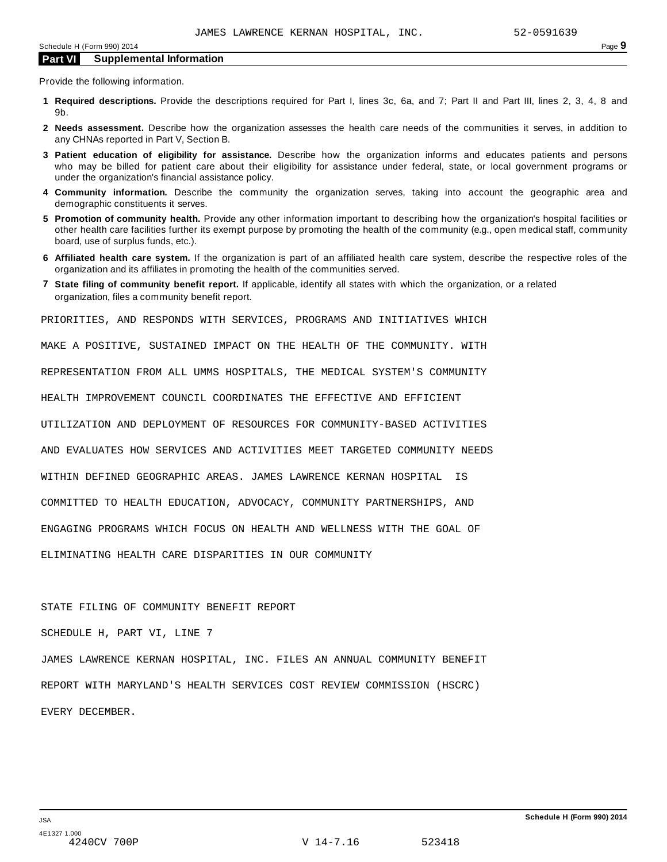Provide the following information.

- **1 Required descriptions.** Provide the descriptions required for Part I, lines 3c, 6a, and 7; Part II and Part III, lines 2, 3, 4, 8 and 9b.
- **2 Needs assessment.** Describe how the organization assesses the health care needs of the communities it serves, in addition to any CHNAs reported in Part V, Section B.
- **3 Patient education of eligibility for assistance.** Describe how the organization informs and educates patients and persons who may be billed for patient care about their eligibility for assistance under federal, state, or local government programs or under the organization's financial assistance policy.
- **4 Community information.** Describe the community the organization serves, taking into account the geographic area and demographic constituents it serves.
- **5 Promotion of community health.** Provide any other information important to describing how the organization's hospital facilities or other health care facilities further its exempt purpose by promoting the health of the community (e.g., open medical staff, community board, use of surplus funds, etc.).
- **6 Affiliated health care system.** If the organization is part of an affiliated health care system, describe the respective roles of the organization and its affiliates in promoting the health of the communities served.
- **7 State filing of community benefit report.** If applicable, identify all states with which the organization, or a related organization, files a community benefit report.

PRIORITIES, AND RESPONDS WITH SERVICES, PROGRAMS AND INITIATIVES WHICH

MAKE A POSITIVE, SUSTAINED IMPACT ON THE HEALTH OF THE COMMUNITY. WITH

REPRESENTATION FROM ALL UMMS HOSPITALS, THE MEDICAL SYSTEM'S COMMUNITY

HEALTH IMPROVEMENT COUNCIL COORDINATES THE EFFECTIVE AND EFFICIENT

UTILIZATION AND DEPLOYMENT OF RESOURCES FOR COMMUNITY-BASED ACTIVITIES

AND EVALUATES HOW SERVICES AND ACTIVITIES MEET TARGETED COMMUNITY NEEDS

WITHIN DEFINED GEOGRAPHIC AREAS. JAMES LAWRENCE KERNAN HOSPITAL IS

COMMITTED TO HEALTH EDUCATION, ADVOCACY, COMMUNITY PARTNERSHIPS, AND

ENGAGING PROGRAMS WHICH FOCUS ON HEALTH AND WELLNESS WITH THE GOAL OF

ELIMINATING HEALTH CARE DISPARITIES IN OUR COMMUNITY

STATE FILING OF COMMUNITY BENEFIT REPORT

SCHEDULE H, PART VI, LINE 7

JAMES LAWRENCE KERNAN HOSPITAL, INC. FILES AN ANNUAL COMMUNITY BENEFIT REPORT WITH MARYLAND'S HEALTH SERVICES COST REVIEW COMMISSION (HSCRC) EVERY DECEMBER.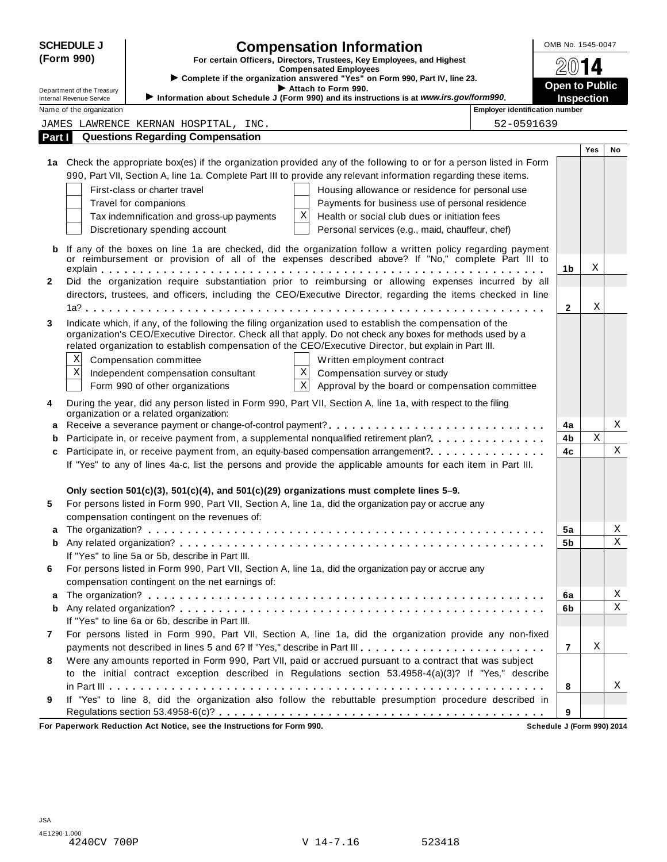| <b>SCHEDULE J</b>                                                                                                                               |                                                                                         |                                                                                                              | <b>Compensation Information</b>                                                                                      |                            | OMB No. 1545-0047 |     |                  |
|-------------------------------------------------------------------------------------------------------------------------------------------------|-----------------------------------------------------------------------------------------|--------------------------------------------------------------------------------------------------------------|----------------------------------------------------------------------------------------------------------------------|----------------------------|-------------------|-----|------------------|
| (Form 990)                                                                                                                                      |                                                                                         |                                                                                                              | For certain Officers, Directors, Trustees, Key Employees, and Highest                                                |                            |                   | 14  |                  |
|                                                                                                                                                 |                                                                                         | <b>Compensated Employees</b><br>> Complete if the organization answered "Yes" on Form 990, Part IV, line 23. |                                                                                                                      |                            |                   |     |                  |
| Attach to Form 990.<br>Department of the Treasury                                                                                               |                                                                                         |                                                                                                              | <b>Open to Public</b>                                                                                                |                            |                   |     |                  |
| Information about Schedule J (Form 990) and its instructions is at www.irs.gov/form990.<br>Internal Revenue Service<br>Name of the organization |                                                                                         | <b>Employer identification number</b>                                                                        | <b>Inspection</b>                                                                                                    |                            |                   |     |                  |
|                                                                                                                                                 |                                                                                         | JAMES LAWRENCE KERNAN HOSPITAL, INC.                                                                         |                                                                                                                      | 52-0591639                 |                   |     |                  |
| Part I                                                                                                                                          |                                                                                         | <b>Questions Regarding Compensation</b>                                                                      |                                                                                                                      |                            |                   |     |                  |
|                                                                                                                                                 |                                                                                         |                                                                                                              |                                                                                                                      |                            |                   | Yes | No               |
|                                                                                                                                                 |                                                                                         |                                                                                                              | 1a Check the appropriate box(es) if the organization provided any of the following to or for a person listed in Form |                            |                   |     |                  |
|                                                                                                                                                 |                                                                                         |                                                                                                              | 990, Part VII, Section A, line 1a. Complete Part III to provide any relevant information regarding these items.      |                            |                   |     |                  |
|                                                                                                                                                 |                                                                                         | First-class or charter travel                                                                                | Housing allowance or residence for personal use                                                                      |                            |                   |     |                  |
|                                                                                                                                                 |                                                                                         | Travel for companions                                                                                        | Payments for business use of personal residence                                                                      |                            |                   |     |                  |
|                                                                                                                                                 |                                                                                         | Tax indemnification and gross-up payments                                                                    | Χ<br>Health or social club dues or initiation fees                                                                   |                            |                   |     |                  |
|                                                                                                                                                 |                                                                                         | Discretionary spending account                                                                               | Personal services (e.g., maid, chauffeur, chef)                                                                      |                            |                   |     |                  |
|                                                                                                                                                 |                                                                                         |                                                                                                              |                                                                                                                      |                            |                   |     |                  |
| b                                                                                                                                               |                                                                                         |                                                                                                              | If any of the boxes on line 1a are checked, did the organization follow a written policy regarding payment           |                            |                   |     |                  |
|                                                                                                                                                 |                                                                                         |                                                                                                              | or reimbursement or provision of all of the expenses described above? If "No," complete Part III to                  |                            | 1b                | Χ   |                  |
| 2                                                                                                                                               |                                                                                         |                                                                                                              | Did the organization require substantiation prior to reimbursing or allowing expenses incurred by all                |                            |                   |     |                  |
|                                                                                                                                                 |                                                                                         |                                                                                                              | directors, trustees, and officers, including the CEO/Executive Director, regarding the items checked in line         |                            |                   |     |                  |
|                                                                                                                                                 |                                                                                         |                                                                                                              |                                                                                                                      |                            | $\mathbf{2}$      | Χ   |                  |
| 3                                                                                                                                               |                                                                                         |                                                                                                              | Indicate which, if any, of the following the filing organization used to establish the compensation of the           |                            |                   |     |                  |
|                                                                                                                                                 |                                                                                         |                                                                                                              | organization's CEO/Executive Director. Check all that apply. Do not check any boxes for methods used by a            |                            |                   |     |                  |
|                                                                                                                                                 |                                                                                         |                                                                                                              | related organization to establish compensation of the CEO/Executive Director, but explain in Part III.               |                            |                   |     |                  |
|                                                                                                                                                 | X                                                                                       | Compensation committee                                                                                       | Written employment contract                                                                                          |                            |                   |     |                  |
|                                                                                                                                                 | Х<br>$\mathbf X$<br>Independent compensation consultant<br>Compensation survey or study |                                                                                                              |                                                                                                                      |                            |                   |     |                  |
|                                                                                                                                                 |                                                                                         | Form 990 of other organizations                                                                              | $\mathbf X$<br>Approval by the board or compensation committee                                                       |                            |                   |     |                  |
| 4                                                                                                                                               |                                                                                         |                                                                                                              | During the year, did any person listed in Form 990, Part VII, Section A, line 1a, with respect to the filing         |                            |                   |     |                  |
|                                                                                                                                                 |                                                                                         | organization or a related organization:                                                                      |                                                                                                                      |                            |                   |     |                  |
| а                                                                                                                                               |                                                                                         |                                                                                                              | Receive a severance payment or change-of-control payment?                                                            |                            | 4a                |     | Χ                |
| b                                                                                                                                               |                                                                                         |                                                                                                              | Participate in, or receive payment from, a supplemental nonqualified retirement plan?                                |                            | 4b                | Χ   |                  |
| c                                                                                                                                               |                                                                                         |                                                                                                              | Participate in, or receive payment from, an equity-based compensation arrangement?                                   |                            | 4c                |     | $\mathbf X$      |
|                                                                                                                                                 |                                                                                         |                                                                                                              | If "Yes" to any of lines 4a-c, list the persons and provide the applicable amounts for each item in Part III.        |                            |                   |     |                  |
|                                                                                                                                                 |                                                                                         |                                                                                                              |                                                                                                                      |                            |                   |     |                  |
|                                                                                                                                                 |                                                                                         |                                                                                                              | Only section $501(c)(3)$ , $501(c)(4)$ , and $501(c)(29)$ organizations must complete lines 5-9.                     |                            |                   |     |                  |
| 5                                                                                                                                               |                                                                                         |                                                                                                              | For persons listed in Form 990, Part VII, Section A, line 1a, did the organization pay or accrue any                 |                            |                   |     |                  |
|                                                                                                                                                 |                                                                                         | compensation contingent on the revenues of:                                                                  |                                                                                                                      |                            |                   |     |                  |
| a                                                                                                                                               |                                                                                         |                                                                                                              |                                                                                                                      |                            | 5a                |     | Χ<br>$\mathbf X$ |
| b                                                                                                                                               |                                                                                         |                                                                                                              |                                                                                                                      |                            | 5b                |     |                  |
| 6                                                                                                                                               |                                                                                         | If "Yes" to line 5a or 5b, describe in Part III.                                                             | For persons listed in Form 990, Part VII, Section A, line 1a, did the organization pay or accrue any                 |                            |                   |     |                  |
|                                                                                                                                                 |                                                                                         | compensation contingent on the net earnings of:                                                              |                                                                                                                      |                            |                   |     |                  |
| a                                                                                                                                               |                                                                                         |                                                                                                              |                                                                                                                      |                            | 6a                |     | $\mathbf X$      |
| b                                                                                                                                               |                                                                                         |                                                                                                              |                                                                                                                      |                            | 6b                |     | $\mathbf X$      |
|                                                                                                                                                 |                                                                                         | If "Yes" to line 6a or 6b, describe in Part III.                                                             |                                                                                                                      |                            |                   |     |                  |
| 7                                                                                                                                               |                                                                                         |                                                                                                              | For persons listed in Form 990, Part VII, Section A, line 1a, did the organization provide any non-fixed             |                            |                   |     |                  |
|                                                                                                                                                 |                                                                                         |                                                                                                              | payments not described in lines 5 and 6? If "Yes," describe in Part III.                                             |                            | 7                 | Χ   |                  |
| 8                                                                                                                                               |                                                                                         |                                                                                                              | Were any amounts reported in Form 990, Part VII, paid or accrued pursuant to a contract that was subject             |                            |                   |     |                  |
|                                                                                                                                                 |                                                                                         |                                                                                                              | to the initial contract exception described in Regulations section 53.4958-4(a)(3)? If "Yes," describe               |                            |                   |     |                  |
|                                                                                                                                                 |                                                                                         |                                                                                                              |                                                                                                                      |                            | 8                 |     | X                |
| 9                                                                                                                                               |                                                                                         |                                                                                                              | If "Yes" to line 8, did the organization also follow the rebuttable presumption procedure described in               |                            |                   |     |                  |
|                                                                                                                                                 |                                                                                         |                                                                                                              |                                                                                                                      |                            | 9                 |     |                  |
|                                                                                                                                                 |                                                                                         | For Paperwork Reduction Act Notice, see the Instructions for Form 990.                                       |                                                                                                                      | Schedule J (Form 990) 2014 |                   |     |                  |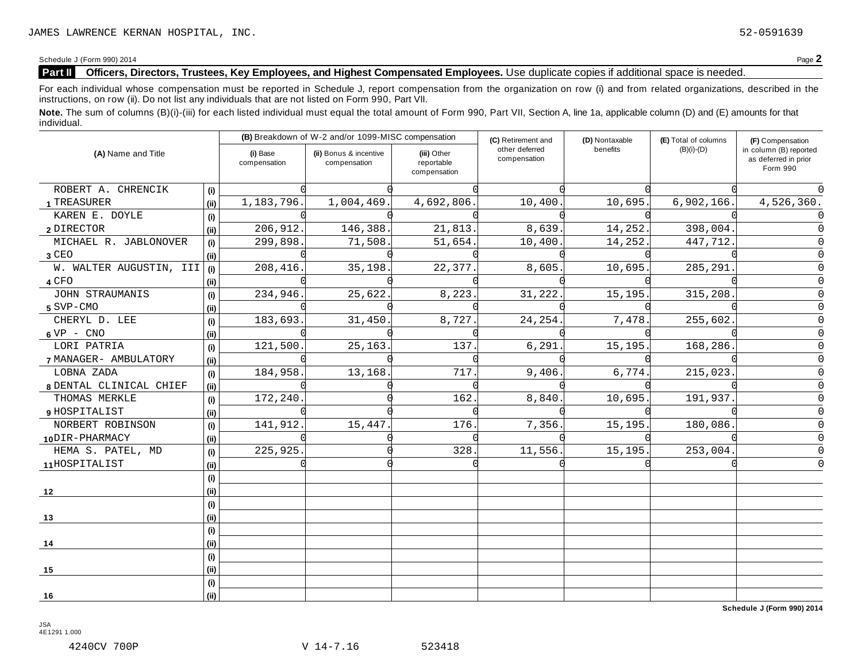# **Part II Officers, Directors, Trustees, Key Employees, and Highest Compensated Employees.** Use duplicate copies ifadditional space is needed.

For each individual whose compensation must be reported in Schedule J, report compensation from the organization on row (i) and from related organizations, described in the instructions, on row (ii). Do not list any individuals that are not listed on Form 990, Part VII.

Note. The sum of columns (B)(i)-(iii) for each listed individual must equal the total amount of Form 990, Part VII, Section A, line 1a, applicable column (D) and (E) amounts for that individual.

| (A) Name and Title      |      | (B) Breakdown of W-2 and/or 1099-MISC compensation |                                        |                                           | (C) Retirement and                         | (D) Nontaxable | (E) Total of columns | (F) Compensation                                           |
|-------------------------|------|----------------------------------------------------|----------------------------------------|-------------------------------------------|--------------------------------------------|----------------|----------------------|------------------------------------------------------------|
|                         |      | (i) Base<br>compensation                           | (ii) Bonus & incentive<br>compensation | (iii) Other<br>reportable<br>compensation | other deferred<br>benefits<br>compensation |                | $(B)(i)-(D)$         | in column (B) reported<br>as deferred in prior<br>Form 990 |
| ROBERT A. CHRENCIK      | (i)  |                                                    |                                        |                                           |                                            |                |                      |                                                            |
| 1 TREASURER             | (ii) | 1,183,796.                                         | 1,004,469.                             | 4,692,806.                                | 10,400                                     | 10,695.        | 6,902,166.           | 4,526,360.                                                 |
| KAREN E. DOYLE          | (i)  |                                                    |                                        |                                           |                                            |                |                      |                                                            |
| 2 DIRECTOR              | (i)  | 206,912.                                           | 146,388.                               | 21,813.                                   | 8,639                                      | 14,252.        | 398,004.             |                                                            |
| MICHAEL R. JABLONOVER   | (i)  | 299,898.                                           | 71,508.                                | 51,654.                                   | 10,400                                     | 14,252.        | 447,712.             |                                                            |
| $3$ CEO                 | (i)  |                                                    |                                        |                                           |                                            |                |                      |                                                            |
| W. WALTER AUGUSTIN, III | (i)  | 208,416.                                           | 35,198.                                | 22,377                                    | 8,605                                      | 10,695         | 285,291              |                                                            |
| 4 CFO                   | (ii) |                                                    |                                        |                                           |                                            |                |                      |                                                            |
| JOHN STRAUMANIS         | (i)  | 234,946.                                           | 25,622.                                | 8,223                                     | 31,222                                     | 15,195         | 315,208              |                                                            |
| 5 SVP-CMO               | (ii) |                                                    |                                        |                                           |                                            |                |                      |                                                            |
| CHERYL D. LEE           | (i)  | 183,693                                            | 31,450.                                | 8,727.                                    | 24, 254.                                   | 7,478.         | 255,602.             | O                                                          |
| $6 VP - CNO$            | (i)  |                                                    |                                        |                                           |                                            |                |                      | O                                                          |
| LORI PATRIA             | (i)  | 121,500                                            | 25,163.                                | 137.                                      | 6,291                                      | 15,195.        | 168,286.             | O                                                          |
| 7 MANAGER- AMBULATORY   | (i)  |                                                    |                                        |                                           |                                            |                |                      |                                                            |
| LOBNA ZADA              | (i)  | 184,958.                                           | 13,168                                 | 717                                       | 9,406                                      | 6,774.         | 215,023              | 0                                                          |
| 8 DENTAL CLINICAL CHIEF | (ii) |                                                    |                                        |                                           |                                            |                |                      | 0                                                          |
| THOMAS MERKLE           | (i)  | 172,240                                            |                                        | 162                                       | 8,840                                      | 10,695.        | 191,937              | 0                                                          |
| 9 HOSPITALIST           | (i)  |                                                    |                                        |                                           |                                            |                |                      |                                                            |
| NORBERT ROBINSON        | (i)  | 141,912.                                           | 15,447                                 | 176.                                      | 7,356.                                     | 15,195.        | 180,086              |                                                            |
| 10DIR-PHARMACY          | (ii) |                                                    |                                        |                                           |                                            |                |                      |                                                            |
| HEMA S. PATEL, MD       | (i)  | 225,925.                                           |                                        | 328                                       | 11,556                                     | 15,195.        | 253,004.             |                                                            |
| 11HOSPITALIST           | (ii) |                                                    |                                        |                                           |                                            |                |                      |                                                            |
|                         | (i)  |                                                    |                                        |                                           |                                            |                |                      |                                                            |
| 12                      | (i)  |                                                    |                                        |                                           |                                            |                |                      |                                                            |
|                         | (i)  |                                                    |                                        |                                           |                                            |                |                      |                                                            |
| 13                      | (i)  |                                                    |                                        |                                           |                                            |                |                      |                                                            |
|                         | (i)  |                                                    |                                        |                                           |                                            |                |                      |                                                            |
| 14                      | (ii) |                                                    |                                        |                                           |                                            |                |                      |                                                            |
|                         | (i)  |                                                    |                                        |                                           |                                            |                |                      |                                                            |
| 15                      | (ii) |                                                    |                                        |                                           |                                            |                |                      |                                                            |
|                         | (i)  |                                                    |                                        |                                           |                                            |                |                      |                                                            |
| 16                      | (ii) |                                                    |                                        |                                           |                                            |                |                      |                                                            |

**Schedule J (Form 990) 2014**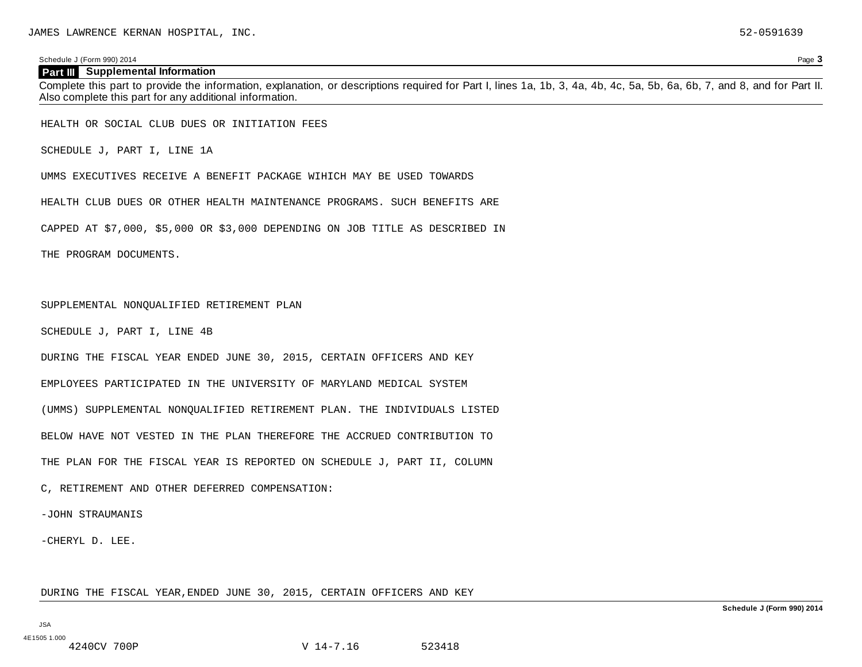### **Part III Supplemental Information**

Complete this part to provide the information, explanation, or descriptions required for Part I, lines 1a, 1b, 3, 4a, 4b, 4c, 5a, 5b, 6a, 6b, 7, and 8, and for Part II. Also complete this part for any additional information.

HEALTH OR SOCIAL CLUB DUES OR INITIATION FEES

SCHEDULE J, PART I, LINE 1A

UMMS EXECUTIVES RECEIVE A BENEFIT PACKAGE WIHICH MAY BE USED TOWARDS

HEALTH CLUB DUES OR OTHER HEALTH MAINTENANCE PROGRAMS. SUCH BENEFITS ARE

CAPPED AT \$7,000, \$5,000 OR \$3,000 DEPENDING ON JOB TITLE AS DESCRIBED IN

THE PROGRAM DOCUMENTS.

### SUPPLEMENTAL NONQUALIFIED RETIREMENT PLAN

SCHEDULE J, PART I, LINE 4B

DURING THE FISCAL YEAR ENDED JUNE 30, 2015, CERTAIN OFFICERS AND KEY

EMPLOYEES PARTICIPATED IN THE UNIVERSITY OF MARYLAND MEDICAL SYSTEM

(UMMS) SUPPLEMENTAL NONQUALIFIED RETIREMENT PLAN. THE INDIVIDUALS LISTED

BELOW HAVE NOT VESTED IN THE PLAN THEREFORE THE ACCRUED CONTRIBUTION TO

THE PLAN FOR THE FISCAL YEAR IS REPORTED ON SCHEDULE J, PART II, COLUMN

C, RETIREMENT AND OTHER DEFERRED COMPENSATION:

-JOHN STRAUMANIS

-CHERYL D. LEE.

DURING THE FISCAL YEAR,ENDED JUNE 30, 2015, CERTAIN OFFICERS AND KEY

JSA

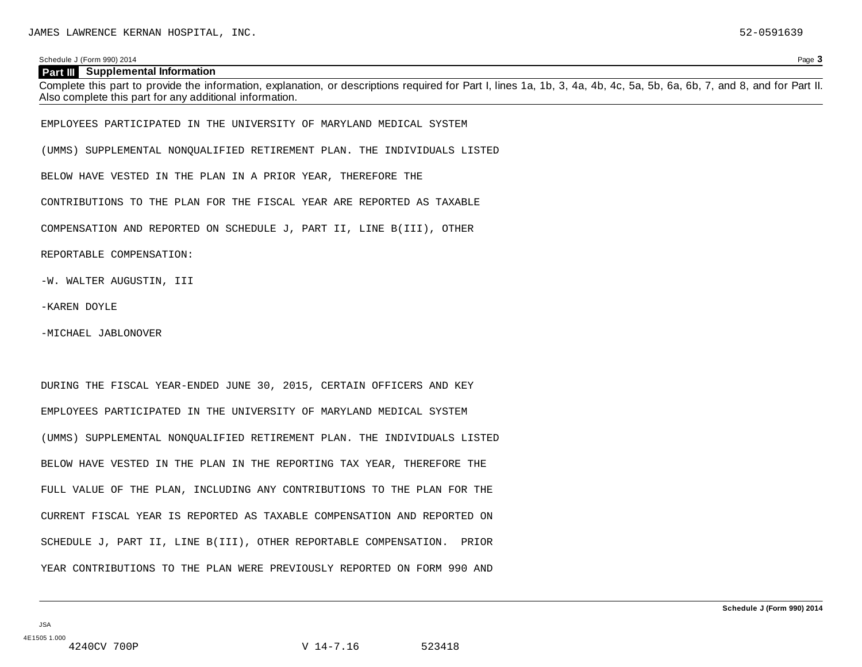### **Part III Supplemental Information**

Complete this part to provide the information, explanation, or descriptions required for Part I, lines 1a, 1b, 3, 4a, 4b, 4c, 5a, 5b, 6a, 6b, 7, and 8, and for Part II. Also complete this part for any additional information.

EMPLOYEES PARTICIPATED IN THE UNIVERSITY OF MARYLAND MEDICAL SYSTEM

(UMMS) SUPPLEMENTAL NONQUALIFIED RETIREMENT PLAN. THE INDIVIDUALS LISTED

BELOW HAVE VESTED IN THE PLAN IN A PRIOR YEAR, THEREFORE THE

CONTRIBUTIONS TO THE PLAN FOR THE FISCAL YEAR ARE REPORTED AS TAXABLE

COMPENSATION AND REPORTED ON SCHEDULE J, PART II, LINE B(III), OTHER

REPORTABLE COMPENSATION:

-W. WALTER AUGUSTIN, III

-KAREN DOYLE

-MICHAEL JABLONOVER

DURING THE FISCAL YEAR-ENDED JUNE 30, 2015, CERTAIN OFFICERS AND KEY EMPLOYEES PARTICIPATED IN THE UNIVERSITY OF MARYLAND MEDICAL SYSTEM (UMMS) SUPPLEMENTAL NONQUALIFIED RETIREMENT PLAN. THE INDIVIDUALS LISTED BELOW HAVE VESTED IN THE PLAN IN THE REPORTING TAX YEAR, THEREFORE THE FULL VALUE OF THE PLAN, INCLUDING ANY CONTRIBUTIONS TO THE PLAN FOR THE CURRENT FISCAL YEAR IS REPORTED AS TAXABLE COMPENSATION AND REPORTED ON SCHEDULE J, PART II, LINE B(III), OTHER REPORTABLE COMPENSATION. PRIOR YEAR CONTRIBUTIONS TO THE PLAN WERE PREVIOUSLY REPORTED ON FORM 990 AND

JSA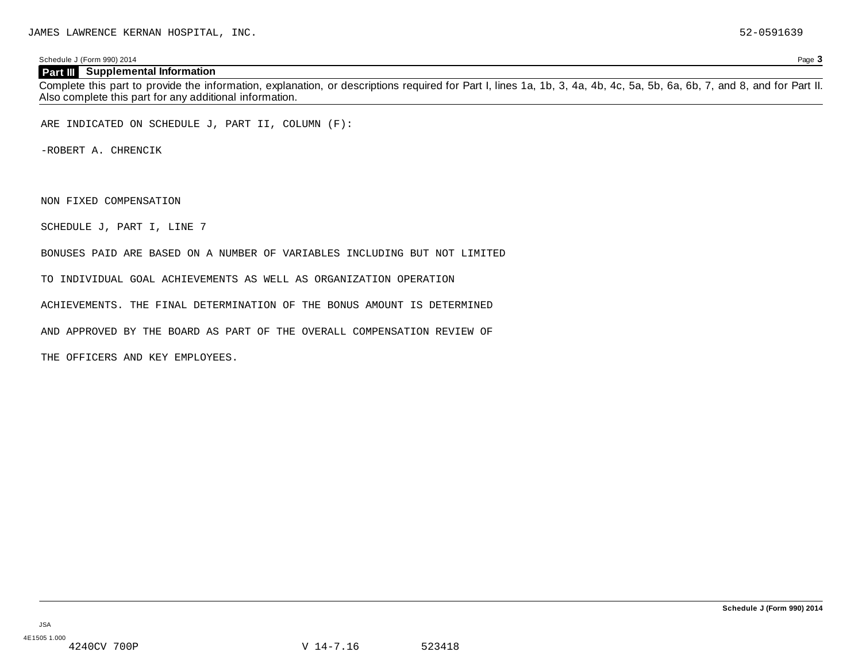# **Part III Supplemental Information**

Complete this part to provide the information, explanation, or descriptions required for Part I, lines 1a, 1b, 3, 4a, 4b, 4c, 5a, 5b, 6a, 6b, 7, and 8, and for Part II. Also complete this part for any additional information.

ARE INDICATED ON SCHEDULE J, PART II, COLUMN (F):

-ROBERT A. CHRENCIK

NON FIXED COMPENSATION

SCHEDULE J, PART I, LINE 7

BONUSES PAID ARE BASED ON A NUMBER OF VARIABLES INCLUDING BUT NOT LIMITED

TO INDIVIDUAL GOAL ACHIEVEMENTS AS WELL AS ORGANIZATION OPERATION

ACHIEVEMENTS. THE FINAL DETERMINATION OF THE BONUS AMOUNT IS DETERMINED

AND APPROVED BY THE BOARD AS PART OF THE OVERALL COMPENSATION REVIEW OF

THE OFFICERS AND KEY EMPLOYEES.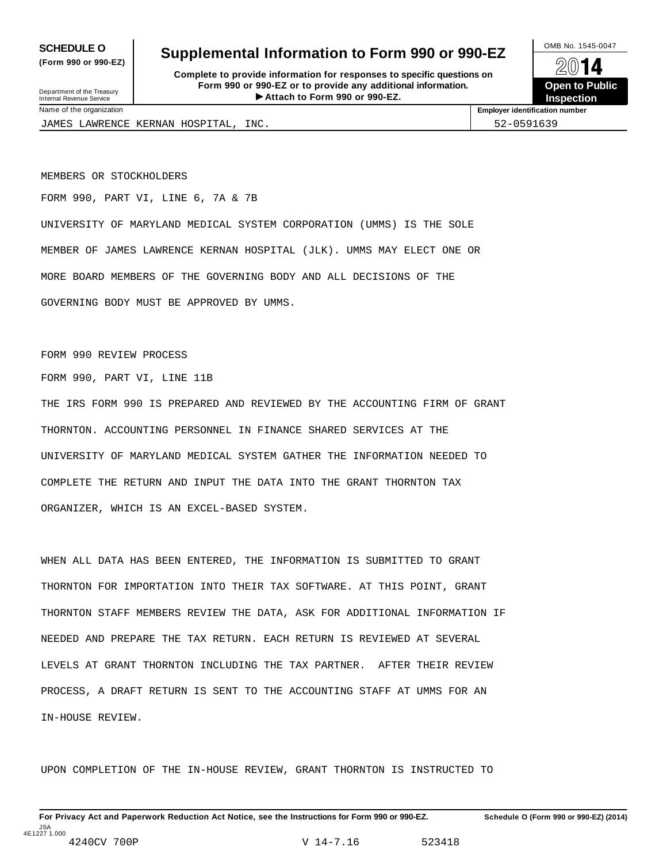**(Form 990 or 990-EZ)**

# **SCHEDULE O** Supplemental Information to Form 990 or 990-EZ  $\frac{100\text{dB No. }1545-0047}{\text{O}}$

**Complete to provide information for responses to specific questions on Form 990 or 990-EZ or to provide any additional information.** Fraction of the **Formation of the COVID COVID COVID COVID COVID COVID COVID COVID COVID COVID COVID COVID COVID COVID COVID COVID COVID COVID COVID COVID COVID COVID COVID COVID COVID COVID COVID COVID COVID COVID COVID CO** Department of the Treasury Internal Revenue Service I



Name of the organization **Employer identification number**

JAMES LAWRENCE KERNAN HOSPITAL, INC. S2-0591639

MEMBERS OR STOCKHOLDERS

FORM 990, PART VI, LINE 6, 7A & 7B

UNIVERSITY OF MARYLAND MEDICAL SYSTEM CORPORATION (UMMS) IS THE SOLE MEMBER OF JAMES LAWRENCE KERNAN HOSPITAL (JLK). UMMS MAY ELECT ONE OR MORE BOARD MEMBERS OF THE GOVERNING BODY AND ALL DECISIONS OF THE GOVERNING BODY MUST BE APPROVED BY UMMS.

FORM 990 REVIEW PROCESS

FORM 990, PART VI, LINE 11B

THE IRS FORM 990 IS PREPARED AND REVIEWED BY THE ACCOUNTING FIRM OF GRANT THORNTON. ACCOUNTING PERSONNEL IN FINANCE SHARED SERVICES AT THE UNIVERSITY OF MARYLAND MEDICAL SYSTEM GATHER THE INFORMATION NEEDED TO COMPLETE THE RETURN AND INPUT THE DATA INTO THE GRANT THORNTON TAX ORGANIZER, WHICH IS AN EXCEL-BASED SYSTEM.

WHEN ALL DATA HAS BEEN ENTERED, THE INFORMATION IS SUBMITTED TO GRANT THORNTON FOR IMPORTATION INTO THEIR TAX SOFTWARE. AT THIS POINT, GRANT THORNTON STAFF MEMBERS REVIEW THE DATA, ASK FOR ADDITIONAL INFORMATION IF NEEDED AND PREPARE THE TAX RETURN. EACH RETURN IS REVIEWED AT SEVERAL LEVELS AT GRANT THORNTON INCLUDING THE TAX PARTNER. AFTER THEIR REVIEW PROCESS, A DRAFT RETURN IS SENT TO THE ACCOUNTING STAFF AT UMMS FOR AN IN-HOUSE REVIEW.

UPON COMPLETION OF THE IN-HOUSE REVIEW, GRANT THORNTON IS INSTRUCTED TO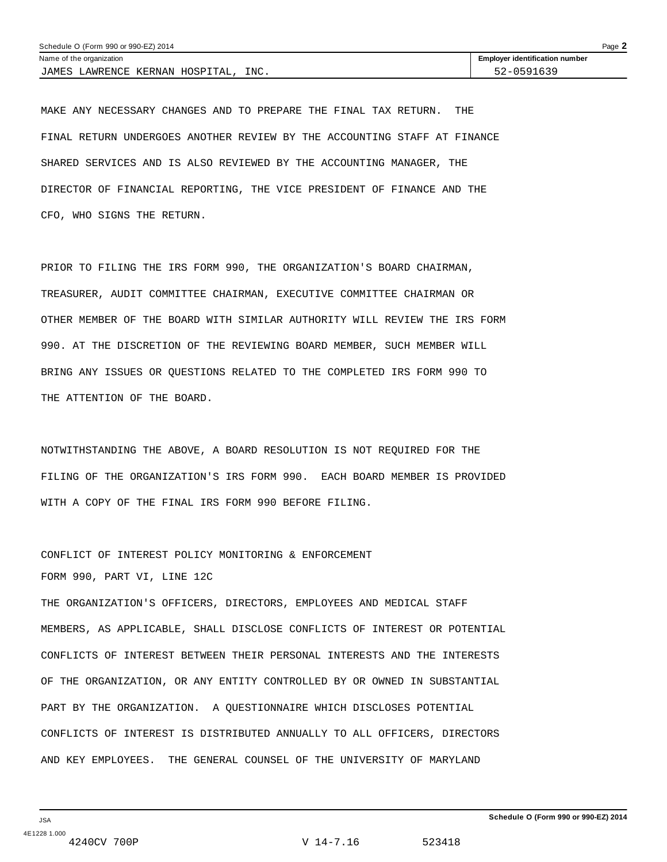| Schedule O (Form 990 or 990-EZ) 2014   |                                       |  |  |  |
|----------------------------------------|---------------------------------------|--|--|--|
| Name of the organization               | <b>Employer identification number</b> |  |  |  |
| INC.<br>JAMES LAWRENCE KERNAN HOSPITAL | 52-0591639                            |  |  |  |

MAKE ANY NECESSARY CHANGES AND TO PREPARE THE FINAL TAX RETURN. THE FINAL RETURN UNDERGOES ANOTHER REVIEW BY THE ACCOUNTING STAFF AT FINANCE SHARED SERVICES AND IS ALSO REVIEWED BY THE ACCOUNTING MANAGER, THE DIRECTOR OF FINANCIAL REPORTING, THE VICE PRESIDENT OF FINANCE AND THE CFO, WHO SIGNS THE RETURN.

PRIOR TO FILING THE IRS FORM 990, THE ORGANIZATION'S BOARD CHAIRMAN, TREASURER, AUDIT COMMITTEE CHAIRMAN, EXECUTIVE COMMITTEE CHAIRMAN OR OTHER MEMBER OF THE BOARD WITH SIMILAR AUTHORITY WILL REVIEW THE IRS FORM 990. AT THE DISCRETION OF THE REVIEWING BOARD MEMBER, SUCH MEMBER WILL BRING ANY ISSUES OR QUESTIONS RELATED TO THE COMPLETED IRS FORM 990 TO THE ATTENTION OF THE BOARD.

NOTWITHSTANDING THE ABOVE, A BOARD RESOLUTION IS NOT REQUIRED FOR THE FILING OF THE ORGANIZATION'S IRS FORM 990. EACH BOARD MEMBER IS PROVIDED WITH A COPY OF THE FINAL IRS FORM 990 BEFORE FILING.

CONFLICT OF INTEREST POLICY MONITORING & ENFORCEMENT FORM 990, PART VI, LINE 12C

THE ORGANIZATION'S OFFICERS, DIRECTORS, EMPLOYEES AND MEDICAL STAFF MEMBERS, AS APPLICABLE, SHALL DISCLOSE CONFLICTS OF INTEREST OR POTENTIAL CONFLICTS OF INTEREST BETWEEN THEIR PERSONAL INTERESTS AND THE INTERESTS OF THE ORGANIZATION, OR ANY ENTITY CONTROLLED BY OR OWNED IN SUBSTANTIAL PART BY THE ORGANIZATION. A QUESTIONNAIRE WHICH DISCLOSES POTENTIAL CONFLICTS OF INTEREST IS DISTRIBUTED ANNUALLY TO ALL OFFICERS, DIRECTORS AND KEY EMPLOYEES. THE GENERAL COUNSEL OF THE UNIVERSITY OF MARYLAND

V 14-7.16 523418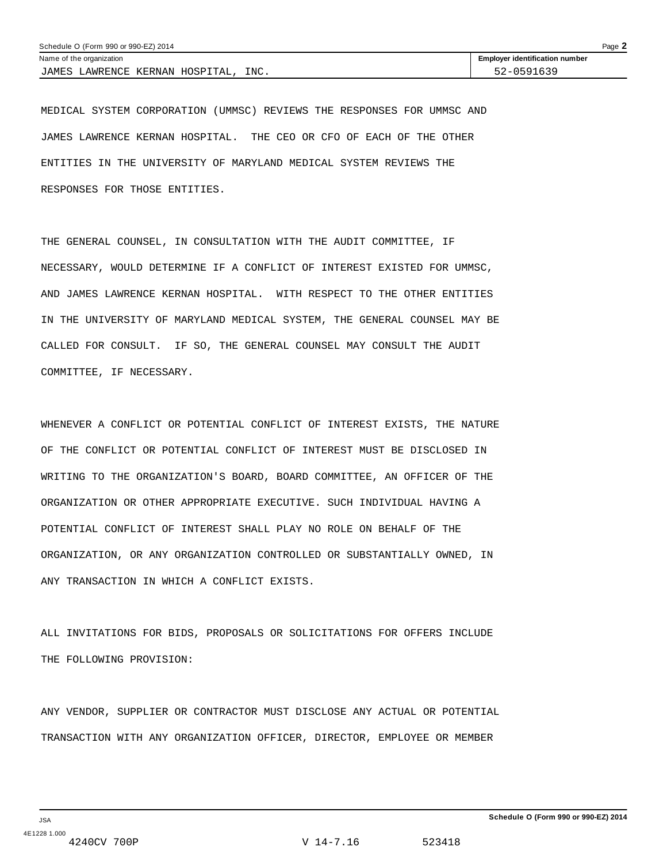| Schedule O (Form 990 or 990-EZ) 2014    |                                       |  |  |  |
|-----------------------------------------|---------------------------------------|--|--|--|
| Name of the organization                | <b>Employer identification number</b> |  |  |  |
| INC.<br>JAMES LAWRENCE KERNAN HOSPITAL. | 52-0591639                            |  |  |  |

MEDICAL SYSTEM CORPORATION (UMMSC) REVIEWS THE RESPONSES FOR UMMSC AND JAMES LAWRENCE KERNAN HOSPITAL. THE CEO OR CFO OF EACH OF THE OTHER ENTITIES IN THE UNIVERSITY OF MARYLAND MEDICAL SYSTEM REVIEWS THE RESPONSES FOR THOSE ENTITIES.

THE GENERAL COUNSEL, IN CONSULTATION WITH THE AUDIT COMMITTEE, IF NECESSARY, WOULD DETERMINE IF A CONFLICT OF INTEREST EXISTED FOR UMMSC, AND JAMES LAWRENCE KERNAN HOSPITAL. WITH RESPECT TO THE OTHER ENTITIES IN THE UNIVERSITY OF MARYLAND MEDICAL SYSTEM, THE GENERAL COUNSEL MAY BE CALLED FOR CONSULT. IF SO, THE GENERAL COUNSEL MAY CONSULT THE AUDIT COMMITTEE, IF NECESSARY.

WHENEVER A CONFLICT OR POTENTIAL CONFLICT OF INTEREST EXISTS, THE NATURE OF THE CONFLICT OR POTENTIAL CONFLICT OF INTEREST MUST BE DISCLOSED IN WRITING TO THE ORGANIZATION'S BOARD, BOARD COMMITTEE, AN OFFICER OF THE ORGANIZATION OR OTHER APPROPRIATE EXECUTIVE. SUCH INDIVIDUAL HAVING A POTENTIAL CONFLICT OF INTEREST SHALL PLAY NO ROLE ON BEHALF OF THE ORGANIZATION, OR ANY ORGANIZATION CONTROLLED OR SUBSTANTIALLY OWNED, IN ANY TRANSACTION IN WHICH A CONFLICT EXISTS.

ALL INVITATIONS FOR BIDS, PROPOSALS OR SOLICITATIONS FOR OFFERS INCLUDE THE FOLLOWING PROVISION:

ANY VENDOR, SUPPLIER OR CONTRACTOR MUST DISCLOSE ANY ACTUAL OR POTENTIAL TRANSACTION WITH ANY ORGANIZATION OFFICER, DIRECTOR, EMPLOYEE OR MEMBER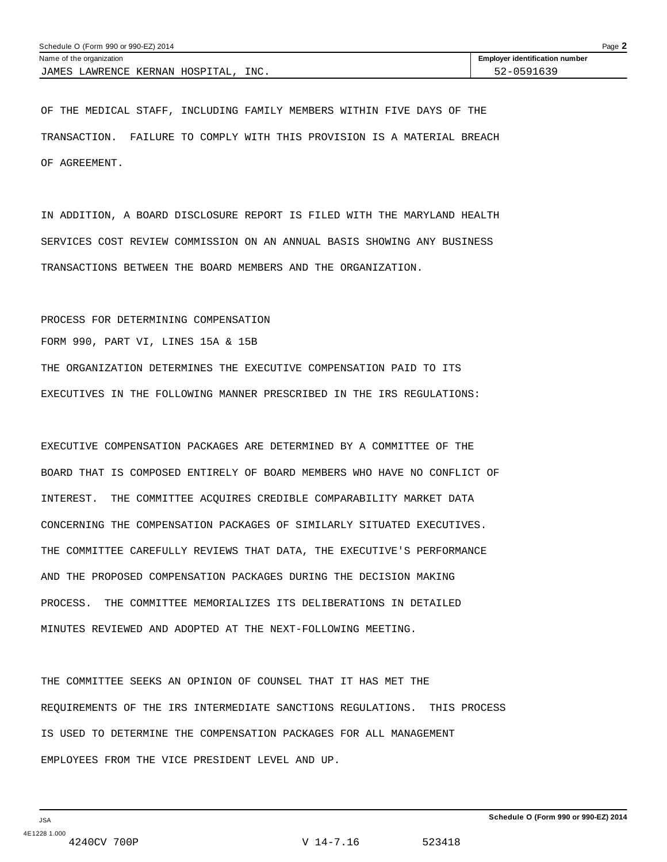| Schedule O (Form 990 or 990-EZ) 2014   |                                       |  |  |  |
|----------------------------------------|---------------------------------------|--|--|--|
| Name of the organization               | <b>Employer identification number</b> |  |  |  |
| INC.<br>JAMES LAWRENCE KERNAN HOSPITAL | 52-0591639                            |  |  |  |

OF THE MEDICAL STAFF, INCLUDING FAMILY MEMBERS WITHIN FIVE DAYS OF THE TRANSACTION. FAILURE TO COMPLY WITH THIS PROVISION IS A MATERIAL BREACH OF AGREEMENT.

IN ADDITION, A BOARD DISCLOSURE REPORT IS FILED WITH THE MARYLAND HEALTH SERVICES COST REVIEW COMMISSION ON AN ANNUAL BASIS SHOWING ANY BUSINESS TRANSACTIONS BETWEEN THE BOARD MEMBERS AND THE ORGANIZATION.

### PROCESS FOR DETERMINING COMPENSATION

FORM 990, PART VI, LINES 15A & 15B

THE ORGANIZATION DETERMINES THE EXECUTIVE COMPENSATION PAID TO ITS EXECUTIVES IN THE FOLLOWING MANNER PRESCRIBED IN THE IRS REGULATIONS:

EXECUTIVE COMPENSATION PACKAGES ARE DETERMINED BY A COMMITTEE OF THE BOARD THAT IS COMPOSED ENTIRELY OF BOARD MEMBERS WHO HAVE NO CONFLICT OF INTEREST. THE COMMITTEE ACQUIRES CREDIBLE COMPARABILITY MARKET DATA CONCERNING THE COMPENSATION PACKAGES OF SIMILARLY SITUATED EXECUTIVES. THE COMMITTEE CAREFULLY REVIEWS THAT DATA, THE EXECUTIVE'S PERFORMANCE AND THE PROPOSED COMPENSATION PACKAGES DURING THE DECISION MAKING PROCESS. THE COMMITTEE MEMORIALIZES ITS DELIBERATIONS IN DETAILED MINUTES REVIEWED AND ADOPTED AT THE NEXT-FOLLOWING MEETING.

THE COMMITTEE SEEKS AN OPINION OF COUNSEL THAT IT HAS MET THE REQUIREMENTS OF THE IRS INTERMEDIATE SANCTIONS REGULATIONS. THIS PROCESS IS USED TO DETERMINE THE COMPENSATION PACKAGES FOR ALL MANAGEMENT EMPLOYEES FROM THE VICE PRESIDENT LEVEL AND UP.

V 14-7.16 523418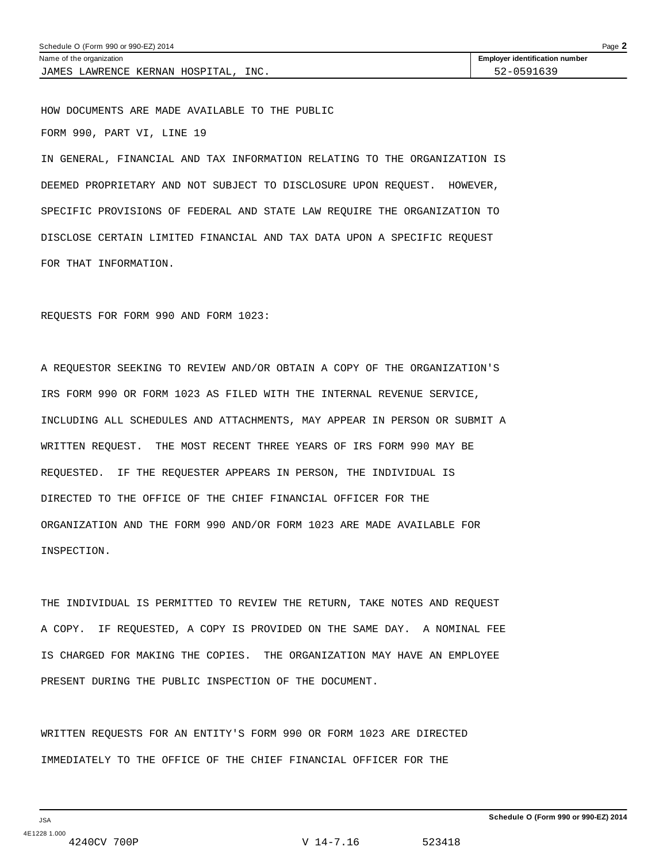| Schedule O (Form 990 or 990-EZ) 2014    |                                       |  |  |
|-----------------------------------------|---------------------------------------|--|--|
| Name of the organization                | <b>Employer identification number</b> |  |  |
| INC.<br>JAMES LAWRENCE KERNAN HOSPITAL, | 52-0591639                            |  |  |

HOW DOCUMENTS ARE MADE AVAILABLE TO THE PUBLIC FORM 990, PART VI, LINE 19

IN GENERAL, FINANCIAL AND TAX INFORMATION RELATING TO THE ORGANIZATION IS DEEMED PROPRIETARY AND NOT SUBJECT TO DISCLOSURE UPON REQUEST. HOWEVER, SPECIFIC PROVISIONS OF FEDERAL AND STATE LAW REQUIRE THE ORGANIZATION TO DISCLOSE CERTAIN LIMITED FINANCIAL AND TAX DATA UPON A SPECIFIC REQUEST FOR THAT INFORMATION.

REQUESTS FOR FORM 990 AND FORM 1023:

A REQUESTOR SEEKING TO REVIEW AND/OR OBTAIN A COPY OF THE ORGANIZATION'S IRS FORM 990 OR FORM 1023 AS FILED WITH THE INTERNAL REVENUE SERVICE, INCLUDING ALL SCHEDULES AND ATTACHMENTS, MAY APPEAR IN PERSON OR SUBMIT A WRITTEN REQUEST. THE MOST RECENT THREE YEARS OF IRS FORM 990 MAY BE REQUESTED. IF THE REQUESTER APPEARS IN PERSON, THE INDIVIDUAL IS DIRECTED TO THE OFFICE OF THE CHIEF FINANCIAL OFFICER FOR THE ORGANIZATION AND THE FORM 990 AND/OR FORM 1023 ARE MADE AVAILABLE FOR INSPECTION.

THE INDIVIDUAL IS PERMITTED TO REVIEW THE RETURN, TAKE NOTES AND REQUEST A COPY. IF REQUESTED, A COPY IS PROVIDED ON THE SAME DAY. A NOMINAL FEE IS CHARGED FOR MAKING THE COPIES. THE ORGANIZATION MAY HAVE AN EMPLOYEE PRESENT DURING THE PUBLIC INSPECTION OF THE DOCUMENT.

WRITTEN REQUESTS FOR AN ENTITY'S FORM 990 OR FORM 1023 ARE DIRECTED IMMEDIATELY TO THE OFFICE OF THE CHIEF FINANCIAL OFFICER FOR THE

V 14-7.16 523418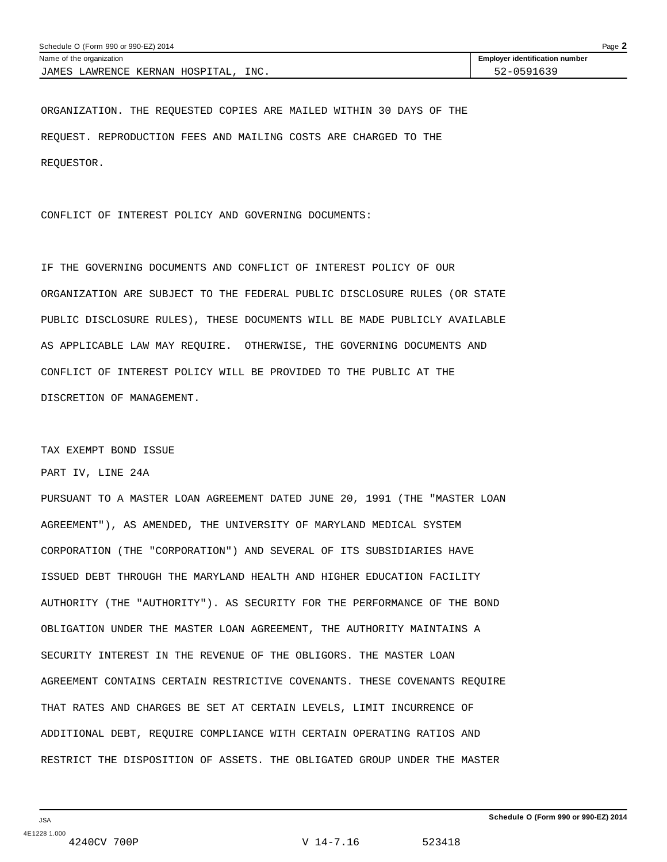| Schedule O (Form 990 or 990-EZ) 2014    |                                       |  |  |  |
|-----------------------------------------|---------------------------------------|--|--|--|
| Name of the organization                | <b>Employer identification number</b> |  |  |  |
| INC.<br>JAMES LAWRENCE KERNAN HOSPITAL, | 52-0591639                            |  |  |  |

ORGANIZATION. THE REQUESTED COPIES ARE MAILED WITHIN 30 DAYS OF THE REQUEST. REPRODUCTION FEES AND MAILING COSTS ARE CHARGED TO THE REQUESTOR.

CONFLICT OF INTEREST POLICY AND GOVERNING DOCUMENTS:

IF THE GOVERNING DOCUMENTS AND CONFLICT OF INTEREST POLICY OF OUR ORGANIZATION ARE SUBJECT TO THE FEDERAL PUBLIC DISCLOSURE RULES (OR STATE PUBLIC DISCLOSURE RULES), THESE DOCUMENTS WILL BE MADE PUBLICLY AVAILABLE AS APPLICABLE LAW MAY REQUIRE. OTHERWISE, THE GOVERNING DOCUMENTS AND CONFLICT OF INTEREST POLICY WILL BE PROVIDED TO THE PUBLIC AT THE DISCRETION OF MANAGEMENT.

### TAX EXEMPT BOND ISSUE

PART IV, LINE 24A

PURSUANT TO A MASTER LOAN AGREEMENT DATED JUNE 20, 1991 (THE "MASTER LOAN AGREEMENT"), AS AMENDED, THE UNIVERSITY OF MARYLAND MEDICAL SYSTEM CORPORATION (THE "CORPORATION") AND SEVERAL OF ITS SUBSIDIARIES HAVE ISSUED DEBT THROUGH THE MARYLAND HEALTH AND HIGHER EDUCATION FACILITY AUTHORITY (THE "AUTHORITY"). AS SECURITY FOR THE PERFORMANCE OF THE BOND OBLIGATION UNDER THE MASTER LOAN AGREEMENT, THE AUTHORITY MAINTAINS A SECURITY INTEREST IN THE REVENUE OF THE OBLIGORS. THE MASTER LOAN AGREEMENT CONTAINS CERTAIN RESTRICTIVE COVENANTS. THESE COVENANTS REQUIRE THAT RATES AND CHARGES BE SET AT CERTAIN LEVELS, LIMIT INCURRENCE OF ADDITIONAL DEBT, REQUIRE COMPLIANCE WITH CERTAIN OPERATING RATIOS AND RESTRICT THE DISPOSITION OF ASSETS. THE OBLIGATED GROUP UNDER THE MASTER

V 14-7.16 523418

**Schedule O (Form 990 or 990-EZ) 2014**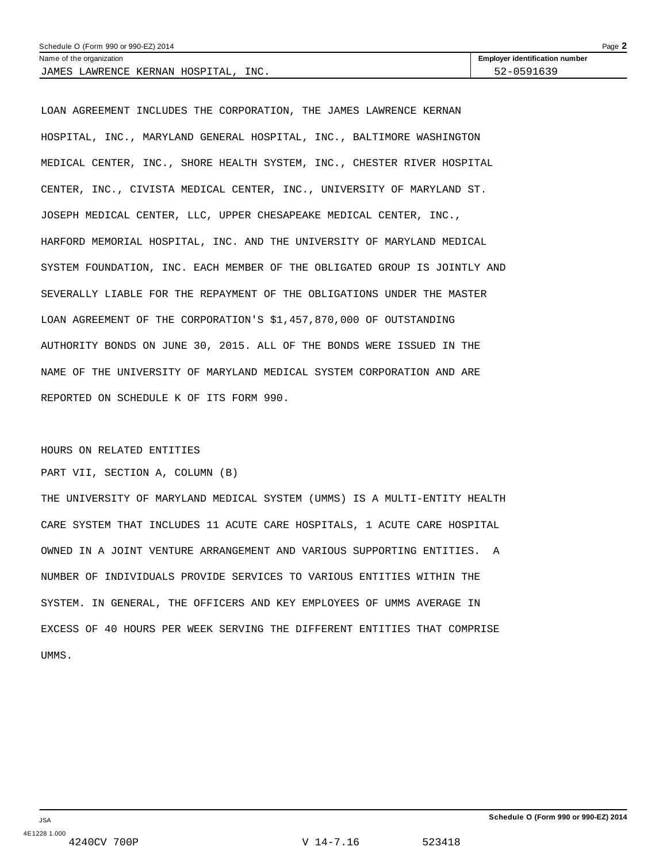| Schedule O (Form 990 or 990-EZ) 2014<br>Page $\blacktriangle$ |                                       |  |  |
|---------------------------------------------------------------|---------------------------------------|--|--|
| Name of the organization                                      | <b>Employer identification number</b> |  |  |
| INC.<br>JAMES LAWRENCE KERNAN HOSPITAL,                       | 52-0591639                            |  |  |

LOAN AGREEMENT INCLUDES THE CORPORATION, THE JAMES LAWRENCE KERNAN HOSPITAL, INC., MARYLAND GENERAL HOSPITAL, INC., BALTIMORE WASHINGTON MEDICAL CENTER, INC., SHORE HEALTH SYSTEM, INC., CHESTER RIVER HOSPITAL CENTER, INC., CIVISTA MEDICAL CENTER, INC., UNIVERSITY OF MARYLAND ST. JOSEPH MEDICAL CENTER, LLC, UPPER CHESAPEAKE MEDICAL CENTER, INC., HARFORD MEMORIAL HOSPITAL, INC. AND THE UNIVERSITY OF MARYLAND MEDICAL SYSTEM FOUNDATION, INC. EACH MEMBER OF THE OBLIGATED GROUP IS JOINTLY AND SEVERALLY LIABLE FOR THE REPAYMENT OF THE OBLIGATIONS UNDER THE MASTER LOAN AGREEMENT OF THE CORPORATION'S \$1,457,870,000 OF OUTSTANDING AUTHORITY BONDS ON JUNE 30, 2015. ALL OF THE BONDS WERE ISSUED IN THE NAME OF THE UNIVERSITY OF MARYLAND MEDICAL SYSTEM CORPORATION AND ARE REPORTED ON SCHEDULE K OF ITS FORM 990.

### HOURS ON RELATED ENTITIES

PART VII, SECTION A, COLUMN (B)

THE UNIVERSITY OF MARYLAND MEDICAL SYSTEM (UMMS) IS A MULTI-ENTITY HEALTH CARE SYSTEM THAT INCLUDES 11 ACUTE CARE HOSPITALS, 1 ACUTE CARE HOSPITAL OWNED IN A JOINT VENTURE ARRANGEMENT AND VARIOUS SUPPORTING ENTITIES. A NUMBER OF INDIVIDUALS PROVIDE SERVICES TO VARIOUS ENTITIES WITHIN THE SYSTEM. IN GENERAL, THE OFFICERS AND KEY EMPLOYEES OF UMMS AVERAGE IN EXCESS OF 40 HOURS PER WEEK SERVING THE DIFFERENT ENTITIES THAT COMPRISE UMMS.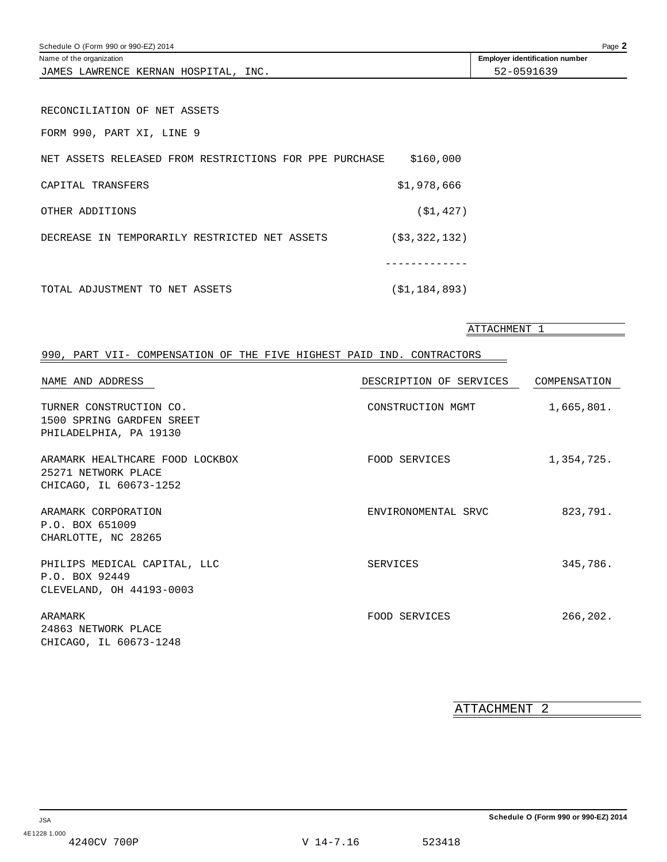| Schedule O (Form 990 or 990-EZ) 2014<br>Page $\blacktriangle$     |            |  |  |  |
|-------------------------------------------------------------------|------------|--|--|--|
| <b>Employer identification number</b><br>Name of the organization |            |  |  |  |
| INC.<br>JAMES LAWRENCE KERNAN HOSPITAL.                           | 52-0591639 |  |  |  |

RECONCILIATION OF NET ASSETS

FORM 990, PART XI, LINE 9

| NET ASSETS RELEASED FROM RESTRICTIONS FOR PPE PURCHASE | \$160,000        |
|--------------------------------------------------------|------------------|
| CAPITAL TRANSFERS                                      | \$1,978,666      |
| OTHER ADDITIONS                                        | (S1, 427)        |
| DECREASE IN TEMPORARILY RESTRICTED NET ASSETS          | ( \$3, 322, 132) |
|                                                        |                  |
| TOTAL ADJUSTMENT TO NET ASSETS                         | (\$1,184,893)    |

ATTACHMENT 1

# 990, PART VII- COMPENSATION OF THE FIVE HIGHEST PAID IND. CONTRACTORS

| NAME AND ADDRESS                                                                 | DESCRIPTION OF SERVICES | COMPENSATION |
|----------------------------------------------------------------------------------|-------------------------|--------------|
| TURNER CONSTRUCTION CO.<br>1500 SPRING GARDFEN SREET<br>PHILADELPHIA, PA 19130   | CONSTRUCTION MGMT       | 1,665,801.   |
| ARAMARK HEALTHCARE FOOD LOCKBOX<br>25271 NETWORK PLACE<br>CHICAGO, IL 60673-1252 | FOOD SERVICES           | 1,354,725.   |
| ARAMARK CORPORATION<br>P.O. BOX 651009<br>CHARLOTTE, NC 28265                    | ENVIRONOMENTAL SRVC     | 823,791.     |
| PHILIPS MEDICAL CAPITAL, LLC<br>P.O. BOX 92449<br>CLEVELAND, OH 44193-0003       | SERVICES                | 345,786.     |
| ARAMARK<br>24863 NETWORK PLACE<br>CHICAGO, IL 60673-1248                         | FOOD SERVICES           | 266,202.     |

ATTACHMENT 2

V 14-7.16 523418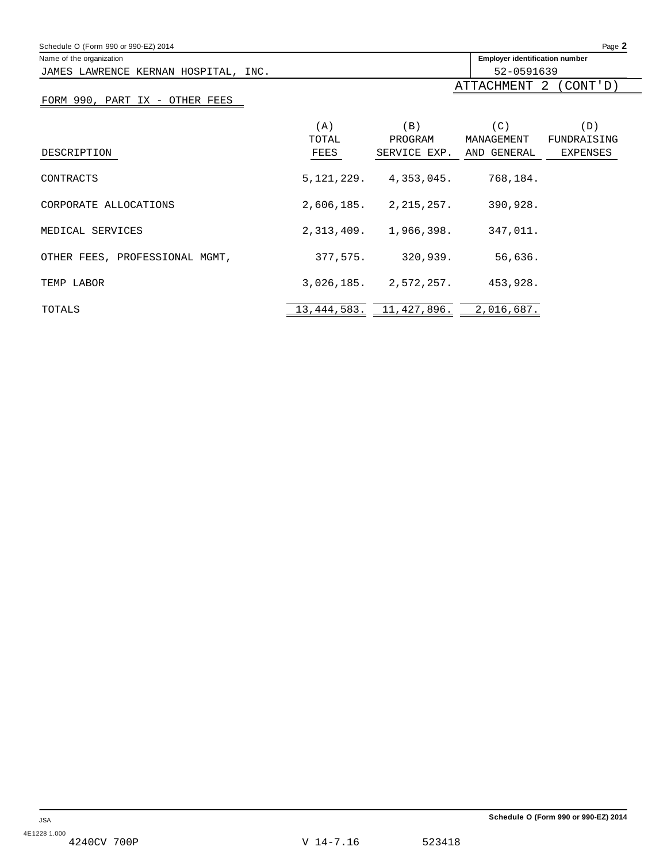| Schedule O (Form 990 or 990-EZ) 2014 |            |                             |                                       | Page 2          |
|--------------------------------------|------------|-----------------------------|---------------------------------------|-----------------|
| Name of the organization             |            |                             | <b>Employer identification number</b> |                 |
| JAMES LAWRENCE KERNAN HOSPITAL, INC. |            |                             | 52-0591639                            |                 |
|                                      |            |                             | ATTACHMENT                            | 2<br>(CONT'D)   |
| FORM 990, PART IX - OTHER FEES       |            |                             |                                       |                 |
|                                      | (A)        | (B)                         | (C)                                   | (D)             |
|                                      | TOTAL      | PROGRAM                     | MANAGEMENT                            | FUNDRAISING     |
| DESCRIPTION                          | FEES       | SERVICE EXP.                | AND GENERAL                           | <b>EXPENSES</b> |
| CONTRACTS                            | 5,121,229. | 4,353,045.                  | 768,184.                              |                 |
| CORPORATE ALLOCATIONS                |            | $2,606,185.$ $2,215,257.$   | 390,928.                              |                 |
| MEDICAL SERVICES                     |            | $2,313,409.$ 1,966,398.     | 347,011.                              |                 |
| OTHER FEES, PROFESSIONAL MGMT,       | 377,575.   | 320,939.                    | 56,636.                               |                 |
| TEMP LABOR                           |            | $3,026,185$ , $2,572,257$ , | 453,928.                              |                 |
| TOTALS                               |            | 13, 444, 583. 11, 427, 896. | 2,016,687.                            |                 |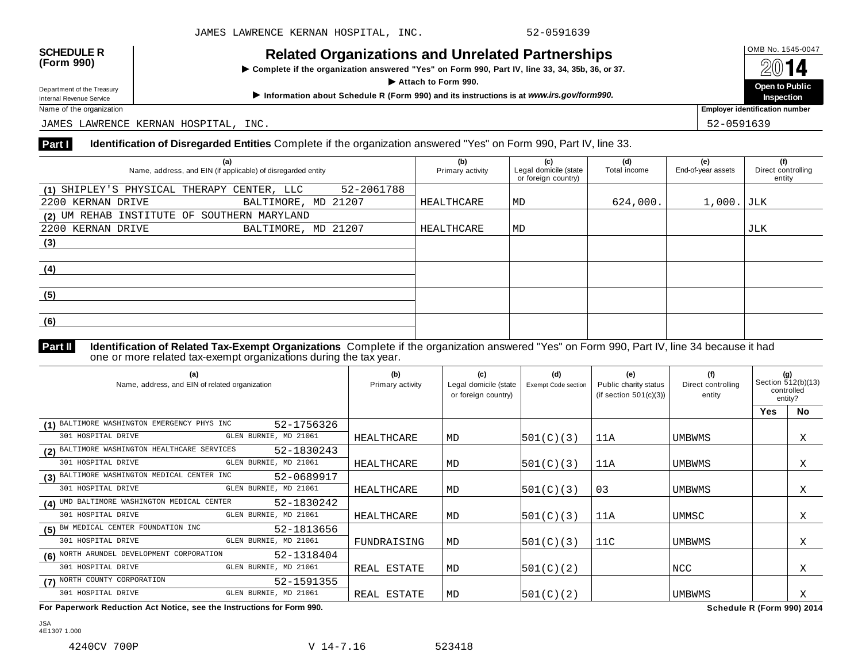**Example 18 AVELATION** Complete if the organization answered "Yes" on Form 990, Part IV, line 33, 34, 35b, 36, or 37. I **Department of the Treasury**<br>Department of the Treasury<br>Department of the Treasury

Department of the Treasury<br>
Information about Schedule R (Form 990) and its instructions is at www.irs.gov/form990.<br>
Name of the organization **about Schedule R** (Form 990) and its instructions is at www.irs.gov/form990. **Inspection Employer identification number** 

JAMES LAWRENCE KERNAN HOSPITAL, INC. 52-0591639

# **Part I Identification of Disregarded Entities** Complete if the organization answered "Yes" on Form 990, Part IV, line 33.

| (a)<br>Name, address, and EIN (if applicable) of disregarded entity |                     | (b)<br>Primary activity | (c)<br>Legal domicile (state<br>or foreign country) | (d)<br>Total income | (e)<br>End-of-year assets | (f)<br>Direct controlling<br>entity |     |
|---------------------------------------------------------------------|---------------------|-------------------------|-----------------------------------------------------|---------------------|---------------------------|-------------------------------------|-----|
| (1) SHIPLEY'S PHYSICAL THERAPY CENTER, LLC                          |                     | 52-2061788              |                                                     |                     |                           |                                     |     |
| 2200 KERNAN DRIVE                                                   | BALTIMORE, MD 21207 |                         | HEALTHCARE                                          | MD                  | 624,000.                  | $1,000.$ JLK                        |     |
| (2) UM REHAB INSTITUTE OF SOUTHERN MARYLAND                         |                     |                         |                                                     |                     |                           |                                     |     |
| 2200 KERNAN DRIVE                                                   | BALTIMORE, MD 21207 |                         | HEALTHCARE                                          | MD                  |                           |                                     | JLK |
| (3)                                                                 |                     |                         |                                                     |                     |                           |                                     |     |
|                                                                     |                     |                         |                                                     |                     |                           |                                     |     |
| (4)                                                                 |                     |                         |                                                     |                     |                           |                                     |     |
|                                                                     |                     |                         |                                                     |                     |                           |                                     |     |
| (5)                                                                 |                     |                         |                                                     |                     |                           |                                     |     |
|                                                                     |                     |                         |                                                     |                     |                           |                                     |     |
| (6)                                                                 |                     |                         |                                                     |                     |                           |                                     |     |
|                                                                     |                     |                         |                                                     |                     |                           |                                     |     |

**Identification of Related Tax-Exempt Organizations** Complete if the organization answered "Yes" on Form 990, Part IV, line 34 because it had **Part II** Identification of Related Tax-Exempt Organizations Complete if one or more related tax-exempt organizations during the tax year.

| (a)<br>Name, address, and EIN of related organization      | (b)<br>Primary activity | (c)<br>Legal domicile (state<br>or foreign country) | (d)<br><b>Exempt Code section</b> | (e)<br>Public charity status<br>(if section $501(c)(3)$ ) | (f)<br>Direct controlling<br>entity | controlled<br>entity? | (g)<br>Section 512(b)(13) |
|------------------------------------------------------------|-------------------------|-----------------------------------------------------|-----------------------------------|-----------------------------------------------------------|-------------------------------------|-----------------------|---------------------------|
|                                                            |                         |                                                     |                                   |                                                           |                                     | <b>Yes</b>            | <b>No</b>                 |
| (1) BALTIMORE WASHINGTON EMERGENCY PHYS INC<br>52-1756326  |                         |                                                     |                                   |                                                           |                                     |                       |                           |
| GLEN BURNIE, MD 21061<br>301 HOSPITAL DRIVE                | HEALTHCARE              | MD                                                  | 501(C)(3)                         | 11A                                                       | <b>UMBWMS</b>                       |                       | Χ                         |
| (2) BALTIMORE WASHINGTON HEALTHCARE SERVICES<br>52-1830243 |                         |                                                     |                                   |                                                           |                                     |                       |                           |
| GLEN BURNIE, MD 21061<br>301 HOSPITAL DRIVE                | HEALTHCARE              | MD                                                  | 501(C)(3)                         | 11A                                                       | UMBWMS                              |                       | Χ                         |
| (3) BALTIMORE WASHINGTON MEDICAL CENTER INC<br>52-0689917  |                         |                                                     |                                   |                                                           |                                     |                       |                           |
| GLEN BURNIE, MD 21061<br>301 HOSPITAL DRIVE                | HEALTHCARE              | MD                                                  | 501(C)(3)                         | 03                                                        | <b>UMBWMS</b>                       |                       | Χ                         |
| (4) UMD BALTIMORE WASHINGTON MEDICAL CENTER<br>52-1830242  |                         |                                                     |                                   |                                                           |                                     |                       |                           |
| GLEN BURNIE, MD 21061<br>301 HOSPITAL DRIVE                | HEALTHCARE              | MD                                                  | 501(C)(3)                         | 11A                                                       | UMMSC                               |                       | Χ                         |
| (5) BW MEDICAL CENTER FOUNDATION INC<br>52-1813656         |                         |                                                     |                                   |                                                           |                                     |                       |                           |
| 301 HOSPITAL DRIVE<br>GLEN BURNIE, MD 21061                | FUNDRAISING             | MD                                                  | 501(C)(3)                         | 11C                                                       | <b>UMBWMS</b>                       |                       | Χ                         |
| (6) NORTH ARUNDEL DEVELOPMENT CORPORATION<br>52-1318404    |                         |                                                     |                                   |                                                           |                                     |                       |                           |
| 301 HOSPITAL DRIVE<br>GLEN BURNIE, MD 21061                | REAL ESTATE             | MD                                                  | 501(C)(2)                         |                                                           | NCC                                 |                       | Χ                         |
| (7) NORTH COUNTY CORPORATION<br>52-1591355                 |                         |                                                     |                                   |                                                           |                                     |                       |                           |
| 301 HOSPITAL DRIVE<br>GLEN BURNIE, MD 21061                | REAL ESTATE             | MD                                                  | 501(C)(2)                         |                                                           | <b>UMBWMS</b>                       |                       | Χ                         |

**For Paperwork Reduction Act Notice, see the Instructions for Form 990. Schedule R (Form 990) 2014**

JSA 4E1307 1.000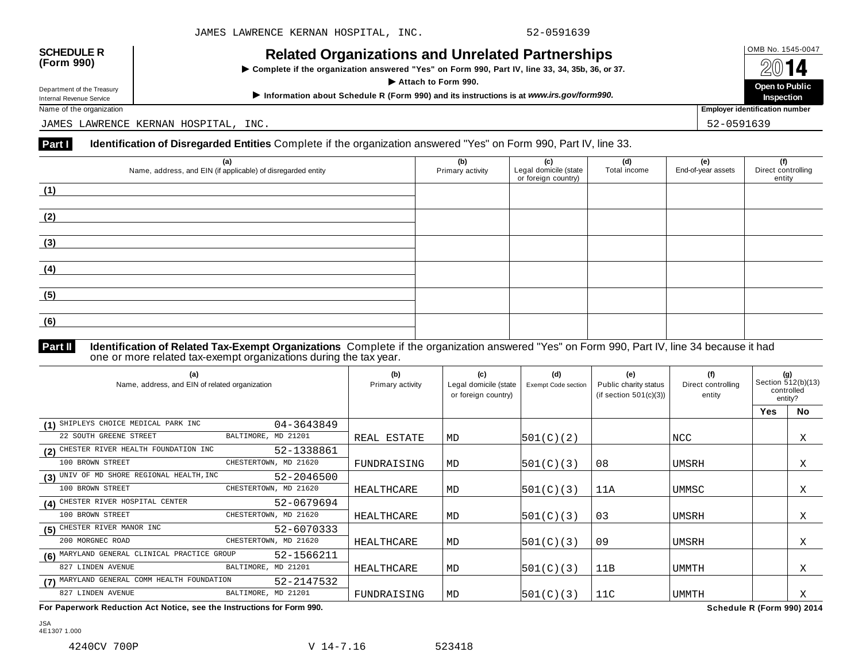| <b>SCHEDULE R</b> |  |
|-------------------|--|
| (Form 990)        |  |

**Example 18 AVELATION** Complete if the organization answered "Yes" on Form 990, Part IV, line 33, 34, 35b, 36, or 37. I **Department of the Treasury**<br>Department of the Treasury<br>Department of the Treasury

Department of the Treasury<br>
Information about Schedule R (Form 990) and its instructions is at www.irs.gov/form990.<br>
Name of the organization **about Schedule R** (Form 990) and its instructions is at www.irs.gov/form990.

JAMES LAWRENCE KERNAN HOSPITAL, INC. 52-0591639

# **Part I Identification of Disregarded Entities** Complete if the organization answered "Yes" on Form 990, Part IV, line 33.

| (a)<br>Name, address, and EIN (if applicable) of disregarded entity | (b)<br>Primary activity | (c)<br>Legal domicile (state<br>or foreign country) | (d)<br>Total income | (e)<br>End-of-year assets | (f)<br>Direct controlling<br>entity |
|---------------------------------------------------------------------|-------------------------|-----------------------------------------------------|---------------------|---------------------------|-------------------------------------|
| (1)                                                                 |                         |                                                     |                     |                           |                                     |
| (2)                                                                 |                         |                                                     |                     |                           |                                     |
| (3)                                                                 |                         |                                                     |                     |                           |                                     |
| (4)                                                                 |                         |                                                     |                     |                           |                                     |
| (5)                                                                 |                         |                                                     |                     |                           |                                     |
| (6)                                                                 |                         |                                                     |                     |                           |                                     |

**Identification of Related Tax-Exempt Organizations** Complete if the organization answered "Yes" on Form 990, Part IV, line 34 because it had **Part II Identification of Related Tax-Exempt Organizations** Complete in one or more related tax-exempt organizations during the tax year.

| (b)<br>Primary activity | (c)<br>or foreign country)                                                                     | (d)<br>Exempt Code section | (e)<br>Public charity status<br>(if section $501(c)(3)$ ) | (f)<br>Direct controlling<br>entity |            | (g)<br>Section 512(b)(13)<br>controlled<br>entity? |
|-------------------------|------------------------------------------------------------------------------------------------|----------------------------|-----------------------------------------------------------|-------------------------------------|------------|----------------------------------------------------|
|                         |                                                                                                |                            |                                                           |                                     | <b>Yes</b> | <b>No</b>                                          |
|                         |                                                                                                |                            |                                                           |                                     |            |                                                    |
| REAL ESTATE             | MD                                                                                             | 501(C)(2)                  |                                                           | NCC                                 |            | Χ                                                  |
|                         |                                                                                                |                            |                                                           |                                     |            |                                                    |
| FUNDRAISING             | MD                                                                                             | 501(C)(3)                  | 08                                                        | UMSRH                               |            | Χ                                                  |
|                         |                                                                                                |                            |                                                           |                                     |            |                                                    |
| <b>HEALTHCARE</b>       | MD                                                                                             | 501(C)(3)                  | 11A                                                       | UMMSC                               |            | Χ                                                  |
|                         |                                                                                                |                            |                                                           |                                     |            |                                                    |
| HEALTHCARE              | MD                                                                                             | 501(C)(3)                  | 03                                                        | UMSRH                               |            | Χ                                                  |
|                         |                                                                                                |                            |                                                           |                                     |            |                                                    |
| HEALTHCARE              | MD                                                                                             | 501(C)(3)                  | 09                                                        | UMSRH                               |            | X                                                  |
|                         |                                                                                                |                            |                                                           |                                     |            |                                                    |
| HEALTHCARE              | MD                                                                                             | 501(C)(3)                  | 11B                                                       | UMMTH                               |            | Χ                                                  |
|                         |                                                                                                |                            |                                                           |                                     |            |                                                    |
| FUNDRAISING             | MD                                                                                             | 501(C)(3)                  | 11C                                                       | <b>UMMTH</b>                        |            | Χ                                                  |
|                         | 04-3643849<br>52-1338861<br>52-2046500<br>52-0679694<br>52-6070333<br>52-1566211<br>52-2147532 |                            | Legal domicile (state                                     |                                     |            |                                                    |

**For Paperwork Reduction Act Notice, see the Instructions for Form 990. Schedule R (Form 990) 2014**

JSA 4E1307 1.000

**Inspection**

**Employer identification number**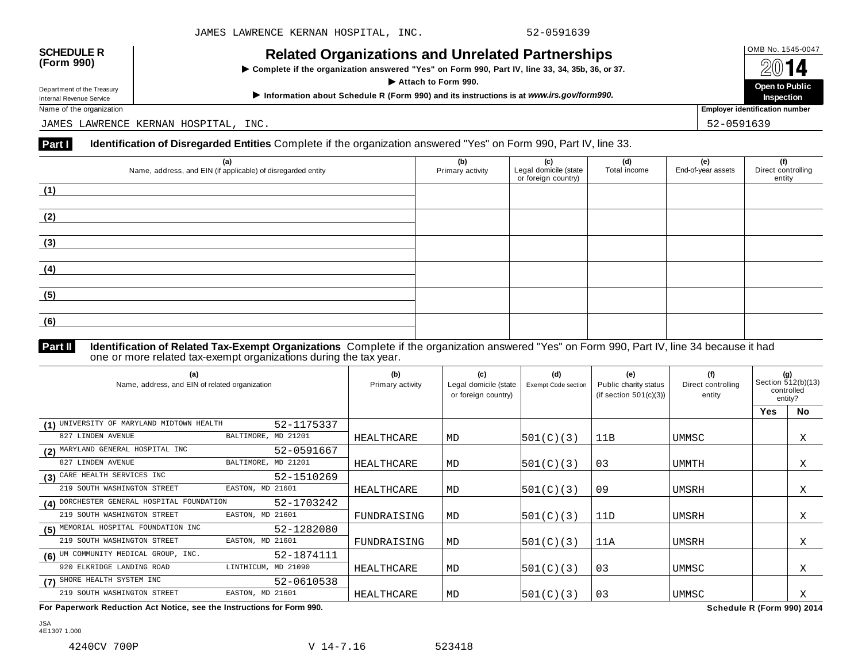| <b>SCHEDULE R</b> |  |
|-------------------|--|
| (Form 990)        |  |

**Example 18 AVELATION** Complete if the organization answered "Yes" on Form 990, Part IV, line 33, 34, 35b, 36, or 37. I **Department of the Treasury**<br>Department of the Treasury<br>Department of the Treasury

Department of the Treasury<br>
Information about Schedule R (Form 990) and its instructions is at www.irs.gov/form990.<br>
Name of the organization **about Schedule R** (Form 990) and its instructions is at www.irs.gov/form990.

Name of the organization **Employer identification number**

JAMES LAWRENCE KERNAN HOSPITAL, INC. 52-0591639

# **Part I Identification of Disregarded Entities** Complete if the organization answered "Yes" on Form 990, Part IV, line 33.

| (a)<br>Name, address, and EIN (if applicable) of disregarded entity | (b)<br>Primary activity | (c)<br>Legal domicile (state<br>or foreign country) | (d)<br>Total income | (e)<br>End-of-year assets | (f)<br>Direct controlling<br>entity |
|---------------------------------------------------------------------|-------------------------|-----------------------------------------------------|---------------------|---------------------------|-------------------------------------|
| (1)                                                                 |                         |                                                     |                     |                           |                                     |
| (2)                                                                 |                         |                                                     |                     |                           |                                     |
| (3)                                                                 |                         |                                                     |                     |                           |                                     |
|                                                                     |                         |                                                     |                     |                           |                                     |
| (4)                                                                 |                         |                                                     |                     |                           |                                     |
| (5)                                                                 |                         |                                                     |                     |                           |                                     |
| (6)                                                                 |                         |                                                     |                     |                           |                                     |
|                                                                     |                         |                                                     |                     |                           |                                     |

## **Identification of Related Tax-Exempt Organizations** Complete if the organization answered "Yes" on Form 990, Part IV, line 34 because it had **Part II Identification of Related Tax-Exempt Organizations** Complete in one or more related tax-exempt organizations during the tax year.

| (a)<br>Name, address, and EIN of related organization    | (b)<br>Primary activity | (c)<br>Legal domicile (state<br>or foreign country) | (d)<br><b>Exempt Code section</b> | (e)<br>Public charity status<br>(if section $501(c)(3)$ ) | (f)<br>Direct controlling<br>entity |            | (g)<br>Section 512(b)(13)<br>controlled<br>entity? |
|----------------------------------------------------------|-------------------------|-----------------------------------------------------|-----------------------------------|-----------------------------------------------------------|-------------------------------------|------------|----------------------------------------------------|
|                                                          |                         |                                                     |                                   |                                                           |                                     | <b>Yes</b> | <b>No</b>                                          |
| (1) UNIVERSITY OF MARYLAND MIDTOWN HEALTH<br>52-1175337  |                         |                                                     |                                   |                                                           |                                     |            |                                                    |
| BALTIMORE, MD 21201<br>827 LINDEN AVENUE                 | HEALTHCARE              | MD                                                  | 501(C)(3)                         | 11B                                                       | UMMSC                               |            | Χ                                                  |
| (2) MARYLAND GENERAL HOSPITAL INC<br>52-0591667          |                         |                                                     |                                   |                                                           |                                     |            |                                                    |
| BALTIMORE, MD 21201<br>827 LINDEN AVENUE                 | HEALTHCARE              | MD                                                  | 501(C)(3)                         | 03                                                        | UMMTH                               |            | Χ                                                  |
| (3) CARE HEALTH SERVICES INC<br>52-1510269               |                         |                                                     |                                   |                                                           |                                     |            |                                                    |
| 219 SOUTH WASHINGTON STREET<br>EASTON, MD 21601          | HEALTHCARE              | MD                                                  | 501(C)(3)                         | 09                                                        | UMSRH                               |            | Χ                                                  |
| (4) DORCHESTER GENERAL HOSPITAL FOUNDATION<br>52-1703242 |                         |                                                     |                                   |                                                           |                                     |            |                                                    |
| EASTON, MD 21601<br>219 SOUTH WASHINGTON STREET          | FUNDRAISING             | MD                                                  | 501(C)(3)                         | 11D                                                       | UMSRH                               |            | Χ                                                  |
| (5) MEMORIAL HOSPITAL FOUNDATION INC<br>52-1282080       |                         |                                                     |                                   |                                                           |                                     |            |                                                    |
| 219 SOUTH WASHINGTON STREET<br>EASTON, MD 21601          | FUNDRAISING             | MD                                                  | 501(C)(3)                         | 11A                                                       | UMSRH                               |            | X                                                  |
| (6) UM COMMUNITY MEDICAL GROUP, INC.<br>52-1874111       |                         |                                                     |                                   |                                                           |                                     |            |                                                    |
| 920 ELKRIDGE LANDING ROAD<br>LINTHICUM, MD 21090         | HEALTHCARE              | MD                                                  | 501(C)(3)                         | 03                                                        | UMMSC                               |            | Χ                                                  |
| (7) SHORE HEALTH SYSTEM INC<br>52-0610538                |                         |                                                     |                                   |                                                           |                                     |            |                                                    |
| EASTON, MD 21601<br>219 SOUTH WASHINGTON STREET          | <b>HEALTHCARE</b>       | MD                                                  | 501(C)(3)                         | 03                                                        | UMMSC                               |            | Χ                                                  |

**For Paperwork Reduction Act Notice, see the Instructions for Form 990. Schedule R (Form 990) 2014**

JSA 4E1307 1.000

|                                           | ployer identification nu |  |
|-------------------------------------------|--------------------------|--|
| $\sim$ $\sim$ $\sim$ $\sim$ $\sim$ $\sim$ |                          |  |

**Inspection**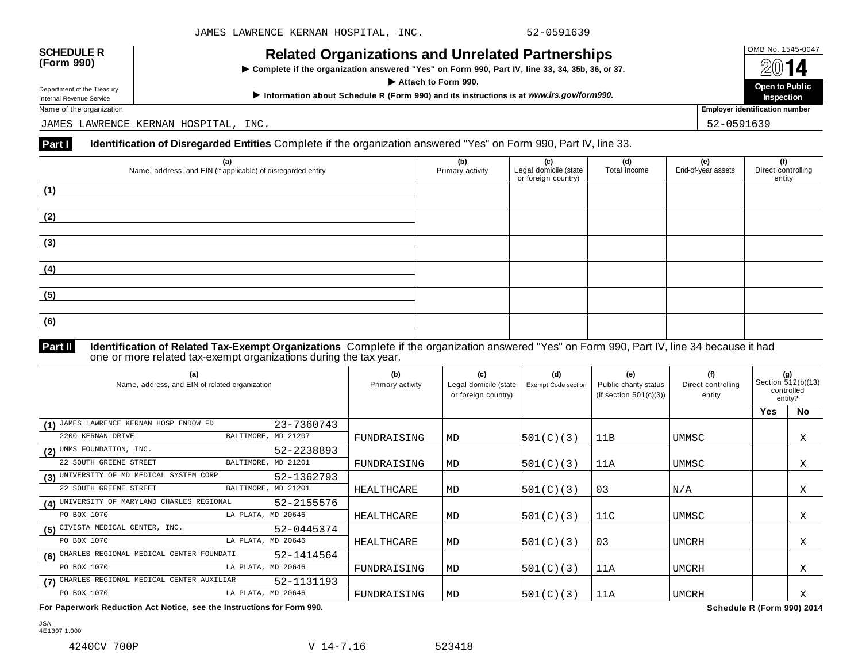| <b>SCHEDULE R</b> |  |
|-------------------|--|
| (Form 990)        |  |

**Example 18 AVELATION** Complete if the organization answered "Yes" on Form 990, Part IV, line 33, 34, 35b, 36, or 37. I **Department of the Treasury**<br>Department of the Treasury<br>Department of the Treasury

Department of the Treasury<br>
Information about Schedule R (Form 990) and its instructions is at www.irs.gov/form990.<br>
Name of the organization **about Schedule R** (Form 990) and its instructions is at www.irs.gov/form990.

JAMES LAWRENCE KERNAN HOSPITAL, INC. 52-0591639

# **Part I Identification of Disregarded Entities** Complete if the organization answered "Yes" on Form 990, Part IV, line 33.

| (a)<br>Name, address, and EIN (if applicable) of disregarded entity | (b)<br>Primary activity | (c)<br>Legal domicile (state<br>or foreign country) | (d)<br>Total income | (e)<br>End-of-year assets | (f)<br>Direct controlling<br>entity |
|---------------------------------------------------------------------|-------------------------|-----------------------------------------------------|---------------------|---------------------------|-------------------------------------|
| (1)                                                                 |                         |                                                     |                     |                           |                                     |
| (2)                                                                 |                         |                                                     |                     |                           |                                     |
| (3)                                                                 |                         |                                                     |                     |                           |                                     |
| (4)                                                                 |                         |                                                     |                     |                           |                                     |
| (5)                                                                 |                         |                                                     |                     |                           |                                     |
| (6)                                                                 |                         |                                                     |                     |                           |                                     |

## **Identification of Related Tax-Exempt Organizations** Complete if the organization answered "Yes" on Form 990, Part IV, line 34 because it had **Part II Identification of Related Tax-Exempt Organizations** Complete in one or more related tax-exempt organizations during the tax year.

| (a)<br>Name, address, and EIN of related organization      | (b)<br>Primary activity | (c)<br>Legal domicile (state<br>or foreign country) | (d)<br>Exempt Code section | (e)<br>Public charity status<br>(if section $501(c)(3)$ ) | (f)<br>Direct controlling<br>entity |            | (g)<br>Section 512(b)(13)<br>controlled<br>entity? |
|------------------------------------------------------------|-------------------------|-----------------------------------------------------|----------------------------|-----------------------------------------------------------|-------------------------------------|------------|----------------------------------------------------|
|                                                            |                         |                                                     |                            |                                                           |                                     | <b>Yes</b> | <b>No</b>                                          |
| (1) JAMES LAWRENCE KERNAN HOSP ENDOW FD<br>23-7360743      |                         |                                                     |                            |                                                           |                                     |            |                                                    |
| BALTIMORE, MD 21207<br>2200 KERNAN DRIVE                   | FUNDRAISING             | MD                                                  | 501(C)(3)                  | 11B                                                       | UMMSC                               |            | Χ                                                  |
| (2) UMMS FOUNDATION, INC.<br>52-2238893                    |                         |                                                     |                            |                                                           |                                     |            |                                                    |
| BALTIMORE, MD 21201<br>22 SOUTH GREENE STREET              | FUNDRAISING             | MD                                                  | 501(C)(3)                  | 11A                                                       | UMMSC                               |            | Χ                                                  |
| (3) UNIVERSITY OF MD MEDICAL SYSTEM CORP<br>52-1362793     |                         |                                                     |                            |                                                           |                                     |            |                                                    |
| BALTIMORE, MD 21201<br>22 SOUTH GREENE STREET              | <b>HEALTHCARE</b>       | MD                                                  | 501(C)(3)                  | 03                                                        | N/A                                 |            | Χ                                                  |
| (4) UNIVERSITY OF MARYLAND CHARLES REGIONAL<br>52-2155576  |                         |                                                     |                            |                                                           |                                     |            |                                                    |
| PO BOX 1070<br>LA PLATA, MD 20646                          | HEALTHCARE              | MD                                                  | 501(C)(3)                  | 11C                                                       | UMMSC                               |            | Χ                                                  |
| (5) CIVISTA MEDICAL CENTER, INC.<br>52-0445374             |                         |                                                     |                            |                                                           |                                     |            |                                                    |
| LA PLATA, MD 20646<br>PO BOX 1070                          | <b>HEALTHCARE</b>       | MD                                                  | 501(C)(3)                  | 03                                                        | <b>UMCRH</b>                        |            | Χ                                                  |
| (6) CHARLES REGIONAL MEDICAL CENTER FOUNDATI<br>52-1414564 |                         |                                                     |                            |                                                           |                                     |            |                                                    |
| PO BOX 1070<br>LA PLATA, MD 20646                          | FUNDRAISING             | MD                                                  | 501(C)(3)                  | 11A                                                       | UMCRH                               |            | Χ                                                  |
| (7) CHARLES REGIONAL MEDICAL CENTER AUXILIAR<br>52-1131193 |                         |                                                     |                            |                                                           |                                     |            |                                                    |
| PO BOX 1070<br>LA PLATA, MD 20646                          | FUNDRAISING             | MD                                                  | 501(C)(3)                  | 11A                                                       | <b>UMCRH</b>                        |            | Χ                                                  |

**For Paperwork Reduction Act Notice, see the Instructions for Form 990. Schedule R (Form 990) 2014**

JSA 4E1307 1.000

**Inspection Employer identification number**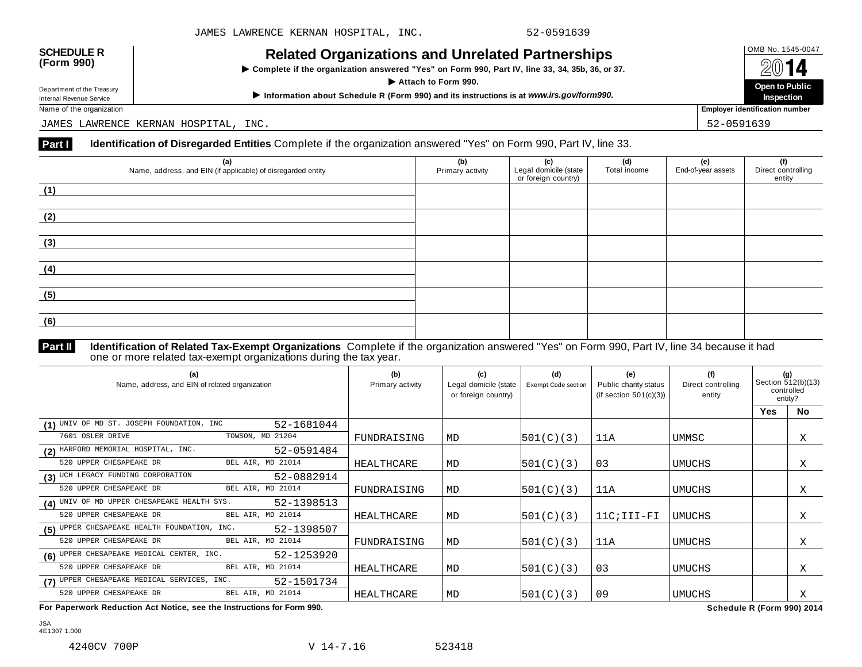| <b>SCHEDULE R</b> |  |
|-------------------|--|
| (Form 990)        |  |

**Example 18 AVELATION** Complete if the organization answered "Yes" on Form 990, Part IV, line 33, 34, 35b, 36, or 37. I **Department of the Treasury**<br>Department of the Treasury<br>Department of the Treasury

Department of the Treasury<br>
Information about Schedule R (Form 990) and its instructions is at www.irs.gov/form990.<br>
Name of the organization **about Schedule R** (Form 990) and its instructions is at www.irs.gov/form990.

JAMES LAWRENCE KERNAN HOSPITAL, INC. 52-0591639

# **Part I Identification of Disregarded Entities** Complete if the organization answered "Yes" on Form 990, Part IV, line 33.

| (a)<br>Name, address, and EIN (if applicable) of disregarded entity | (b)<br>Primary activity | (c)<br>Legal domicile (state<br>or foreign country) | (d)<br>Total income | (e)<br>End-of-year assets | (f)<br>Direct controlling<br>entity |
|---------------------------------------------------------------------|-------------------------|-----------------------------------------------------|---------------------|---------------------------|-------------------------------------|
| (1)                                                                 |                         |                                                     |                     |                           |                                     |
|                                                                     |                         |                                                     |                     |                           |                                     |
| (2)                                                                 |                         |                                                     |                     |                           |                                     |
|                                                                     |                         |                                                     |                     |                           |                                     |
| (3)                                                                 |                         |                                                     |                     |                           |                                     |
| (4)                                                                 |                         |                                                     |                     |                           |                                     |
| (5)                                                                 |                         |                                                     |                     |                           |                                     |
| (6)                                                                 |                         |                                                     |                     |                           |                                     |

**Identification of Related Tax-Exempt Organizations** Complete if the organization answered "Yes" on Form 990, Part IV, line 34 because it had **Part II** Identification of Related Tax-Exempt Organizations Complete i<br>one or more related tax-exempt organizations during the tax year.

| (a)<br>Name, address, and EIN of related organization      | (b)<br>Primary activity | (c)<br>Legal domicile (state<br>or foreign country) | (d)<br>Exempt Code section | (e)<br>Public charity status<br>(if section $501(c)(3)$ ) | (f)<br>Direct controlling<br>entity |            | (g)<br>Section 512(b)(13)<br>controlled<br>entity? |
|------------------------------------------------------------|-------------------------|-----------------------------------------------------|----------------------------|-----------------------------------------------------------|-------------------------------------|------------|----------------------------------------------------|
|                                                            |                         |                                                     |                            |                                                           |                                     | <b>Yes</b> | <b>No</b>                                          |
| (1) UNIV OF MD ST. JOSEPH FOUNDATION, INC<br>52-1681044    |                         |                                                     |                            |                                                           |                                     |            |                                                    |
| TOWSON, MD 21204<br>7601 OSLER DRIVE                       | FUNDRAISING             | MD                                                  | 501(C)(3)                  | 11A                                                       | UMMSC                               |            | Χ                                                  |
| (2) HARFORD MEMORIAL HOSPITAL, INC.<br>52-0591484          |                         |                                                     |                            |                                                           |                                     |            |                                                    |
| BEL AIR, MD 21014<br>520 UPPER CHESAPEAKE DR               | HEALTHCARE              | MD                                                  | 501(C)(3)                  | 03                                                        | <b>UMUCHS</b>                       |            | Χ                                                  |
| (3) UCH LEGACY FUNDING CORPORATION<br>52-0882914           |                         |                                                     |                            |                                                           |                                     |            |                                                    |
| BEL AIR, MD 21014<br>520 UPPER CHESAPEAKE DR               | FUNDRAISING             | MD                                                  | 501(C)(3)                  | 11A                                                       | UMUCHS                              |            | Χ                                                  |
| (4) UNIV OF MD UPPER CHESAPEAKE HEALTH SYS.<br>52-1398513  |                         |                                                     |                            |                                                           |                                     |            |                                                    |
| BEL AIR, MD 21014<br>520 UPPER CHESAPEAKE DR               | HEALTHCARE              | MD                                                  | 501(C)(3)                  | $11C$ ; $III-FI$                                          | <b>UMUCHS</b>                       |            | X                                                  |
| (5) UPPER CHESAPEAKE HEALTH FOUNDATION, INC.<br>52-1398507 |                         |                                                     |                            |                                                           |                                     |            |                                                    |
| BEL AIR, MD 21014<br>520 UPPER CHESAPEAKE DR               | FUNDRAISING             | MD                                                  | 501(C)(3)                  | 11A                                                       | <b>UMUCHS</b>                       |            | Χ                                                  |
| (6) UPPER CHESAPEAKE MEDICAL CENTER, INC.<br>52-1253920    |                         |                                                     |                            |                                                           |                                     |            |                                                    |
| 520 UPPER CHESAPEAKE DR<br>BEL AIR, MD 21014               | HEALTHCARE              | MD                                                  | 501(C)(3)                  | 03                                                        | <b>UMUCHS</b>                       |            | Χ                                                  |
| (7) UPPER CHESAPEAKE MEDICAL SERVICES, INC.<br>52-1501734  |                         |                                                     |                            |                                                           |                                     |            |                                                    |
| 520 UPPER CHESAPEAKE DR<br>BEL AIR, MD 21014               | HEALTHCARE              | MD                                                  | 501(C)(3)                  | 09                                                        | UMUCHS                              |            | Χ                                                  |

**For Paperwork Reduction Act Notice, see the Instructions for Form 990. Schedule R (Form 990) 2014**

**Inspection**

**Employer identification number** 

JSA 4E1307 1.000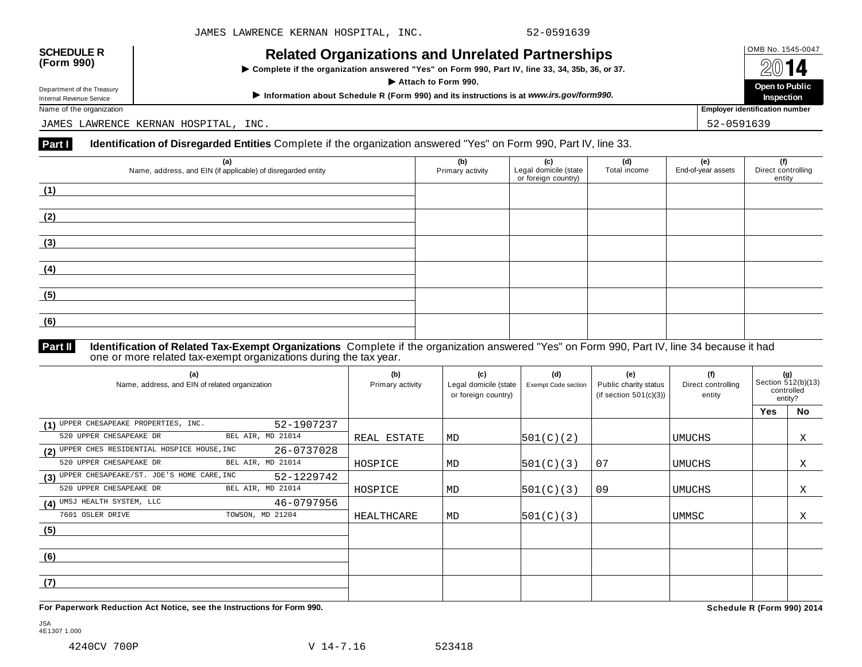| <b>SCHEDULE R</b> |  |
|-------------------|--|
| (Form 990)        |  |

**Example 18 AVELATION** Complete if the organization answered "Yes" on Form 990, Part IV, line 33, 34, 35b, 36, or 37. I **Department of the Treasury**<br>Department of the Treasury<br>Department of the Treasury

Department of the Treasury<br>
Information about Schedule R (Form 990) and its instructions is at www.irs.gov/form990.<br>
Name of the organization **about Schedule R** (Form 990) and its instructions is at www.irs.gov/form990.

JAMES LAWRENCE KERNAN HOSPITAL, INC. 52-0591639

## **Part I Identification of Disregarded Entities** Complete if the organization answered "Yes" on Form 990, Part IV, line 33.

| (a)<br>Name, address, and EIN (if applicable) of disregarded entity | (b)<br>Primary activity | (c)<br>Legal domicile (state<br>or foreign country) | (d)<br>Total income | (e)<br>End-of-year assets | (f)<br>Direct controlling<br>entity |
|---------------------------------------------------------------------|-------------------------|-----------------------------------------------------|---------------------|---------------------------|-------------------------------------|
| (1)                                                                 |                         |                                                     |                     |                           |                                     |
| (2)                                                                 |                         |                                                     |                     |                           |                                     |
| (3)                                                                 |                         |                                                     |                     |                           |                                     |
| (4)                                                                 |                         |                                                     |                     |                           |                                     |
| (5)                                                                 |                         |                                                     |                     |                           |                                     |
| (6)                                                                 |                         |                                                     |                     |                           |                                     |

## **Identification of Related Tax-Exempt Organizations** Complete if the organization answered "Yes" on Form 990, Part IV, line 34 because it had **Part II Identification of Related Tax-Exempt Organizations** Complete in one or more related tax-exempt organizations during the tax year.

| (a)<br>Name, address, and EIN of related organization       | (b)<br>Primary activity | (c)<br>Legal domicile (state<br>or foreign country) | (d)<br>Exempt Code section | (e)<br>Public charity status<br>(if section $501(c)(3)$ ) | (f)<br>Direct controlling<br>entity |            | (g)<br>Section 512(b)(13)<br>controlled<br>entity? |
|-------------------------------------------------------------|-------------------------|-----------------------------------------------------|----------------------------|-----------------------------------------------------------|-------------------------------------|------------|----------------------------------------------------|
|                                                             |                         |                                                     |                            |                                                           |                                     | <b>Yes</b> | No                                                 |
| (1) UPPER CHESAPEAKE PROPERTIES, INC.<br>52-1907237         |                         |                                                     |                            |                                                           |                                     |            |                                                    |
| 520 UPPER CHESAPEAKE DR<br>BEL AIR, MD 21014                | REAL ESTATE             | MD                                                  | 501(C)(2)                  |                                                           | <b>UMUCHS</b>                       |            | Χ                                                  |
| (2) UPPER CHES RESIDENTIAL HOSPICE HOUSE, INC<br>26-0737028 |                         |                                                     |                            |                                                           |                                     |            |                                                    |
| 520 UPPER CHESAPEAKE DR<br>BEL AIR, MD 21014                | HOSPICE                 | MD                                                  | 501(C)(3)                  | 07                                                        | UMUCHS                              |            | Χ                                                  |
| (3) UPPER CHESAPEAKE/ST. JOE'S HOME CARE, INC<br>52-1229742 |                         |                                                     |                            |                                                           |                                     |            |                                                    |
| 520 UPPER CHESAPEAKE DR<br>BEL AIR, MD 21014                | HOSPICE                 | MD                                                  | 501(C)(3)                  | 09                                                        | <b>UMUCHS</b>                       |            | Χ                                                  |
| (4) UMSJ HEALTH SYSTEM, LLC<br>46-0797956                   |                         |                                                     |                            |                                                           |                                     |            |                                                    |
| 7601 OSLER DRIVE<br>TOWSON, MD 21204                        | HEALTHCARE              | MD                                                  | 501(C)(3)                  |                                                           | UMMSC                               |            | Χ                                                  |
| (5)                                                         |                         |                                                     |                            |                                                           |                                     |            |                                                    |
|                                                             |                         |                                                     |                            |                                                           |                                     |            |                                                    |
| (6)                                                         |                         |                                                     |                            |                                                           |                                     |            |                                                    |
|                                                             |                         |                                                     |                            |                                                           |                                     |            |                                                    |
| (7)                                                         |                         |                                                     |                            |                                                           |                                     |            |                                                    |
|                                                             |                         |                                                     |                            |                                                           |                                     |            |                                                    |

**For Paperwork Reduction Act Notice, see the Instructions for Form 990. Schedule R (Form 990) 2014**

**Inspection**

**Employer identification number** 

JSA 4E1307 1.000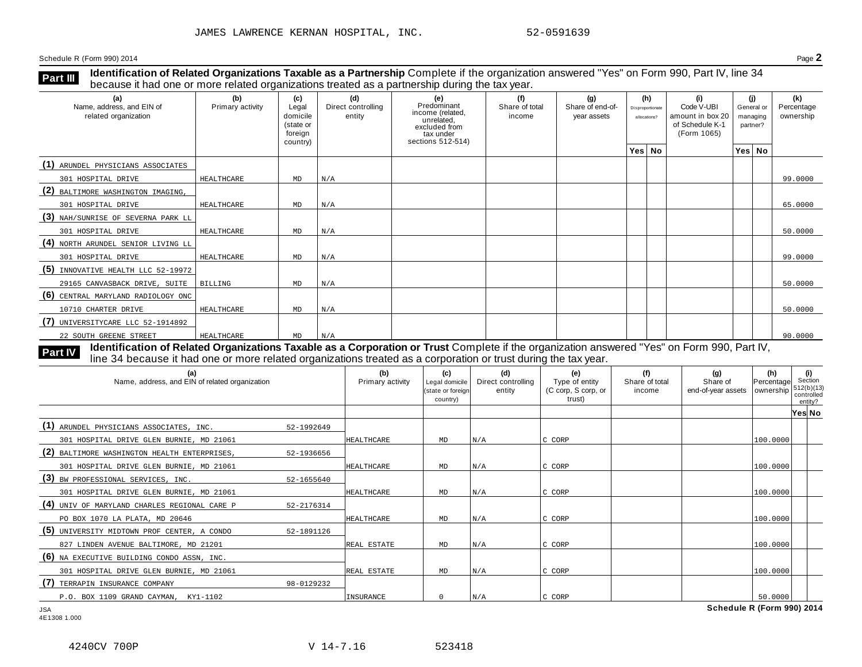**Identification of Related Organizations Taxable as a Partnership** Complete if the organization answered "Yes" on Form 990, Part IV, line 34 because it had one or more related organizations treated as <sup>a</sup> partnership during the tax year. **Part III**

| (a)<br>Name, address, and EIN of<br>related organization | (b)<br>Primary activity | (c)<br>Legal<br>domicile<br>(state or<br>foreign<br>country) | (d)<br>Direct controlling<br>entity | (e)<br>Predominant<br>income (related,<br>unrelated,<br>excluded from<br>tax under<br>sections 512-514) | (f)<br>Share of total<br>income | (g)<br>Share of end-of-<br>year assets | (h)<br>Disproportionate<br>allocations? | (i)<br>Code V-UBI<br>amount in box 20<br>of Schedule K-1<br>(Form 1065) | partner? | (i)<br>General or<br>managing | (k)<br>Percentage<br>ownership |
|----------------------------------------------------------|-------------------------|--------------------------------------------------------------|-------------------------------------|---------------------------------------------------------------------------------------------------------|---------------------------------|----------------------------------------|-----------------------------------------|-------------------------------------------------------------------------|----------|-------------------------------|--------------------------------|
|                                                          |                         |                                                              |                                     |                                                                                                         |                                 |                                        | Yes No                                  |                                                                         |          | Yes No                        |                                |
| (1) ARUNDEL PHYSICIANS ASSOCIATES                        |                         |                                                              |                                     |                                                                                                         |                                 |                                        |                                         |                                                                         |          |                               |                                |
| 301 HOSPITAL DRIVE                                       | HEALTHCARE              | MD                                                           | N/A                                 |                                                                                                         |                                 |                                        |                                         |                                                                         |          |                               | 99.0000                        |
| (2) BALTIMORE WASHINGTON IMAGING,                        |                         |                                                              |                                     |                                                                                                         |                                 |                                        |                                         |                                                                         |          |                               |                                |
| 301 HOSPITAL DRIVE                                       | HEALTHCARE              | MD                                                           | N/A                                 |                                                                                                         |                                 |                                        |                                         |                                                                         |          |                               | 65.0000                        |
| (3) NAH/SUNRISE OF SEVERNA PARK LL                       |                         |                                                              |                                     |                                                                                                         |                                 |                                        |                                         |                                                                         |          |                               |                                |
| 301 HOSPITAL DRIVE                                       | HEALTHCARE              | MD                                                           | N/A                                 |                                                                                                         |                                 |                                        |                                         |                                                                         |          |                               | 50.0000                        |
| (4) NORTH ARUNDEL SENIOR LIVING LL                       |                         |                                                              |                                     |                                                                                                         |                                 |                                        |                                         |                                                                         |          |                               |                                |
| 301 HOSPITAL DRIVE                                       | HEALTHCARE              | MD                                                           | N/A                                 |                                                                                                         |                                 |                                        |                                         |                                                                         |          |                               | 99.0000                        |
| $(5)$ INNOVATIVE HEALTH LLC 52-19972                     |                         |                                                              |                                     |                                                                                                         |                                 |                                        |                                         |                                                                         |          |                               |                                |
| 29165 CANVASBACK DRIVE, SUITE                            | <b>BILLING</b>          | MD                                                           | N/A                                 |                                                                                                         |                                 |                                        |                                         |                                                                         |          |                               | 50.0000                        |
| (6) CENTRAL MARYLAND RADIOLOGY ONC                       |                         |                                                              |                                     |                                                                                                         |                                 |                                        |                                         |                                                                         |          |                               |                                |
| 10710 CHARTER DRIVE                                      | HEALTHCARE              | MD                                                           | N/A                                 |                                                                                                         |                                 |                                        |                                         |                                                                         |          |                               | 50.0000                        |
| (7) UNIVERSITYCARE LLC 52-1914892                        |                         |                                                              |                                     |                                                                                                         |                                 |                                        |                                         |                                                                         |          |                               |                                |
| 22 SOUTH GREENE STREET                                   | HEALTHCARE              | MD                                                           | N/A                                 |                                                                                                         |                                 |                                        |                                         |                                                                         |          |                               | 90.0000                        |

**Identification of Related Organizations Taxable as a Corporation or Trust** Complete if the organization answered "Yes" on Form 990, Part IV, **Part IV** dentification of Related Organizations Taxable as a Corporation or Trust Complete if the organization answ<br>line 34 because it had one or more related organizations treated as a corporation or trust during the tax

| (a)<br>Name, address, and EIN of related organization |            | (b)<br>Primary activity | (c)<br>Legal domicile<br>(state or foreign<br>country) | (d)<br>Direct controlling<br>entity | (e)<br>Type of entity<br>(C corp, S corp, or<br>trust) | (f)<br>Share of total<br>income | (q)<br>Share of<br>end-of-year assets | (h)<br>Percentage Section<br>ownership | (i)<br>512(b)(13)<br>controlled<br>entity? |
|-------------------------------------------------------|------------|-------------------------|--------------------------------------------------------|-------------------------------------|--------------------------------------------------------|---------------------------------|---------------------------------------|----------------------------------------|--------------------------------------------|
|                                                       |            |                         |                                                        |                                     |                                                        |                                 |                                       |                                        | Yes No                                     |
| (1) ARUNDEL PHYSICIANS ASSOCIATES, INC.               | 52-1992649 |                         |                                                        |                                     |                                                        |                                 |                                       |                                        |                                            |
| 301 HOSPITAL DRIVE GLEN BURNIE, MD 21061              |            | HEALTHCARE              | MD                                                     | N/A                                 | C CORP                                                 |                                 |                                       | 100.0000                               |                                            |
| (2) BALTIMORE WASHINGTON HEALTH ENTERPRISES,          | 52-1936656 |                         |                                                        |                                     |                                                        |                                 |                                       |                                        |                                            |
| 301 HOSPITAL DRIVE GLEN BURNIE, MD 21061              |            | <b>HEALTHCARE</b>       | MD                                                     | N/A                                 | C CORP                                                 |                                 |                                       | 100.0000                               |                                            |
| (3) BW PROFESSIONAL SERVICES, INC.                    | 52-1655640 |                         |                                                        |                                     |                                                        |                                 |                                       |                                        |                                            |
| 301 HOSPITAL DRIVE GLEN BURNIE, MD 21061              |            | <b>HEALTHCARE</b>       | MD                                                     | N/A                                 | C CORP                                                 |                                 |                                       | 100.0000                               |                                            |
| (4) UNIV OF MARYLAND CHARLES REGIONAL CARE P          | 52-2176314 |                         |                                                        |                                     |                                                        |                                 |                                       |                                        |                                            |
| PO BOX 1070 LA PLATA, MD 20646                        |            | HEALTHCARE              | MD                                                     | N/A                                 | C CORP                                                 |                                 |                                       | 100.0000                               |                                            |
| (5) UNIVERSITY MIDTOWN PROF CENTER, A CONDO           | 52-1891126 |                         |                                                        |                                     |                                                        |                                 |                                       |                                        |                                            |
| 827 LINDEN AVENUE BALTIMORE, MD 21201                 |            | REAL ESTATE             | MD                                                     | N/A                                 | C CORP                                                 |                                 |                                       | 100.0000                               |                                            |
| (6) NA EXECUTIVE BUILDING CONDO ASSN, INC.            |            |                         |                                                        |                                     |                                                        |                                 |                                       |                                        |                                            |
| 301 HOSPITAL DRIVE GLEN BURNIE, MD 21061              |            | REAL ESTATE             | MD                                                     | N/A                                 | C CORP                                                 |                                 |                                       | 100.0000                               |                                            |
| (7) TERRAPIN INSURANCE COMPANY                        | 98-0129232 |                         |                                                        |                                     |                                                        |                                 |                                       |                                        |                                            |
| P.O. BOX 1109 GRAND CAYMAN, KY1-1102                  |            | INSURANCE               |                                                        | N/A                                 | C CORP                                                 |                                 |                                       | 50,0000                                |                                            |
| <b>JSA</b>                                            |            |                         |                                                        |                                     |                                                        |                                 | Schedule R (Form 990) 2014            |                                        |                                            |

4E1308 1.000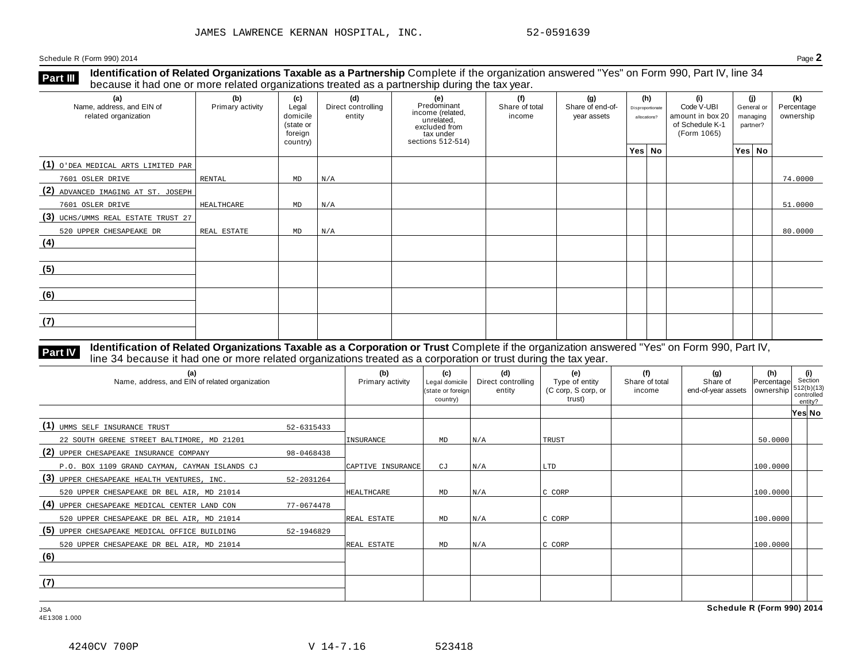**Identification of Related Organizations Taxable as a Partnership** Complete if the organization answered "Yes" on Form 990, Part IV, line 34 **because it had one or more related organizations Taxable as a Partnership** Complete it the organization of Related organizations treated as a partnership during the tax year.

| (a)<br>Name, address, and EIN of<br>related organization | (b)<br>Primary activity | (c)<br>Legal<br>domicile<br>(state or<br>foreign<br>country) | (d)<br>Direct controlling<br>entity | (e)<br>Predominant<br>income (related,<br>unrelated,<br>excluded from<br>tax under<br>sections 512-514) | (f)<br>Share of total<br>income | (g)<br>Share of end-of-<br>year assets | (h)<br>Disproportionate<br>allocations? | (i)<br>Code V-UBI<br>amount in box 20<br>of Schedule K-1<br>(Form 1065) | (i)<br>General or<br>managing<br>partner? | (k)<br>Percentage<br>ownership |
|----------------------------------------------------------|-------------------------|--------------------------------------------------------------|-------------------------------------|---------------------------------------------------------------------------------------------------------|---------------------------------|----------------------------------------|-----------------------------------------|-------------------------------------------------------------------------|-------------------------------------------|--------------------------------|
|                                                          |                         |                                                              |                                     |                                                                                                         |                                 |                                        | Yes No                                  |                                                                         | Yes No                                    |                                |
| (1) O'DEA MEDICAL ARTS LIMITED PAR                       |                         |                                                              |                                     |                                                                                                         |                                 |                                        |                                         |                                                                         |                                           |                                |
| 7601 OSLER DRIVE                                         | RENTAL                  | MD                                                           | N/A                                 |                                                                                                         |                                 |                                        |                                         |                                                                         |                                           | 74.0000                        |
| (2) ADVANCED IMAGING AT ST. JOSEPH                       |                         |                                                              |                                     |                                                                                                         |                                 |                                        |                                         |                                                                         |                                           |                                |
| 7601 OSLER DRIVE                                         | HEALTHCARE              | MD                                                           | N/A                                 |                                                                                                         |                                 |                                        |                                         |                                                                         |                                           | 51.0000                        |
| (3) UCHS/UMMS REAL ESTATE TRUST 27                       |                         |                                                              |                                     |                                                                                                         |                                 |                                        |                                         |                                                                         |                                           |                                |
| 520 UPPER CHESAPEAKE DR                                  | REAL ESTATE             | MD                                                           | N/A                                 |                                                                                                         |                                 |                                        |                                         |                                                                         |                                           | 80.0000                        |
| (4)                                                      |                         |                                                              |                                     |                                                                                                         |                                 |                                        |                                         |                                                                         |                                           |                                |
| (5)                                                      |                         |                                                              |                                     |                                                                                                         |                                 |                                        |                                         |                                                                         |                                           |                                |
| (6)                                                      |                         |                                                              |                                     |                                                                                                         |                                 |                                        |                                         |                                                                         |                                           |                                |
| (7)                                                      |                         |                                                              |                                     |                                                                                                         |                                 |                                        |                                         |                                                                         |                                           |                                |

**Identification of Related Organizations Taxable as a Corporation or Trust** Complete if the organization answered "Yes" on Form 990, Part IV, **Part IV** dentification of Related Organizations Taxable as a Corporation or Trust Complete if the organization answer line 34 because it had one or more related organizations treated as a corporation or trust during the t

| (a)<br>Name, address, and EIN of related organization |            | (b)<br>Primary activity | (c)<br>Legal domicile<br>(state or foreign<br>country) | (d)<br>Direct controlling<br>entity | (e)<br>Type of entity<br>(C corp, S corp, or<br>trust) | (f)<br>Share of total<br>income | (g)<br>Share of<br>end-of-year assets   ownership | (h)<br>Percentage | (i)<br>Section<br>$512(b)(13)$<br>controlled<br>entity? |  |
|-------------------------------------------------------|------------|-------------------------|--------------------------------------------------------|-------------------------------------|--------------------------------------------------------|---------------------------------|---------------------------------------------------|-------------------|---------------------------------------------------------|--|
|                                                       |            |                         |                                                        |                                     |                                                        |                                 |                                                   |                   | Yes No                                                  |  |
| (1) UMMS SELF INSURANCE TRUST                         | 52-6315433 |                         |                                                        |                                     |                                                        |                                 |                                                   |                   |                                                         |  |
| 22 SOUTH GREENE STREET BALTIMORE, MD 21201            |            | INSURANCE               | MD                                                     | N/A                                 | <b>TRUST</b>                                           |                                 |                                                   | 50.0000           |                                                         |  |
| (2) UPPER CHESAPEAKE INSURANCE COMPANY                | 98-0468438 |                         |                                                        |                                     |                                                        |                                 |                                                   |                   |                                                         |  |
| P.O. BOX 1109 GRAND CAYMAN, CAYMAN ISLANDS CJ         |            | CAPTIVE INSURANCE       | CJ                                                     | N/A                                 | LTD                                                    |                                 |                                                   | 100.0000          |                                                         |  |
| (3) UPPER CHESAPEAKE HEALTH VENTURES, INC.            | 52-2031264 |                         |                                                        |                                     |                                                        |                                 |                                                   |                   |                                                         |  |
| 520 UPPER CHESAPEAKE DR BEL AIR, MD 21014             |            | HEALTHCARE              | MD                                                     | N/A                                 | C CORP                                                 |                                 |                                                   | 100.0000          |                                                         |  |
| (4) UPPER CHESAPEAKE MEDICAL CENTER LAND CON          | 77-0674478 |                         |                                                        |                                     |                                                        |                                 |                                                   |                   |                                                         |  |
| 520 UPPER CHESAPEAKE DR BEL AIR, MD 21014             |            | REAL ESTATE             | MD                                                     | N/A                                 | C CORP                                                 |                                 |                                                   | 100.0000          |                                                         |  |
| (5) UPPER CHESAPEAKE MEDICAL OFFICE BUILDING          | 52-1946829 |                         |                                                        |                                     |                                                        |                                 |                                                   |                   |                                                         |  |
| 520 UPPER CHESAPEAKE DR BEL AIR, MD 21014             |            | REAL ESTATE             | MD                                                     | N/A                                 | C CORP                                                 |                                 |                                                   | 100.0000          |                                                         |  |
| (6)                                                   |            |                         |                                                        |                                     |                                                        |                                 |                                                   |                   |                                                         |  |
|                                                       |            |                         |                                                        |                                     |                                                        |                                 |                                                   |                   |                                                         |  |
| (7)                                                   |            |                         |                                                        |                                     |                                                        |                                 |                                                   |                   |                                                         |  |
|                                                       |            |                         |                                                        |                                     |                                                        |                                 |                                                   |                   |                                                         |  |

JSA **Schedule R (Form 990) 2014**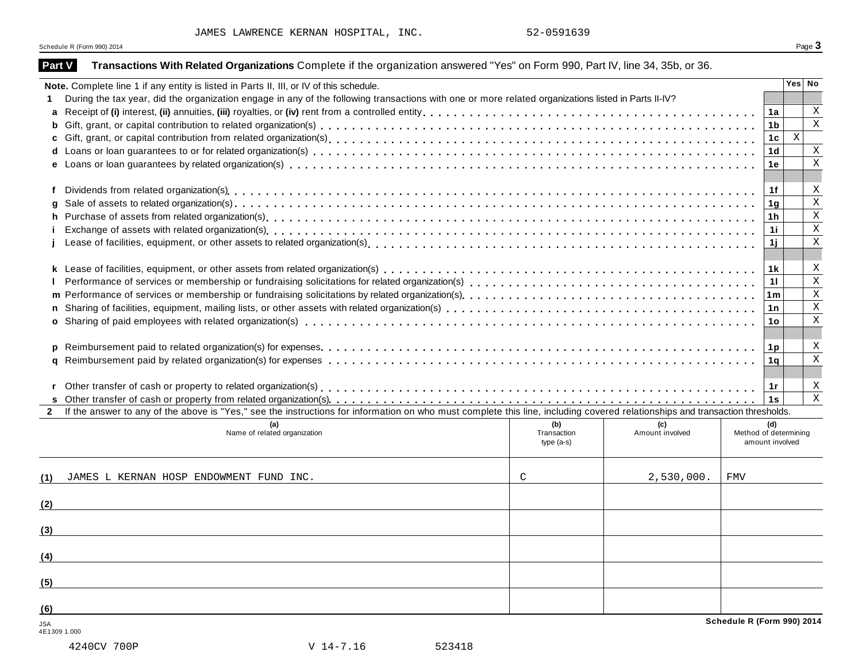| <b>Part V</b>       | Transactions With Related Organizations Complete if the organization answered "Yes" on Form 990, Part IV, line 34, 35b, or 36.                                                                                                                 |                                   |                        |                                                 |                         |  |
|---------------------|------------------------------------------------------------------------------------------------------------------------------------------------------------------------------------------------------------------------------------------------|-----------------------------------|------------------------|-------------------------------------------------|-------------------------|--|
|                     | Note. Complete line 1 if any entity is listed in Parts II, III, or IV of this schedule.<br>During the tax year, did the organization engage in any of the following transactions with one or more related organizations listed in Parts II-IV? |                                   |                        |                                                 | Yes   No                |  |
| a                   |                                                                                                                                                                                                                                                |                                   |                        | 1a                                              | Χ                       |  |
| b                   |                                                                                                                                                                                                                                                |                                   |                        | 1 <sub>b</sub>                                  | $\overline{\mathbf{x}}$ |  |
| c                   |                                                                                                                                                                                                                                                |                                   |                        | 1c                                              | $\mathbf X$             |  |
| d                   |                                                                                                                                                                                                                                                |                                   |                        | 1 <sub>d</sub>                                  | X                       |  |
|                     |                                                                                                                                                                                                                                                |                                   |                        | 1e                                              | $\mathbf X$             |  |
| f                   |                                                                                                                                                                                                                                                |                                   |                        | 1f                                              | X                       |  |
|                     |                                                                                                                                                                                                                                                |                                   |                        | 1 <sub>g</sub>                                  | $\mathbf X$             |  |
| h.                  |                                                                                                                                                                                                                                                |                                   |                        | 1h                                              | $\mathbf X$             |  |
|                     |                                                                                                                                                                                                                                                |                                   |                        | 1i.                                             | $\overline{\mathbf{x}}$ |  |
|                     |                                                                                                                                                                                                                                                |                                   |                        | 1j                                              | $\mathbf X$             |  |
|                     |                                                                                                                                                                                                                                                |                                   |                        |                                                 |                         |  |
|                     |                                                                                                                                                                                                                                                |                                   |                        | 1 <sub>k</sub>                                  | X                       |  |
|                     |                                                                                                                                                                                                                                                |                                   |                        | 11                                              | $\mathbf X$             |  |
|                     | Performance of services or membership or fundraising solicitations by related organization(s)<br>xinality of the term of the term of the term of the term of the term of term of terms terms of indications by related organizat               |                                   |                        | 1 <sub>m</sub>                                  | $\mathbf X$             |  |
|                     |                                                                                                                                                                                                                                                |                                   |                        | 1n                                              | $\rm X$                 |  |
|                     |                                                                                                                                                                                                                                                |                                   |                        | 1 <sub>o</sub>                                  | X                       |  |
|                     |                                                                                                                                                                                                                                                |                                   |                        |                                                 |                         |  |
|                     |                                                                                                                                                                                                                                                |                                   |                        | 1 <sub>p</sub>                                  | X                       |  |
| a                   |                                                                                                                                                                                                                                                |                                   |                        | 1a                                              | $\mathbf X$             |  |
|                     |                                                                                                                                                                                                                                                |                                   |                        |                                                 |                         |  |
|                     |                                                                                                                                                                                                                                                |                                   |                        | 1r                                              | X                       |  |
|                     |                                                                                                                                                                                                                                                |                                   |                        | 1s                                              | $\mathbf X$             |  |
| $\mathbf{2}$        | If the answer to any of the above is "Yes," see the instructions for information on who must complete this line, including covered relationships and transaction thresholds.                                                                   |                                   |                        |                                                 |                         |  |
|                     | Name of related organization                                                                                                                                                                                                                   | (b)<br>Transaction<br>$type(a-s)$ | (c)<br>Amount involved | (d)<br>Method of determining<br>amount involved |                         |  |
| (1)                 | JAMES L KERNAN HOSP ENDOWMENT FUND INC.                                                                                                                                                                                                        | $\mathcal{C}$                     | 2,530,000.             | <b>FMV</b>                                      |                         |  |
| (2)                 |                                                                                                                                                                                                                                                |                                   |                        |                                                 |                         |  |
| (3)                 |                                                                                                                                                                                                                                                |                                   |                        |                                                 |                         |  |
|                     |                                                                                                                                                                                                                                                |                                   |                        |                                                 |                         |  |
| (4)                 |                                                                                                                                                                                                                                                |                                   |                        |                                                 |                         |  |
| (5)                 |                                                                                                                                                                                                                                                |                                   |                        |                                                 |                         |  |
| (6)                 |                                                                                                                                                                                                                                                |                                   |                        |                                                 |                         |  |
| JSA<br>4E1309 1.000 |                                                                                                                                                                                                                                                |                                   |                        | Schedule R (Form 990) 2014                      |                         |  |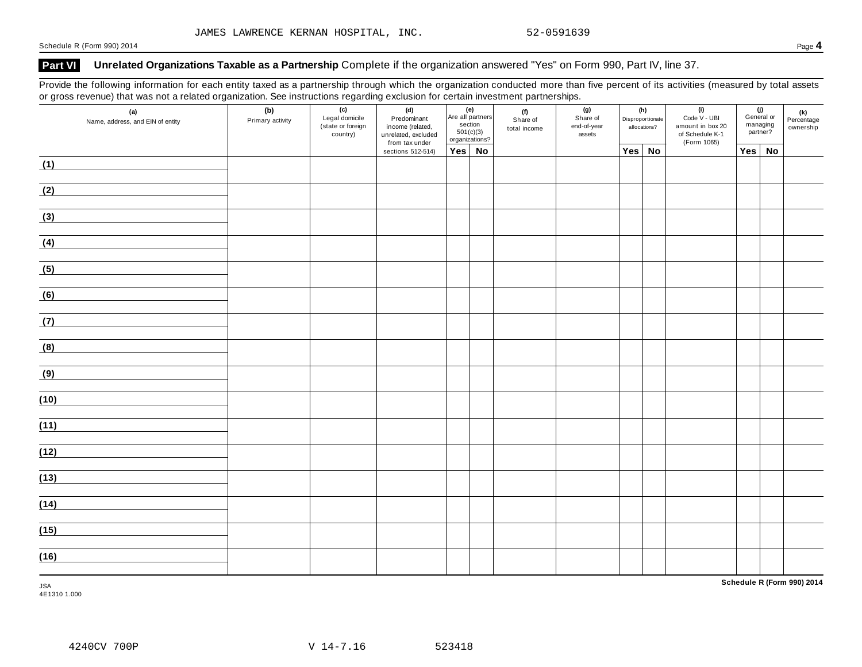# **Part VI Unrelated Organizations Taxable as a Partnership** Complete if the organization answered "Yes" on Form 990, Part IV, line 37.

Provide the following information for each entity taxed as a partnership through which the organization conducted more than five percent of its activities (measured by total assets or gross revenue) that was not a related organization. See instructions regarding exclusion for certain investment partnerships.

| (a)<br>Name, address, and EIN of entity | (b)<br>Primary activity | (c)<br>Legal domicile<br>(state or foreign<br>country) | (d)<br>Predominant<br>income (related,<br>unrelated, excluded<br>from tax under | (g)<br>(f)<br>Are all partners<br>Code V - UBI<br>Share of<br>Disproportionate<br>Share of<br>section<br>end-of-year<br>allocations?<br>total income<br>501(c)(3)<br>assets<br>organizations?<br>(Form 1065) |  | (e) |  |        |  | (h) |     | (i)<br>amount in box 20<br>of Schedule K-1 |  |  |  | (j)<br>General or<br>managing<br>partner? | (k)<br>Percentage<br>ownership |
|-----------------------------------------|-------------------------|--------------------------------------------------------|---------------------------------------------------------------------------------|--------------------------------------------------------------------------------------------------------------------------------------------------------------------------------------------------------------|--|-----|--|--------|--|-----|-----|--------------------------------------------|--|--|--|-------------------------------------------|--------------------------------|
|                                         |                         |                                                        | sections 512-514)                                                               | $Yes \mid No$                                                                                                                                                                                                |  |     |  | Yes No |  |     | Yes | <b>No</b>                                  |  |  |  |                                           |                                |
| (1)                                     |                         |                                                        |                                                                                 |                                                                                                                                                                                                              |  |     |  |        |  |     |     |                                            |  |  |  |                                           |                                |
| (2)                                     |                         |                                                        |                                                                                 |                                                                                                                                                                                                              |  |     |  |        |  |     |     |                                            |  |  |  |                                           |                                |
| (3)                                     |                         |                                                        |                                                                                 |                                                                                                                                                                                                              |  |     |  |        |  |     |     |                                            |  |  |  |                                           |                                |
| (4)                                     |                         |                                                        |                                                                                 |                                                                                                                                                                                                              |  |     |  |        |  |     |     |                                            |  |  |  |                                           |                                |
| (5)                                     |                         |                                                        |                                                                                 |                                                                                                                                                                                                              |  |     |  |        |  |     |     |                                            |  |  |  |                                           |                                |
| (6)                                     |                         |                                                        |                                                                                 |                                                                                                                                                                                                              |  |     |  |        |  |     |     |                                            |  |  |  |                                           |                                |
| (7)                                     |                         |                                                        |                                                                                 |                                                                                                                                                                                                              |  |     |  |        |  |     |     |                                            |  |  |  |                                           |                                |
| (8)                                     |                         |                                                        |                                                                                 |                                                                                                                                                                                                              |  |     |  |        |  |     |     |                                            |  |  |  |                                           |                                |
| (9)                                     |                         |                                                        |                                                                                 |                                                                                                                                                                                                              |  |     |  |        |  |     |     |                                            |  |  |  |                                           |                                |
| (10)                                    |                         |                                                        |                                                                                 |                                                                                                                                                                                                              |  |     |  |        |  |     |     |                                            |  |  |  |                                           |                                |
| (11)                                    |                         |                                                        |                                                                                 |                                                                                                                                                                                                              |  |     |  |        |  |     |     |                                            |  |  |  |                                           |                                |
| (12)                                    |                         |                                                        |                                                                                 |                                                                                                                                                                                                              |  |     |  |        |  |     |     |                                            |  |  |  |                                           |                                |
| (13)                                    |                         |                                                        |                                                                                 |                                                                                                                                                                                                              |  |     |  |        |  |     |     |                                            |  |  |  |                                           |                                |
| (14)                                    |                         |                                                        |                                                                                 |                                                                                                                                                                                                              |  |     |  |        |  |     |     |                                            |  |  |  |                                           |                                |
| (15)                                    |                         |                                                        |                                                                                 |                                                                                                                                                                                                              |  |     |  |        |  |     |     |                                            |  |  |  |                                           |                                |
| (16)                                    |                         |                                                        |                                                                                 |                                                                                                                                                                                                              |  |     |  |        |  |     |     |                                            |  |  |  |                                           |                                |

JSA 4E1310 1.000 **Schedule R (Form 990) 2014**